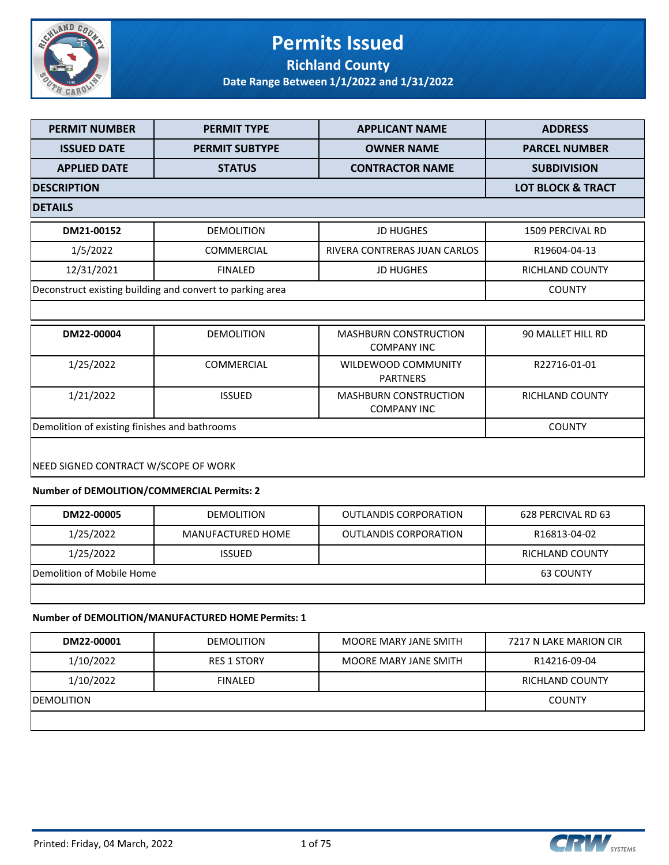

### **Permits Issued Richland County**

**Date Range Between 1/1/2022 and 1/31/2022**

| <b>PERMIT NUMBER</b>                          | <b>PERMIT TYPE</b>                                        | <b>APPLICANT NAME</b>                              | <b>ADDRESS</b>               |
|-----------------------------------------------|-----------------------------------------------------------|----------------------------------------------------|------------------------------|
| <b>ISSUED DATE</b>                            | <b>PERMIT SUBTYPE</b>                                     | <b>OWNER NAME</b>                                  | <b>PARCEL NUMBER</b>         |
| <b>APPLIED DATE</b>                           | <b>STATUS</b>                                             | <b>CONTRACTOR NAME</b>                             | <b>SUBDIVISION</b>           |
| <b>DESCRIPTION</b>                            |                                                           |                                                    | <b>LOT BLOCK &amp; TRACT</b> |
| <b>DETAILS</b>                                |                                                           |                                                    |                              |
| DM21-00152                                    | <b>DEMOLITION</b>                                         | <b>JD HUGHES</b>                                   | <b>1509 PERCIVAL RD</b>      |
| 1/5/2022                                      | <b>COMMERCIAL</b>                                         | RIVERA CONTRERAS JUAN CARLOS                       | R19604-04-13                 |
| 12/31/2021                                    | <b>FINALED</b>                                            | <b>JD HUGHES</b>                                   | RICHLAND COUNTY              |
|                                               | Deconstruct existing building and convert to parking area |                                                    | <b>COUNTY</b>                |
|                                               |                                                           |                                                    |                              |
| DM22-00004                                    | <b>DEMOLITION</b>                                         | <b>MASHBURN CONSTRUCTION</b><br><b>COMPANY INC</b> | 90 MALLET HILL RD            |
| 1/25/2022                                     | <b>COMMERCIAL</b>                                         | WILDEWOOD COMMUNITY<br><b>PARTNERS</b>             | R22716-01-01                 |
| 1/21/2022                                     | <b>ISSUED</b>                                             | <b>MASHBURN CONSTRUCTION</b><br><b>COMPANY INC</b> | RICHLAND COUNTY              |
| Demolition of existing finishes and bathrooms | <b>COUNTY</b>                                             |                                                    |                              |
|                                               |                                                           |                                                    |                              |
| NEED SIGNED CONTRACT W/SCOPE OF WORK          |                                                           |                                                    |                              |
| Number of DEMOLITION/COMMERCIAL Permits: 2    |                                                           |                                                    |                              |

| DM22-00005                | <b>DEMOLITION</b> | <b>OUTLANDIS CORPORATION</b> | 628 PERCIVAL RD 63 |
|---------------------------|-------------------|------------------------------|--------------------|
| 1/25/2022                 | MANUFACTURED HOME | <b>OUTLANDIS CORPORATION</b> | R16813-04-02       |
| 1/25/2022                 | <b>ISSUED</b>     |                              | RICHLAND COUNTY    |
| Demolition of Mobile Home |                   |                              | 63 COUNTY          |
|                           |                   |                              |                    |

#### **Number of DEMOLITION/MANUFACTURED HOME Permits: 1**

| DM22-00001         | <b>DEMOLITION</b>  | MOORE MARY JANE SMITH | 7217 N LAKE MARION CIR |
|--------------------|--------------------|-----------------------|------------------------|
| 1/10/2022          | <b>RES 1 STORY</b> | MOORE MARY JANE SMITH | R14216-09-04           |
| 1/10/2022          | <b>FINALED</b>     |                       | RICHLAND COUNTY        |
| <b>IDEMOLITION</b> |                    |                       | <b>COUNTY</b>          |
|                    |                    |                       |                        |

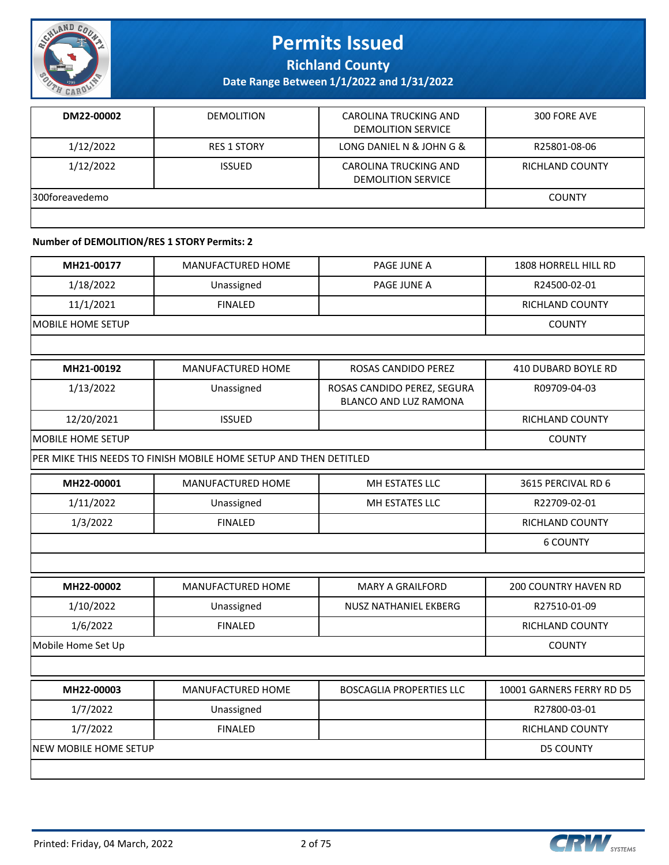

**Richland County**

**Date Range Between 1/1/2022 and 1/31/2022**

| DM22-00002     | <b>DEMOLITION</b>  | CAROLINA TRUCKING AND<br><b>DEMOLITION SERVICE</b> | 300 FORE AVE    |
|----------------|--------------------|----------------------------------------------------|-----------------|
| 1/12/2022      | <b>RES 1 STORY</b> | LONG DANIEL N & JOHN G &                           | R25801-08-06    |
| 1/12/2022      | <b>ISSUED</b>      | CAROLINA TRUCKING AND<br><b>DEMOLITION SERVICE</b> | RICHLAND COUNTY |
| 300foreavedemo |                    |                                                    | <b>COUNTY</b>   |
|                |                    |                                                    |                 |

#### **Number of DEMOLITION/RES 1 STORY Permits: 2**

| MH21-00177            | MANUFACTURED HOME                                                 | PAGE JUNE A                                          | 1808 HORRELL HILL RD        |
|-----------------------|-------------------------------------------------------------------|------------------------------------------------------|-----------------------------|
| 1/18/2022             | Unassigned                                                        | PAGE JUNE A                                          | R24500-02-01                |
| 11/1/2021             | <b>FINALED</b>                                                    |                                                      | RICHLAND COUNTY             |
| MOBILE HOME SETUP     |                                                                   |                                                      | <b>COUNTY</b>               |
|                       |                                                                   |                                                      |                             |
| MH21-00192            | MANUFACTURED HOME                                                 | ROSAS CANDIDO PEREZ                                  | 410 DUBARD BOYLE RD         |
| 1/13/2022             | Unassigned                                                        | ROSAS CANDIDO PEREZ, SEGURA<br>BLANCO AND LUZ RAMONA | R09709-04-03                |
| 12/20/2021            | <b>ISSUED</b>                                                     |                                                      | RICHLAND COUNTY             |
| MOBILE HOME SETUP     |                                                                   |                                                      | <b>COUNTY</b>               |
|                       | PER MIKE THIS NEEDS TO FINISH MOBILE HOME SETUP AND THEN DETITLED |                                                      |                             |
| MH22-00001            | MANUFACTURED HOME                                                 | MH ESTATES LLC                                       | 3615 PERCIVAL RD 6          |
| 1/11/2022             | Unassigned                                                        | MH ESTATES LLC                                       | R22709-02-01                |
| 1/3/2022              | <b>FINALED</b>                                                    |                                                      | RICHLAND COUNTY             |
|                       |                                                                   |                                                      | <b>6 COUNTY</b>             |
|                       |                                                                   |                                                      |                             |
| MH22-00002            | MANUFACTURED HOME                                                 | <b>MARY A GRAILFORD</b>                              | <b>200 COUNTRY HAVEN RD</b> |
| 1/10/2022             | Unassigned                                                        | NUSZ NATHANIEL EKBERG                                | R27510-01-09                |
| 1/6/2022              | <b>FINALED</b>                                                    |                                                      | RICHLAND COUNTY             |
| Mobile Home Set Up    |                                                                   |                                                      | <b>COUNTY</b>               |
|                       |                                                                   |                                                      |                             |
| MH22-00003            | MANUFACTURED HOME                                                 | <b>BOSCAGLIA PROPERTIES LLC</b>                      | 10001 GARNERS FERRY RD D5   |
| 1/7/2022              | Unassigned                                                        |                                                      | R27800-03-01                |
| 1/7/2022              | <b>FINALED</b>                                                    |                                                      | RICHLAND COUNTY             |
| NEW MOBILE HOME SETUP |                                                                   |                                                      | <b>D5 COUNTY</b>            |
|                       |                                                                   |                                                      |                             |

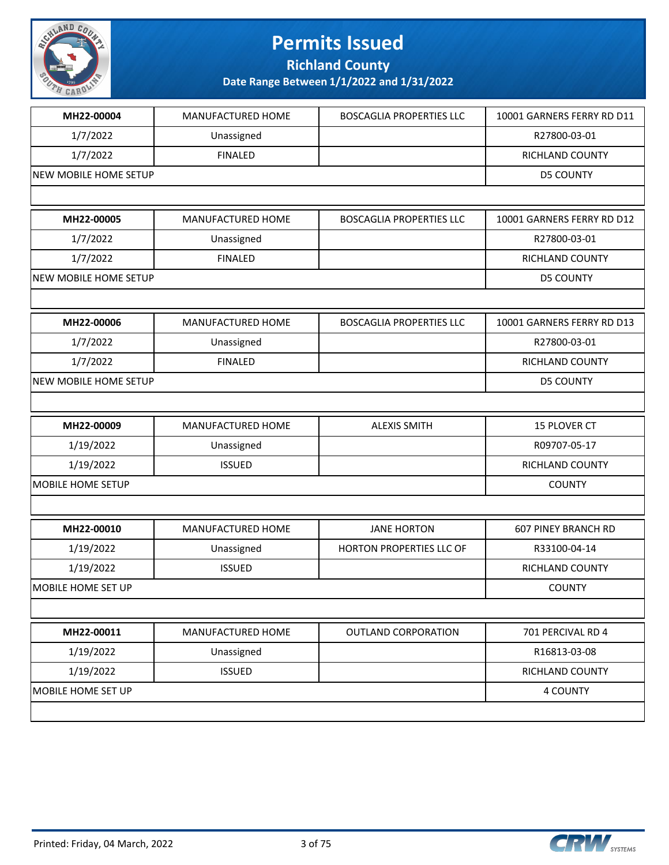

**Richland County**

| MH22-00004                   | MANUFACTURED HOME | <b>BOSCAGLIA PROPERTIES LLC</b> | 10001 GARNERS FERRY RD D11 |
|------------------------------|-------------------|---------------------------------|----------------------------|
| 1/7/2022                     | Unassigned        |                                 | R27800-03-01               |
| 1/7/2022                     | <b>FINALED</b>    |                                 | RICHLAND COUNTY            |
| NEW MOBILE HOME SETUP        |                   |                                 | <b>D5 COUNTY</b>           |
|                              |                   |                                 |                            |
| MH22-00005                   | MANUFACTURED HOME | <b>BOSCAGLIA PROPERTIES LLC</b> | 10001 GARNERS FERRY RD D12 |
| 1/7/2022                     | Unassigned        |                                 | R27800-03-01               |
| 1/7/2022                     | <b>FINALED</b>    |                                 | RICHLAND COUNTY            |
| <b>NEW MOBILE HOME SETUP</b> |                   |                                 | <b>D5 COUNTY</b>           |
|                              |                   |                                 |                            |
| MH22-00006                   | MANUFACTURED HOME | <b>BOSCAGLIA PROPERTIES LLC</b> | 10001 GARNERS FERRY RD D13 |
| 1/7/2022                     | Unassigned        |                                 | R27800-03-01               |
| 1/7/2022                     | <b>FINALED</b>    |                                 | RICHLAND COUNTY            |
| NEW MOBILE HOME SETUP        |                   |                                 | <b>D5 COUNTY</b>           |
|                              |                   |                                 |                            |
| MH22-00009                   | MANUFACTURED HOME | <b>ALEXIS SMITH</b>             | 15 PLOVER CT               |
| 1/19/2022                    | Unassigned        |                                 | R09707-05-17               |
| 1/19/2022                    | <b>ISSUED</b>     |                                 | RICHLAND COUNTY            |
| MOBILE HOME SETUP            |                   |                                 | <b>COUNTY</b>              |
|                              |                   |                                 |                            |
| MH22-00010                   | MANUFACTURED HOME | <b>JANE HORTON</b>              | <b>607 PINEY BRANCH RD</b> |
| 1/19/2022                    | Unassigned        | HORTON PROPERTIES LLC OF        | R33100-04-14               |
| 1/19/2022                    | <b>ISSUED</b>     |                                 | RICHLAND COUNTY            |
| MOBILE HOME SET UP           |                   |                                 | <b>COUNTY</b>              |
|                              |                   |                                 |                            |
| MH22-00011                   | MANUFACTURED HOME | <b>OUTLAND CORPORATION</b>      | 701 PERCIVAL RD 4          |
| 1/19/2022                    | Unassigned        |                                 | R16813-03-08               |
| 1/19/2022                    | <b>ISSUED</b>     |                                 | RICHLAND COUNTY            |
| MOBILE HOME SET UP           |                   |                                 | 4 COUNTY                   |
|                              |                   |                                 |                            |
|                              |                   |                                 |                            |

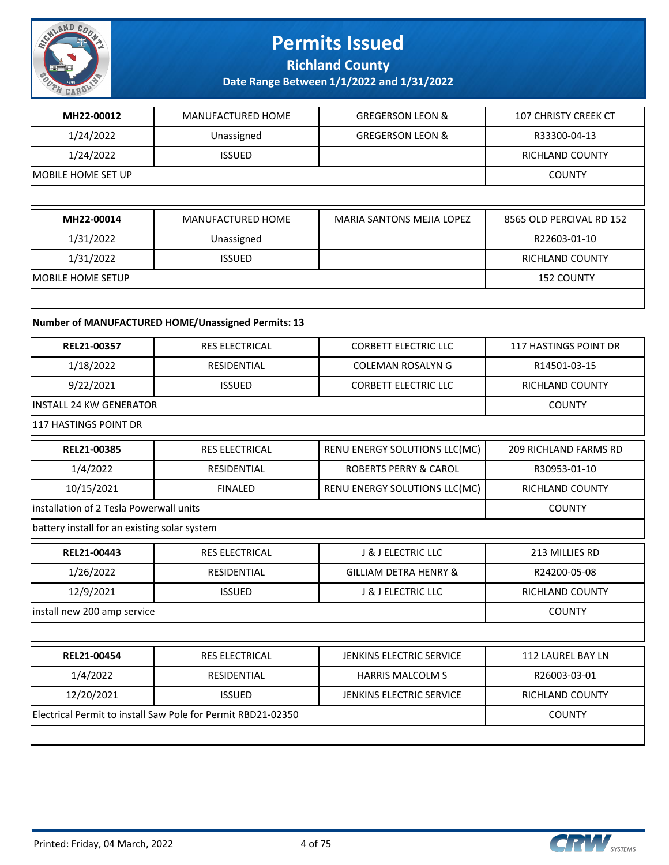

**Richland County**

**Date Range Between 1/1/2022 and 1/31/2022**

| MH22-00012         | <b>MANUFACTURED HOME</b> | <b>GREGERSON LEON &amp;</b>      | <b>107 CHRISTY CREEK CT</b> |
|--------------------|--------------------------|----------------------------------|-----------------------------|
| 1/24/2022          | Unassigned               | <b>GREGERSON LEON &amp;</b>      | R33300-04-13                |
| 1/24/2022          | <b>ISSUED</b>            |                                  | <b>RICHLAND COUNTY</b>      |
| MOBILE HOME SET UP |                          |                                  | <b>COUNTY</b>               |
|                    |                          |                                  |                             |
|                    |                          |                                  |                             |
| MH22-00014         | <b>MANUFACTURED HOME</b> | <b>MARIA SANTONS MEJIA LOPEZ</b> | 8565 OLD PERCIVAL RD 152    |
| 1/31/2022          | Unassigned               |                                  | R22603-01-10                |
| 1/31/2022          | <b>ISSUED</b>            |                                  | <b>RICHLAND COUNTY</b>      |
| IMOBILE HOME SETUP |                          |                                  | <b>152 COUNTY</b>           |

### **Number of MANUFACTURED HOME/Unassigned Permits: 13**

| REL21-00357                                  | <b>RES ELECTRICAL</b>                                        | <b>CORBETT ELECTRIC LLC</b>      | <b>117 HASTINGS POINT DR</b> |
|----------------------------------------------|--------------------------------------------------------------|----------------------------------|------------------------------|
| 1/18/2022                                    | <b>RESIDENTIAL</b>                                           | <b>COLEMAN ROSALYN G</b>         | R14501-03-15                 |
| 9/22/2021                                    | <b>ISSUED</b>                                                | <b>CORBETT ELECTRIC LLC</b>      | <b>RICHLAND COUNTY</b>       |
| <b>INSTALL 24 KW GENERATOR</b>               |                                                              |                                  | <b>COUNTY</b>                |
| 117 HASTINGS POINT DR                        |                                                              |                                  |                              |
| REL21-00385                                  | <b>RES ELECTRICAL</b>                                        | RENU ENERGY SOLUTIONS LLC(MC)    | <b>209 RICHLAND FARMS RD</b> |
| 1/4/2022                                     | <b>RESIDENTIAL</b>                                           | <b>ROBERTS PERRY &amp; CAROL</b> | R30953-01-10                 |
| 10/15/2021                                   | <b>FINALED</b>                                               | RENU ENERGY SOLUTIONS LLC(MC)    | <b>RICHLAND COUNTY</b>       |
| installation of 2 Tesla Powerwall units      |                                                              |                                  | <b>COUNTY</b>                |
| battery install for an existing solar system |                                                              |                                  |                              |
| REL21-00443                                  | <b>RES ELECTRICAL</b>                                        | <b>J &amp; J ELECTRIC LLC</b>    | 213 MILLIES RD               |
| 1/26/2022                                    | <b>RESIDENTIAL</b>                                           | <b>GILLIAM DETRA HENRY &amp;</b> | R24200-05-08                 |
| 12/9/2021                                    | <b>ISSUED</b>                                                | <b>J &amp; J ELECTRIC LLC</b>    | <b>RICHLAND COUNTY</b>       |
| install new 200 amp service                  |                                                              |                                  | <b>COUNTY</b>                |
|                                              |                                                              |                                  |                              |
| REL21-00454                                  | <b>RES ELECTRICAL</b>                                        | <b>JENKINS ELECTRIC SERVICE</b>  | <b>112 LAUREL BAY LN</b>     |
| 1/4/2022                                     | <b>RESIDENTIAL</b>                                           | <b>HARRIS MALCOLM S</b>          | R26003-03-01                 |
| 12/20/2021                                   | <b>ISSUED</b>                                                | JENKINS ELECTRIC SERVICE         | RICHLAND COUNTY              |
|                                              | Electrical Permit to install Saw Pole for Permit RBD21-02350 |                                  | <b>COUNTY</b>                |
|                                              |                                                              |                                  |                              |

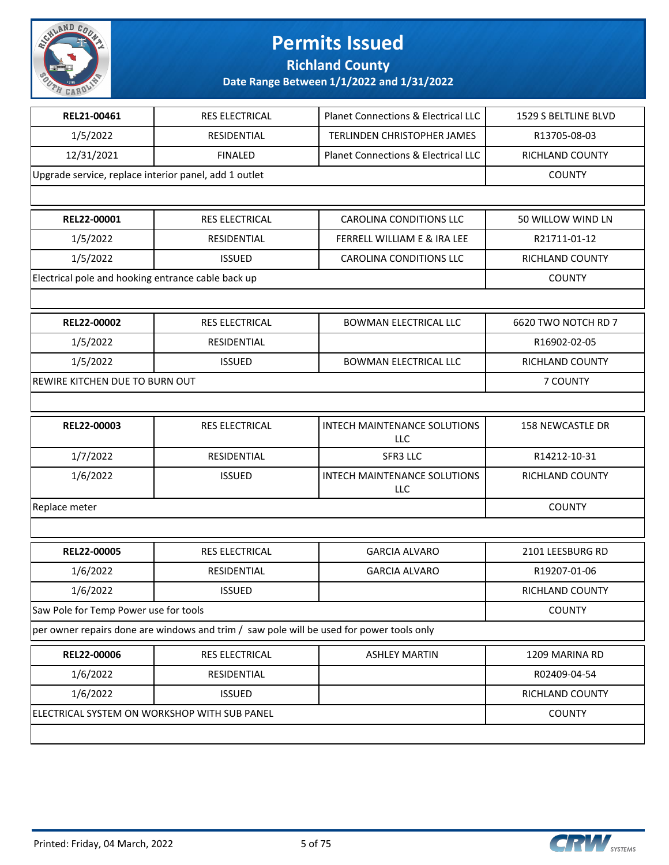

### **Richland County**

| REL21-00461                                           | RES ELECTRICAL                                                                           | Planet Connections & Electrical LLC | 1529 S BELTLINE BLVD    |
|-------------------------------------------------------|------------------------------------------------------------------------------------------|-------------------------------------|-------------------------|
| 1/5/2022                                              | RESIDENTIAL                                                                              | <b>TERLINDEN CHRISTOPHER JAMES</b>  | R13705-08-03            |
| 12/31/2021                                            | <b>FINALED</b>                                                                           | Planet Connections & Electrical LLC | RICHLAND COUNTY         |
| Upgrade service, replace interior panel, add 1 outlet |                                                                                          |                                     | <b>COUNTY</b>           |
|                                                       |                                                                                          |                                     |                         |
| REL22-00001                                           | <b>RES ELECTRICAL</b>                                                                    | <b>CAROLINA CONDITIONS LLC</b>      | 50 WILLOW WIND LN       |
| 1/5/2022                                              | RESIDENTIAL                                                                              | FERRELL WILLIAM E & IRA LEE         | R21711-01-12            |
| 1/5/2022                                              | <b>ISSUED</b>                                                                            | <b>CAROLINA CONDITIONS LLC</b>      | <b>RICHLAND COUNTY</b>  |
| Electrical pole and hooking entrance cable back up    |                                                                                          |                                     | <b>COUNTY</b>           |
|                                                       |                                                                                          |                                     |                         |
| REL22-00002                                           | RES ELECTRICAL                                                                           | <b>BOWMAN ELECTRICAL LLC</b>        | 6620 TWO NOTCH RD 7     |
| 1/5/2022                                              | RESIDENTIAL                                                                              |                                     | R16902-02-05            |
| 1/5/2022                                              | <b>ISSUED</b>                                                                            | <b>BOWMAN ELECTRICAL LLC</b>        | RICHLAND COUNTY         |
| REWIRE KITCHEN DUE TO BURN OUT                        |                                                                                          |                                     | 7 COUNTY                |
|                                                       |                                                                                          |                                     |                         |
| REL22-00003                                           | RES ELECTRICAL                                                                           | INTECH MAINTENANCE SOLUTIONS<br>LLC | <b>158 NEWCASTLE DR</b> |
| 1/7/2022                                              | RESIDENTIAL                                                                              | SFR3 LLC                            | R14212-10-31            |
| 1/6/2022                                              | <b>ISSUED</b>                                                                            | INTECH MAINTENANCE SOLUTIONS<br>LLC | RICHLAND COUNTY         |
| Replace meter                                         | <b>COUNTY</b>                                                                            |                                     |                         |
|                                                       |                                                                                          |                                     |                         |
| REL22-00005                                           | RES ELECTRICAL                                                                           | <b>GARCIA ALVARO</b>                | 2101 LEESBURG RD        |
| 1/6/2022                                              | RESIDENTIAL                                                                              | <b>GARCIA ALVARO</b>                | R19207-01-06            |
| 1/6/2022                                              | <b>ISSUED</b>                                                                            |                                     | RICHLAND COUNTY         |
| Saw Pole for Temp Power use for tools                 |                                                                                          |                                     | <b>COUNTY</b>           |
|                                                       | per owner repairs done are windows and trim / saw pole will be used for power tools only |                                     |                         |
| REL22-00006                                           | RES ELECTRICAL                                                                           | <b>ASHLEY MARTIN</b>                | 1209 MARINA RD          |
| 1/6/2022                                              | RESIDENTIAL                                                                              |                                     | R02409-04-54            |
| 1/6/2022                                              | <b>ISSUED</b>                                                                            |                                     | RICHLAND COUNTY         |
| ELECTRICAL SYSTEM ON WORKSHOP WITH SUB PANEL          |                                                                                          |                                     | <b>COUNTY</b>           |
|                                                       |                                                                                          |                                     |                         |

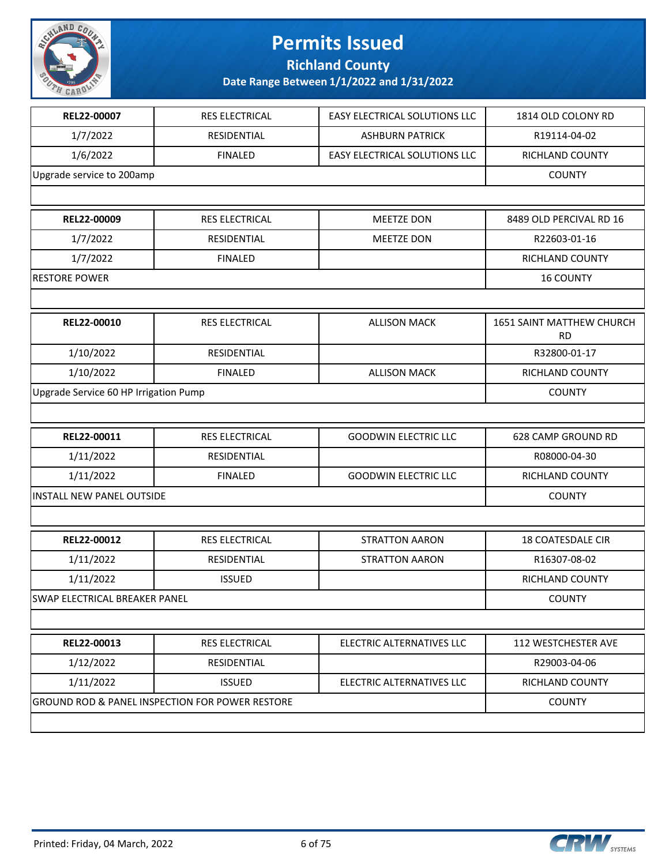

**Richland County**

| REL22-00007                           | <b>RES ELECTRICAL</b>                                      | EASY ELECTRICAL SOLUTIONS LLC | 1814 OLD COLONY RD                     |
|---------------------------------------|------------------------------------------------------------|-------------------------------|----------------------------------------|
| 1/7/2022                              | RESIDENTIAL                                                | <b>ASHBURN PATRICK</b>        | R19114-04-02                           |
| 1/6/2022                              | <b>FINALED</b>                                             | EASY ELECTRICAL SOLUTIONS LLC | RICHLAND COUNTY                        |
| Upgrade service to 200amp             |                                                            |                               | <b>COUNTY</b>                          |
|                                       |                                                            |                               |                                        |
| REL22-00009                           | RES ELECTRICAL                                             | MEETZE DON                    | 8489 OLD PERCIVAL RD 16                |
| 1/7/2022                              | RESIDENTIAL                                                | MEETZE DON                    | R22603-01-16                           |
| 1/7/2022                              | <b>FINALED</b>                                             |                               | RICHLAND COUNTY                        |
| <b>RESTORE POWER</b>                  |                                                            |                               | <b>16 COUNTY</b>                       |
|                                       |                                                            |                               |                                        |
| REL22-00010                           | RES ELECTRICAL                                             | <b>ALLISON MACK</b>           | 1651 SAINT MATTHEW CHURCH<br><b>RD</b> |
| 1/10/2022                             | RESIDENTIAL                                                |                               | R32800-01-17                           |
| 1/10/2022                             | <b>FINALED</b>                                             | <b>ALLISON MACK</b>           | RICHLAND COUNTY                        |
| Upgrade Service 60 HP Irrigation Pump |                                                            |                               | <b>COUNTY</b>                          |
|                                       |                                                            |                               |                                        |
| REL22-00011                           | <b>RES ELECTRICAL</b>                                      | <b>GOODWIN ELECTRIC LLC</b>   | 628 CAMP GROUND RD                     |
| 1/11/2022                             | RESIDENTIAL                                                |                               | R08000-04-30                           |
| 1/11/2022                             | <b>FINALED</b>                                             | <b>GOODWIN ELECTRIC LLC</b>   | RICHLAND COUNTY                        |
| <b>INSTALL NEW PANEL OUTSIDE</b>      | <b>COUNTY</b>                                              |                               |                                        |
|                                       |                                                            |                               |                                        |
| REL22-00012                           | <b>RES ELECTRICAL</b>                                      | <b>STRATTON AARON</b>         | <b>18 COATESDALE CIR</b>               |
| 1/11/2022                             | RESIDENTIAL                                                | <b>STRATTON AARON</b>         | R16307-08-02                           |
| 1/11/2022                             | <b>ISSUED</b>                                              |                               | RICHLAND COUNTY                        |
| SWAP ELECTRICAL BREAKER PANEL         |                                                            |                               | <b>COUNTY</b>                          |
|                                       |                                                            |                               |                                        |
| REL22-00013                           | <b>RES ELECTRICAL</b>                                      | ELECTRIC ALTERNATIVES LLC     | <b>112 WESTCHESTER AVE</b>             |
| 1/12/2022                             | RESIDENTIAL                                                |                               | R29003-04-06                           |
| 1/11/2022                             | <b>ISSUED</b>                                              | ELECTRIC ALTERNATIVES LLC     | RICHLAND COUNTY                        |
|                                       | <b>GROUND ROD &amp; PANEL INSPECTION FOR POWER RESTORE</b> |                               | <b>COUNTY</b>                          |
|                                       |                                                            |                               |                                        |

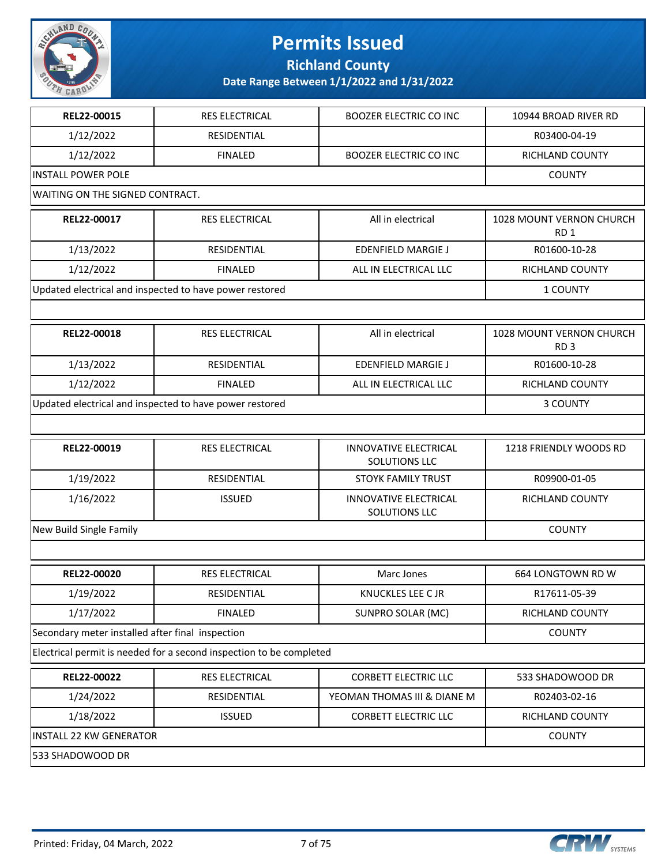

**Richland County**

| REL22-00015                                      | <b>RES ELECTRICAL</b>                                               | <b>BOOZER ELECTRIC CO INC</b>                 | 10944 BROAD RIVER RD                        |
|--------------------------------------------------|---------------------------------------------------------------------|-----------------------------------------------|---------------------------------------------|
| 1/12/2022                                        | <b>RESIDENTIAL</b>                                                  |                                               | R03400-04-19                                |
| 1/12/2022                                        | <b>FINALED</b>                                                      | <b>BOOZER ELECTRIC CO INC</b>                 | RICHLAND COUNTY                             |
| <b>INSTALL POWER POLE</b>                        |                                                                     |                                               | <b>COUNTY</b>                               |
| WAITING ON THE SIGNED CONTRACT.                  |                                                                     |                                               |                                             |
| REL22-00017                                      | RES ELECTRICAL                                                      | All in electrical                             | 1028 MOUNT VERNON CHURCH<br>RD <sub>1</sub> |
| 1/13/2022                                        | <b>RESIDENTIAL</b>                                                  | <b>EDENFIELD MARGIE J</b>                     | R01600-10-28                                |
| 1/12/2022                                        | <b>FINALED</b>                                                      | ALL IN ELECTRICAL LLC                         | RICHLAND COUNTY                             |
|                                                  | Updated electrical and inspected to have power restored             |                                               | 1 COUNTY                                    |
|                                                  |                                                                     |                                               |                                             |
| REL22-00018                                      | RES ELECTRICAL                                                      | All in electrical                             | 1028 MOUNT VERNON CHURCH<br>RD <sub>3</sub> |
| 1/13/2022                                        | RESIDENTIAL                                                         | <b>EDENFIELD MARGIE J</b>                     | R01600-10-28                                |
| 1/12/2022                                        | <b>FINALED</b>                                                      | ALL IN ELECTRICAL LLC                         | RICHLAND COUNTY                             |
|                                                  | Updated electrical and inspected to have power restored             |                                               | 3 COUNTY                                    |
|                                                  |                                                                     |                                               |                                             |
| REL22-00019                                      | RES ELECTRICAL                                                      | <b>INNOVATIVE ELECTRICAL</b><br>SOLUTIONS LLC | 1218 FRIENDLY WOODS RD                      |
| 1/19/2022                                        | RESIDENTIAL                                                         | <b>STOYK FAMILY TRUST</b>                     | R09900-01-05                                |
| 1/16/2022                                        | <b>ISSUED</b>                                                       | <b>INNOVATIVE ELECTRICAL</b><br>SOLUTIONS LLC | RICHLAND COUNTY                             |
| New Build Single Family                          | <b>COUNTY</b>                                                       |                                               |                                             |
|                                                  |                                                                     |                                               |                                             |
| REL22-00020                                      | RES ELECTRICAL                                                      | Marc Jones                                    | 664 LONGTOWN RD W                           |
| 1/19/2022                                        | RESIDENTIAL                                                         | KNUCKLES LEE C JR                             | R17611-05-39                                |
| 1/17/2022                                        | <b>FINALED</b>                                                      | SUNPRO SOLAR (MC)                             | RICHLAND COUNTY                             |
| Secondary meter installed after final inspection |                                                                     |                                               | <b>COUNTY</b>                               |
|                                                  | Electrical permit is needed for a second inspection to be completed |                                               |                                             |
| REL22-00022                                      | RES ELECTRICAL                                                      | <b>CORBETT ELECTRIC LLC</b>                   | 533 SHADOWOOD DR                            |
| 1/24/2022                                        | RESIDENTIAL                                                         | YEOMAN THOMAS III & DIANE M                   | R02403-02-16                                |
| 1/18/2022                                        | <b>ISSUED</b>                                                       | <b>CORBETT ELECTRIC LLC</b>                   | RICHLAND COUNTY                             |
| <b>INSTALL 22 KW GENERATOR</b>                   |                                                                     |                                               | <b>COUNTY</b>                               |
| 533 SHADOWOOD DR                                 |                                                                     |                                               |                                             |

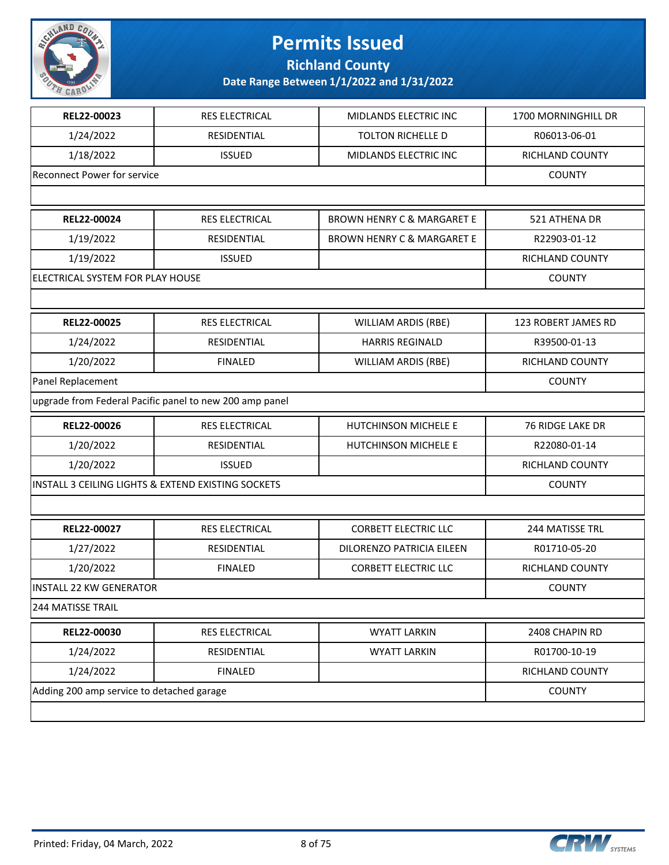

**Richland County**

| REL22-00023                                        | RES ELECTRICAL                                          | MIDLANDS ELECTRIC INC                 | 1700 MORNINGHILL DR |
|----------------------------------------------------|---------------------------------------------------------|---------------------------------------|---------------------|
| 1/24/2022                                          | RESIDENTIAL                                             | <b>TOLTON RICHELLE D</b>              | R06013-06-01        |
| 1/18/2022                                          | <b>ISSUED</b>                                           | MIDLANDS ELECTRIC INC                 | RICHLAND COUNTY     |
| <b>Reconnect Power for service</b>                 |                                                         |                                       | <b>COUNTY</b>       |
|                                                    |                                                         |                                       |                     |
| REL22-00024                                        | RES ELECTRICAL                                          | <b>BROWN HENRY C &amp; MARGARET E</b> | 521 ATHENA DR       |
| 1/19/2022                                          | RESIDENTIAL                                             | <b>BROWN HENRY C &amp; MARGARET E</b> | R22903-01-12        |
| 1/19/2022                                          | <b>ISSUED</b>                                           |                                       | RICHLAND COUNTY     |
| ELECTRICAL SYSTEM FOR PLAY HOUSE                   |                                                         |                                       | <b>COUNTY</b>       |
|                                                    |                                                         |                                       |                     |
| REL22-00025                                        | RES ELECTRICAL                                          | <b>WILLIAM ARDIS (RBE)</b>            | 123 ROBERT JAMES RD |
| 1/24/2022                                          | RESIDENTIAL                                             | <b>HARRIS REGINALD</b>                | R39500-01-13        |
| 1/20/2022                                          | <b>FINALED</b>                                          | <b>WILLIAM ARDIS (RBE)</b>            | RICHLAND COUNTY     |
| Panel Replacement                                  |                                                         | <b>COUNTY</b>                         |                     |
|                                                    | upgrade from Federal Pacific panel to new 200 amp panel |                                       |                     |
| REL22-00026                                        | RES ELECTRICAL                                          | HUTCHINSON MICHELE E                  | 76 RIDGE LAKE DR    |
| 1/20/2022                                          | RESIDENTIAL                                             | HUTCHINSON MICHELE E                  | R22080-01-14        |
| 1/20/2022                                          | <b>ISSUED</b>                                           |                                       | RICHLAND COUNTY     |
| INSTALL 3 CEILING LIGHTS & EXTEND EXISTING SOCKETS | <b>COUNTY</b>                                           |                                       |                     |
|                                                    |                                                         |                                       |                     |
| REL22-00027                                        | RES ELECTRICAL                                          | <b>CORBETT ELECTRIC LLC</b>           | 244 MATISSE TRL     |
| 1/27/2022                                          | RESIDENTIAL                                             | DILORENZO PATRICIA EILEEN             | R01710-05-20        |
| 1/20/2022                                          | <b>FINALED</b>                                          | <b>CORBETT ELECTRIC LLC</b>           | RICHLAND COUNTY     |
| <b>INSTALL 22 KW GENERATOR</b>                     |                                                         |                                       | <b>COUNTY</b>       |
| <b>244 MATISSE TRAIL</b>                           |                                                         |                                       |                     |
| REL22-00030                                        | RES ELECTRICAL                                          | <b>WYATT LARKIN</b>                   | 2408 CHAPIN RD      |
| 1/24/2022                                          | RESIDENTIAL                                             | <b>WYATT LARKIN</b>                   | R01700-10-19        |
| 1/24/2022                                          | <b>FINALED</b>                                          |                                       | RICHLAND COUNTY     |
| Adding 200 amp service to detached garage          |                                                         |                                       | <b>COUNTY</b>       |
|                                                    |                                                         |                                       |                     |

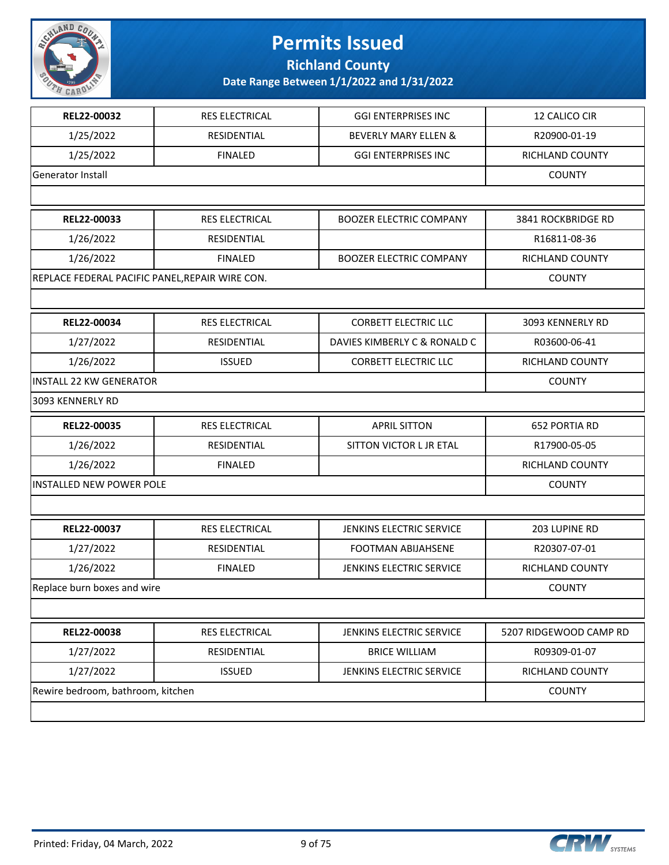

**Richland County**

| REL22-00032                                     | RES ELECTRICAL | <b>GGI ENTERPRISES INC</b>      | 12 CALICO CIR          |
|-------------------------------------------------|----------------|---------------------------------|------------------------|
| 1/25/2022                                       | RESIDENTIAL    | <b>BEVERLY MARY ELLEN &amp;</b> | R20900-01-19           |
| 1/25/2022                                       | <b>FINALED</b> | <b>GGI ENTERPRISES INC</b>      | RICHLAND COUNTY        |
| Generator Install                               |                |                                 | <b>COUNTY</b>          |
|                                                 |                |                                 |                        |
| REL22-00033                                     | RES ELECTRICAL | <b>BOOZER ELECTRIC COMPANY</b>  | 3841 ROCKBRIDGE RD     |
| 1/26/2022                                       | RESIDENTIAL    |                                 | R16811-08-36           |
| 1/26/2022                                       | <b>FINALED</b> | <b>BOOZER ELECTRIC COMPANY</b>  | <b>RICHLAND COUNTY</b> |
| REPLACE FEDERAL PACIFIC PANEL, REPAIR WIRE CON. |                |                                 | <b>COUNTY</b>          |
|                                                 |                |                                 |                        |
| REL22-00034                                     | RES ELECTRICAL | <b>CORBETT ELECTRIC LLC</b>     | 3093 KENNERLY RD       |
| 1/27/2022                                       | RESIDENTIAL    | DAVIES KIMBERLY C & RONALD C    | R03600-06-41           |
| 1/26/2022                                       | <b>ISSUED</b>  | <b>CORBETT ELECTRIC LLC</b>     | RICHLAND COUNTY        |
| <b>INSTALL 22 KW GENERATOR</b>                  |                |                                 | <b>COUNTY</b>          |
| 3093 KENNERLY RD                                |                |                                 |                        |
| REL22-00035                                     | RES ELECTRICAL | <b>APRIL SITTON</b>             | 652 PORTIA RD          |
| 1/26/2022                                       | RESIDENTIAL    | SITTON VICTOR L JR ETAL         | R17900-05-05           |
| 1/26/2022                                       | <b>FINALED</b> |                                 | RICHLAND COUNTY        |
| <b>INSTALLED NEW POWER POLE</b>                 |                |                                 | <b>COUNTY</b>          |
|                                                 |                |                                 |                        |
| REL22-00037                                     | RES ELECTRICAL | JENKINS ELECTRIC SERVICE        | 203 LUPINE RD          |
| 1/27/2022                                       | RESIDENTIAL    | FOOTMAN ABIJAHSENE              | R20307-07-01           |
| 1/26/2022                                       | <b>FINALED</b> | JENKINS ELECTRIC SERVICE        | RICHLAND COUNTY        |
| Replace burn boxes and wire                     |                |                                 | <b>COUNTY</b>          |
|                                                 |                |                                 |                        |
| REL22-00038                                     | RES ELECTRICAL | JENKINS ELECTRIC SERVICE        | 5207 RIDGEWOOD CAMP RD |
| 1/27/2022                                       | RESIDENTIAL    | <b>BRICE WILLIAM</b>            | R09309-01-07           |
| 1/27/2022                                       | <b>ISSUED</b>  | JENKINS ELECTRIC SERVICE        | RICHLAND COUNTY        |
| Rewire bedroom, bathroom, kitchen               |                |                                 | <b>COUNTY</b>          |
|                                                 |                |                                 |                        |

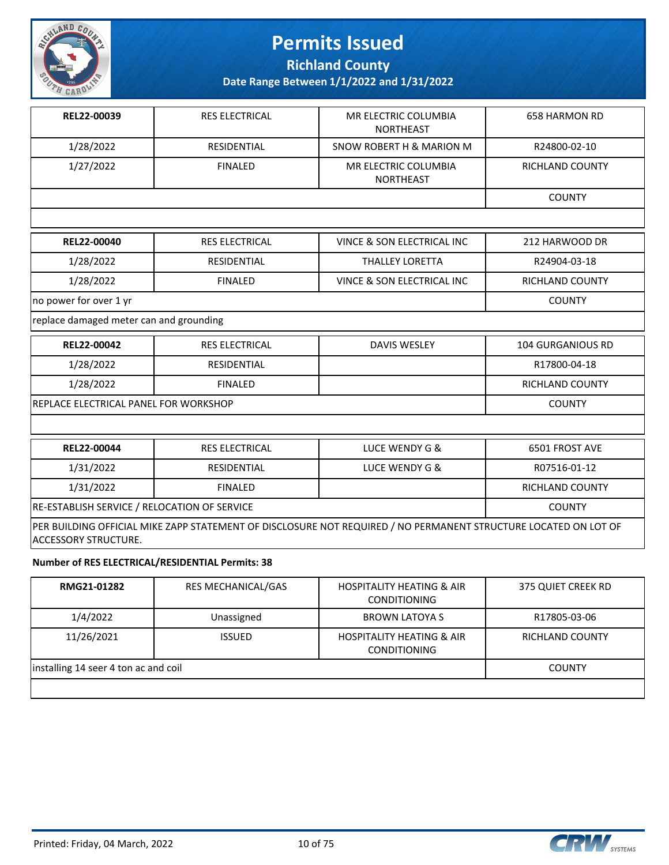

**Richland County**

**Date Range Between 1/1/2022 and 1/31/2022**

| REL22-00039                                                                                                                                    | <b>RES ELECTRICAL</b> | MR ELECTRIC COLUMBIA<br><b>NORTHEAST</b> | <b>658 HARMON RD</b>     |
|------------------------------------------------------------------------------------------------------------------------------------------------|-----------------------|------------------------------------------|--------------------------|
| 1/28/2022                                                                                                                                      | <b>RESIDENTIAL</b>    | SNOW ROBERT H & MARION M                 | R24800-02-10             |
| 1/27/2022                                                                                                                                      | <b>FINALED</b>        | MR ELECTRIC COLUMBIA<br><b>NORTHEAST</b> | <b>RICHLAND COUNTY</b>   |
|                                                                                                                                                |                       |                                          | <b>COUNTY</b>            |
|                                                                                                                                                |                       |                                          |                          |
| REL22-00040                                                                                                                                    | <b>RES ELECTRICAL</b> | VINCE & SON ELECTRICAL INC               | 212 HARWOOD DR           |
| 1/28/2022                                                                                                                                      | <b>RESIDENTIAL</b>    | <b>THALLEY LORETTA</b>                   | R24904-03-18             |
| 1/28/2022                                                                                                                                      | <b>FINALED</b>        | VINCE & SON ELECTRICAL INC               | RICHLAND COUNTY          |
| no power for over 1 yr                                                                                                                         |                       |                                          | <b>COUNTY</b>            |
| replace damaged meter can and grounding                                                                                                        |                       |                                          |                          |
| REL22-00042                                                                                                                                    | <b>RES ELECTRICAL</b> | <b>DAVIS WESLEY</b>                      | <b>104 GURGANIOUS RD</b> |
| 1/28/2022                                                                                                                                      | <b>RESIDENTIAL</b>    |                                          | R17800-04-18             |
| 1/28/2022                                                                                                                                      | <b>FINALED</b>        |                                          | RICHLAND COUNTY          |
| REPLACE ELECTRICAL PANEL FOR WORKSHOP                                                                                                          |                       |                                          | <b>COUNTY</b>            |
|                                                                                                                                                |                       |                                          |                          |
| REL22-00044                                                                                                                                    | <b>RES ELECTRICAL</b> | LUCE WENDY G &                           | 6501 FROST AVE           |
| 1/31/2022                                                                                                                                      | <b>RESIDENTIAL</b>    | LUCE WENDY G &                           | R07516-01-12             |
| 1/31/2022                                                                                                                                      | <b>FINALED</b>        |                                          | <b>RICHLAND COUNTY</b>   |
| RE-ESTABLISH SERVICE / RELOCATION OF SERVICE                                                                                                   |                       |                                          | <b>COUNTY</b>            |
| PER BUILDING OFFICIAL MIKE ZAPP STATEMENT OF DISCLOSURE NOT REQUIRED / NO PERMANENT STRUCTURE LOCATED ON LOT OF<br><b>ACCESSORY STRUCTURE.</b> |                       |                                          |                          |

#### **Number of RES ELECTRICAL/RESIDENTIAL Permits: 38**

| RMG21-01282                          | <b>RES MECHANICAL/GAS</b> | <b>HOSPITALITY HEATING &amp; AIR</b><br><b>CONDITIONING</b> | 375 QUIET CREEK RD     |
|--------------------------------------|---------------------------|-------------------------------------------------------------|------------------------|
| 1/4/2022                             | Unassigned                | <b>BROWN LATOYA S</b>                                       | R17805-03-06           |
| 11/26/2021                           | <b>ISSUED</b>             | <b>HOSPITALITY HEATING &amp; AIR</b><br><b>CONDITIONING</b> | <b>RICHLAND COUNTY</b> |
| installing 14 seer 4 ton ac and coil |                           |                                                             | <b>COUNTY</b>          |
|                                      |                           |                                                             |                        |

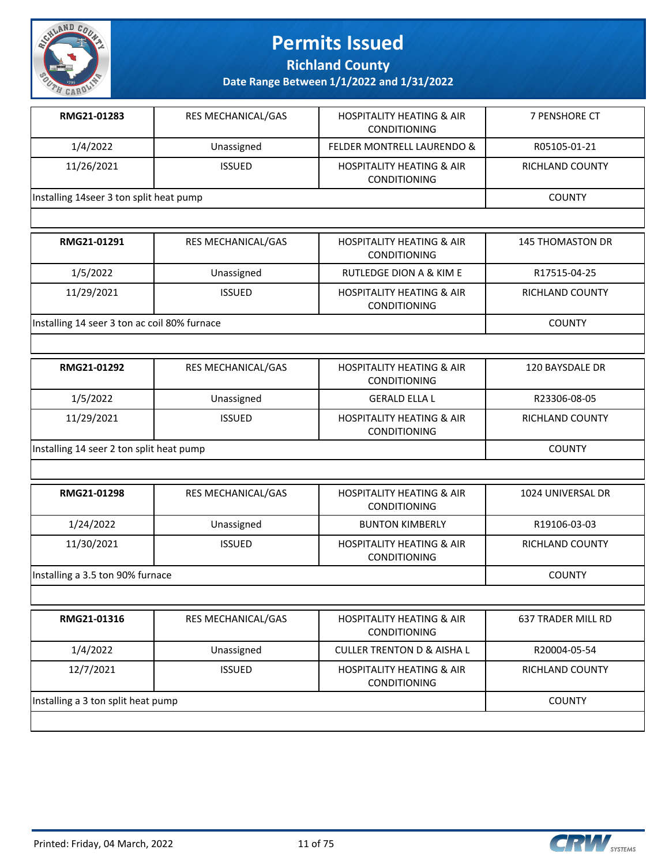

**Richland County**

| RMG21-01283                             | <b>RES MECHANICAL/GAS</b> | <b>HOSPITALITY HEATING &amp; AIR</b><br><b>CONDITIONING</b> | 7 PENSHORE CT   |
|-----------------------------------------|---------------------------|-------------------------------------------------------------|-----------------|
| 1/4/2022                                | Unassigned                | <b>FELDER MONTRELL LAURENDO &amp;</b>                       | R05105-01-21    |
| 11/26/2021                              | <b>ISSUED</b>             | <b>HOSPITALITY HEATING &amp; AIR</b><br><b>CONDITIONING</b> | RICHLAND COUNTY |
| Installing 14seer 3 ton split heat pump |                           |                                                             | <b>COUNTY</b>   |

| RMG21-01291                                  | <b>RES MECHANICAL/GAS</b> | <b>HOSPITALITY HEATING &amp; AIR</b><br><b>CONDITIONING</b> | <b>145 THOMASTON DR</b> |
|----------------------------------------------|---------------------------|-------------------------------------------------------------|-------------------------|
| 1/5/2022                                     | Unassigned                | RUTLEDGE DION A & KIM E                                     | R17515-04-25            |
| 11/29/2021                                   | <b>ISSUED</b>             | <b>HOSPITALITY HEATING &amp; AIR</b><br><b>CONDITIONING</b> | RICHLAND COUNTY         |
| Installing 14 seer 3 ton ac coil 80% furnace |                           |                                                             | <b>COUNTY</b>           |

| RMG21-01292                              | <b>RES MECHANICAL/GAS</b> | <b>HOSPITALITY HEATING &amp; AIR</b><br><b>CONDITIONING</b> | 120 BAYSDALE DR |
|------------------------------------------|---------------------------|-------------------------------------------------------------|-----------------|
| 1/5/2022                                 | Unassigned                | <b>GERALD ELLA L</b>                                        | R23306-08-05    |
| 11/29/2021                               | <b>ISSUED</b>             | <b>HOSPITALITY HEATING &amp; AIR</b><br><b>CONDITIONING</b> | RICHLAND COUNTY |
| Installing 14 seer 2 ton split heat pump |                           |                                                             | <b>COUNTY</b>   |

| RMG21-01298                      | <b>RES MECHANICAL/GAS</b> | <b>HOSPITALITY HEATING &amp; AIR</b><br><b>CONDITIONING</b> | 1024 UNIVERSAL DR      |
|----------------------------------|---------------------------|-------------------------------------------------------------|------------------------|
| 1/24/2022                        | Unassigned                | <b>BUNTON KIMBERLY</b>                                      | R19106-03-03           |
| 11/30/2021                       | <b>ISSUED</b>             | <b>HOSPITALITY HEATING &amp; AIR</b><br><b>CONDITIONING</b> | <b>RICHLAND COUNTY</b> |
| Installing a 3.5 ton 90% furnace |                           |                                                             | <b>COUNTY</b>          |

| RMG21-01316                        | <b>RES MECHANICAL/GAS</b> | <b>HOSPITALITY HEATING &amp; AIR</b><br><b>CONDITIONING</b> | 637 TRADER MILL RD |
|------------------------------------|---------------------------|-------------------------------------------------------------|--------------------|
| 1/4/2022                           | Unassigned                | <b>CULLER TRENTON D &amp; AISHA L</b>                       | R20004-05-54       |
| 12/7/2021                          | <b>ISSUED</b>             | <b>HOSPITALITY HEATING &amp; AIR</b><br><b>CONDITIONING</b> | RICHLAND COUNTY    |
| Installing a 3 ton split heat pump |                           |                                                             | <b>COUNTY</b>      |
|                                    |                           |                                                             |                    |

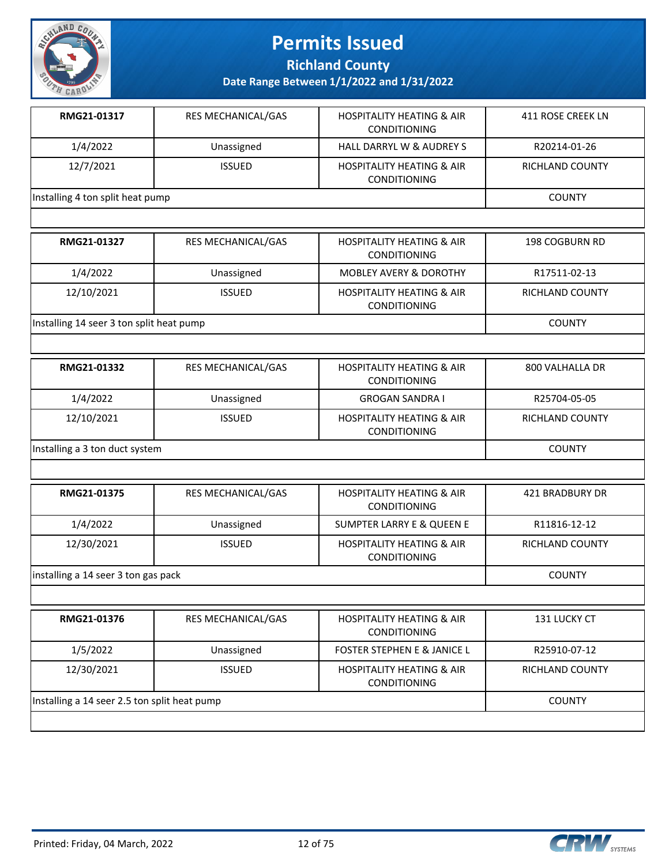

**Richland County**

| <b>RES MECHANICAL/GAS</b>        | <b>HOSPITALITY HEATING &amp; AIR</b><br><b>CONDITIONING</b> | 411 ROSE CREEK LN |
|----------------------------------|-------------------------------------------------------------|-------------------|
| Unassigned                       | <b>HALL DARRYL W &amp; AUDREY S</b>                         | R20214-01-26      |
| <b>ISSUED</b>                    | <b>HOSPITALITY HEATING &amp; AIR</b><br><b>CONDITIONING</b> | RICHLAND COUNTY   |
| Installing 4 ton split heat pump |                                                             |                   |
|                                  |                                                             |                   |

| RMG21-01327                              | <b>RES MECHANICAL/GAS</b> | <b>HOSPITALITY HEATING &amp; AIR</b><br><b>CONDITIONING</b> | 198 COGBURN RD  |
|------------------------------------------|---------------------------|-------------------------------------------------------------|-----------------|
| 1/4/2022                                 | Unassigned                | <b>MOBLEY AVERY &amp; DOROTHY</b>                           | R17511-02-13    |
| 12/10/2021                               | <b>ISSUED</b>             | <b>HOSPITALITY HEATING &amp; AIR</b><br><b>CONDITIONING</b> | RICHLAND COUNTY |
| Installing 14 seer 3 ton split heat pump |                           |                                                             | <b>COUNTY</b>   |

| RMG21-01332                    | <b>RES MECHANICAL/GAS</b> | <b>HOSPITALITY HEATING &amp; AIR</b><br><b>CONDITIONING</b> | 800 VALHALLA DR        |
|--------------------------------|---------------------------|-------------------------------------------------------------|------------------------|
| 1/4/2022                       | Unassigned                | <b>GROGAN SANDRA I</b>                                      | R25704-05-05           |
| 12/10/2021                     | <b>ISSUED</b>             | <b>HOSPITALITY HEATING &amp; AIR</b><br><b>CONDITIONING</b> | <b>RICHLAND COUNTY</b> |
| Installing a 3 ton duct system |                           |                                                             | <b>COUNTY</b>          |

| RMG21-01375                         | <b>RES MECHANICAL/GAS</b> | <b>HOSPITALITY HEATING &amp; AIR</b><br><b>CONDITIONING</b> | 421 BRADBURY DR |
|-------------------------------------|---------------------------|-------------------------------------------------------------|-----------------|
| 1/4/2022                            | Unassigned                | SUMPTER LARRY E & QUEEN E                                   | R11816-12-12    |
| 12/30/2021                          | <b>ISSUED</b>             | <b>HOSPITALITY HEATING &amp; AIR</b><br><b>CONDITIONING</b> | RICHLAND COUNTY |
| installing a 14 seer 3 ton gas pack |                           |                                                             | <b>COUNTY</b>   |

| RMG21-01376                                  | <b>RES MECHANICAL/GAS</b> | <b>HOSPITALITY HEATING &amp; AIR</b><br><b>CONDITIONING</b> | <b>131 LUCKY CT</b> |
|----------------------------------------------|---------------------------|-------------------------------------------------------------|---------------------|
| 1/5/2022                                     | Unassigned                | <b>FOSTER STEPHEN E &amp; JANICE L</b>                      | R25910-07-12        |
| 12/30/2021                                   | <b>ISSUED</b>             | <b>HOSPITALITY HEATING &amp; AIR</b><br><b>CONDITIONING</b> | RICHLAND COUNTY     |
| Installing a 14 seer 2.5 ton split heat pump |                           |                                                             | <b>COUNTY</b>       |
|                                              |                           |                                                             |                     |

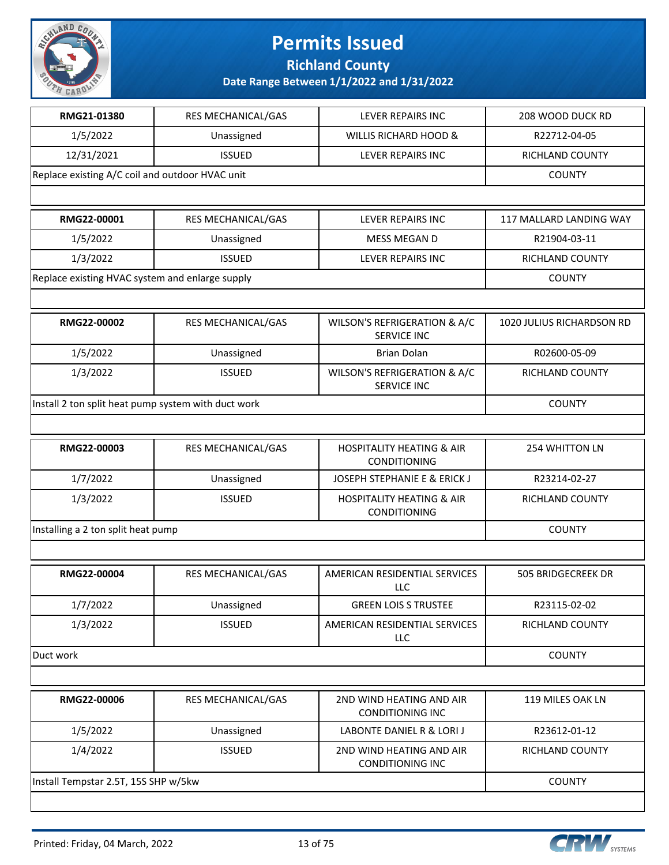

**Richland County**

| RMG21-01380                                         | RES MECHANICAL/GAS | LEVER REPAIRS INC                                    | 208 WOOD DUCK RD          |
|-----------------------------------------------------|--------------------|------------------------------------------------------|---------------------------|
| 1/5/2022                                            | Unassigned         | WILLIS RICHARD HOOD &                                | R22712-04-05              |
| 12/31/2021                                          | <b>ISSUED</b>      | LEVER REPAIRS INC                                    | RICHLAND COUNTY           |
| Replace existing A/C coil and outdoor HVAC unit     |                    |                                                      | <b>COUNTY</b>             |
|                                                     |                    |                                                      |                           |
| RMG22-00001                                         | RES MECHANICAL/GAS | LEVER REPAIRS INC                                    | 117 MALLARD LANDING WAY   |
| 1/5/2022                                            | Unassigned         | MESS MEGAN D                                         | R21904-03-11              |
| 1/3/2022                                            | <b>ISSUED</b>      | LEVER REPAIRS INC                                    | RICHLAND COUNTY           |
| Replace existing HVAC system and enlarge supply     |                    |                                                      | <b>COUNTY</b>             |
|                                                     |                    |                                                      |                           |
| RMG22-00002                                         | RES MECHANICAL/GAS | WILSON'S REFRIGERATION & A/C<br><b>SERVICE INC</b>   | 1020 JULIUS RICHARDSON RD |
| 1/5/2022                                            | Unassigned         | <b>Brian Dolan</b>                                   | R02600-05-09              |
| 1/3/2022                                            | <b>ISSUED</b>      | WILSON'S REFRIGERATION & A/C<br><b>SERVICE INC</b>   | RICHLAND COUNTY           |
| Install 2 ton split heat pump system with duct work |                    |                                                      | <b>COUNTY</b>             |
|                                                     |                    |                                                      |                           |
| RMG22-00003                                         | RES MECHANICAL/GAS | <b>HOSPITALITY HEATING &amp; AIR</b><br>CONDITIONING | 254 WHITTON LN            |
| 1/7/2022                                            | Unassigned         | <b>JOSEPH STEPHANIE E &amp; ERICK J</b>              | R23214-02-27              |
| 1/3/2022                                            | <b>ISSUED</b>      | <b>HOSPITALITY HEATING &amp; AIR</b><br>CONDITIONING | RICHLAND COUNTY           |
| Installing a 2 ton split heat pump                  | <b>COUNTY</b>      |                                                      |                           |
|                                                     |                    |                                                      |                           |
| RMG22-00004                                         | RES MECHANICAL/GAS | AMERICAN RESIDENTIAL SERVICES<br>LLC                 | 505 BRIDGECREEK DR        |
| 1/7/2022                                            | Unassigned         | <b>GREEN LOIS S TRUSTEE</b>                          | R23115-02-02              |
| 1/3/2022                                            | <b>ISSUED</b>      | AMERICAN RESIDENTIAL SERVICES<br>LLC                 | RICHLAND COUNTY           |
| Duct work                                           |                    |                                                      | <b>COUNTY</b>             |
|                                                     |                    |                                                      |                           |
| RMG22-00006                                         | RES MECHANICAL/GAS | 2ND WIND HEATING AND AIR<br><b>CONDITIONING INC</b>  | 119 MILES OAK LN          |
| 1/5/2022                                            | Unassigned         | LABONTE DANIEL R & LORI J                            | R23612-01-12              |
| 1/4/2022                                            | <b>ISSUED</b>      | 2ND WIND HEATING AND AIR<br><b>CONDITIONING INC</b>  | RICHLAND COUNTY           |
| Install Tempstar 2.5T, 15S SHP w/5kw                |                    |                                                      | <b>COUNTY</b>             |
|                                                     |                    |                                                      |                           |

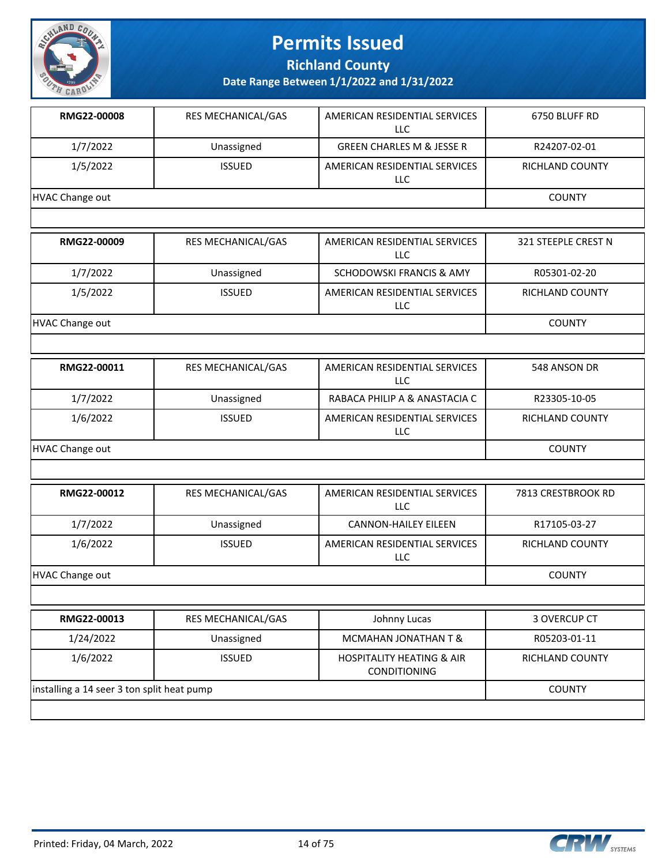

**Richland County**

| RMG22-00008     | <b>RES MECHANICAL/GAS</b> | AMERICAN RESIDENTIAL SERVICES<br><b>LLC</b> | 6750 BLUFF RD          |
|-----------------|---------------------------|---------------------------------------------|------------------------|
| 1/7/2022        | Unassigned                | <b>GREEN CHARLES M &amp; JESSE R</b>        | R24207-02-01           |
| 1/5/2022        | <b>ISSUED</b>             | AMERICAN RESIDENTIAL SERVICES<br>LLC.       | <b>RICHLAND COUNTY</b> |
| HVAC Change out | <b>COUNTY</b>             |                                             |                        |
|                 |                           |                                             |                        |
| RMG22-00009     | <b>RES MECHANICAL/GAS</b> | AMERICAN RESIDENTIAL SERVICES<br>LLC.       | 321 STEEPLE CREST N    |

| 1/7/2022               | Unassigned    | SCHODOWSKI FRANCIS & AMY             | R05301-02-20    |
|------------------------|---------------|--------------------------------------|-----------------|
| 1/5/2022               | <b>ISSUED</b> | AMERICAN RESIDENTIAL SERVICES<br>LLC | RICHLAND COUNTY |
| <b>HVAC Change out</b> |               |                                      | <b>COUNTY</b>   |

| RMG22-00011     | <b>RES MECHANICAL/GAS</b> | AMERICAN RESIDENTIAL SERVICES<br>LLC | 548 ANSON DR    |
|-----------------|---------------------------|--------------------------------------|-----------------|
| 1/7/2022        | Unassigned                | RABACA PHILIP A & ANASTACIA C        | R23305-10-05    |
| 1/6/2022        | <b>ISSUED</b>             | AMERICAN RESIDENTIAL SERVICES<br>LLC | RICHLAND COUNTY |
| HVAC Change out |                           |                                      | <b>COUNTY</b>   |

| RMG22-00012     | <b>RES MECHANICAL/GAS</b> | AMERICAN RESIDENTIAL SERVICES<br>LLC. | 7813 CRESTBROOK RD |
|-----------------|---------------------------|---------------------------------------|--------------------|
| 1/7/2022        | Unassigned                | <b>CANNON-HAILEY EILEEN</b>           | R17105-03-27       |
| 1/6/2022        | <b>ISSUED</b>             | AMERICAN RESIDENTIAL SERVICES<br>LLC  | RICHLAND COUNTY    |
| HVAC Change out |                           |                                       | <b>COUNTY</b>      |

| RMG22-00013                                | <b>RES MECHANICAL/GAS</b> | Johnny Lucas                                                | 3 OVERCUP CT    |
|--------------------------------------------|---------------------------|-------------------------------------------------------------|-----------------|
| 1/24/2022                                  | Unassigned                | MCMAHAN JONATHAN T &                                        | R05203-01-11    |
| 1/6/2022                                   | <b>ISSUED</b>             | <b>HOSPITALITY HEATING &amp; AIR</b><br><b>CONDITIONING</b> | RICHLAND COUNTY |
| installing a 14 seer 3 ton split heat pump |                           |                                                             | <b>COUNTY</b>   |
|                                            |                           |                                                             |                 |

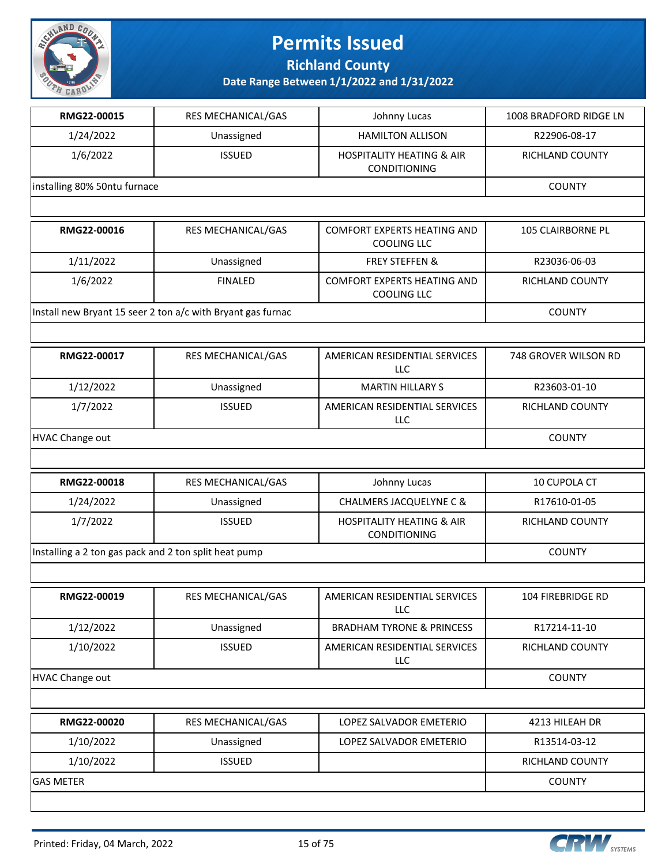

**Richland County**

| RMG22-00015                                           | RES MECHANICAL/GAS                                          | Johnny Lucas                                             | 1008 BRADFORD RIDGE LN |
|-------------------------------------------------------|-------------------------------------------------------------|----------------------------------------------------------|------------------------|
| 1/24/2022                                             | Unassigned                                                  | <b>HAMILTON ALLISON</b>                                  | R22906-08-17           |
| 1/6/2022                                              | <b>ISSUED</b>                                               | <b>HOSPITALITY HEATING &amp; AIR</b><br>CONDITIONING     | RICHLAND COUNTY        |
| installing 80% 50ntu furnace                          |                                                             |                                                          | <b>COUNTY</b>          |
|                                                       |                                                             |                                                          |                        |
| RMG22-00016                                           | RES MECHANICAL/GAS                                          | <b>COMFORT EXPERTS HEATING AND</b><br><b>COOLING LLC</b> | 105 CLAIRBORNE PL      |
| 1/11/2022                                             | Unassigned                                                  | <b>FREY STEFFEN &amp;</b>                                | R23036-06-03           |
| 1/6/2022                                              | <b>FINALED</b>                                              | <b>COMFORT EXPERTS HEATING AND</b><br><b>COOLING LLC</b> | RICHLAND COUNTY        |
|                                                       | Install new Bryant 15 seer 2 ton a/c with Bryant gas furnac |                                                          | <b>COUNTY</b>          |
|                                                       |                                                             |                                                          |                        |
| RMG22-00017                                           | RES MECHANICAL/GAS                                          | AMERICAN RESIDENTIAL SERVICES<br><b>LLC</b>              | 748 GROVER WILSON RD   |
| 1/12/2022                                             | Unassigned                                                  | <b>MARTIN HILLARY S</b>                                  | R23603-01-10           |
| 1/7/2022                                              | <b>ISSUED</b>                                               | AMERICAN RESIDENTIAL SERVICES<br>LLC                     | RICHLAND COUNTY        |
| <b>HVAC Change out</b>                                |                                                             |                                                          | <b>COUNTY</b>          |
|                                                       |                                                             |                                                          |                        |
| RMG22-00018                                           | RES MECHANICAL/GAS                                          | Johnny Lucas                                             | 10 CUPOLA CT           |
| 1/24/2022                                             | Unassigned                                                  | CHALMERS JACQUELYNE C &                                  | R17610-01-05           |
| 1/7/2022                                              | <b>ISSUED</b>                                               | <b>HOSPITALITY HEATING &amp; AIR</b><br>CONDITIONING     | RICHLAND COUNTY        |
| Installing a 2 ton gas pack and 2 ton split heat pump |                                                             |                                                          | <b>COUNTY</b>          |
|                                                       |                                                             |                                                          |                        |
| RMG22-00019                                           | RES MECHANICAL/GAS                                          | AMERICAN RESIDENTIAL SERVICES<br><b>LLC</b>              | 104 FIREBRIDGE RD      |
| 1/12/2022                                             | Unassigned                                                  | <b>BRADHAM TYRONE &amp; PRINCESS</b>                     | R17214-11-10           |
| 1/10/2022                                             | <b>ISSUED</b>                                               | AMERICAN RESIDENTIAL SERVICES<br><b>LLC</b>              | RICHLAND COUNTY        |
| <b>HVAC Change out</b>                                | <b>COUNTY</b>                                               |                                                          |                        |
|                                                       |                                                             |                                                          |                        |
| RMG22-00020                                           | RES MECHANICAL/GAS                                          | LOPEZ SALVADOR EMETERIO                                  | 4213 HILEAH DR         |
| 1/10/2022                                             | Unassigned                                                  | LOPEZ SALVADOR EMETERIO                                  | R13514-03-12           |
| 1/10/2022                                             | <b>ISSUED</b>                                               |                                                          | RICHLAND COUNTY        |
| <b>GAS METER</b>                                      |                                                             |                                                          | <b>COUNTY</b>          |
|                                                       |                                                             |                                                          |                        |

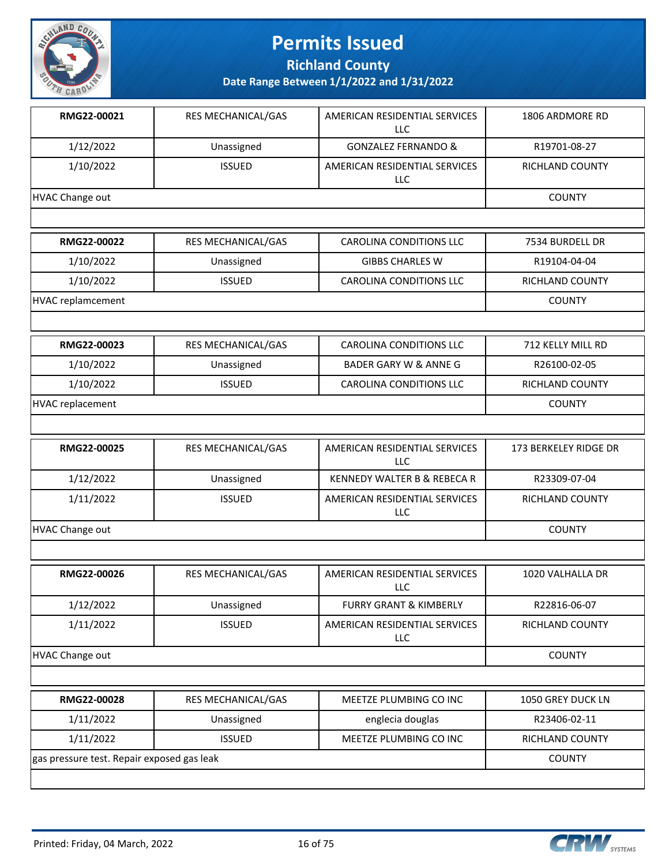

**Richland County**

| RMG22-00021                                | RES MECHANICAL/GAS | AMERICAN RESIDENTIAL SERVICES<br><b>LLC</b> | 1806 ARDMORE RD       |
|--------------------------------------------|--------------------|---------------------------------------------|-----------------------|
| 1/12/2022                                  | Unassigned         | <b>GONZALEZ FERNANDO &amp;</b>              | R19701-08-27          |
| 1/10/2022                                  | <b>ISSUED</b>      | AMERICAN RESIDENTIAL SERVICES<br><b>LLC</b> | RICHLAND COUNTY       |
| <b>HVAC Change out</b>                     |                    |                                             | <b>COUNTY</b>         |
|                                            |                    |                                             |                       |
| RMG22-00022                                | RES MECHANICAL/GAS | <b>CAROLINA CONDITIONS LLC</b>              | 7534 BURDELL DR       |
| 1/10/2022                                  | Unassigned         | <b>GIBBS CHARLES W</b>                      | R19104-04-04          |
| 1/10/2022                                  | <b>ISSUED</b>      | <b>CAROLINA CONDITIONS LLC</b>              | RICHLAND COUNTY       |
| <b>HVAC replamcement</b>                   |                    |                                             | <b>COUNTY</b>         |
|                                            |                    |                                             |                       |
| RMG22-00023                                | RES MECHANICAL/GAS | <b>CAROLINA CONDITIONS LLC</b>              | 712 KELLY MILL RD     |
| 1/10/2022                                  | Unassigned         | BADER GARY W & ANNE G                       | R26100-02-05          |
| 1/10/2022                                  | <b>ISSUED</b>      | <b>CAROLINA CONDITIONS LLC</b>              | RICHLAND COUNTY       |
| <b>HVAC replacement</b>                    |                    |                                             | <b>COUNTY</b>         |
|                                            |                    |                                             |                       |
| RMG22-00025                                | RES MECHANICAL/GAS | AMERICAN RESIDENTIAL SERVICES<br>LLC        | 173 BERKELEY RIDGE DR |
| 1/12/2022                                  | Unassigned         | KENNEDY WALTER B & REBECA R                 | R23309-07-04          |
| 1/11/2022                                  | <b>ISSUED</b>      | AMERICAN RESIDENTIAL SERVICES<br>LLC        | RICHLAND COUNTY       |
| <b>HVAC Change out</b>                     |                    | <b>COUNTY</b>                               |                       |
|                                            |                    |                                             |                       |
| RMG22-00026                                | RES MECHANICAL/GAS | AMERICAN RESIDENTIAL SERVICES<br>LLC        | 1020 VALHALLA DR      |
| 1/12/2022                                  | Unassigned         | <b>FURRY GRANT &amp; KIMBERLY</b>           | R22816-06-07          |
| 1/11/2022                                  | <b>ISSUED</b>      | AMERICAN RESIDENTIAL SERVICES<br>LLC        | RICHLAND COUNTY       |
| HVAC Change out                            | <b>COUNTY</b>      |                                             |                       |
|                                            |                    |                                             |                       |
| RMG22-00028                                | RES MECHANICAL/GAS | MEETZE PLUMBING CO INC                      | 1050 GREY DUCK LN     |
| 1/11/2022                                  | Unassigned         | englecia douglas                            | R23406-02-11          |
| 1/11/2022                                  | <b>ISSUED</b>      | MEETZE PLUMBING CO INC                      | RICHLAND COUNTY       |
| gas pressure test. Repair exposed gas leak |                    |                                             | <b>COUNTY</b>         |
|                                            |                    |                                             |                       |

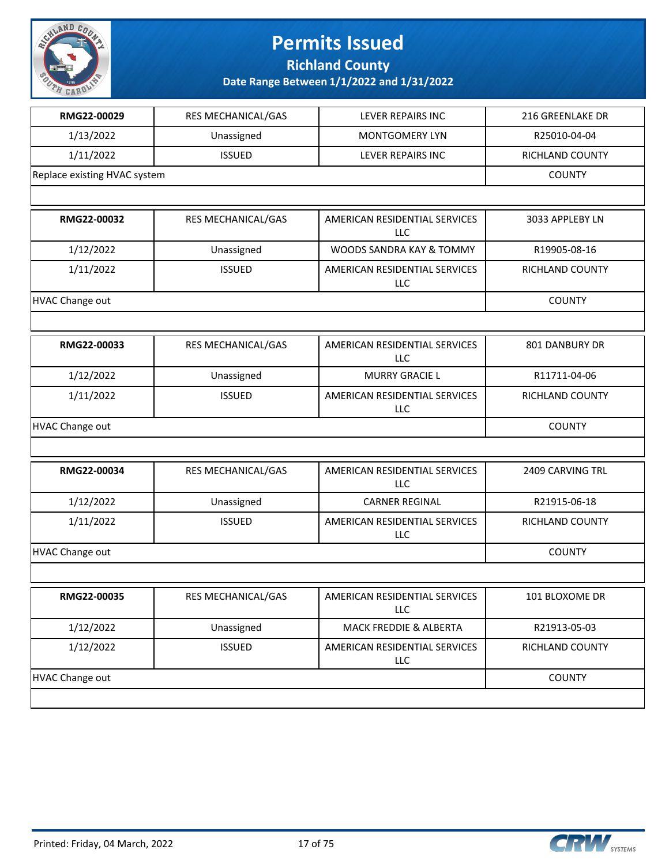

**Richland County**

| RMG22-00029                  | RES MECHANICAL/GAS | <b>LEVER REPAIRS INC</b>                    | 216 GREENLAKE DR |
|------------------------------|--------------------|---------------------------------------------|------------------|
| 1/13/2022                    | Unassigned         | <b>MONTGOMERY LYN</b>                       | R25010-04-04     |
| 1/11/2022                    | <b>ISSUED</b>      | LEVER REPAIRS INC                           | RICHLAND COUNTY  |
| Replace existing HVAC system |                    |                                             | <b>COUNTY</b>    |
|                              |                    |                                             |                  |
| RMG22-00032                  | RES MECHANICAL/GAS | AMERICAN RESIDENTIAL SERVICES<br><b>LLC</b> | 3033 APPLEBY LN  |
| 1/12/2022                    | Unassigned         | WOODS SANDRA KAY & TOMMY                    | R19905-08-16     |
| 1/11/2022                    | <b>ISSUED</b>      | AMERICAN RESIDENTIAL SERVICES<br><b>LLC</b> | RICHLAND COUNTY  |
| <b>HVAC Change out</b>       |                    |                                             | <b>COUNTY</b>    |
|                              |                    |                                             |                  |
| RMG22-00033                  | RES MECHANICAL/GAS | AMERICAN RESIDENTIAL SERVICES<br>LLC        | 801 DANBURY DR   |
| 1/12/2022                    | Unassigned         | <b>MURRY GRACIE L</b>                       | R11711-04-06     |
| 1/11/2022                    | <b>ISSUED</b>      | AMERICAN RESIDENTIAL SERVICES<br><b>LLC</b> | RICHLAND COUNTY  |
| <b>HVAC Change out</b>       | <b>COUNTY</b>      |                                             |                  |
|                              |                    |                                             |                  |
| RMG22-00034                  | RES MECHANICAL/GAS | AMERICAN RESIDENTIAL SERVICES<br>LLC        | 2409 CARVING TRL |
| 1/12/2022                    | Unassigned         | <b>CARNER REGINAL</b>                       | R21915-06-18     |
| 1/11/2022                    | <b>ISSUED</b>      | AMERICAN RESIDENTIAL SERVICES<br><b>LLC</b> | RICHLAND COUNTY  |
| <b>HVAC Change out</b>       |                    |                                             | <b>COUNTY</b>    |
|                              |                    |                                             |                  |
| RMG22-00035                  | RES MECHANICAL/GAS | AMERICAN RESIDENTIAL SERVICES<br><b>LLC</b> | 101 BLOXOME DR   |
| 1/12/2022                    | Unassigned         | MACK FREDDIE & ALBERTA                      | R21913-05-03     |
| 1/12/2022                    | <b>ISSUED</b>      | AMERICAN RESIDENTIAL SERVICES<br><b>LLC</b> | RICHLAND COUNTY  |
| <b>HVAC Change out</b>       | <b>COUNTY</b>      |                                             |                  |
|                              |                    |                                             |                  |

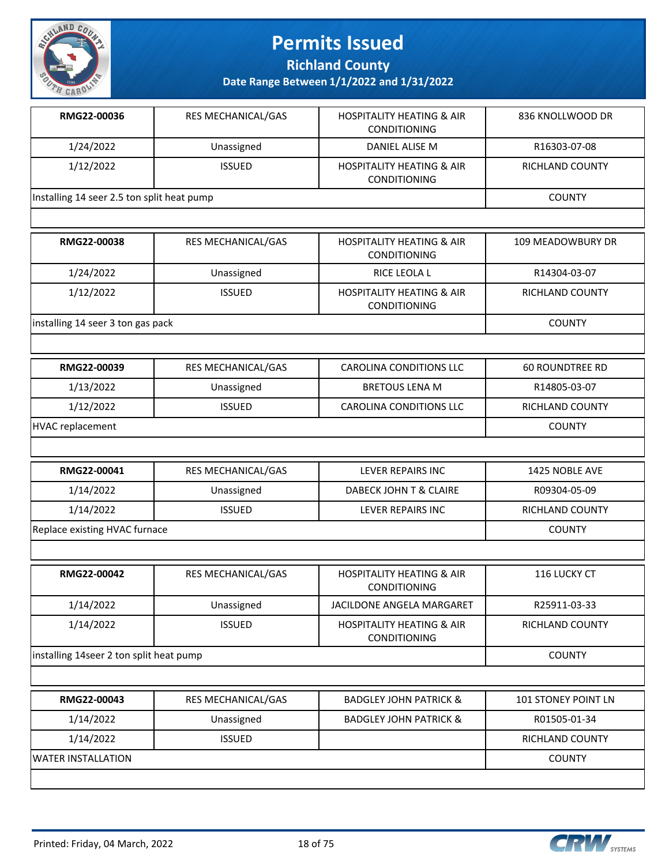

**Richland County**

**Date Range Between 1/1/2022 and 1/31/2022**

| RMG22-00036                                | <b>RES MECHANICAL/GAS</b> | <b>HOSPITALITY HEATING &amp; AIR</b><br><b>CONDITIONING</b> | 836 KNOLLWOOD DR |
|--------------------------------------------|---------------------------|-------------------------------------------------------------|------------------|
| 1/24/2022                                  | Unassigned                | DANIEL ALISE M                                              | R16303-07-08     |
| 1/12/2022                                  | <b>ISSUED</b>             | <b>HOSPITALITY HEATING &amp; AIR</b><br><b>CONDITIONING</b> | RICHLAND COUNTY  |
| Installing 14 seer 2.5 ton split heat pump |                           |                                                             | <b>COUNTY</b>    |
|                                            |                           |                                                             |                  |

| RMG22-00038                       | <b>RES MECHANICAL/GAS</b> | <b>HOSPITALITY HEATING &amp; AIR</b><br><b>CONDITIONING</b> | 109 MEADOWBURY DR      |
|-----------------------------------|---------------------------|-------------------------------------------------------------|------------------------|
| 1/24/2022                         | Unassigned                | RICE LEOLA L                                                | R14304-03-07           |
| 1/12/2022                         | <b>ISSUED</b>             | <b>HOSPITALITY HEATING &amp; AIR</b><br><b>CONDITIONING</b> | <b>RICHLAND COUNTY</b> |
| installing 14 seer 3 ton gas pack |                           |                                                             | <b>COUNTY</b>          |

| RMG22-00039      | RES MECHANICAL/GAS | CAROLINA CONDITIONS LLC        | 60 ROUNDTREE RD        |
|------------------|--------------------|--------------------------------|------------------------|
| 1/13/2022        | Unassigned         | <b>BRETOUS LENA M</b>          | R14805-03-07           |
| 1/12/2022        | <b>ISSUED</b>      | <b>CAROLINA CONDITIONS LLC</b> | <b>RICHLAND COUNTY</b> |
| HVAC replacement |                    |                                | COUNTY                 |

| RMG22-00041                   | <b>RES MECHANICAL/GAS</b> | LEVER REPAIRS INC      | 1425 NOBLE AVE  |
|-------------------------------|---------------------------|------------------------|-----------------|
| 1/14/2022                     | Unassigned                | DABECK JOHN T & CLAIRE | R09304-05-09    |
| 1/14/2022                     | <b>ISSUED</b>             | LEVER REPAIRS INC      | RICHLAND COUNTY |
| Replace existing HVAC furnace |                           |                        | <b>COUNTY</b>   |

| RMG22-00042                             | RES MECHANICAL/GAS        | <b>HOSPITALITY HEATING &amp; AIR</b><br><b>CONDITIONING</b> | <b>116 LUCKY CT</b>        |
|-----------------------------------------|---------------------------|-------------------------------------------------------------|----------------------------|
| 1/14/2022                               | Unassigned                | JACILDONE ANGELA MARGARET                                   | R25911-03-33               |
| 1/14/2022                               | <b>ISSUED</b>             | <b>HOSPITALITY HEATING &amp; AIR</b><br><b>CONDITIONING</b> | <b>RICHLAND COUNTY</b>     |
| installing 14seer 2 ton split heat pump |                           |                                                             | <b>COUNTY</b>              |
|                                         |                           |                                                             |                            |
| RMG22-00043                             | <b>RES MECHANICAL/GAS</b> | <b>BADGLEY JOHN PATRICK &amp;</b>                           | <b>101 STONEY POINT LN</b> |
| 1/14/2022                               | Unassigned                | <b>BADGLEY JOHN PATRICK &amp;</b>                           | R01505-01-34               |
| 1/14/2022                               | <b>ISSUED</b>             |                                                             | <b>RICHLAND COUNTY</b>     |

WATER INSTALLATION COUNTY

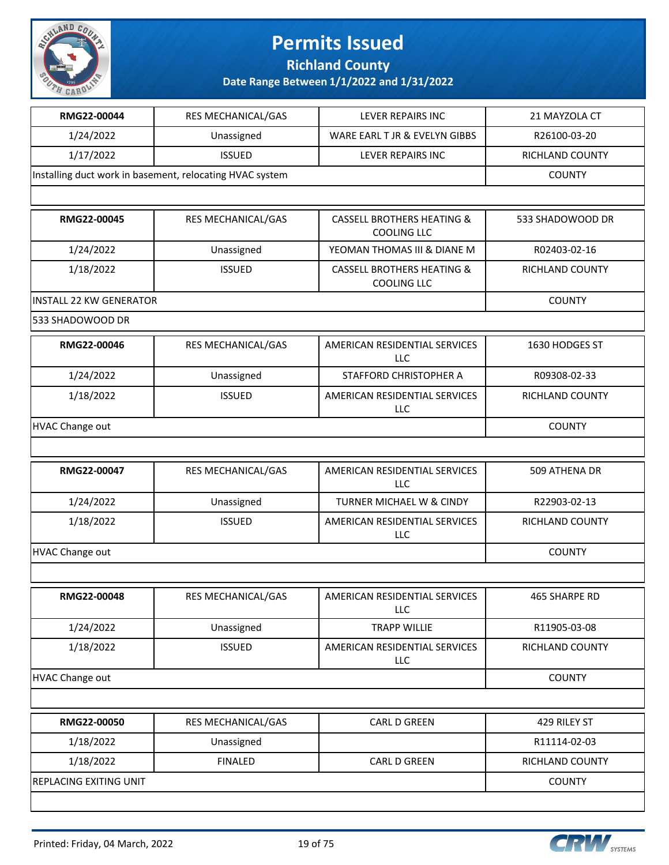

**Richland County**

| RMG22-00044                                              | RES MECHANICAL/GAS        | LEVER REPAIRS INC                                           | 21 MAYZOLA CT          |
|----------------------------------------------------------|---------------------------|-------------------------------------------------------------|------------------------|
| 1/24/2022                                                | Unassigned                | WARE EARL T JR & EVELYN GIBBS                               | R26100-03-20           |
| 1/17/2022                                                | <b>ISSUED</b>             | LEVER REPAIRS INC                                           | RICHLAND COUNTY        |
| Installing duct work in basement, relocating HVAC system | <b>COUNTY</b>             |                                                             |                        |
|                                                          |                           |                                                             |                        |
| RMG22-00045                                              | RES MECHANICAL/GAS        | <b>CASSELL BROTHERS HEATING &amp;</b><br><b>COOLING LLC</b> | 533 SHADOWOOD DR       |
| 1/24/2022                                                | Unassigned                | YEOMAN THOMAS III & DIANE M                                 | R02403-02-16           |
| 1/18/2022                                                | <b>ISSUED</b>             | <b>CASSELL BROTHERS HEATING &amp;</b><br><b>COOLING LLC</b> | RICHLAND COUNTY        |
| <b>INSTALL 22 KW GENERATOR</b>                           |                           |                                                             | <b>COUNTY</b>          |
| 533 SHADOWOOD DR                                         |                           |                                                             |                        |
| RMG22-00046                                              | RES MECHANICAL/GAS        | AMERICAN RESIDENTIAL SERVICES<br>LLC                        | 1630 HODGES ST         |
| 1/24/2022                                                | Unassigned                | STAFFORD CHRISTOPHER A                                      | R09308-02-33           |
| 1/18/2022                                                | <b>ISSUED</b>             | AMERICAN RESIDENTIAL SERVICES<br>LLC                        | <b>RICHLAND COUNTY</b> |
| <b>HVAC Change out</b>                                   |                           |                                                             | <b>COUNTY</b>          |
|                                                          |                           |                                                             |                        |
| RMG22-00047                                              | RES MECHANICAL/GAS        | AMERICAN RESIDENTIAL SERVICES<br>LLC                        | 509 ATHENA DR          |
| 1/24/2022                                                | Unassigned                | TURNER MICHAEL W & CINDY                                    | R22903-02-13           |
| 1/18/2022                                                | <b>ISSUED</b>             | AMERICAN RESIDENTIAL SERVICES<br>LLC                        | RICHLAND COUNTY        |
| <b>HVAC Change out</b>                                   |                           |                                                             | <b>COUNTY</b>          |
|                                                          |                           |                                                             |                        |
| RMG22-00048                                              | <b>RES MECHANICAL/GAS</b> | AMERICAN RESIDENTIAL SERVICES<br>LLC                        | 465 SHARPE RD          |
| 1/24/2022                                                | Unassigned                | <b>TRAPP WILLIE</b>                                         | R11905-03-08           |
| 1/18/2022                                                | <b>ISSUED</b>             | AMERICAN RESIDENTIAL SERVICES<br>LLC                        | <b>RICHLAND COUNTY</b> |
| <b>HVAC Change out</b>                                   |                           |                                                             | <b>COUNTY</b>          |
|                                                          |                           |                                                             |                        |
| RMG22-00050                                              | RES MECHANICAL/GAS        | <b>CARL D GREEN</b>                                         | 429 RILEY ST           |
| 1/18/2022                                                | Unassigned                |                                                             | R11114-02-03           |
| 1/18/2022                                                | <b>FINALED</b>            | CARL D GREEN                                                | RICHLAND COUNTY        |
| REPLACING EXITING UNIT                                   |                           |                                                             | <b>COUNTY</b>          |
|                                                          |                           |                                                             |                        |

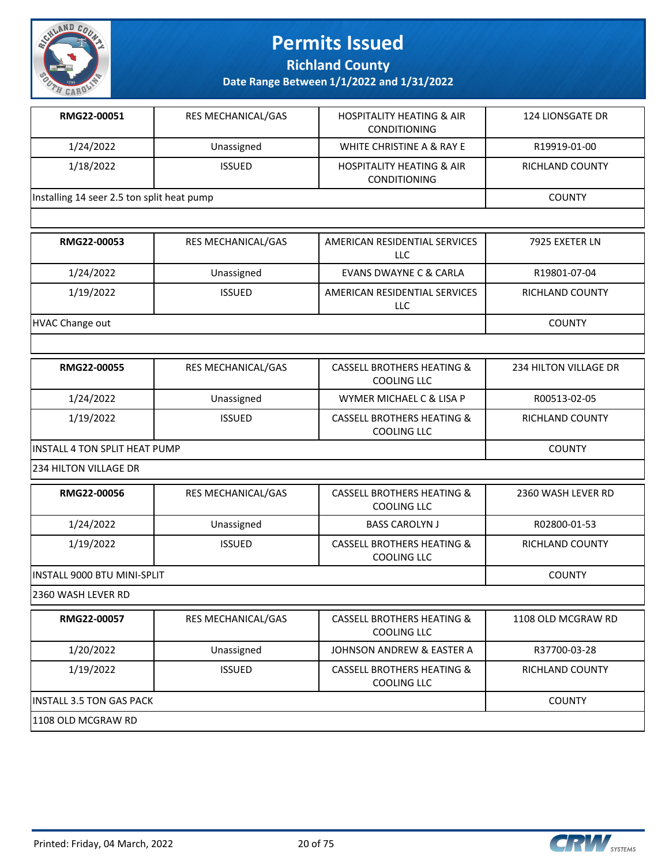

**Richland County**

**Date Range Between 1/1/2022 and 1/31/2022**

| RMG22-00051                                | <b>RES MECHANICAL/GAS</b> | <b>HOSPITALITY HEATING &amp; AIR</b><br><b>CONDITIONING</b> | 124 LIONSGATE DR |
|--------------------------------------------|---------------------------|-------------------------------------------------------------|------------------|
| 1/24/2022                                  | Unassigned                | WHITE CHRISTINE A & RAY E                                   | R19919-01-00     |
| 1/18/2022                                  | <b>ISSUED</b>             | <b>HOSPITALITY HEATING &amp; AIR</b><br><b>CONDITIONING</b> | RICHLAND COUNTY  |
| Installing 14 seer 2.5 ton split heat pump |                           |                                                             | <b>COUNTY</b>    |
|                                            |                           |                                                             |                  |

| RMG22-00053     | <b>RES MECHANICAL/GAS</b> | AMERICAN RESIDENTIAL SERVICES<br>LLC.       | 7925 EXETER LN         |
|-----------------|---------------------------|---------------------------------------------|------------------------|
| 1/24/2022       | Unassigned                | EVANS DWAYNE C & CARLA                      | R19801-07-04           |
| 1/19/2022       | <b>ISSUED</b>             | AMERICAN RESIDENTIAL SERVICES<br><b>LLC</b> | <b>RICHLAND COUNTY</b> |
| HVAC Change out |                           |                                             | <b>COUNTY</b>          |

| RMG22-00055                           | <b>RES MECHANICAL/GAS</b> | CASSELL BROTHERS HEATING &<br>COOLING LLC            | 234 HILTON VILLAGE DR |
|---------------------------------------|---------------------------|------------------------------------------------------|-----------------------|
| 1/24/2022                             | Unassigned                | WYMER MICHAEL C & LISA P                             | R00513-02-05          |
| 1/19/2022                             | <b>ISSUED</b>             | <b>CASSELL BROTHERS HEATING &amp;</b><br>COOLING LLC | RICHLAND COUNTY       |
| <b>IINSTALL 4 TON SPLIT HEAT PUMP</b> |                           |                                                      | <b>COUNTY</b>         |

234 HILTON VILLAGE DR

| RMG22-00056                  | <b>RES MECHANICAL/GAS</b> | CASSELL BROTHERS HEATING &<br>COOLING LLC | 2360 WASH LEVER RD |
|------------------------------|---------------------------|-------------------------------------------|--------------------|
| 1/24/2022                    | Unassigned                | <b>BASS CAROLYN J</b>                     | R02800-01-53       |
| 1/19/2022                    | <b>ISSUED</b>             | CASSELL BROTHERS HEATING &<br>COOLING LLC | RICHLAND COUNTY    |
| IINSTALL 9000 BTU MINI-SPLIT |                           |                                           | <b>COUNTY</b>      |

2360 WASH LEVER RD

| RMG22-00057               | <b>RES MECHANICAL/GAS</b> | <b>CASSELL BROTHERS HEATING &amp;</b><br>COOLING LLC | 1108 OLD MCGRAW RD |
|---------------------------|---------------------------|------------------------------------------------------|--------------------|
| 1/20/2022                 | Unassigned                | JOHNSON ANDREW & EASTER A                            | R37700-03-28       |
| 1/19/2022                 | <b>ISSUED</b>             | CASSELL BROTHERS HEATING &<br>COOLING LLC            | RICHLAND COUNTY    |
| IINSTALL 3.5 TON GAS PACK |                           |                                                      | <b>COUNTY</b>      |
| 1108 OLD MCGRAW RD        |                           |                                                      |                    |

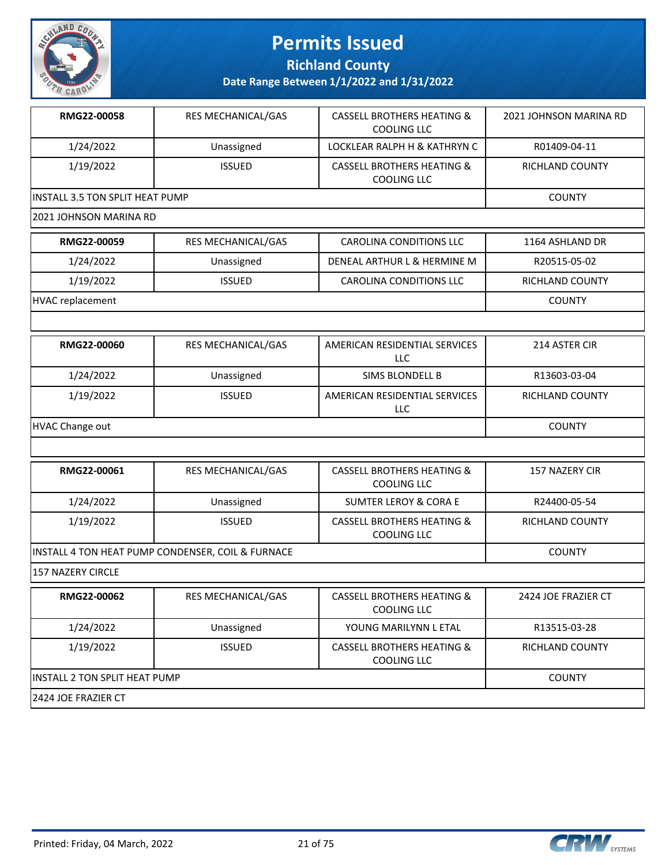

**Richland County**

**Date Range Between 1/1/2022 and 1/31/2022**

| RMG22-00058                             | <b>RES MECHANICAL/GAS</b> | <b>CASSELL BROTHERS HEATING &amp;</b><br>COOLING LLC | 2021 JOHNSON MARINA RD |  |
|-----------------------------------------|---------------------------|------------------------------------------------------|------------------------|--|
| 1/24/2022                               | Unassigned                | LOCKLEAR RALPH H & KATHRYN C                         | R01409-04-11           |  |
| 1/19/2022                               | <b>ISSUED</b>             | CASSELL BROTHERS HEATING &<br>COOLING LLC            | RICHLAND COUNTY        |  |
| <b>IINSTALL 3.5 TON SPLIT HEAT PUMP</b> | <b>COUNTY</b>             |                                                      |                        |  |
| 12021 JOHNSON MARINA RD                 |                           |                                                      |                        |  |

| RMG22-00059      | <b>RES MECHANICAL/GAS</b> | CAROLINA CONDITIONS LLC     | 1164 ASHLAND DR |
|------------------|---------------------------|-----------------------------|-----------------|
| 1/24/2022        | Unassigned                | DENEAL ARTHUR L & HERMINE M | R20515-05-02    |
| 1/19/2022        | <b>ISSUED</b>             | CAROLINA CONDITIONS LLC     | RICHLAND COUNTY |
| HVAC replacement |                           |                             | <b>COUNTY</b>   |

| RMG22-00060     | <b>RES MECHANICAL/GAS</b> | AMERICAN RESIDENTIAL SERVICES<br>LLC | 214 ASTER CIR   |
|-----------------|---------------------------|--------------------------------------|-----------------|
| 1/24/2022       | Unassigned                | SIMS BLONDELL B                      | R13603-03-04    |
| 1/19/2022       | <b>ISSUED</b>             | AMERICAN RESIDENTIAL SERVICES<br>LLC | RICHLAND COUNTY |
| HVAC Change out |                           |                                      | <b>COUNTY</b>   |

| RMG22-00061                                       | <b>RES MECHANICAL/GAS</b> | CASSELL BROTHERS HEATING &<br>COOLING LLC            | 157 NAZERY CIR         |
|---------------------------------------------------|---------------------------|------------------------------------------------------|------------------------|
| 1/24/2022                                         | Unassigned                | <b>SUMTER LEROY &amp; CORA E</b>                     | R24400-05-54           |
| 1/19/2022                                         | <b>ISSUED</b>             | <b>CASSELL BROTHERS HEATING &amp;</b><br>COOLING LLC | <b>RICHLAND COUNTY</b> |
| INSTALL 4 TON HEAT PUMP CONDENSER, COIL & FURNACE | <b>COUNTY</b>             |                                                      |                        |
| 157 NAZERY CIRCLE                                 |                           |                                                      |                        |
| RMG22-00062                                       | <b>RES MECHANICAL/GAS</b> | CASSELL BROTHERS HEATING &<br>COOLING LLC            | 2424 JOE FRAZIER CT    |
| 1/24/2022                                         | Unassigned                | YOUNG MARILYNN L ETAL                                | R13515-03-28           |
| 1/19/2022                                         | <b>ISSUED</b>             | <b>CASSELL BROTHERS HEATING &amp;</b><br>COOLING LLC | <b>RICHLAND COUNTY</b> |
| INSTALL 2 TON SPLIT HEAT PUMP                     |                           |                                                      | <b>COUNTY</b>          |

2424 JOE FRAZIER CT

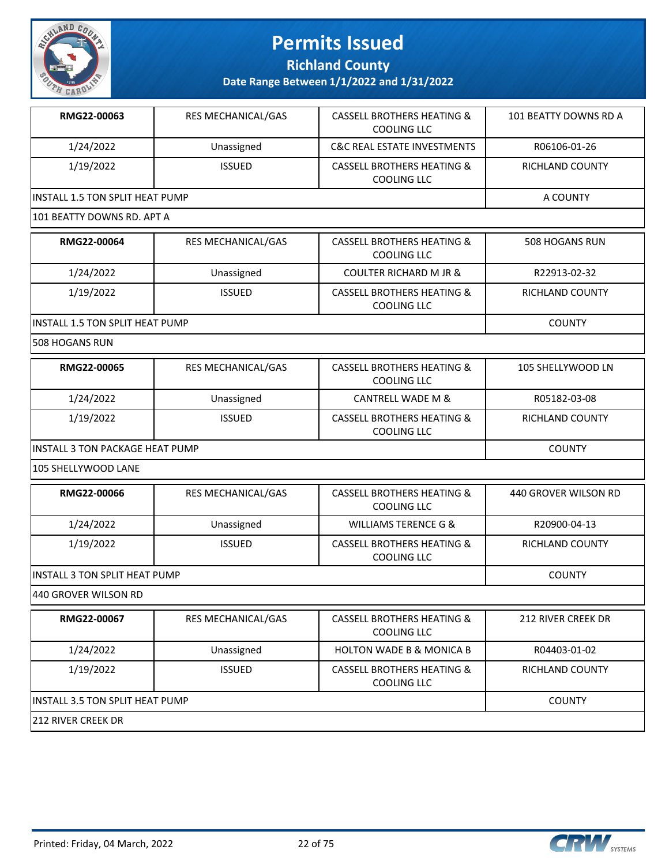

**Richland County**

**Date Range Between 1/1/2022 and 1/31/2022**

| RMG22-00063                             | <b>RES MECHANICAL/GAS</b> | <b>CASSELL BROTHERS HEATING &amp;</b><br>COOLING LLC | 101 BEATTY DOWNS RD A |  |
|-----------------------------------------|---------------------------|------------------------------------------------------|-----------------------|--|
| 1/24/2022                               | Unassigned                | <b>C&amp;C REAL ESTATE INVESTMENTS</b>               | R06106-01-26          |  |
| 1/19/2022                               | <b>ISSUED</b>             | CASSELL BROTHERS HEATING &<br>COOLING LLC            | RICHLAND COUNTY       |  |
| <b>IINSTALL 1.5 TON SPLIT HEAT PUMP</b> | A COUNTY                  |                                                      |                       |  |
| 101 BEATTY DOWNS RD. APT A              |                           |                                                      |                       |  |

| RMG22-00064                             | <b>RES MECHANICAL/GAS</b> | <b>CASSELL BROTHERS HEATING &amp;</b><br>COOLING LLC | 508 HOGANS RUN  |
|-----------------------------------------|---------------------------|------------------------------------------------------|-----------------|
| 1/24/2022                               | Unassigned                | <b>COULTER RICHARD M JR &amp;</b>                    | R22913-02-32    |
| 1/19/2022                               | <b>ISSUED</b>             | <b>CASSELL BROTHERS HEATING &amp;</b><br>COOLING LLC | RICHLAND COUNTY |
| <b>IINSTALL 1.5 TON SPLIT HEAT PUMP</b> |                           |                                                      | <b>COUNTY</b>   |

508 HOGANS RUN

| RMG22-00065                             | <b>RES MECHANICAL/GAS</b> | <b>CASSELL BROTHERS HEATING &amp;</b><br>COOLING LLC | 105 SHELLYWOOD LN |
|-----------------------------------------|---------------------------|------------------------------------------------------|-------------------|
| 1/24/2022                               | Unassigned                | CANTRELL WADE M &                                    | R05182-03-08      |
| 1/19/2022                               | <b>ISSUED</b>             | <b>CASSELL BROTHERS HEATING &amp;</b><br>COOLING LLC | RICHLAND COUNTY   |
| <b>IINSTALL 3 TON PACKAGE HEAT PUMP</b> | <b>COUNTY</b>             |                                                      |                   |

105 SHELLYWOOD LANE

| RMG22-00066                           | <b>RES MECHANICAL/GAS</b> | <b>CASSELL BROTHERS HEATING &amp;</b><br>COOLING LLC | 440 GROVER WILSON RD |
|---------------------------------------|---------------------------|------------------------------------------------------|----------------------|
| 1/24/2022                             | Unassigned                | WILLIAMS TERENCE G &                                 | R20900-04-13         |
| 1/19/2022                             | <b>ISSUED</b>             | <b>CASSELL BROTHERS HEATING &amp;</b><br>COOLING LLC | RICHLAND COUNTY      |
| <b>IINSTALL 3 TON SPLIT HEAT PUMP</b> |                           |                                                      | <b>COUNTY</b>        |

440 GROVER WILSON RD

| RMG22-00067                      | <b>RES MECHANICAL/GAS</b> | CASSELL BROTHERS HEATING &<br>COOLING LLC            | 212 RIVER CREEK DR |  |
|----------------------------------|---------------------------|------------------------------------------------------|--------------------|--|
| 1/24/2022                        | Unassigned                | <b>HOLTON WADE B &amp; MONICA B</b>                  | R04403-01-02       |  |
| 1/19/2022                        | <b>ISSUED</b>             | <b>CASSELL BROTHERS HEATING &amp;</b><br>COOLING LLC | RICHLAND COUNTY    |  |
| IINSTALL 3.5 TON SPLIT HEAT PUMP |                           |                                                      | <b>COUNTY</b>      |  |
| 1212 RIVER CREEK DR              |                           |                                                      |                    |  |

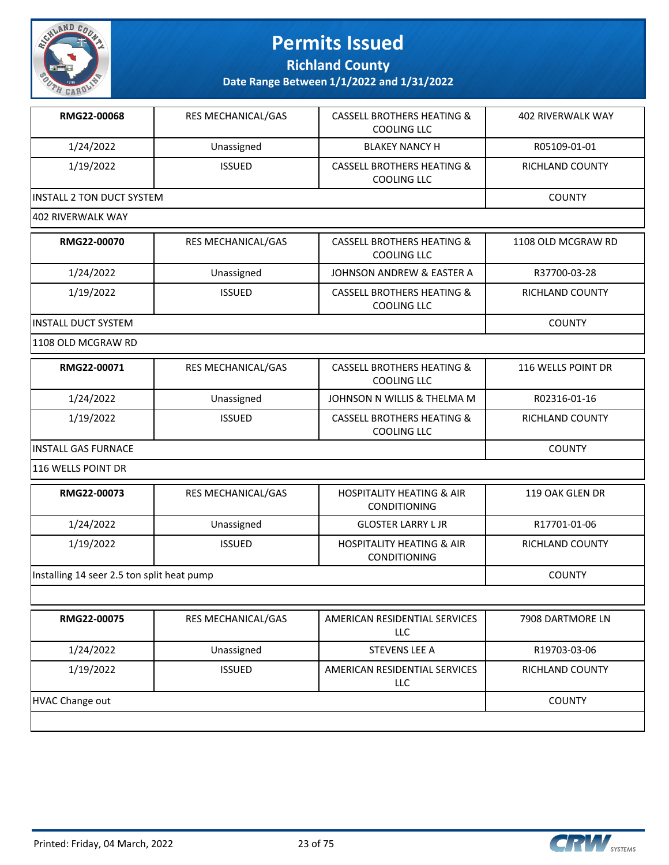

**Richland County**

**Date Range Between 1/1/2022 and 1/31/2022**

| RMG22-00068               | <b>RES MECHANICAL/GAS</b> | <b>CASSELL BROTHERS HEATING &amp;</b><br>COOLING LLC | 402 RIVERWALK WAY |  |
|---------------------------|---------------------------|------------------------------------------------------|-------------------|--|
| 1/24/2022                 | Unassigned                | <b>BLAKEY NANCY H</b>                                | R05109-01-01      |  |
| 1/19/2022                 | <b>ISSUED</b>             | CASSELL BROTHERS HEATING &<br>COOLING LLC            | RICHLAND COUNTY   |  |
| INSTALL 2 TON DUCT SYSTEM | <b>COUNTY</b>             |                                                      |                   |  |
| 1402 RIVERWALK WAY        |                           |                                                      |                   |  |

| RMG22-00070          | <b>RES MECHANICAL/GAS</b> | CASSELL BROTHERS HEATING &<br>COOLING LLC | 1108 OLD MCGRAW RD |
|----------------------|---------------------------|-------------------------------------------|--------------------|
| 1/24/2022            | Unassigned                | JOHNSON ANDREW & EASTER A                 | R37700-03-28       |
| 1/19/2022            | <b>ISSUED</b>             | CASSELL BROTHERS HEATING &<br>COOLING LLC | RICHLAND COUNTY    |
| IINSTALL DUCT SYSTEM |                           |                                           | <b>COUNTY</b>      |

1108 OLD MCGRAW RD

| RMG22-00071          | RES MECHANICAL/GAS | <b>CASSELL BROTHERS HEATING &amp;</b><br>COOLING LLC | 116 WELLS POINT DR |
|----------------------|--------------------|------------------------------------------------------|--------------------|
| 1/24/2022            | Unassigned         | JOHNSON N WILLIS & THELMA M                          | R02316-01-16       |
| 1/19/2022            | <b>ISSUED</b>      | <b>CASSELL BROTHERS HEATING &amp;</b><br>COOLING LLC | RICHLAND COUNTY    |
| IINSTALL GAS FURNACE | <b>COUNTY</b>      |                                                      |                    |

116 WELLS POINT DR

| RMG22-00073                                | <b>RES MECHANICAL/GAS</b> | <b>HOSPITALITY HEATING &amp; AIR</b><br><b>CONDITIONING</b> | 119 OAK GLEN DR |
|--------------------------------------------|---------------------------|-------------------------------------------------------------|-----------------|
| 1/24/2022                                  | Unassigned                | <b>GLOSTER LARRY L JR</b>                                   | R17701-01-06    |
| 1/19/2022                                  | <b>ISSUED</b>             | <b>HOSPITALITY HEATING &amp; AIR</b><br><b>CONDITIONING</b> | RICHLAND COUNTY |
| Installing 14 seer 2.5 ton split heat pump |                           |                                                             | <b>COUNTY</b>   |

|                 | <b>RES MECHANICAL/GAS</b> | AMERICAN RESIDENTIAL SERVICES<br>LLC | 7908 DARTMORE LN |
|-----------------|---------------------------|--------------------------------------|------------------|
| 1/24/2022       | Unassigned                | STEVENS LEE A                        | R19703-03-06     |
| 1/19/2022       | <b>ISSUED</b>             | AMERICAN RESIDENTIAL SERVICES<br>LLC | RICHLAND COUNTY  |
| HVAC Change out |                           |                                      | <b>COUNTY</b>    |

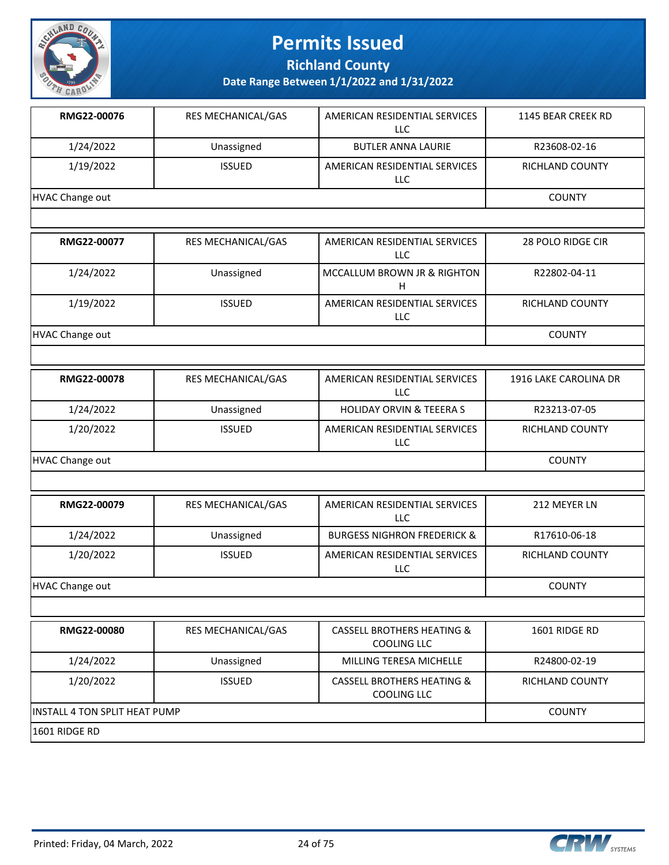

**Richland County**

| RMG22-00076                          | RES MECHANICAL/GAS | AMERICAN RESIDENTIAL SERVICES<br><b>LLC</b>                 | 1145 BEAR CREEK RD    |
|--------------------------------------|--------------------|-------------------------------------------------------------|-----------------------|
| 1/24/2022                            | Unassigned         | <b>BUTLER ANNA LAURIE</b>                                   | R23608-02-16          |
| 1/19/2022                            | <b>ISSUED</b>      | AMERICAN RESIDENTIAL SERVICES<br>LLC                        | RICHLAND COUNTY       |
| HVAC Change out                      |                    |                                                             | <b>COUNTY</b>         |
|                                      |                    |                                                             |                       |
| RMG22-00077                          | RES MECHANICAL/GAS | AMERICAN RESIDENTIAL SERVICES<br>LLC                        | 28 POLO RIDGE CIR     |
| 1/24/2022                            | Unassigned         | MCCALLUM BROWN JR & RIGHTON<br>H                            | R22802-04-11          |
| 1/19/2022                            | <b>ISSUED</b>      | AMERICAN RESIDENTIAL SERVICES<br>LLC                        | RICHLAND COUNTY       |
| HVAC Change out                      |                    |                                                             | <b>COUNTY</b>         |
|                                      |                    |                                                             |                       |
| RMG22-00078                          | RES MECHANICAL/GAS | AMERICAN RESIDENTIAL SERVICES<br>LLC                        | 1916 LAKE CAROLINA DR |
| 1/24/2022                            | Unassigned         | <b>HOLIDAY ORVIN &amp; TEEERA S</b>                         | R23213-07-05          |
| 1/20/2022                            | <b>ISSUED</b>      | AMERICAN RESIDENTIAL SERVICES<br><b>LLC</b>                 | RICHLAND COUNTY       |
| HVAC Change out                      | <b>COUNTY</b>      |                                                             |                       |
|                                      |                    |                                                             |                       |
| RMG22-00079                          | RES MECHANICAL/GAS | AMERICAN RESIDENTIAL SERVICES<br>LLC                        | 212 MEYER LN          |
| 1/24/2022                            | Unassigned         | <b>BURGESS NIGHRON FREDERICK &amp;</b>                      | R17610-06-18          |
| 1/20/2022                            | <b>ISSUED</b>      | AMERICAN RESIDENTIAL SERVICES<br>LLC                        | RICHLAND COUNTY       |
| HVAC Change out                      |                    |                                                             | <b>COUNTY</b>         |
|                                      |                    |                                                             |                       |
| RMG22-00080                          | RES MECHANICAL/GAS | <b>CASSELL BROTHERS HEATING &amp;</b><br>COOLING LLC        | 1601 RIDGE RD         |
| 1/24/2022                            | Unassigned         | MILLING TERESA MICHELLE                                     | R24800-02-19          |
| 1/20/2022                            | <b>ISSUED</b>      | <b>CASSELL BROTHERS HEATING &amp;</b><br><b>COOLING LLC</b> | RICHLAND COUNTY       |
| <b>INSTALL 4 TON SPLIT HEAT PUMP</b> | <b>COUNTY</b>      |                                                             |                       |
| 1601 RIDGE RD                        |                    |                                                             |                       |

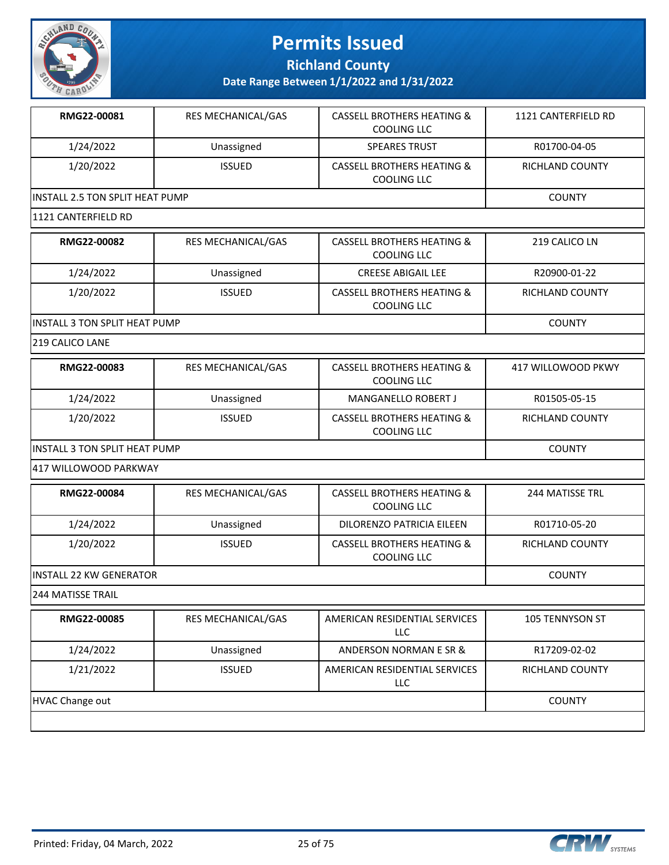

**Richland County**

**Date Range Between 1/1/2022 and 1/31/2022**

| RMG22-00081                     | <b>RES MECHANICAL/GAS</b> | <b>CASSELL BROTHERS HEATING &amp;</b><br>COOLING LLC | 1121 CANTERFIELD RD    |
|---------------------------------|---------------------------|------------------------------------------------------|------------------------|
| 1/24/2022                       | Unassigned                | <b>SPEARES TRUST</b>                                 | R01700-04-05           |
| 1/20/2022                       | <b>ISSUED</b>             | <b>CASSELL BROTHERS HEATING &amp;</b><br>COOLING LLC | <b>RICHLAND COUNTY</b> |
| INSTALL 2.5 TON SPLIT HEAT PUMP | <b>COUNTY</b>             |                                                      |                        |
| 1121 CANTERFIELD RD             |                           |                                                      |                        |
| RMG22-00082                     | <b>RES MECHANICAL/GAS</b> | <b>CASSELL BROTHERS HEATING &amp;</b><br>COOLING LLC | 219 CALICO LN          |
| 1/24/2022                       | Unassigned                | <b>CREESE ABIGAIL LEE</b>                            | R20900-01-22           |
| 1/20/2022                       | <b>ISSUED</b>             | <b>CASSELL BROTHERS HEATING &amp;</b>                | <b>RICHLAND COUNTY</b> |

COOLING LLC

INSTALL 3 TON SPLIT HEAT PUMP COUNTY

219 CALICO LANE

| RMG22-00083                    | <b>RES MECHANICAL/GAS</b> | CASSELL BROTHERS HEATING &<br>COOLING LLC            | 417 WILLOWOOD PKWY     |
|--------------------------------|---------------------------|------------------------------------------------------|------------------------|
| 1/24/2022                      | Unassigned                | <b>MANGANELLO ROBERT J</b>                           | R01505-05-15           |
| 1/20/2022                      | <b>ISSUED</b>             | <b>CASSELL BROTHERS HEATING &amp;</b><br>COOLING LLC | <b>RICHLAND COUNTY</b> |
| IINSTALL 3 TON SPLIT HEAT PUMP |                           |                                                      | COUNTY                 |

417 WILLOWOOD PARKWAY

| RMG22-00084                     | <b>RES MECHANICAL/GAS</b> | <b>CASSELL BROTHERS HEATING &amp;</b><br>COOLING LLC | 244 MATISSE TRL |
|---------------------------------|---------------------------|------------------------------------------------------|-----------------|
| 1/24/2022                       | Unassigned                | DILORENZO PATRICIA EILEEN                            | R01710-05-20    |
| 1/20/2022                       | <b>ISSUED</b>             | <b>CASSELL BROTHERS HEATING &amp;</b><br>COOLING LLC | RICHLAND COUNTY |
| <b>IINSTALL 22 KW GENERATOR</b> |                           |                                                      | <b>COUNTY</b>   |

244 MATISSE TRAIL

| RMG22-00085     | <b>RES MECHANICAL/GAS</b> | AMERICAN RESIDENTIAL SERVICES<br>LLC.       | <b>105 TENNYSON ST</b> |
|-----------------|---------------------------|---------------------------------------------|------------------------|
| 1/24/2022       | Unassigned                | ANDERSON NORMAN E SR &                      | R17209-02-02           |
| 1/21/2022       | <b>ISSUED</b>             | AMERICAN RESIDENTIAL SERVICES<br><b>LLC</b> | <b>RICHLAND COUNTY</b> |
| HVAC Change out |                           |                                             | <b>COUNTY</b>          |
|                 |                           |                                             |                        |

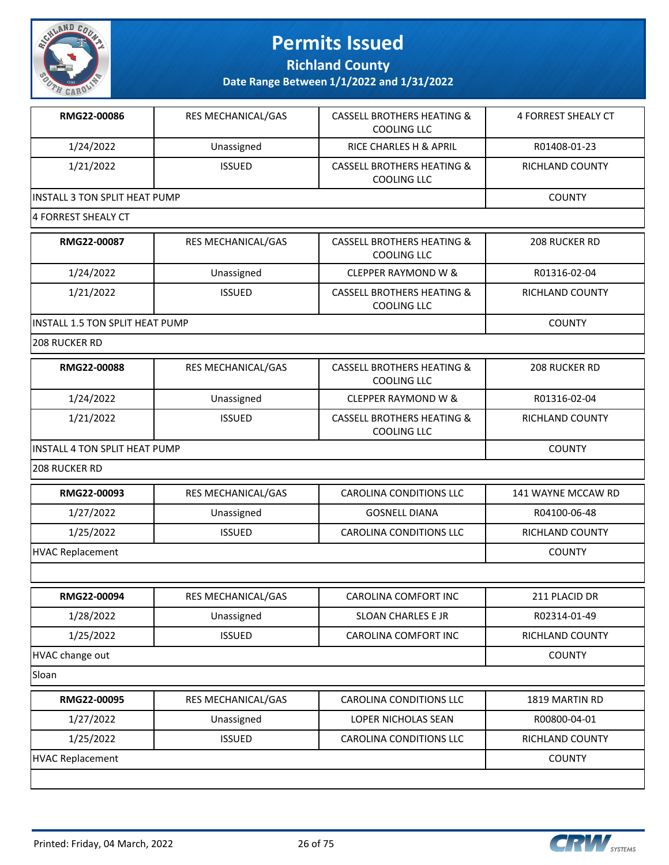

**Richland County**

| RMG22-00086                          | RES MECHANICAL/GAS | <b>CASSELL BROTHERS HEATING &amp;</b><br><b>COOLING LLC</b> | <b>4 FORREST SHEALY CT</b> |
|--------------------------------------|--------------------|-------------------------------------------------------------|----------------------------|
| 1/24/2022                            | Unassigned         | RICE CHARLES H & APRIL                                      | R01408-01-23               |
| 1/21/2022                            | <b>ISSUED</b>      | <b>CASSELL BROTHERS HEATING &amp;</b><br><b>COOLING LLC</b> | <b>RICHLAND COUNTY</b>     |
| <b>INSTALL 3 TON SPLIT HEAT PUMP</b> |                    |                                                             | <b>COUNTY</b>              |
| 4 FORREST SHEALY CT                  |                    |                                                             |                            |
| RMG22-00087                          | RES MECHANICAL/GAS | <b>CASSELL BROTHERS HEATING &amp;</b><br><b>COOLING LLC</b> | 208 RUCKER RD              |
| 1/24/2022                            | Unassigned         | <b>CLEPPER RAYMOND W &amp;</b>                              | R01316-02-04               |
| 1/21/2022                            | <b>ISSUED</b>      | <b>CASSELL BROTHERS HEATING &amp;</b><br><b>COOLING LLC</b> | RICHLAND COUNTY            |
| INSTALL 1.5 TON SPLIT HEAT PUMP      |                    |                                                             | <b>COUNTY</b>              |
| 208 RUCKER RD                        |                    |                                                             |                            |
| RMG22-00088                          | RES MECHANICAL/GAS | <b>CASSELL BROTHERS HEATING &amp;</b><br><b>COOLING LLC</b> | <b>208 RUCKER RD</b>       |
| 1/24/2022                            | Unassigned         | <b>CLEPPER RAYMOND W &amp;</b>                              | R01316-02-04               |
| 1/21/2022                            | <b>ISSUED</b>      | <b>CASSELL BROTHERS HEATING &amp;</b><br><b>COOLING LLC</b> | RICHLAND COUNTY            |
| <b>INSTALL 4 TON SPLIT HEAT PUMP</b> |                    |                                                             | <b>COUNTY</b>              |
| 208 RUCKER RD                        |                    |                                                             |                            |
|                                      |                    |                                                             |                            |
| RMG22-00093                          | RES MECHANICAL/GAS | CAROLINA CONDITIONS LLC                                     | 141 WAYNE MCCAW RD         |
| 1/27/2022                            | Unassigned         | <b>GOSNELL DIANA</b>                                        | R04100-06-48               |
| 1/25/2022                            | <b>ISSUED</b>      | CAROLINA CONDITIONS LLC                                     | RICHLAND COUNTY            |
| <b>HVAC Replacement</b>              |                    |                                                             | <b>COUNTY</b>              |
|                                      |                    |                                                             |                            |
| RMG22-00094                          | RES MECHANICAL/GAS | CAROLINA COMFORT INC                                        | 211 PLACID DR              |
| 1/28/2022                            | Unassigned         | SLOAN CHARLES E JR                                          | R02314-01-49               |
| 1/25/2022                            | <b>ISSUED</b>      | CAROLINA COMFORT INC                                        | RICHLAND COUNTY            |

| <b>RMG22-00095</b>      | RES MECHANICAL/GAS | CAROLINA CONDITIONS LLC | 1819 MARTIN RD  |
|-------------------------|--------------------|-------------------------|-----------------|
| 1/27/2022               | Unassigned         | LOPER NICHOLAS SEAN     | R00800-04-01    |
| 1/25/2022               | <b>ISSUED</b>      | CAROLINA CONDITIONS LLC | RICHLAND COUNTY |
| <b>HVAC Replacement</b> | <b>COUNTY</b>      |                         |                 |
|                         |                    |                         |                 |

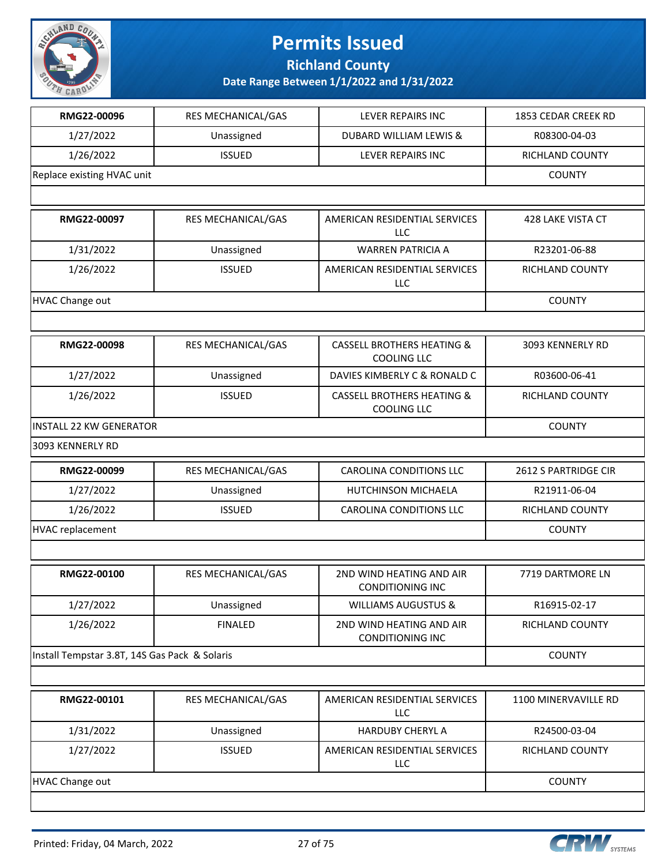

**Richland County**

| RMG22-00096                                   | RES MECHANICAL/GAS | <b>LEVER REPAIRS INC</b>                                    | 1853 CEDAR CREEK RD    |
|-----------------------------------------------|--------------------|-------------------------------------------------------------|------------------------|
| 1/27/2022                                     | Unassigned         | <b>DUBARD WILLIAM LEWIS &amp;</b>                           | R08300-04-03           |
| 1/26/2022                                     | <b>ISSUED</b>      | LEVER REPAIRS INC                                           | RICHLAND COUNTY        |
| Replace existing HVAC unit                    |                    |                                                             | <b>COUNTY</b>          |
|                                               |                    |                                                             |                        |
| RMG22-00097                                   | RES MECHANICAL/GAS | AMERICAN RESIDENTIAL SERVICES<br><b>LLC</b>                 | 428 LAKE VISTA CT      |
| 1/31/2022                                     | Unassigned         | <b>WARREN PATRICIA A</b>                                    | R23201-06-88           |
| 1/26/2022                                     | <b>ISSUED</b>      | AMERICAN RESIDENTIAL SERVICES<br>LLC                        | <b>RICHLAND COUNTY</b> |
| <b>HVAC Change out</b>                        |                    |                                                             | <b>COUNTY</b>          |
|                                               |                    |                                                             |                        |
| RMG22-00098                                   | RES MECHANICAL/GAS | <b>CASSELL BROTHERS HEATING &amp;</b><br><b>COOLING LLC</b> | 3093 KENNERLY RD       |
| 1/27/2022                                     | Unassigned         | DAVIES KIMBERLY C & RONALD C                                | R03600-06-41           |
| 1/26/2022                                     | <b>ISSUED</b>      | <b>CASSELL BROTHERS HEATING &amp;</b><br><b>COOLING LLC</b> | RICHLAND COUNTY        |
| <b>INSTALL 22 KW GENERATOR</b>                |                    |                                                             | <b>COUNTY</b>          |
| 3093 KENNERLY RD                              |                    |                                                             |                        |
| RMG22-00099                                   | RES MECHANICAL/GAS | <b>CAROLINA CONDITIONS LLC</b>                              | 2612 S PARTRIDGE CIR   |
| 1/27/2022                                     | Unassigned         | HUTCHINSON MICHAELA                                         | R21911-06-04           |
| 1/26/2022                                     | <b>ISSUED</b>      | <b>CAROLINA CONDITIONS LLC</b>                              | RICHLAND COUNTY        |
| <b>HVAC replacement</b>                       |                    |                                                             | <b>COUNTY</b>          |
|                                               |                    |                                                             |                        |
| RMG22-00100                                   | RES MECHANICAL/GAS | 2ND WIND HEATING AND AIR<br><b>CONDITIONING INC</b>         | 7719 DARTMORE LN       |
| 1/27/2022                                     | Unassigned         | <b>WILLIAMS AUGUSTUS &amp;</b>                              | R16915-02-17           |
| 1/26/2022                                     | <b>FINALED</b>     | 2ND WIND HEATING AND AIR<br><b>CONDITIONING INC</b>         | RICHLAND COUNTY        |
| Install Tempstar 3.8T, 14S Gas Pack & Solaris |                    |                                                             | <b>COUNTY</b>          |
|                                               |                    |                                                             |                        |
| RMG22-00101                                   | RES MECHANICAL/GAS | AMERICAN RESIDENTIAL SERVICES<br>LLC                        | 1100 MINERVAVILLE RD   |
|                                               |                    |                                                             |                        |
| 1/31/2022                                     | Unassigned         | HARDUBY CHERYL A                                            | R24500-03-04           |
| 1/27/2022                                     | <b>ISSUED</b>      | AMERICAN RESIDENTIAL SERVICES<br>LLC                        | RICHLAND COUNTY        |
| <b>HVAC Change out</b>                        |                    |                                                             | <b>COUNTY</b>          |

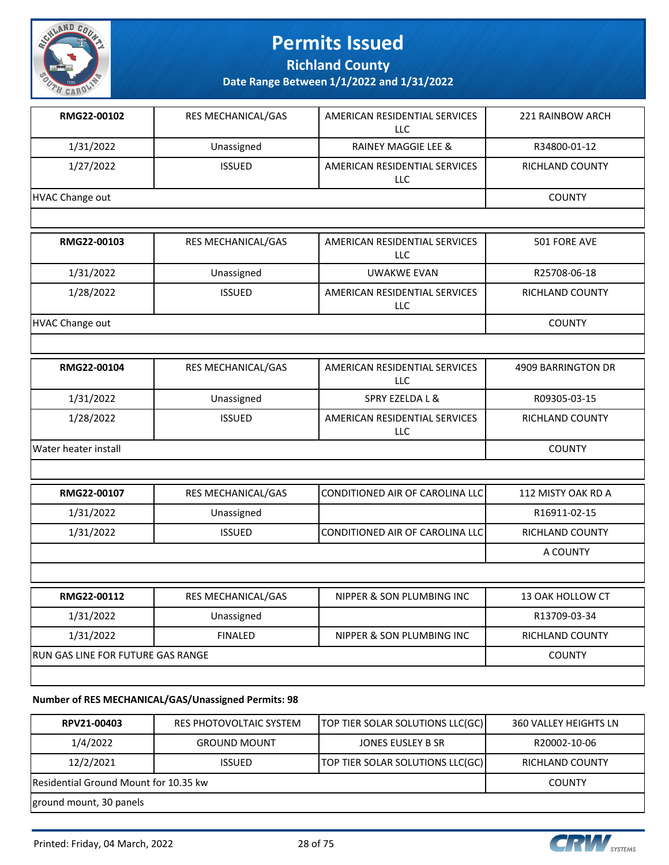

**Richland County**

**Date Range Between 1/1/2022 and 1/31/2022**

| RMG22-00102                       | RES MECHANICAL/GAS | AMERICAN RESIDENTIAL SERVICES<br>LLC        | 221 RAINBOW ARCH       |
|-----------------------------------|--------------------|---------------------------------------------|------------------------|
| 1/31/2022                         | Unassigned         | <b>RAINEY MAGGIE LEE &amp;</b>              | R34800-01-12           |
| 1/27/2022                         | <b>ISSUED</b>      | AMERICAN RESIDENTIAL SERVICES<br>LLC        | RICHLAND COUNTY        |
| <b>HVAC Change out</b>            |                    |                                             | <b>COUNTY</b>          |
|                                   |                    |                                             |                        |
| RMG22-00103                       | RES MECHANICAL/GAS | AMERICAN RESIDENTIAL SERVICES<br><b>LLC</b> | 501 FORE AVE           |
| 1/31/2022                         | Unassigned         | <b>UWAKWE EVAN</b>                          | R25708-06-18           |
| 1/28/2022                         | <b>ISSUED</b>      | AMERICAN RESIDENTIAL SERVICES<br><b>LLC</b> | RICHLAND COUNTY        |
| <b>HVAC Change out</b>            |                    |                                             | <b>COUNTY</b>          |
|                                   |                    |                                             |                        |
| RMG22-00104                       | RES MECHANICAL/GAS | AMERICAN RESIDENTIAL SERVICES<br><b>LLC</b> | 4909 BARRINGTON DR     |
| 1/31/2022                         | Unassigned         | SPRY EZELDA L &                             | R09305-03-15           |
| 1/28/2022                         | <b>ISSUED</b>      | AMERICAN RESIDENTIAL SERVICES<br><b>LLC</b> | RICHLAND COUNTY        |
| Water heater install              |                    |                                             | <b>COUNTY</b>          |
|                                   |                    |                                             |                        |
| RMG22-00107                       | RES MECHANICAL/GAS | CONDITIONED AIR OF CAROLINA LLC             | 112 MISTY OAK RD A     |
| 1/31/2022                         | Unassigned         |                                             | R16911-02-15           |
| 1/31/2022                         | <b>ISSUED</b>      | CONDITIONED AIR OF CAROLINA LLC             | RICHLAND COUNTY        |
|                                   |                    |                                             | A COUNTY               |
|                                   |                    |                                             |                        |
| RMG22-00112                       | RES MECHANICAL/GAS | NIPPER & SON PLUMBING INC                   | 13 OAK HOLLOW CT       |
| 1/31/2022                         | Unassigned         |                                             | R13709-03-34           |
| 1/31/2022                         | <b>FINALED</b>     | NIPPER & SON PLUMBING INC                   | <b>RICHLAND COUNTY</b> |
| RUN GAS LINE FOR FUTURE GAS RANGE |                    |                                             | <b>COUNTY</b>          |
|                                   |                    |                                             |                        |

#### **Number of RES MECHANICAL/GAS/Unassigned Permits: 98**

| RPV21-00403                           | RES PHOTOVOLTAIC SYSTEM | TOP TIER SOLAR SOLUTIONS LLC(GC) | 360 VALLEY HEIGHTS LN  |
|---------------------------------------|-------------------------|----------------------------------|------------------------|
| 1/4/2022                              | <b>GROUND MOUNT</b>     | JONES EUSLEY B SR                | R20002-10-06           |
| 12/2/2021                             | <b>ISSUED</b>           | TOP TIER SOLAR SOLUTIONS LLC(GC) | <b>RICHLAND COUNTY</b> |
| Residential Ground Mount for 10.35 kw | <b>COUNTY</b>           |                                  |                        |
| ground mount, 30 panels               |                         |                                  |                        |

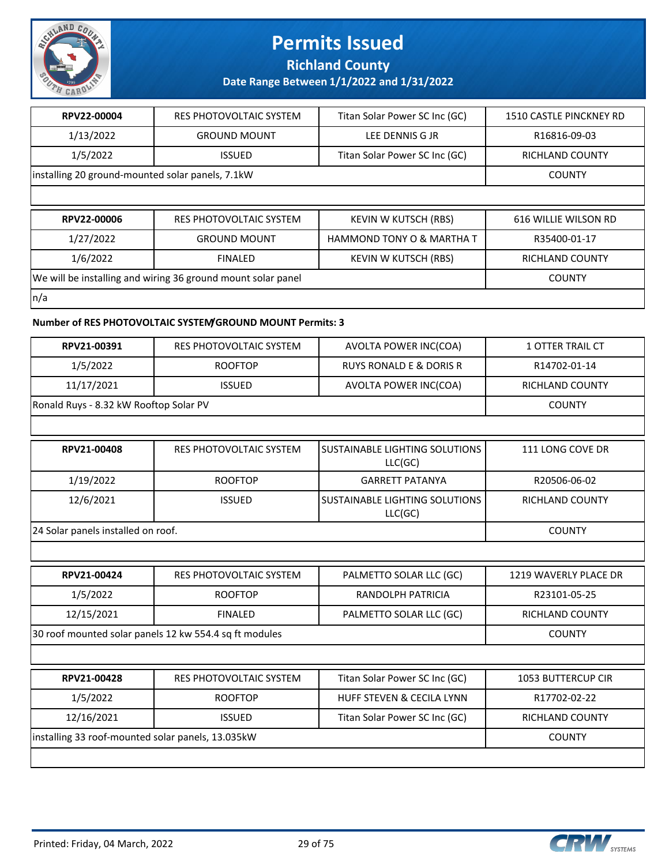

**Richland County**

### **Date Range Between 1/1/2022 and 1/31/2022**

| RPV22-00004                                      | RES PHOTOVOLTAIC SYSTEM                                      | Titan Solar Power SC Inc (GC) | 1510 CASTLE PINCKNEY RD |
|--------------------------------------------------|--------------------------------------------------------------|-------------------------------|-------------------------|
| 1/13/2022                                        | <b>GROUND MOUNT</b>                                          | LEE DENNIS G JR               | R16816-09-03            |
| 1/5/2022                                         | <b>ISSUED</b>                                                | Titan Solar Power SC Inc (GC) | <b>RICHLAND COUNTY</b>  |
| installing 20 ground-mounted solar panels, 7.1kW |                                                              |                               | <b>COUNTY</b>           |
|                                                  |                                                              |                               |                         |
|                                                  |                                                              |                               |                         |
| RPV22-00006                                      | RES PHOTOVOLTAIC SYSTEM                                      | KEVIN W KUTSCH (RBS)          | 616 WILLIE WILSON RD    |
| 1/27/2022                                        | <b>GROUND MOUNT</b>                                          | HAMMOND TONY O & MARTHA T     | R35400-01-17            |
| 1/6/2022                                         | <b>FINALED</b>                                               | <b>KEVIN W KUTSCH (RBS)</b>   | <b>RICHLAND COUNTY</b>  |
|                                                  | We will be installing and wiring 36 ground mount solar panel |                               | <b>COUNTY</b>           |

#### **Number of RES PHOTOVOLTAIC SYSTEM/GROUND MOUNT Permits: 3**

| RPV21-00391                            | RES PHOTOVOLTAIC SYSTEM                                | AVOLTA POWER INC(COA)                     | 1 OTTER TRAIL CT          |
|----------------------------------------|--------------------------------------------------------|-------------------------------------------|---------------------------|
| 1/5/2022                               | <b>ROOFTOP</b>                                         | <b>RUYS RONALD E &amp; DORIS R</b>        | R14702-01-14              |
| 11/17/2021                             | <b>ISSUED</b>                                          | AVOLTA POWER INC(COA)                     | RICHLAND COUNTY           |
| Ronald Ruys - 8.32 kW Rooftop Solar PV |                                                        |                                           | <b>COUNTY</b>             |
|                                        |                                                        |                                           |                           |
| RPV21-00408                            | <b>RES PHOTOVOLTAIC SYSTEM</b>                         | SUSTAINABLE LIGHTING SOLUTIONS<br>LLC(GC) | 111 LONG COVE DR          |
| 1/19/2022                              | <b>ROOFTOP</b>                                         | <b>GARRETT PATANYA</b>                    | R20506-06-02              |
| 12/6/2021                              | <b>ISSUED</b>                                          | SUSTAINABLE LIGHTING SOLUTIONS<br>LLC(GC) | <b>RICHLAND COUNTY</b>    |
| 24 Solar panels installed on roof.     |                                                        |                                           | <b>COUNTY</b>             |
|                                        |                                                        |                                           |                           |
| RPV21-00424                            | RES PHOTOVOLTAIC SYSTEM                                | PALMETTO SOLAR LLC (GC)                   | 1219 WAVERLY PLACE DR     |
| 1/5/2022                               | <b>ROOFTOP</b>                                         | <b>RANDOLPH PATRICIA</b>                  | R23101-05-25              |
| 12/15/2021                             | <b>FINALED</b>                                         | PALMETTO SOLAR LLC (GC)                   | <b>RICHLAND COUNTY</b>    |
|                                        | 30 roof mounted solar panels 12 kw 554.4 sq ft modules |                                           | <b>COUNTY</b>             |
|                                        |                                                        |                                           |                           |
| RPV21-00428                            | <b>RES PHOTOVOLTAIC SYSTEM</b>                         | Titan Solar Power SC Inc (GC)             | <b>1053 BUTTERCUP CIR</b> |
| 1/5/2022                               | <b>ROOFTOP</b>                                         | HUFF STEVEN & CECILA LYNN                 | R17702-02-22              |
| 12/16/2021                             | <b>ISSUED</b>                                          | Titan Solar Power SC Inc (GC)             | <b>RICHLAND COUNTY</b>    |
|                                        | installing 33 roof-mounted solar panels, 13.035kW      |                                           |                           |
|                                        |                                                        |                                           |                           |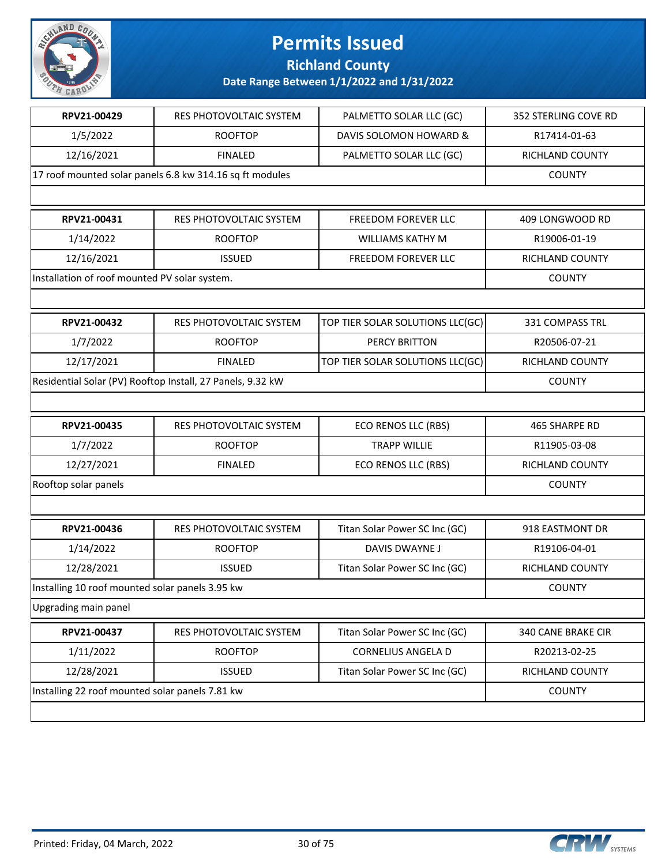

**Richland County**

| RPV21-00429                                     | <b>RES PHOTOVOLTAIC SYSTEM</b>                             | PALMETTO SOLAR LLC (GC)          | 352 STERLING COVE RD   |
|-------------------------------------------------|------------------------------------------------------------|----------------------------------|------------------------|
| 1/5/2022                                        | <b>ROOFTOP</b>                                             | DAVIS SOLOMON HOWARD &           | R17414-01-63           |
| 12/16/2021                                      | <b>FINALED</b>                                             | PALMETTO SOLAR LLC (GC)          | RICHLAND COUNTY        |
|                                                 | 17 roof mounted solar panels 6.8 kw 314.16 sq ft modules   |                                  | <b>COUNTY</b>          |
|                                                 |                                                            |                                  |                        |
| RPV21-00431                                     | <b>RES PHOTOVOLTAIC SYSTEM</b>                             | <b>FREEDOM FOREVER LLC</b>       | 409 LONGWOOD RD        |
| 1/14/2022                                       | <b>ROOFTOP</b>                                             | <b>WILLIAMS KATHY M</b>          | R19006-01-19           |
| 12/16/2021                                      | <b>ISSUED</b>                                              | FREEDOM FOREVER LLC              | RICHLAND COUNTY        |
| Installation of roof mounted PV solar system.   |                                                            |                                  | <b>COUNTY</b>          |
|                                                 |                                                            |                                  |                        |
| RPV21-00432                                     | RES PHOTOVOLTAIC SYSTEM                                    | TOP TIER SOLAR SOLUTIONS LLC(GC) | <b>331 COMPASS TRL</b> |
| 1/7/2022                                        | <b>ROOFTOP</b>                                             | <b>PERCY BRITTON</b>             | R20506-07-21           |
| 12/17/2021                                      | <b>FINALED</b>                                             | TOP TIER SOLAR SOLUTIONS LLC(GC) | RICHLAND COUNTY        |
|                                                 | Residential Solar (PV) Rooftop Install, 27 Panels, 9.32 kW |                                  | <b>COUNTY</b>          |
|                                                 |                                                            |                                  |                        |
| RPV21-00435                                     | RES PHOTOVOLTAIC SYSTEM                                    | ECO RENOS LLC (RBS)              | 465 SHARPE RD          |
| 1/7/2022                                        | <b>ROOFTOP</b>                                             | <b>TRAPP WILLIE</b>              | R11905-03-08           |
| 12/27/2021                                      | <b>FINALED</b>                                             | ECO RENOS LLC (RBS)              | RICHLAND COUNTY        |
| Rooftop solar panels                            |                                                            |                                  | <b>COUNTY</b>          |
|                                                 |                                                            |                                  |                        |
| RPV21-00436                                     | <b>RES PHOTOVOLTAIC SYSTEM</b>                             | Titan Solar Power SC Inc (GC)    | 918 EASTMONT DR        |
| 1/14/2022                                       | <b>ROOFTOP</b>                                             | DAVIS DWAYNE J                   | R19106-04-01           |
| 12/28/2021                                      | <b>ISSUED</b>                                              | Titan Solar Power SC Inc (GC)    | <b>RICHLAND COUNTY</b> |
| Installing 10 roof mounted solar panels 3.95 kw |                                                            |                                  | <b>COUNTY</b>          |
| Upgrading main panel                            |                                                            |                                  |                        |
| RPV21-00437                                     | RES PHOTOVOLTAIC SYSTEM                                    | Titan Solar Power SC Inc (GC)    | 340 CANE BRAKE CIR     |
| 1/11/2022                                       | <b>ROOFTOP</b>                                             | <b>CORNELIUS ANGELA D</b>        | R20213-02-25           |
| 12/28/2021                                      | <b>ISSUED</b>                                              | Titan Solar Power SC Inc (GC)    | RICHLAND COUNTY        |
| Installing 22 roof mounted solar panels 7.81 kw |                                                            |                                  | <b>COUNTY</b>          |
|                                                 |                                                            |                                  |                        |

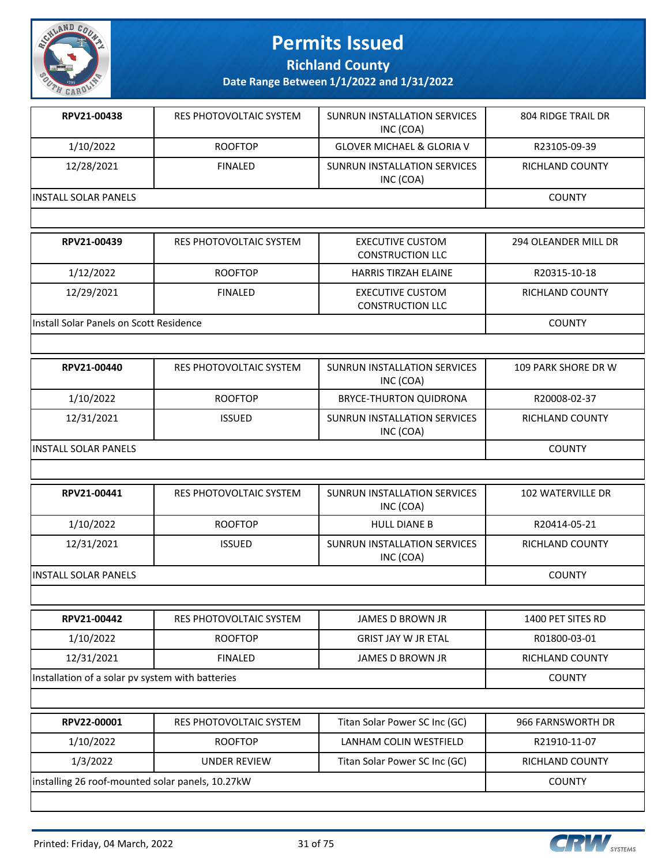

**Richland County**

**Date Range Between 1/1/2022 and 1/31/2022**

| RPV21-00438           | RES PHOTOVOLTAIC SYSTEM | SUNRUN INSTALLATION SERVICES<br>INC (COA) | 804 RIDGE TRAIL DR |
|-----------------------|-------------------------|-------------------------------------------|--------------------|
| 1/10/2022             | <b>ROOFTOP</b>          | <b>GLOVER MICHAEL &amp; GLORIA V</b>      | R23105-09-39       |
| 12/28/2021            | <b>FINALED</b>          | SUNRUN INSTALLATION SERVICES<br>INC (COA) | RICHLAND COUNTY    |
| IINSTALL SOLAR PANELS |                         |                                           | <b>COUNTY</b>      |
|                       |                         |                                           |                    |

| RPV21-00439                              | RES PHOTOVOLTAIC SYSTEM | <b>EXECUTIVE CUSTOM</b><br><b>CONSTRUCTION LLC</b> | 294 OLEANDER MILL DR |
|------------------------------------------|-------------------------|----------------------------------------------------|----------------------|
| 1/12/2022                                | <b>ROOFTOP</b>          | <b>HARRIS TIRZAH ELAINE</b>                        | R20315-10-18         |
| 12/29/2021                               | <b>FINALED</b>          | EXECUTIVE CUSTOM<br><b>CONSTRUCTION LLC</b>        | RICHLAND COUNTY      |
| lInstall Solar Panels on Scott Residence |                         |                                                    | <b>COUNTY</b>        |

| RPV21-00440                  | RES PHOTOVOLTAIC SYSTEM | SUNRUN INSTALLATION SERVICES<br>INC (COA) | 109 PARK SHORE DR W |
|------------------------------|-------------------------|-------------------------------------------|---------------------|
| 1/10/2022                    | <b>ROOFTOP</b>          | <b>BRYCE-THURTON QUIDRONA</b>             | R20008-02-37        |
| 12/31/2021                   | <b>ISSUED</b>           | SUNRUN INSTALLATION SERVICES<br>INC (COA) | RICHLAND COUNTY     |
| <b>IINSTALL SOLAR PANELS</b> |                         |                                           | <b>COUNTY</b>       |

| RPV21-00441                 | RES PHOTOVOLTAIC SYSTEM | SUNRUN INSTALLATION SERVICES<br>INC (COA) | 102 WATERVILLE DR |
|-----------------------------|-------------------------|-------------------------------------------|-------------------|
| 1/10/2022                   | <b>ROOFTOP</b>          | <b>HULL DIANE B</b>                       | R20414-05-21      |
| 12/31/2021                  | <b>ISSUED</b>           | SUNRUN INSTALLATION SERVICES<br>INC (COA) | RICHLAND COUNTY   |
| <b>INSTALL SOLAR PANELS</b> |                         |                                           | <b>COUNTY</b>     |

| RPV21-00442                                      | <b>RES PHOTOVOLTAIC SYSTEM</b> | <b>JAMES D BROWN JR</b>       | 1400 PET SITES RD |  |
|--------------------------------------------------|--------------------------------|-------------------------------|-------------------|--|
| 1/10/2022                                        | <b>ROOFTOP</b>                 | <b>GRIST JAY W JR ETAL</b>    | R01800-03-01      |  |
| 12/31/2021                                       | <b>FINALED</b>                 | <b>JAMES D BROWN JR</b>       | RICHLAND COUNTY   |  |
| Installation of a solar pv system with batteries |                                |                               | <b>COUNTY</b>     |  |
|                                                  |                                |                               |                   |  |
| RPV22-00001                                      | RES PHOTOVOLTAIC SYSTEM        | Titan Solar Power SC Inc (GC) | 966 FARNSWORTH DR |  |
| 1/10/2022                                        | <b>ROOFTOP</b>                 | LANHAM COLIN WESTFIELD        | R21910-11-07      |  |
| 1/3/2022                                         | <b>UNDER REVIEW</b>            | Titan Solar Power SC Inc (GC) | RICHLAND COUNTY   |  |

|<br>| installing 26 roof-mounted solar panels, 10.27kW COUNTY

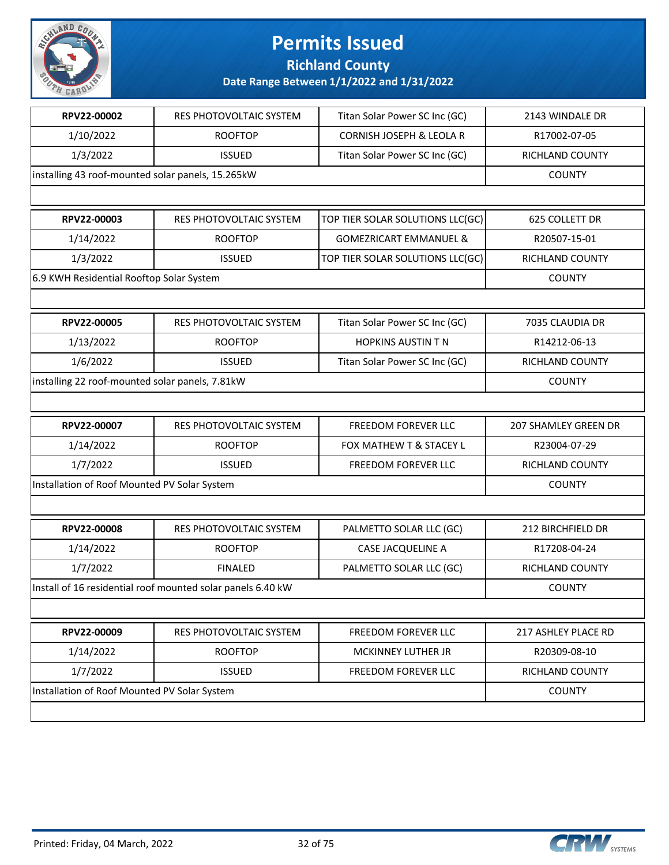

**Richland County**

| RPV22-00002                                                 | RES PHOTOVOLTAIC SYSTEM | Titan Solar Power SC Inc (GC)     | 2143 WINDALE DR        |
|-------------------------------------------------------------|-------------------------|-----------------------------------|------------------------|
| 1/10/2022                                                   | <b>ROOFTOP</b>          | CORNISH JOSEPH & LEOLA R          | R17002-07-05           |
| 1/3/2022                                                    | <b>ISSUED</b>           | Titan Solar Power SC Inc (GC)     | RICHLAND COUNTY        |
| installing 43 roof-mounted solar panels, 15.265kW           |                         |                                   | <b>COUNTY</b>          |
|                                                             |                         |                                   |                        |
| RPV22-00003                                                 | RES PHOTOVOLTAIC SYSTEM | TOP TIER SOLAR SOLUTIONS LLC(GC)  | 625 COLLETT DR         |
| 1/14/2022                                                   | <b>ROOFTOP</b>          | <b>GOMEZRICART EMMANUEL &amp;</b> | R20507-15-01           |
| 1/3/2022                                                    | <b>ISSUED</b>           | TOP TIER SOLAR SOLUTIONS LLC(GC)  | RICHLAND COUNTY        |
| 6.9 KWH Residential Rooftop Solar System                    |                         |                                   | <b>COUNTY</b>          |
|                                                             |                         |                                   |                        |
| RPV22-00005                                                 | RES PHOTOVOLTAIC SYSTEM | Titan Solar Power SC Inc (GC)     | 7035 CLAUDIA DR        |
| 1/13/2022                                                   | <b>ROOFTOP</b>          | <b>HOPKINS AUSTIN T N</b>         | R14212-06-13           |
| 1/6/2022                                                    | <b>ISSUED</b>           | Titan Solar Power SC Inc (GC)     | <b>RICHLAND COUNTY</b> |
| installing 22 roof-mounted solar panels, 7.81kW             |                         |                                   | <b>COUNTY</b>          |
|                                                             |                         |                                   |                        |
| RPV22-00007                                                 | RES PHOTOVOLTAIC SYSTEM | FREEDOM FOREVER LLC               | 207 SHAMLEY GREEN DR   |
| 1/14/2022                                                   | <b>ROOFTOP</b>          | FOX MATHEW T & STACEY L           | R23004-07-29           |
| 1/7/2022                                                    | <b>ISSUED</b>           | FREEDOM FOREVER LLC               | RICHLAND COUNTY        |
| Installation of Roof Mounted PV Solar System                |                         |                                   | <b>COUNTY</b>          |
|                                                             |                         |                                   |                        |
| RPV22-00008                                                 | RES PHOTOVOLTAIC SYSTEM | PALMETTO SOLAR LLC (GC)           | 212 BIRCHFIELD DR      |
| 1/14/2022                                                   | <b>ROOFTOP</b>          | <b>CASE JACQUELINE A</b>          | R17208-04-24           |
| 1/7/2022                                                    | <b>FINALED</b>          | PALMETTO SOLAR LLC (GC)           | RICHLAND COUNTY        |
| Install of 16 residential roof mounted solar panels 6.40 kW |                         |                                   |                        |
|                                                             |                         |                                   | <b>COUNTY</b>          |
|                                                             |                         |                                   |                        |
| RPV22-00009                                                 | RES PHOTOVOLTAIC SYSTEM | <b>FREEDOM FOREVER LLC</b>        | 217 ASHLEY PLACE RD    |
| 1/14/2022                                                   | <b>ROOFTOP</b>          | MCKINNEY LUTHER JR                | R20309-08-10           |
| 1/7/2022                                                    | <b>ISSUED</b>           | FREEDOM FOREVER LLC               | RICHLAND COUNTY        |
| Installation of Roof Mounted PV Solar System                |                         |                                   | <b>COUNTY</b>          |

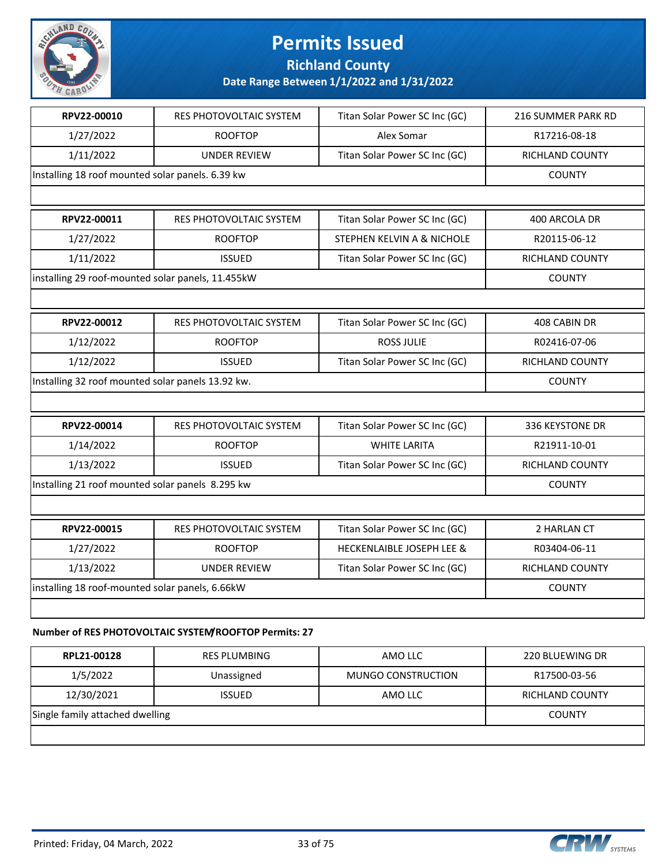

**Richland County**

### **Date Range Between 1/1/2022 and 1/31/2022**

| RPV22-00010                                       | RES PHOTOVOLTAIC SYSTEM                               | Titan Solar Power SC Inc (GC)        | 216 SUMMER PARK RD |
|---------------------------------------------------|-------------------------------------------------------|--------------------------------------|--------------------|
| 1/27/2022                                         | <b>ROOFTOP</b>                                        | Alex Somar                           | R17216-08-18       |
| 1/11/2022                                         | <b>UNDER REVIEW</b>                                   | Titan Solar Power SC Inc (GC)        | RICHLAND COUNTY    |
| Installing 18 roof mounted solar panels. 6.39 kw  |                                                       |                                      | <b>COUNTY</b>      |
|                                                   |                                                       |                                      |                    |
| RPV22-00011                                       | RES PHOTOVOLTAIC SYSTEM                               | Titan Solar Power SC Inc (GC)        | 400 ARCOLA DR      |
| 1/27/2022                                         | <b>ROOFTOP</b>                                        | STEPHEN KELVIN A & NICHOLE           | R20115-06-12       |
| 1/11/2022                                         | <b>ISSUED</b>                                         | Titan Solar Power SC Inc (GC)        | RICHLAND COUNTY    |
| installing 29 roof-mounted solar panels, 11.455kW |                                                       |                                      | <b>COUNTY</b>      |
|                                                   |                                                       |                                      |                    |
| RPV22-00012                                       | RES PHOTOVOLTAIC SYSTEM                               | Titan Solar Power SC Inc (GC)        | 408 CABIN DR       |
| 1/12/2022                                         | <b>ROOFTOP</b>                                        | <b>ROSS JULIE</b>                    | R02416-07-06       |
| 1/12/2022                                         | <b>ISSUED</b>                                         | Titan Solar Power SC Inc (GC)        | RICHLAND COUNTY    |
| Installing 32 roof mounted solar panels 13.92 kw. |                                                       |                                      | <b>COUNTY</b>      |
|                                                   |                                                       |                                      |                    |
| RPV22-00014                                       | RES PHOTOVOLTAIC SYSTEM                               | Titan Solar Power SC Inc (GC)        | 336 KEYSTONE DR    |
| 1/14/2022                                         | <b>ROOFTOP</b>                                        | <b>WHITE LARITA</b>                  | R21911-10-01       |
| 1/13/2022                                         | <b>ISSUED</b>                                         | Titan Solar Power SC Inc (GC)        | RICHLAND COUNTY    |
| Installing 21 roof mounted solar panels 8.295 kw  |                                                       |                                      | <b>COUNTY</b>      |
|                                                   |                                                       |                                      |                    |
| RPV22-00015                                       | RES PHOTOVOLTAIC SYSTEM                               | Titan Solar Power SC Inc (GC)        | 2 HARLAN CT        |
| 1/27/2022                                         | <b>ROOFTOP</b>                                        | <b>HECKENLAIBLE JOSEPH LEE &amp;</b> | R03404-06-11       |
| 1/13/2022                                         | <b>UNDER REVIEW</b>                                   | Titan Solar Power SC Inc (GC)        | RICHLAND COUNTY    |
| installing 18 roof-mounted solar panels, 6.66kW   |                                                       |                                      | <b>COUNTY</b>      |
|                                                   |                                                       |                                      |                    |
|                                                   | Number of PES DHOTOVOLTAIC SYSTEM/POOETOD Permits: 27 |                                      |                    |

#### **Number of RES PHOTOVOLTAIC SYSTEM/ROOFTOP Permits: 27**

| RPL21-00128                     | RES PLUMBING  | AMO LLC            | 220 BLUEWING DR |
|---------------------------------|---------------|--------------------|-----------------|
| 1/5/2022                        | Unassigned    | MUNGO CONSTRUCTION | R17500-03-56    |
| 12/30/2021                      | <b>ISSUED</b> | AMO LLC            | RICHLAND COUNTY |
| Single family attached dwelling |               |                    | <b>COUNTY</b>   |
|                                 |               |                    |                 |

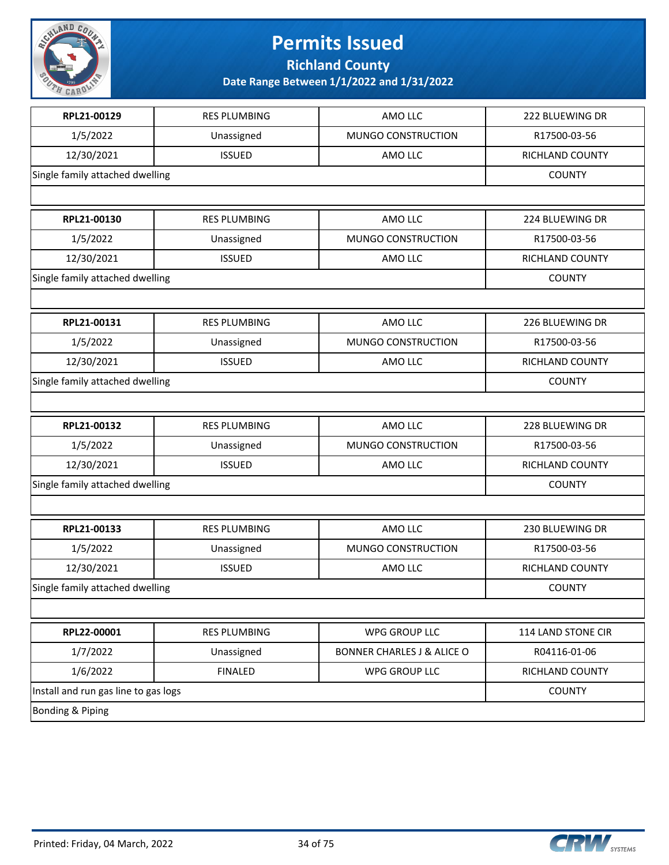

**Richland County**

| RPL21-00129                          | <b>RES PLUMBING</b> | AMO LLC                               | 222 BLUEWING DR    |
|--------------------------------------|---------------------|---------------------------------------|--------------------|
| 1/5/2022                             | Unassigned          | MUNGO CONSTRUCTION                    | R17500-03-56       |
| 12/30/2021                           | <b>ISSUED</b>       | AMO LLC                               | RICHLAND COUNTY    |
| Single family attached dwelling      |                     |                                       | <b>COUNTY</b>      |
|                                      |                     |                                       |                    |
| RPL21-00130                          | <b>RES PLUMBING</b> | AMO LLC                               | 224 BLUEWING DR    |
| 1/5/2022                             | Unassigned          | MUNGO CONSTRUCTION                    | R17500-03-56       |
| 12/30/2021                           | <b>ISSUED</b>       | AMO LLC                               | RICHLAND COUNTY    |
| Single family attached dwelling      |                     |                                       | <b>COUNTY</b>      |
|                                      |                     |                                       |                    |
| RPL21-00131                          | <b>RES PLUMBING</b> | AMO LLC                               | 226 BLUEWING DR    |
| 1/5/2022                             | Unassigned          | MUNGO CONSTRUCTION                    | R17500-03-56       |
| 12/30/2021                           | <b>ISSUED</b>       | AMO LLC                               | RICHLAND COUNTY    |
| Single family attached dwelling      |                     |                                       | <b>COUNTY</b>      |
|                                      |                     |                                       |                    |
| RPL21-00132                          | <b>RES PLUMBING</b> | AMO LLC                               | 228 BLUEWING DR    |
| 1/5/2022                             | Unassigned          | MUNGO CONSTRUCTION                    | R17500-03-56       |
| 12/30/2021                           | <b>ISSUED</b>       | AMO LLC                               | RICHLAND COUNTY    |
| Single family attached dwelling      |                     |                                       | <b>COUNTY</b>      |
|                                      |                     |                                       |                    |
| RPL21-00133                          | <b>RES PLUMBING</b> | AMO LLC                               | 230 BLUEWING DR    |
| 1/5/2022                             | Unassigned          | MUNGO CONSTRUCTION                    | R17500-03-56       |
| 12/30/2021                           | <b>ISSUED</b>       | AMO LLC                               | RICHLAND COUNTY    |
| Single family attached dwelling      |                     |                                       | <b>COUNTY</b>      |
|                                      |                     |                                       |                    |
| RPL22-00001                          | <b>RES PLUMBING</b> | WPG GROUP LLC                         | 114 LAND STONE CIR |
| 1/7/2022                             | Unassigned          | <b>BONNER CHARLES J &amp; ALICE O</b> | R04116-01-06       |
| 1/6/2022                             | <b>FINALED</b>      | WPG GROUP LLC                         | RICHLAND COUNTY    |
| Install and run gas line to gas logs |                     |                                       | <b>COUNTY</b>      |
| Bonding & Piping                     |                     |                                       |                    |

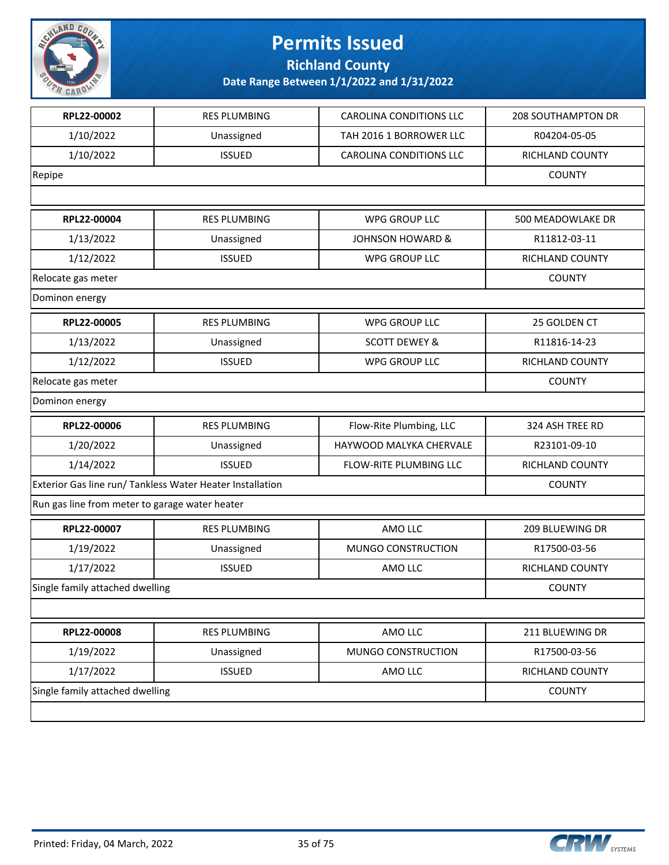

**Richland County**

| RPL22-00002                                               | <b>RES PLUMBING</b> | <b>CAROLINA CONDITIONS LLC</b> | 208 SOUTHAMPTON DR |
|-----------------------------------------------------------|---------------------|--------------------------------|--------------------|
| 1/10/2022                                                 | Unassigned          | TAH 2016 1 BORROWER LLC        | R04204-05-05       |
| 1/10/2022                                                 | <b>ISSUED</b>       | <b>CAROLINA CONDITIONS LLC</b> | RICHLAND COUNTY    |
| Repipe                                                    |                     |                                | <b>COUNTY</b>      |
|                                                           |                     |                                |                    |
| RPL22-00004                                               | <b>RES PLUMBING</b> | <b>WPG GROUP LLC</b>           | 500 MEADOWLAKE DR  |
| 1/13/2022                                                 | Unassigned          | <b>JOHNSON HOWARD &amp;</b>    | R11812-03-11       |
| 1/12/2022                                                 | <b>ISSUED</b>       | <b>WPG GROUP LLC</b>           | RICHLAND COUNTY    |
| Relocate gas meter                                        |                     |                                | <b>COUNTY</b>      |
| Dominon energy                                            |                     |                                |                    |
| RPL22-00005                                               | <b>RES PLUMBING</b> | <b>WPG GROUP LLC</b>           | 25 GOLDEN CT       |
| 1/13/2022                                                 | Unassigned          | <b>SCOTT DEWEY &amp;</b>       | R11816-14-23       |
| 1/12/2022                                                 | <b>ISSUED</b>       | <b>WPG GROUP LLC</b>           | RICHLAND COUNTY    |
| Relocate gas meter                                        |                     |                                | <b>COUNTY</b>      |
| Dominon energy                                            |                     |                                |                    |
| RPL22-00006                                               | <b>RES PLUMBING</b> | Flow-Rite Plumbing, LLC        | 324 ASH TREE RD    |
| 1/20/2022                                                 | Unassigned          | HAYWOOD MALYKA CHERVALE        | R23101-09-10       |
| 1/14/2022                                                 | <b>ISSUED</b>       | FLOW-RITE PLUMBING LLC         | RICHLAND COUNTY    |
| Exterior Gas line run/ Tankless Water Heater Installation |                     |                                | <b>COUNTY</b>      |
| Run gas line from meter to garage water heater            |                     |                                |                    |
| RPL22-00007                                               | <b>RES PLUMBING</b> | AMO LLC                        | 209 BLUEWING DR    |
| 1/19/2022                                                 | Unassigned          | MUNGO CONSTRUCTION             | R17500-03-56       |
| 1/17/2022                                                 | <b>ISSUED</b>       | AMO LLC                        | RICHLAND COUNTY    |
| Single family attached dwelling                           |                     |                                | <b>COUNTY</b>      |
|                                                           |                     |                                |                    |
| RPL22-00008                                               | <b>RES PLUMBING</b> | AMO LLC                        | 211 BLUEWING DR    |
| 1/19/2022                                                 | Unassigned          | MUNGO CONSTRUCTION             | R17500-03-56       |
| 1/17/2022                                                 | <b>ISSUED</b>       | AMO LLC                        | RICHLAND COUNTY    |
| Single family attached dwelling                           |                     |                                | <b>COUNTY</b>      |
|                                                           |                     |                                |                    |

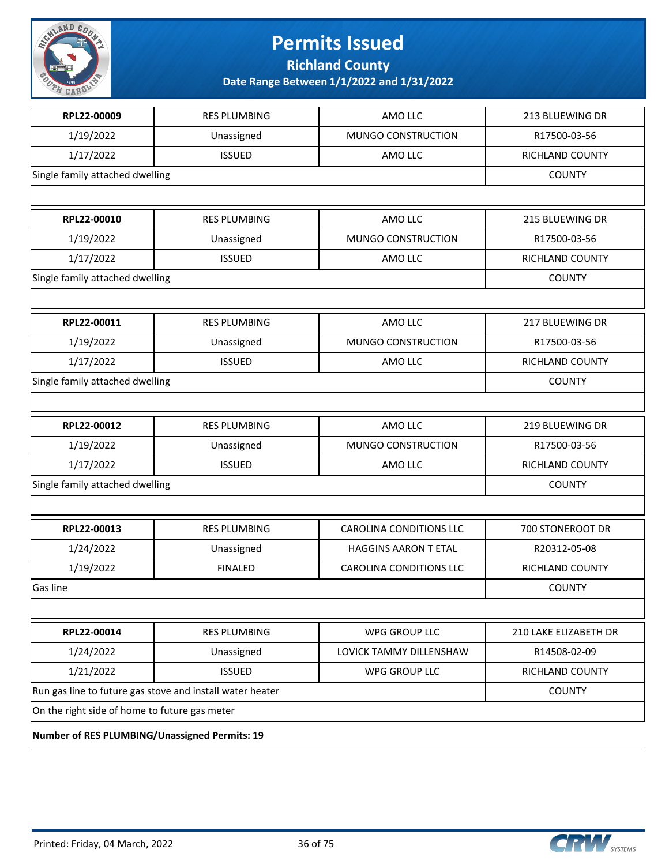

**Richland County**

**Date Range Between 1/1/2022 and 1/31/2022**

| RPL22-00009                                    | <b>RES PLUMBING</b>                                       | AMO LLC                        | 213 BLUEWING DR        |
|------------------------------------------------|-----------------------------------------------------------|--------------------------------|------------------------|
| 1/19/2022                                      | Unassigned                                                | MUNGO CONSTRUCTION             | R17500-03-56           |
| 1/17/2022                                      | <b>ISSUED</b>                                             | AMO LLC                        | RICHLAND COUNTY        |
| Single family attached dwelling                |                                                           |                                | <b>COUNTY</b>          |
|                                                |                                                           |                                |                        |
| RPL22-00010                                    | <b>RES PLUMBING</b>                                       | AMO LLC                        | 215 BLUEWING DR        |
| 1/19/2022                                      | Unassigned                                                | MUNGO CONSTRUCTION             | R17500-03-56           |
| 1/17/2022                                      | <b>ISSUED</b>                                             | AMO LLC                        | RICHLAND COUNTY        |
| Single family attached dwelling                |                                                           |                                | <b>COUNTY</b>          |
|                                                |                                                           |                                |                        |
| RPL22-00011                                    | <b>RES PLUMBING</b>                                       | AMO LLC                        | 217 BLUEWING DR        |
| 1/19/2022                                      | Unassigned                                                | MUNGO CONSTRUCTION             | R17500-03-56           |
| 1/17/2022                                      | <b>ISSUED</b>                                             | AMO LLC                        | RICHLAND COUNTY        |
| Single family attached dwelling                |                                                           |                                | <b>COUNTY</b>          |
|                                                |                                                           |                                |                        |
| RPL22-00012                                    | <b>RES PLUMBING</b>                                       | AMO LLC                        | 219 BLUEWING DR        |
| 1/19/2022                                      | Unassigned                                                | MUNGO CONSTRUCTION             | R17500-03-56           |
| 1/17/2022                                      | <b>ISSUED</b>                                             | AMO LLC                        | RICHLAND COUNTY        |
| Single family attached dwelling                | <b>COUNTY</b>                                             |                                |                        |
|                                                |                                                           |                                |                        |
| RPL22-00013                                    | <b>RES PLUMBING</b>                                       | <b>CAROLINA CONDITIONS LLC</b> | 700 STONEROOT DR       |
| 1/24/2022                                      | Unassigned                                                | <b>HAGGINS AARON T ETAL</b>    | R20312-05-08           |
| 1/19/2022                                      | <b>FINALED</b>                                            | <b>CAROLINA CONDITIONS LLC</b> | <b>RICHLAND COUNTY</b> |
| Gas line                                       |                                                           |                                | <b>COUNTY</b>          |
|                                                |                                                           |                                |                        |
| RPL22-00014                                    | <b>RES PLUMBING</b>                                       | <b>WPG GROUP LLC</b>           | 210 LAKE ELIZABETH DR  |
| 1/24/2022                                      | Unassigned                                                | LOVICK TAMMY DILLENSHAW        | R14508-02-09           |
| 1/21/2022                                      | <b>ISSUED</b>                                             | WPG GROUP LLC                  | RICHLAND COUNTY        |
|                                                | Run gas line to future gas stove and install water heater |                                | <b>COUNTY</b>          |
| On the right side of home to future gas meter  |                                                           |                                |                        |
| Number of RES BUILARING/Unassigned Bermits: 10 |                                                           |                                |                        |

**Number of RES PLUMBING/Unassigned Permits: 19**

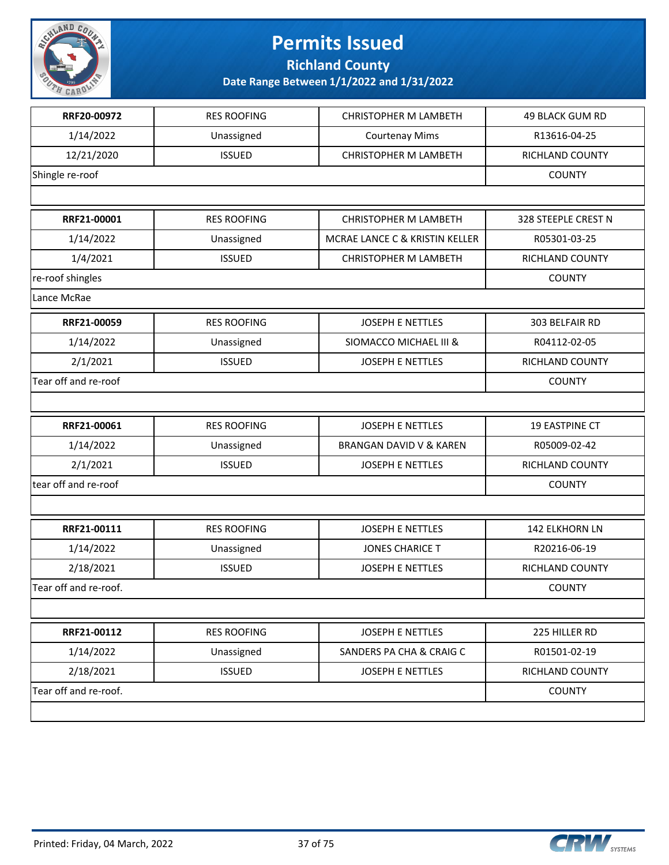

**Richland County**

| RRF20-00972           | <b>RES ROOFING</b> | <b>CHRISTOPHER M LAMBETH</b>   | <b>49 BLACK GUM RD</b> |
|-----------------------|--------------------|--------------------------------|------------------------|
| 1/14/2022             | Unassigned         | <b>Courtenay Mims</b>          | R13616-04-25           |
| 12/21/2020            | <b>ISSUED</b>      | <b>CHRISTOPHER M LAMBETH</b>   | RICHLAND COUNTY        |
| Shingle re-roof       |                    |                                | <b>COUNTY</b>          |
|                       |                    |                                |                        |
| RRF21-00001           | <b>RES ROOFING</b> | <b>CHRISTOPHER M LAMBETH</b>   | 328 STEEPLE CREST N    |
| 1/14/2022             | Unassigned         | MCRAE LANCE C & KRISTIN KELLER | R05301-03-25           |
| 1/4/2021              | <b>ISSUED</b>      | <b>CHRISTOPHER M LAMBETH</b>   | RICHLAND COUNTY        |
| re-roof shingles      |                    |                                | <b>COUNTY</b>          |
| Lance McRae           |                    |                                |                        |
| RRF21-00059           | <b>RES ROOFING</b> | JOSEPH E NETTLES               | 303 BELFAIR RD         |
| 1/14/2022             | Unassigned         | SIOMACCO MICHAEL III &         | R04112-02-05           |
| 2/1/2021              | <b>ISSUED</b>      | <b>JOSEPH E NETTLES</b>        | RICHLAND COUNTY        |
| Tear off and re-roof  |                    |                                | <b>COUNTY</b>          |
|                       |                    |                                |                        |
| RRF21-00061           | <b>RES ROOFING</b> | <b>JOSEPH E NETTLES</b>        | 19 EASTPINE CT         |
| 1/14/2022             | Unassigned         | BRANGAN DAVID V & KAREN        | R05009-02-42           |
| 2/1/2021              | <b>ISSUED</b>      | <b>JOSEPH E NETTLES</b>        | RICHLAND COUNTY        |
| tear off and re-roof  |                    |                                | <b>COUNTY</b>          |
|                       |                    |                                |                        |
| RRF21-00111           | <b>RES ROOFING</b> | <b>JOSEPH E NETTLES</b>        | 142 ELKHORN LN         |
| 1/14/2022             | Unassigned         | <b>JONES CHARICE T</b>         | R20216-06-19           |
| 2/18/2021             | <b>ISSUED</b>      | <b>JOSEPH E NETTLES</b>        | RICHLAND COUNTY        |
| Tear off and re-roof. |                    |                                | <b>COUNTY</b>          |
|                       |                    |                                |                        |
| RRF21-00112           | <b>RES ROOFING</b> | JOSEPH E NETTLES               | 225 HILLER RD          |
| 1/14/2022             | Unassigned         | SANDERS PA CHA & CRAIG C       | R01501-02-19           |
| 2/18/2021             | <b>ISSUED</b>      | JOSEPH E NETTLES               | RICHLAND COUNTY        |
| Tear off and re-roof. |                    |                                | <b>COUNTY</b>          |
|                       |                    |                                |                        |

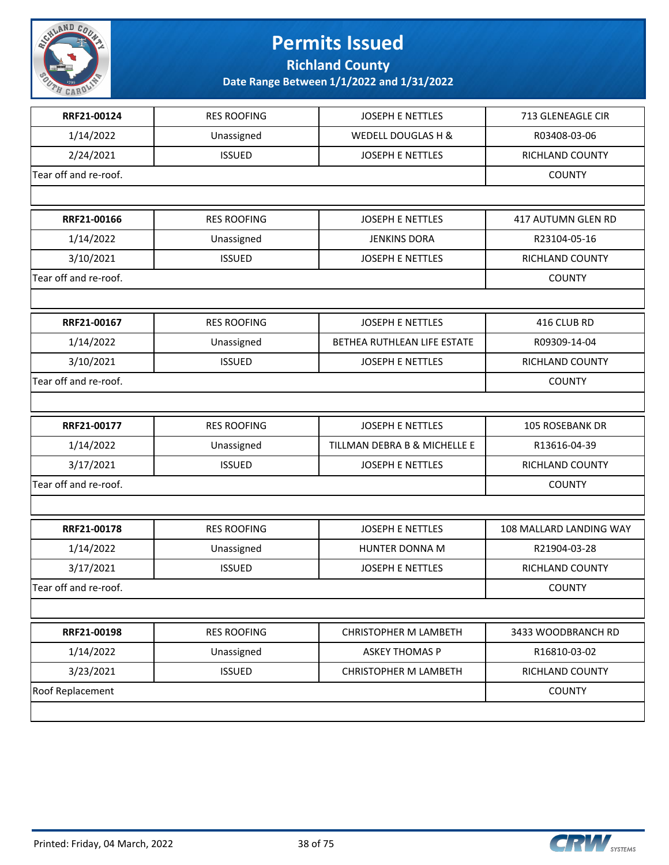

**Richland County**

| RRF21-00124           | <b>RES ROOFING</b> | <b>JOSEPH E NETTLES</b>      | 713 GLENEAGLE CIR       |
|-----------------------|--------------------|------------------------------|-------------------------|
| 1/14/2022             | Unassigned         | WEDELL DOUGLAS H &           | R03408-03-06            |
| 2/24/2021             | <b>ISSUED</b>      | <b>JOSEPH E NETTLES</b>      | RICHLAND COUNTY         |
| Tear off and re-roof. |                    |                              | <b>COUNTY</b>           |
|                       |                    |                              |                         |
| RRF21-00166           | <b>RES ROOFING</b> | <b>JOSEPH E NETTLES</b>      | 417 AUTUMN GLEN RD      |
| 1/14/2022             | Unassigned         | <b>JENKINS DORA</b>          | R23104-05-16            |
| 3/10/2021             | <b>ISSUED</b>      | <b>JOSEPH E NETTLES</b>      | RICHLAND COUNTY         |
| Tear off and re-roof. |                    |                              | <b>COUNTY</b>           |
|                       |                    |                              |                         |
| RRF21-00167           | <b>RES ROOFING</b> | <b>JOSEPH E NETTLES</b>      | 416 CLUB RD             |
| 1/14/2022             | Unassigned         | BETHEA RUTHLEAN LIFE ESTATE  | R09309-14-04            |
| 3/10/2021             | <b>ISSUED</b>      | <b>JOSEPH E NETTLES</b>      | RICHLAND COUNTY         |
| Tear off and re-roof. |                    |                              | <b>COUNTY</b>           |
|                       |                    |                              |                         |
| RRF21-00177           | <b>RES ROOFING</b> | <b>JOSEPH E NETTLES</b>      | <b>105 ROSEBANK DR</b>  |
| 1/14/2022             | Unassigned         | TILLMAN DEBRA B & MICHELLE E | R13616-04-39            |
| 3/17/2021             | <b>ISSUED</b>      | <b>JOSEPH E NETTLES</b>      | RICHLAND COUNTY         |
| Tear off and re-roof. |                    |                              | <b>COUNTY</b>           |
|                       |                    |                              |                         |
| RRF21-00178           | <b>RES ROOFING</b> | <b>JOSEPH E NETTLES</b>      | 108 MALLARD LANDING WAY |
| 1/14/2022             | Unassigned         | HUNTER DONNA M               | R21904-03-28            |
| 3/17/2021             | <b>ISSUED</b>      | <b>JOSEPH E NETTLES</b>      | RICHLAND COUNTY         |
| Tear off and re-roof. |                    |                              | <b>COUNTY</b>           |
|                       |                    |                              |                         |
| RRF21-00198           | <b>RES ROOFING</b> | <b>CHRISTOPHER M LAMBETH</b> | 3433 WOODBRANCH RD      |
| 1/14/2022             | Unassigned         | <b>ASKEY THOMAS P</b>        | R16810-03-02            |
| 3/23/2021             | <b>ISSUED</b>      | CHRISTOPHER M LAMBETH        | RICHLAND COUNTY         |
| Roof Replacement      |                    |                              | <b>COUNTY</b>           |
|                       |                    |                              |                         |

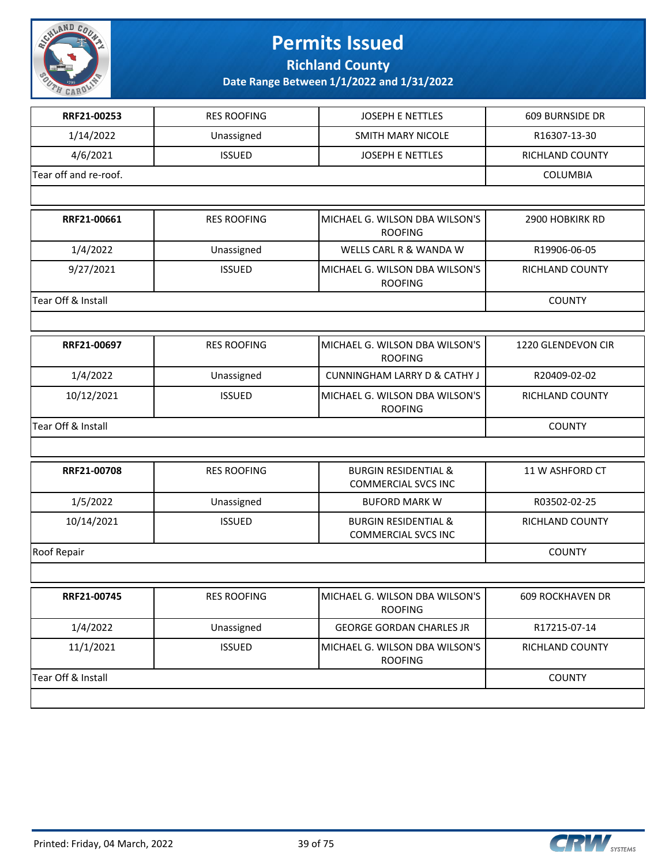

**Richland County**

| RRF21-00253           | <b>RES ROOFING</b> | <b>JOSEPH E NETTLES</b>                                       | 609 BURNSIDE DR         |
|-----------------------|--------------------|---------------------------------------------------------------|-------------------------|
| 1/14/2022             | Unassigned         | <b>SMITH MARY NICOLE</b>                                      | R16307-13-30            |
| 4/6/2021              | <b>ISSUED</b>      | JOSEPH E NETTLES                                              | RICHLAND COUNTY         |
| Tear off and re-roof. |                    |                                                               | <b>COLUMBIA</b>         |
|                       |                    |                                                               |                         |
| RRF21-00661           | <b>RES ROOFING</b> | MICHAEL G. WILSON DBA WILSON'S<br><b>ROOFING</b>              | 2900 HOBKIRK RD         |
| 1/4/2022              | Unassigned         | WELLS CARL R & WANDA W                                        | R19906-06-05            |
| 9/27/2021             | <b>ISSUED</b>      | MICHAEL G. WILSON DBA WILSON'S<br><b>ROOFING</b>              | RICHLAND COUNTY         |
| Tear Off & Install    |                    |                                                               | <b>COUNTY</b>           |
|                       |                    |                                                               |                         |
| RRF21-00697           | <b>RES ROOFING</b> | MICHAEL G. WILSON DBA WILSON'S<br><b>ROOFING</b>              | 1220 GLENDEVON CIR      |
| 1/4/2022              | Unassigned         | <b>CUNNINGHAM LARRY D &amp; CATHY J</b>                       | R20409-02-02            |
| 10/12/2021            | <b>ISSUED</b>      | MICHAEL G. WILSON DBA WILSON'S<br><b>ROOFING</b>              | RICHLAND COUNTY         |
| Tear Off & Install    |                    |                                                               | <b>COUNTY</b>           |
|                       |                    |                                                               |                         |
| RRF21-00708           | <b>RES ROOFING</b> | <b>BURGIN RESIDENTIAL &amp;</b><br><b>COMMERCIAL SVCS INC</b> | 11 W ASHFORD CT         |
| 1/5/2022              | Unassigned         | <b>BUFORD MARK W</b>                                          | R03502-02-25            |
| 10/14/2021            | <b>ISSUED</b>      | <b>BURGIN RESIDENTIAL &amp;</b><br><b>COMMERCIAL SVCS INC</b> | RICHLAND COUNTY         |
| Roof Repair           |                    |                                                               | <b>COUNTY</b>           |
|                       |                    |                                                               |                         |
| RRF21-00745           | <b>RES ROOFING</b> | MICHAEL G. WILSON DBA WILSON'S<br><b>ROOFING</b>              | <b>609 ROCKHAVEN DR</b> |
| 1/4/2022              | Unassigned         | <b>GEORGE GORDAN CHARLES JR</b>                               | R17215-07-14            |
| 11/1/2021             | <b>ISSUED</b>      | MICHAEL G. WILSON DBA WILSON'S<br><b>ROOFING</b>              | RICHLAND COUNTY         |
| Tear Off & Install    |                    |                                                               | <b>COUNTY</b>           |
|                       |                    |                                                               |                         |

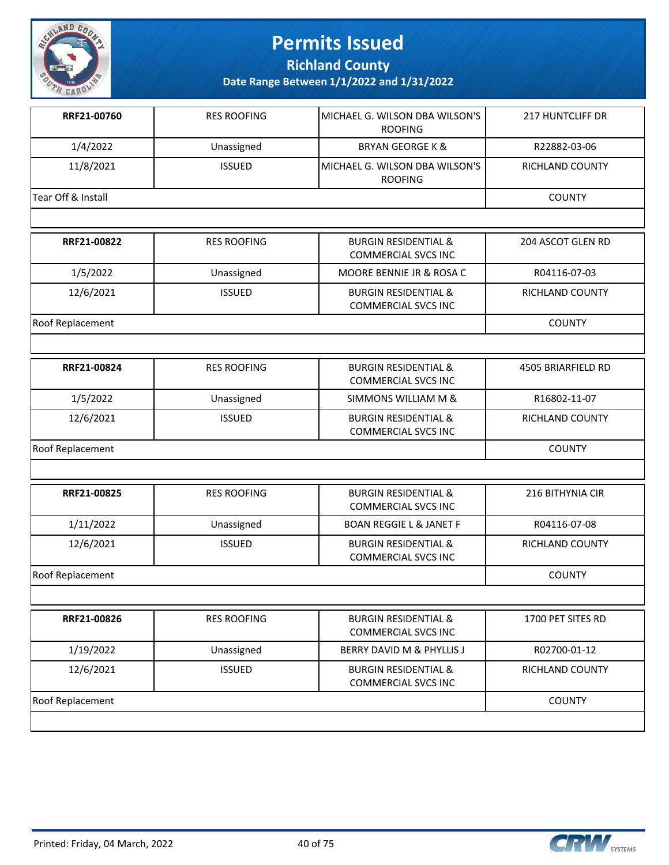

**Richland County**

| RRF21-00760        | <b>RES ROOFING</b> | MICHAEL G. WILSON DBA WILSON'S<br><b>ROOFING</b>              | <b>217 HUNTCLIFF DR</b> |
|--------------------|--------------------|---------------------------------------------------------------|-------------------------|
| 1/4/2022           | Unassigned         | <b>BRYAN GEORGE K &amp;</b>                                   | R22882-03-06            |
| 11/8/2021          | <b>ISSUED</b>      | MICHAEL G. WILSON DBA WILSON'S<br><b>ROOFING</b>              | <b>RICHLAND COUNTY</b>  |
| Tear Off & Install |                    |                                                               | <b>COUNTY</b>           |
|                    |                    |                                                               |                         |
| RRF21-00822        | <b>RES ROOFING</b> | <b>BURGIN RESIDENTIAL &amp;</b><br><b>COMMERCIAL SVCS INC</b> | 204 ASCOT GLEN RD       |
| 1/5/2022           | Unassigned         | MOORE BENNIE JR & ROSA C                                      | R04116-07-03            |
| 12/6/2021          | <b>ISSUED</b>      | <b>BURGIN RESIDENTIAL &amp;</b><br><b>COMMERCIAL SVCS INC</b> | RICHLAND COUNTY         |
| Roof Replacement   |                    |                                                               | <b>COUNTY</b>           |
|                    |                    |                                                               |                         |
| RRF21-00824        | <b>RES ROOFING</b> | <b>BURGIN RESIDENTIAL &amp;</b><br><b>COMMERCIAL SVCS INC</b> | 4505 BRIARFIELD RD      |
| 1/5/2022           | Unassigned         | SIMMONS WILLIAM M &                                           | R16802-11-07            |
| 12/6/2021          | <b>ISSUED</b>      | <b>BURGIN RESIDENTIAL &amp;</b><br><b>COMMERCIAL SVCS INC</b> | RICHLAND COUNTY         |
| Roof Replacement   | <b>COUNTY</b>      |                                                               |                         |
|                    |                    |                                                               |                         |
| RRF21-00825        | <b>RES ROOFING</b> | <b>BURGIN RESIDENTIAL &amp;</b><br><b>COMMERCIAL SVCS INC</b> | 216 BITHYNIA CIR        |
| 1/11/2022          | Unassigned         | <b>BOAN REGGIE L &amp; JANET F</b>                            | R04116-07-08            |
| 12/6/2021          | <b>ISSUED</b>      | <b>BURGIN RESIDENTIAL &amp;</b><br><b>COMMERCIAL SVCS INC</b> | RICHLAND COUNTY         |
| Roof Replacement   |                    |                                                               | <b>COUNTY</b>           |
|                    |                    |                                                               |                         |
| RRF21-00826        | <b>RES ROOFING</b> | <b>BURGIN RESIDENTIAL &amp;</b><br><b>COMMERCIAL SVCS INC</b> | 1700 PET SITES RD       |
| 1/19/2022          | Unassigned         | BERRY DAVID M & PHYLLIS J                                     | R02700-01-12            |
| 12/6/2021          | <b>ISSUED</b>      | <b>BURGIN RESIDENTIAL &amp;</b><br><b>COMMERCIAL SVCS INC</b> | RICHLAND COUNTY         |
| Roof Replacement   |                    |                                                               | <b>COUNTY</b>           |
|                    |                    |                                                               |                         |

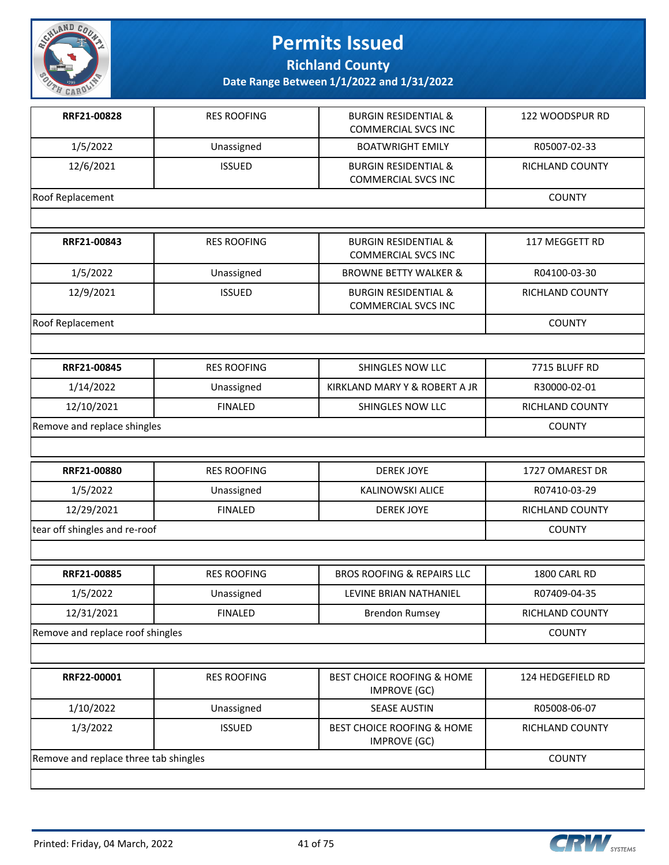

**Richland County**

| Date Range Between 1/1/2022 and 1/31/2022 |  |  |
|-------------------------------------------|--|--|
|-------------------------------------------|--|--|

| RRF21-00828                           | <b>RES ROOFING</b> | <b>BURGIN RESIDENTIAL &amp;</b><br><b>COMMERCIAL SVCS INC</b> | 122 WOODSPUR RD   |
|---------------------------------------|--------------------|---------------------------------------------------------------|-------------------|
| 1/5/2022                              | Unassigned         | <b>BOATWRIGHT EMILY</b>                                       | R05007-02-33      |
| 12/6/2021                             | <b>ISSUED</b>      | <b>BURGIN RESIDENTIAL &amp;</b><br><b>COMMERCIAL SVCS INC</b> | RICHLAND COUNTY   |
| Roof Replacement                      |                    |                                                               | <b>COUNTY</b>     |
|                                       |                    |                                                               |                   |
| RRF21-00843                           | <b>RES ROOFING</b> | <b>BURGIN RESIDENTIAL &amp;</b><br><b>COMMERCIAL SVCS INC</b> | 117 MEGGETT RD    |
| 1/5/2022                              | Unassigned         | <b>BROWNE BETTY WALKER &amp;</b>                              | R04100-03-30      |
| 12/9/2021                             | <b>ISSUED</b>      | <b>BURGIN RESIDENTIAL &amp;</b><br><b>COMMERCIAL SVCS INC</b> | RICHLAND COUNTY   |
| Roof Replacement                      |                    |                                                               | <b>COUNTY</b>     |
|                                       |                    |                                                               |                   |
| RRF21-00845                           | <b>RES ROOFING</b> | SHINGLES NOW LLC                                              | 7715 BLUFF RD     |
| 1/14/2022                             | Unassigned         | KIRKLAND MARY Y & ROBERT A JR                                 | R30000-02-01      |
| 12/10/2021                            | <b>FINALED</b>     | SHINGLES NOW LLC                                              | RICHLAND COUNTY   |
| Remove and replace shingles           |                    |                                                               | <b>COUNTY</b>     |
|                                       |                    |                                                               |                   |
| RRF21-00880                           | <b>RES ROOFING</b> | <b>DEREK JOYE</b>                                             | 1727 OMAREST DR   |
| 1/5/2022                              | Unassigned         | <b>KALINOWSKI ALICE</b>                                       | R07410-03-29      |
| 12/29/2021                            | <b>FINALED</b>     | <b>DEREK JOYE</b>                                             | RICHLAND COUNTY   |
| tear off shingles and re-roof         |                    | <b>COUNTY</b>                                                 |                   |
|                                       |                    |                                                               |                   |
| RRF21-00885                           | <b>RES ROOFING</b> | <b>BROS ROOFING &amp; REPAIRS LLC</b>                         | 1800 CARL RD      |
| 1/5/2022                              | Unassigned         | LEVINE BRIAN NATHANIEL                                        | R07409-04-35      |
| 12/31/2021                            | <b>FINALED</b>     | <b>Brendon Rumsey</b>                                         | RICHLAND COUNTY   |
| Remove and replace roof shingles      |                    |                                                               | <b>COUNTY</b>     |
|                                       |                    |                                                               |                   |
| RRF22-00001                           | <b>RES ROOFING</b> | <b>BEST CHOICE ROOFING &amp; HOME</b><br><b>IMPROVE (GC)</b>  | 124 HEDGEFIELD RD |
| 1/10/2022                             | Unassigned         | <b>SEASE AUSTIN</b>                                           | R05008-06-07      |
| 1/3/2022                              | <b>ISSUED</b>      | <b>BEST CHOICE ROOFING &amp; HOME</b><br><b>IMPROVE (GC)</b>  | RICHLAND COUNTY   |
| Remove and replace three tab shingles | <b>COUNTY</b>      |                                                               |                   |

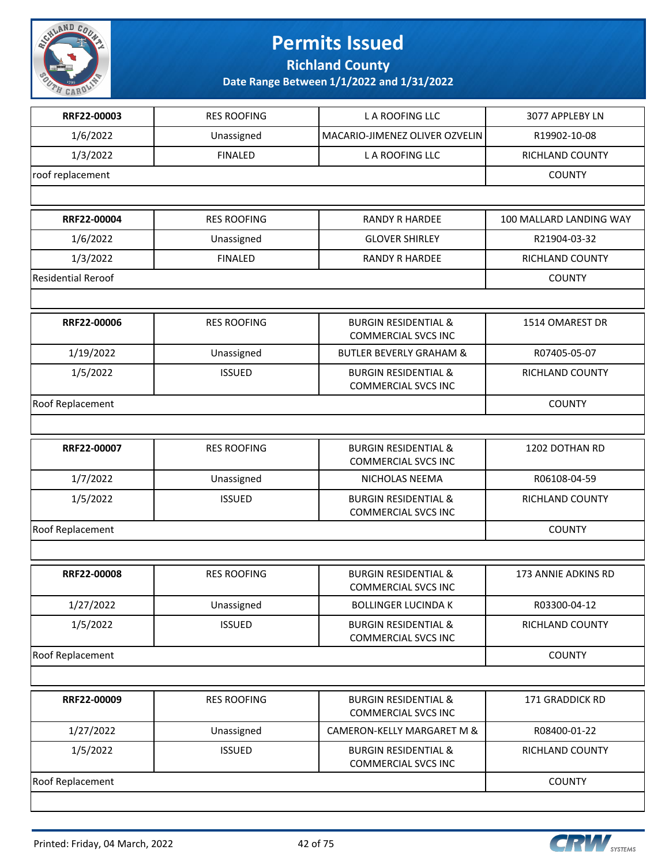

**Richland County**

| RRF22-00003               | <b>RES ROOFING</b> | L A ROOFING LLC                                               | 3077 APPLEBY LN         |
|---------------------------|--------------------|---------------------------------------------------------------|-------------------------|
| 1/6/2022                  | Unassigned         | MACARIO-JIMENEZ OLIVER OZVELIN                                | R19902-10-08            |
| 1/3/2022                  | <b>FINALED</b>     | L A ROOFING LLC                                               | RICHLAND COUNTY         |
| roof replacement          |                    |                                                               | <b>COUNTY</b>           |
|                           |                    |                                                               |                         |
| RRF22-00004               | <b>RES ROOFING</b> | <b>RANDY R HARDEE</b>                                         | 100 MALLARD LANDING WAY |
| 1/6/2022                  | Unassigned         | <b>GLOVER SHIRLEY</b>                                         | R21904-03-32            |
| 1/3/2022                  | <b>FINALED</b>     | <b>RANDY R HARDEE</b>                                         | RICHLAND COUNTY         |
| <b>Residential Reroof</b> |                    |                                                               | <b>COUNTY</b>           |
|                           |                    |                                                               |                         |
| RRF22-00006               | <b>RES ROOFING</b> | <b>BURGIN RESIDENTIAL &amp;</b><br><b>COMMERCIAL SVCS INC</b> | 1514 OMAREST DR         |
| 1/19/2022                 | Unassigned         | <b>BUTLER BEVERLY GRAHAM &amp;</b>                            | R07405-05-07            |
| 1/5/2022                  | <b>ISSUED</b>      | <b>BURGIN RESIDENTIAL &amp;</b><br><b>COMMERCIAL SVCS INC</b> | RICHLAND COUNTY         |
| Roof Replacement          |                    |                                                               | <b>COUNTY</b>           |
|                           |                    |                                                               |                         |
| RRF22-00007               | <b>RES ROOFING</b> | <b>BURGIN RESIDENTIAL &amp;</b><br><b>COMMERCIAL SVCS INC</b> | 1202 DOTHAN RD          |
| 1/7/2022                  | Unassigned         | NICHOLAS NEEMA                                                | R06108-04-59            |
| 1/5/2022                  | <b>ISSUED</b>      | <b>BURGIN RESIDENTIAL &amp;</b><br><b>COMMERCIAL SVCS INC</b> | RICHLAND COUNTY         |
| Roof Replacement          | <b>COUNTY</b>      |                                                               |                         |
|                           |                    |                                                               |                         |
| RRF22-00008               | <b>RES ROOFING</b> | <b>BURGIN RESIDENTIAL &amp;</b><br><b>COMMERCIAL SVCS INC</b> | 173 ANNIE ADKINS RD     |
| 1/27/2022                 | Unassigned         | <b>BOLLINGER LUCINDA K</b>                                    | R03300-04-12            |
| 1/5/2022                  | <b>ISSUED</b>      | <b>BURGIN RESIDENTIAL &amp;</b><br><b>COMMERCIAL SVCS INC</b> | RICHLAND COUNTY         |
| Roof Replacement          |                    |                                                               | <b>COUNTY</b>           |
|                           |                    |                                                               |                         |
| RRF22-00009               | <b>RES ROOFING</b> | <b>BURGIN RESIDENTIAL &amp;</b><br><b>COMMERCIAL SVCS INC</b> | 171 GRADDICK RD         |
| 1/27/2022                 | Unassigned         | CAMERON-KELLY MARGARET M &                                    | R08400-01-22            |
| 1/5/2022                  | <b>ISSUED</b>      | <b>BURGIN RESIDENTIAL &amp;</b><br><b>COMMERCIAL SVCS INC</b> | RICHLAND COUNTY         |
| Roof Replacement          |                    |                                                               | <b>COUNTY</b>           |
|                           |                    |                                                               |                         |

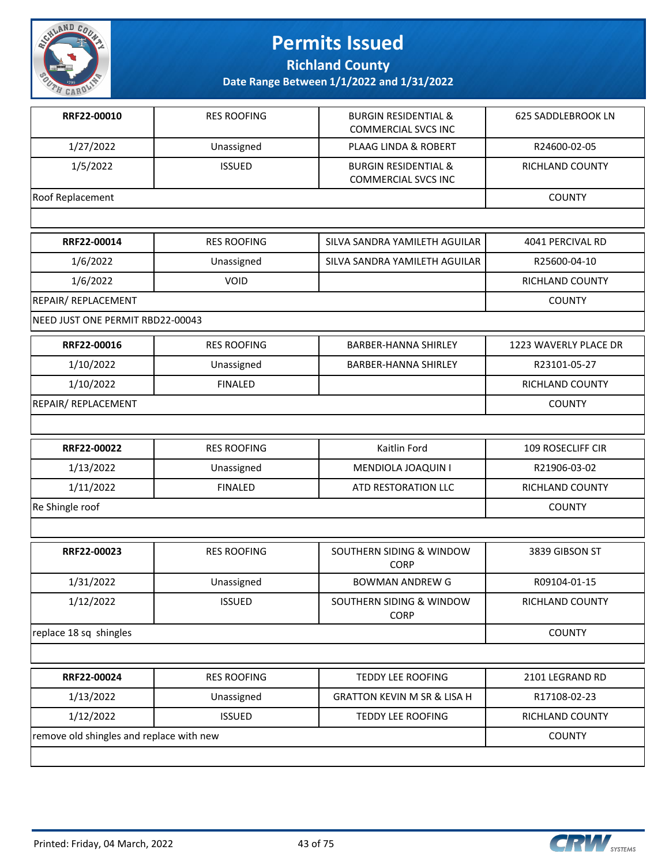

**Richland County**

| RRF22-00010                      | <b>RES ROOFING</b> | <b>BURGIN RESIDENTIAL &amp;</b><br><b>COMMERCIAL SVCS INC</b> | <b>625 SADDLEBROOK LN</b> |
|----------------------------------|--------------------|---------------------------------------------------------------|---------------------------|
| 1/27/2022                        | Unassigned         | <b>PLAAG LINDA &amp; ROBERT</b>                               | R24600-02-05              |
| 1/5/2022                         | <b>ISSUED</b>      | <b>BURGIN RESIDENTIAL &amp;</b><br><b>COMMERCIAL SVCS INC</b> | RICHLAND COUNTY           |
| Roof Replacement                 |                    |                                                               | <b>COUNTY</b>             |
|                                  |                    |                                                               |                           |
| RRF22-00014                      | <b>RES ROOFING</b> | SILVA SANDRA YAMILETH AGUILAR                                 | 4041 PERCIVAL RD          |
| 1/6/2022                         | Unassigned         | SILVA SANDRA YAMILETH AGUILAR                                 | R25600-04-10              |
| 1/6/2022                         | VOID               |                                                               | RICHLAND COUNTY           |
| REPAIR/ REPLACEMENT              |                    |                                                               | <b>COUNTY</b>             |
| NEED JUST ONE PERMIT RBD22-00043 |                    |                                                               |                           |
| RRF22-00016                      | <b>RES ROOFING</b> | <b>BARBER-HANNA SHIRLEY</b>                                   | 1223 WAVERLY PLACE DR     |
| 1/10/2022                        | Unassigned         | <b>BARBER-HANNA SHIRLEY</b>                                   | R23101-05-27              |
| 1/10/2022                        | <b>FINALED</b>     |                                                               | RICHLAND COUNTY           |
| REPAIR/ REPLACEMENT              |                    |                                                               | <b>COUNTY</b>             |
|                                  |                    |                                                               |                           |
| RRF22-00022                      | <b>RES ROOFING</b> | Kaitlin Ford                                                  | 109 ROSECLIFF CIR         |
| 1/13/2022                        | Unassigned         | MENDIOLA JOAQUIN I                                            | R21906-03-02              |
| 1/11/2022                        | <b>FINALED</b>     | ATD RESTORATION LLC                                           | <b>RICHLAND COUNTY</b>    |
| Re Shingle roof                  |                    |                                                               | <b>COUNTY</b>             |
|                                  |                    |                                                               |                           |
| RRF22-00023                      | <b>RES ROOFING</b> | SOUTHERN SIDING & WINDOW<br><b>CORP</b>                       | 3839 GIBSON ST            |
| 1/31/2022                        | Unassigned         | <b>BOWMAN ANDREW G</b>                                        | R09104-01-15              |
| 1/12/2022                        | <b>ISSUED</b>      | SOUTHERN SIDING & WINDOW<br><b>CORP</b>                       | RICHLAND COUNTY           |
| replace 18 sq shingles           |                    |                                                               | <b>COUNTY</b>             |
|                                  |                    |                                                               |                           |
| RRF22-00024                      | <b>RES ROOFING</b> | <b>TEDDY LEE ROOFING</b>                                      | 2101 LEGRAND RD           |
| 1/13/2022                        | Unassigned         | <b>GRATTON KEVIN M SR &amp; LISA H</b>                        | R17108-02-23              |
|                                  |                    |                                                               |                           |
| 1/12/2022                        | <b>ISSUED</b>      | TEDDY LEE ROOFING                                             | RICHLAND COUNTY           |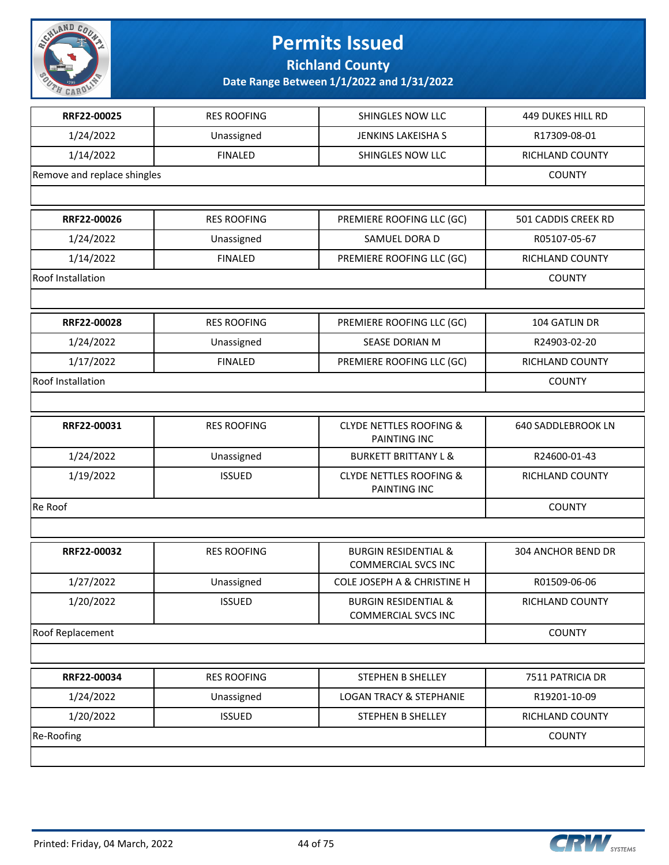

**Richland County**

| RRF22-00025                 | <b>RES ROOFING</b> | SHINGLES NOW LLC                                              | <b>449 DUKES HILL RD</b> |
|-----------------------------|--------------------|---------------------------------------------------------------|--------------------------|
| 1/24/2022                   | Unassigned         | <b>JENKINS LAKEISHA S</b>                                     | R17309-08-01             |
| 1/14/2022                   | <b>FINALED</b>     | SHINGLES NOW LLC                                              | RICHLAND COUNTY          |
| Remove and replace shingles |                    |                                                               | <b>COUNTY</b>            |
|                             |                    |                                                               |                          |
| RRF22-00026                 | <b>RES ROOFING</b> | PREMIERE ROOFING LLC (GC)                                     | 501 CADDIS CREEK RD      |
| 1/24/2022                   | Unassigned         | SAMUEL DORA D                                                 | R05107-05-67             |
| 1/14/2022                   | <b>FINALED</b>     | PREMIERE ROOFING LLC (GC)                                     | RICHLAND COUNTY          |
| Roof Installation           |                    |                                                               | <b>COUNTY</b>            |
|                             |                    |                                                               |                          |
| RRF22-00028                 | <b>RES ROOFING</b> | PREMIERE ROOFING LLC (GC)                                     | 104 GATLIN DR            |
| 1/24/2022                   | Unassigned         | SEASE DORIAN M                                                | R24903-02-20             |
| 1/17/2022                   | <b>FINALED</b>     | PREMIERE ROOFING LLC (GC)                                     | RICHLAND COUNTY          |
| Roof Installation           |                    |                                                               | <b>COUNTY</b>            |
|                             |                    |                                                               |                          |
| RRF22-00031                 | <b>RES ROOFING</b> | <b>CLYDE NETTLES ROOFING &amp;</b><br>PAINTING INC            | 640 SADDLEBROOK LN       |
| 1/24/2022                   | Unassigned         | <b>BURKETT BRITTANY L &amp;</b>                               | R24600-01-43             |
| 1/19/2022                   | <b>ISSUED</b>      | <b>CLYDE NETTLES ROOFING &amp;</b><br>PAINTING INC            | RICHLAND COUNTY          |
| Re Roof                     | <b>COUNTY</b>      |                                                               |                          |
|                             |                    |                                                               |                          |
| RRF22-00032                 | <b>RES ROOFING</b> | <b>BURGIN RESIDENTIAL &amp;</b><br><b>COMMERCIAL SVCS INC</b> | 304 ANCHOR BEND DR       |
| 1/27/2022                   | Unassigned         | COLE JOSEPH A & CHRISTINE H                                   | R01509-06-06             |
| 1/20/2022                   | <b>ISSUED</b>      | <b>BURGIN RESIDENTIAL &amp;</b><br><b>COMMERCIAL SVCS INC</b> | RICHLAND COUNTY          |
| Roof Replacement            |                    |                                                               | <b>COUNTY</b>            |
|                             |                    |                                                               |                          |
| RRF22-00034                 | <b>RES ROOFING</b> | STEPHEN B SHELLEY                                             | 7511 PATRICIA DR         |
| 1/24/2022                   | Unassigned         | <b>LOGAN TRACY &amp; STEPHANIE</b>                            | R19201-10-09             |
| 1/20/2022                   | <b>ISSUED</b>      | STEPHEN B SHELLEY                                             | RICHLAND COUNTY          |
| Re-Roofing                  |                    |                                                               | <b>COUNTY</b>            |
|                             |                    |                                                               |                          |

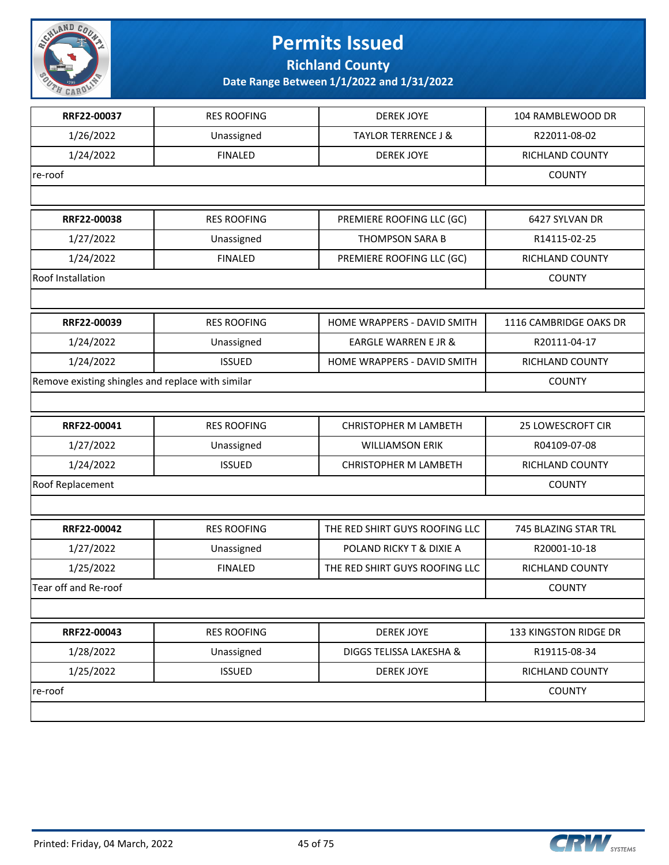

**Richland County**

| RRF22-00037                                       | <b>RES ROOFING</b> | <b>DEREK JOYE</b>              | 104 RAMBLEWOOD DR      |
|---------------------------------------------------|--------------------|--------------------------------|------------------------|
| 1/26/2022                                         | Unassigned         | <b>TAYLOR TERRENCE J &amp;</b> | R22011-08-02           |
| 1/24/2022                                         | <b>FINALED</b>     | <b>DEREK JOYE</b>              | RICHLAND COUNTY        |
| re-roof                                           |                    |                                | <b>COUNTY</b>          |
|                                                   |                    |                                |                        |
| RRF22-00038                                       | <b>RES ROOFING</b> | PREMIERE ROOFING LLC (GC)      | 6427 SYLVAN DR         |
| 1/27/2022                                         | Unassigned         | <b>THOMPSON SARA B</b>         | R14115-02-25           |
| 1/24/2022                                         | <b>FINALED</b>     | PREMIERE ROOFING LLC (GC)      | RICHLAND COUNTY        |
| Roof Installation                                 |                    |                                | <b>COUNTY</b>          |
|                                                   |                    |                                |                        |
| RRF22-00039                                       | <b>RES ROOFING</b> | HOME WRAPPERS - DAVID SMITH    | 1116 CAMBRIDGE OAKS DR |
| 1/24/2022                                         | Unassigned         | EARGLE WARREN E JR &           | R20111-04-17           |
| 1/24/2022                                         | <b>ISSUED</b>      | HOME WRAPPERS - DAVID SMITH    | RICHLAND COUNTY        |
| Remove existing shingles and replace with similar |                    |                                | <b>COUNTY</b>          |
|                                                   |                    |                                |                        |
| RRF22-00041                                       | <b>RES ROOFING</b> | <b>CHRISTOPHER M LAMBETH</b>   | 25 LOWESCROFT CIR      |
| 1/27/2022                                         | Unassigned         | <b>WILLIAMSON ERIK</b>         | R04109-07-08           |
| 1/24/2022                                         | <b>ISSUED</b>      | <b>CHRISTOPHER M LAMBETH</b>   | RICHLAND COUNTY        |
| Roof Replacement                                  | <b>COUNTY</b>      |                                |                        |
|                                                   |                    |                                |                        |
| RRF22-00042                                       | <b>RES ROOFING</b> | THE RED SHIRT GUYS ROOFING LLC | 745 BLAZING STAR TRL   |
| 1/27/2022                                         | Unassigned         | POLAND RICKY T & DIXIE A       | R20001-10-18           |
| 1/25/2022                                         | <b>FINALED</b>     | THE RED SHIRT GUYS ROOFING LLC | RICHLAND COUNTY        |
| Tear off and Re-roof                              |                    |                                | <b>COUNTY</b>          |
|                                                   |                    |                                |                        |
| RRF22-00043                                       | <b>RES ROOFING</b> | <b>DEREK JOYE</b>              | 133 KINGSTON RIDGE DR  |
| 1/28/2022                                         | Unassigned         | DIGGS TELISSA LAKESHA &        | R19115-08-34           |
| 1/25/2022                                         | <b>ISSUED</b>      | <b>DEREK JOYE</b>              | RICHLAND COUNTY        |
| re-roof                                           |                    |                                | <b>COUNTY</b>          |
|                                                   |                    |                                |                        |

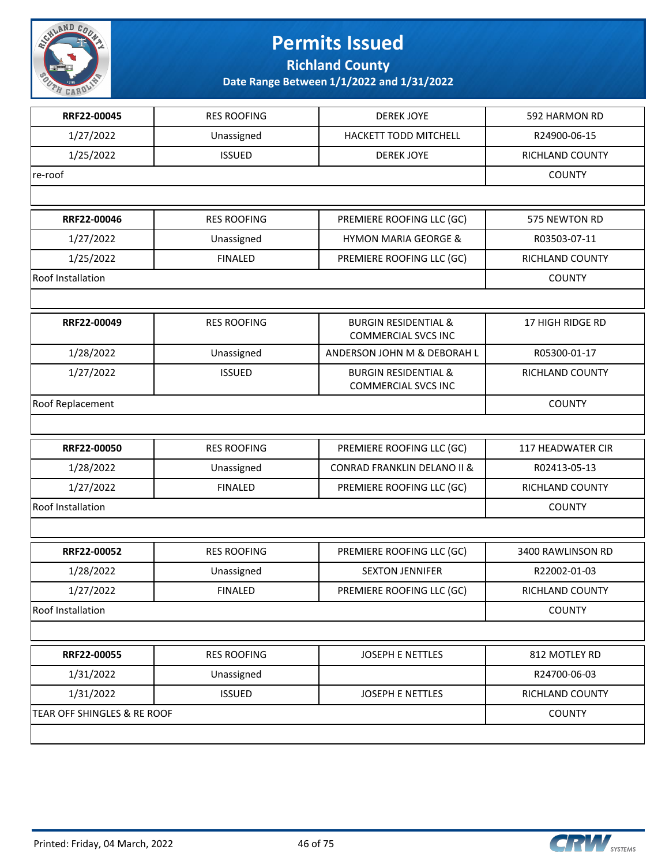

**Richland County**

| RRF22-00045                 | <b>RES ROOFING</b> | <b>DEREK JOYE</b>                                             | 592 HARMON RD     |
|-----------------------------|--------------------|---------------------------------------------------------------|-------------------|
| 1/27/2022                   | Unassigned         | HACKETT TODD MITCHELL                                         | R24900-06-15      |
| 1/25/2022                   | <b>ISSUED</b>      | <b>DEREK JOYE</b>                                             | RICHLAND COUNTY   |
| re-roof                     |                    |                                                               | <b>COUNTY</b>     |
|                             |                    |                                                               |                   |
| RRF22-00046                 | <b>RES ROOFING</b> | PREMIERE ROOFING LLC (GC)                                     | 575 NEWTON RD     |
| 1/27/2022                   | Unassigned         | <b>HYMON MARIA GEORGE &amp;</b>                               | R03503-07-11      |
| 1/25/2022                   | <b>FINALED</b>     | PREMIERE ROOFING LLC (GC)                                     | RICHLAND COUNTY   |
| Roof Installation           |                    |                                                               | <b>COUNTY</b>     |
|                             |                    |                                                               |                   |
| RRF22-00049                 | <b>RES ROOFING</b> | <b>BURGIN RESIDENTIAL &amp;</b><br><b>COMMERCIAL SVCS INC</b> | 17 HIGH RIDGE RD  |
| 1/28/2022                   | Unassigned         | ANDERSON JOHN M & DEBORAH L                                   | R05300-01-17      |
| 1/27/2022                   | <b>ISSUED</b>      | <b>BURGIN RESIDENTIAL &amp;</b><br><b>COMMERCIAL SVCS INC</b> | RICHLAND COUNTY   |
| Roof Replacement            |                    |                                                               | <b>COUNTY</b>     |
|                             |                    |                                                               |                   |
| RRF22-00050                 | <b>RES ROOFING</b> | PREMIERE ROOFING LLC (GC)                                     | 117 HEADWATER CIR |
| 1/28/2022                   | Unassigned         | <b>CONRAD FRANKLIN DELANO II &amp;</b>                        | R02413-05-13      |
| 1/27/2022                   | <b>FINALED</b>     | PREMIERE ROOFING LLC (GC)                                     | RICHLAND COUNTY   |
| Roof Installation           |                    |                                                               | <b>COUNTY</b>     |
|                             |                    |                                                               |                   |
| RRF22-00052                 | <b>RES ROOFING</b> | PREMIERE ROOFING LLC (GC)                                     | 3400 RAWLINSON RD |
| 1/28/2022                   | Unassigned         | <b>SEXTON JENNIFER</b>                                        | R22002-01-03      |
| 1/27/2022                   | <b>FINALED</b>     | PREMIERE ROOFING LLC (GC)                                     | RICHLAND COUNTY   |
| Roof Installation           |                    |                                                               | <b>COUNTY</b>     |
|                             |                    |                                                               |                   |
| RRF22-00055                 | <b>RES ROOFING</b> | JOSEPH E NETTLES                                              | 812 MOTLEY RD     |
| 1/31/2022                   | Unassigned         |                                                               | R24700-06-03      |
| 1/31/2022                   | <b>ISSUED</b>      | JOSEPH E NETTLES                                              | RICHLAND COUNTY   |
| TEAR OFF SHINGLES & RE ROOF |                    |                                                               | <b>COUNTY</b>     |
|                             |                    |                                                               |                   |

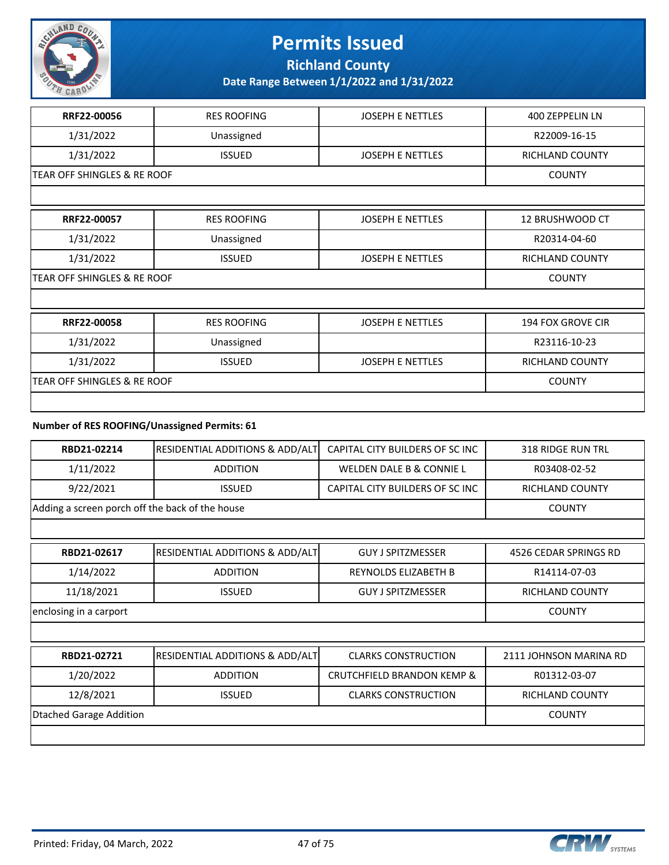

**Richland County**

**Date Range Between 1/1/2022 and 1/31/2022**

| RRF22-00056                            | <b>RES ROOFING</b> | <b>JOSEPH E NETTLES</b> | 400 ZEPPELIN LN          |
|----------------------------------------|--------------------|-------------------------|--------------------------|
| 1/31/2022                              | Unassigned         |                         | R22009-16-15             |
| 1/31/2022                              | <b>ISSUED</b>      | <b>JOSEPH E NETTLES</b> | <b>RICHLAND COUNTY</b>   |
| <b>TEAR OFF SHINGLES &amp; RE ROOF</b> |                    |                         | <b>COUNTY</b>            |
|                                        |                    |                         |                          |
| RRF22-00057                            | <b>RES ROOFING</b> | <b>JOSEPH E NETTLES</b> | 12 BRUSHWOOD CT          |
| 1/31/2022                              | Unassigned         |                         | R20314-04-60             |
| 1/31/2022                              | <b>ISSUED</b>      | JOSEPH E NETTLES        | <b>RICHLAND COUNTY</b>   |
| <b>TEAR OFF SHINGLES &amp; RE ROOF</b> |                    |                         | <b>COUNTY</b>            |
|                                        |                    |                         |                          |
| RRF22-00058                            | <b>RES ROOFING</b> | <b>JOSEPH E NETTLES</b> | <b>194 FOX GROVE CIR</b> |
| 1/31/2022                              | Unassigned         |                         | R23116-10-23             |
| 1/31/2022                              | <b>ISSUED</b>      | <b>JOSEPH E NETTLES</b> | RICHLAND COUNTY          |
| TEAR OFF SHINGLES & RE ROOF            |                    |                         | <b>COUNTY</b>            |
|                                        |                    |                         |                          |

### **Number of RES ROOFING/Unassigned Permits: 61**

| RBD21-02214             | RESIDENTIAL ADDITIONS & ADD/ALT                 | CAPITAL CITY BUILDERS OF SC INC       | <b>318 RIDGE RUN TRL</b> |  |
|-------------------------|-------------------------------------------------|---------------------------------------|--------------------------|--|
| 1/11/2022               | <b>ADDITION</b>                                 | WELDEN DALE B & CONNIE L              | R03408-02-52             |  |
| 9/22/2021               | <b>ISSUED</b>                                   | CAPITAL CITY BUILDERS OF SC INC       | <b>RICHLAND COUNTY</b>   |  |
|                         | Adding a screen porch off the back of the house |                                       |                          |  |
|                         |                                                 |                                       |                          |  |
| RBD21-02617             | RESIDENTIAL ADDITIONS & ADD/ALT                 | <b>GUY J SPITZMESSER</b>              | 4526 CEDAR SPRINGS RD    |  |
| 1/14/2022               | <b>ADDITION</b>                                 | REYNOLDS ELIZABETH B                  | R14114-07-03             |  |
| 11/18/2021              | <b>ISSUED</b>                                   | <b>GUY J SPITZMESSER</b>              | <b>RICHLAND COUNTY</b>   |  |
| enclosing in a carport  |                                                 |                                       | <b>COUNTY</b>            |  |
|                         |                                                 |                                       |                          |  |
| RBD21-02721             | <b>RESIDENTIAL ADDITIONS &amp; ADD/ALT</b>      | <b>CLARKS CONSTRUCTION</b>            | 2111 JOHNSON MARINA RD   |  |
| 1/20/2022               | <b>ADDITION</b>                                 | <b>CRUTCHFIELD BRANDON KEMP &amp;</b> | R01312-03-07             |  |
| 12/8/2021               | <b>ISSUED</b>                                   | <b>CLARKS CONSTRUCTION</b>            | RICHLAND COUNTY          |  |
| Dtached Garage Addition |                                                 |                                       | <b>COUNTY</b>            |  |

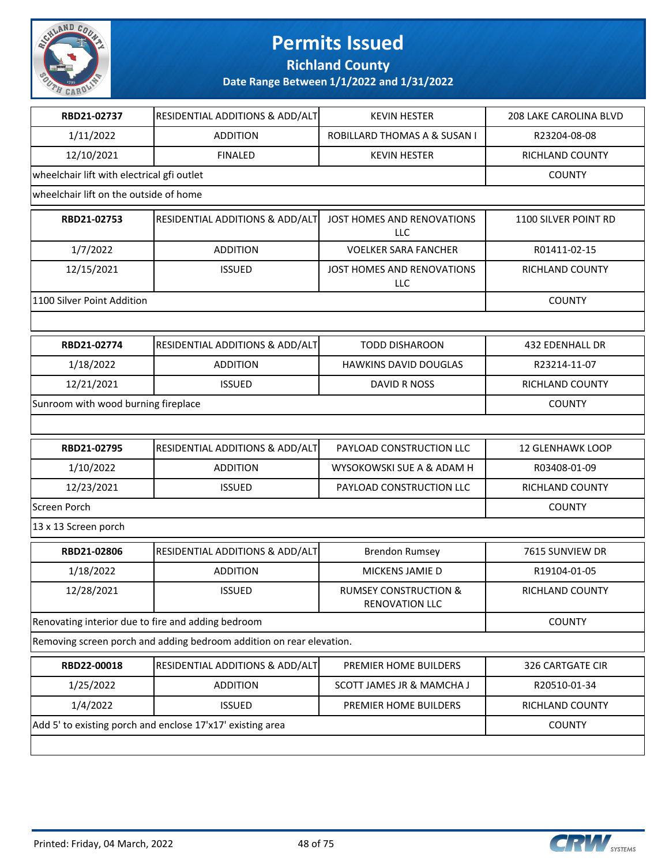

**Richland County**

| RBD21-02737                                        | RESIDENTIAL ADDITIONS & ADD/ALT                                      | <b>KEVIN HESTER</b>                                       | <b>208 LAKE CAROLINA BLVD</b> |
|----------------------------------------------------|----------------------------------------------------------------------|-----------------------------------------------------------|-------------------------------|
| 1/11/2022                                          | <b>ADDITION</b>                                                      | ROBILLARD THOMAS A & SUSAN I                              | R23204-08-08                  |
| 12/10/2021                                         | <b>FINALED</b>                                                       | <b>KEVIN HESTER</b>                                       | RICHLAND COUNTY               |
| wheelchair lift with electrical gfi outlet         |                                                                      |                                                           | <b>COUNTY</b>                 |
| wheelchair lift on the outside of home             |                                                                      |                                                           |                               |
| RBD21-02753                                        | RESIDENTIAL ADDITIONS & ADD/ALT                                      | JOST HOMES AND RENOVATIONS<br><b>LLC</b>                  | 1100 SILVER POINT RD          |
| 1/7/2022                                           | <b>ADDITION</b>                                                      | <b>VOELKER SARA FANCHER</b>                               | R01411-02-15                  |
| 12/15/2021                                         | <b>ISSUED</b>                                                        | JOST HOMES AND RENOVATIONS<br>LLC                         | RICHLAND COUNTY               |
| 1100 Silver Point Addition                         |                                                                      |                                                           | <b>COUNTY</b>                 |
|                                                    |                                                                      |                                                           |                               |
| RBD21-02774                                        | RESIDENTIAL ADDITIONS & ADD/ALT                                      | <b>TODD DISHAROON</b>                                     | <b>432 EDENHALL DR</b>        |
| 1/18/2022                                          | <b>ADDITION</b>                                                      | <b>HAWKINS DAVID DOUGLAS</b>                              | R23214-11-07                  |
| 12/21/2021                                         | <b>ISSUED</b>                                                        | DAVID R NOSS                                              | RICHLAND COUNTY               |
| Sunroom with wood burning fireplace                |                                                                      |                                                           | <b>COUNTY</b>                 |
|                                                    |                                                                      |                                                           |                               |
| RBD21-02795                                        | RESIDENTIAL ADDITIONS & ADD/ALT                                      | PAYLOAD CONSTRUCTION LLC                                  | <b>12 GLENHAWK LOOP</b>       |
| 1/10/2022                                          | <b>ADDITION</b>                                                      | WYSOKOWSKI SUE A & ADAM H                                 | R03408-01-09                  |
| 12/23/2021                                         | <b>ISSUED</b>                                                        | PAYLOAD CONSTRUCTION LLC                                  | RICHLAND COUNTY               |
| <b>Screen Porch</b>                                |                                                                      |                                                           | <b>COUNTY</b>                 |
| 13 x 13 Screen porch                               |                                                                      |                                                           |                               |
| RBD21-02806                                        | <b>RESIDENTIAL ADDITIONS &amp; ADD/ALT</b>                           | <b>Brendon Rumsey</b>                                     | 7615 SUNVIEW DR               |
| 1/18/2022                                          | <b>ADDITION</b>                                                      | MICKENS JAMIE D                                           | R19104-01-05                  |
| 12/28/2021                                         | <b>ISSUED</b>                                                        | <b>RUMSEY CONSTRUCTION &amp;</b><br><b>RENOVATION LLC</b> | <b>RICHLAND COUNTY</b>        |
| Renovating interior due to fire and adding bedroom |                                                                      |                                                           | <b>COUNTY</b>                 |
|                                                    | Removing screen porch and adding bedroom addition on rear elevation. |                                                           |                               |
| RBD22-00018                                        | <b>RESIDENTIAL ADDITIONS &amp; ADD/ALT</b>                           | PREMIER HOME BUILDERS                                     | 326 CARTGATE CIR              |
| 1/25/2022                                          | <b>ADDITION</b>                                                      | <b>SCOTT JAMES JR &amp; MAMCHA J</b>                      | R20510-01-34                  |
| 1/4/2022                                           | <b>ISSUED</b>                                                        | PREMIER HOME BUILDERS                                     | RICHLAND COUNTY               |
|                                                    | Add 5' to existing porch and enclose 17'x17' existing area           |                                                           | <b>COUNTY</b>                 |
|                                                    |                                                                      |                                                           |                               |

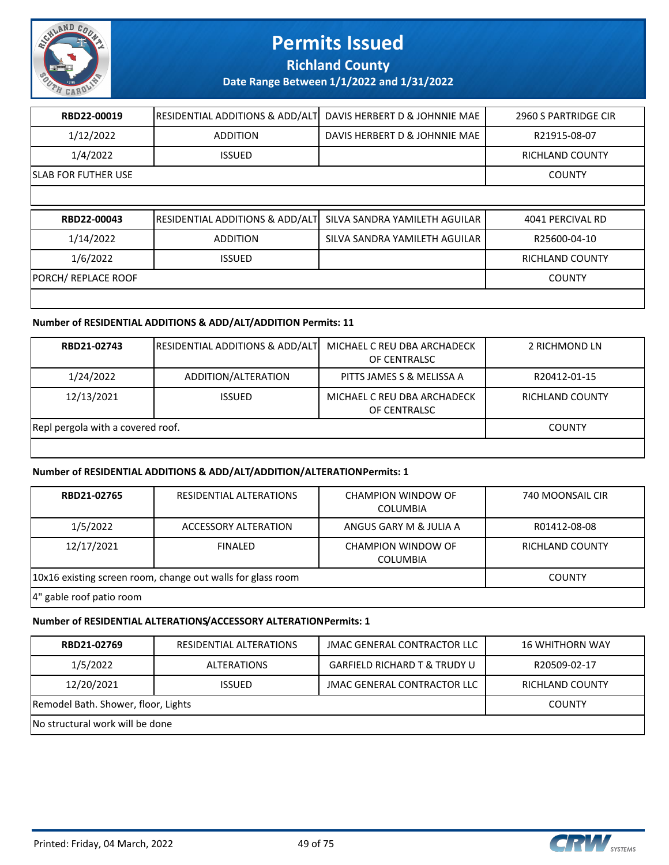

**Richland County**

**Date Range Between 1/1/2022 and 1/31/2022**

| RBD22-00019                | <b>RESIDENTIAL ADDITIONS &amp; ADD/ALT</b>  | DAVIS HERBERT D & JOHNNIE MAE | 2960 S PARTRIDGE CIR   |
|----------------------------|---------------------------------------------|-------------------------------|------------------------|
| 1/12/2022                  | <b>ADDITION</b>                             | DAVIS HERBERT D & JOHNNIE MAE | R21915-08-07           |
| 1/4/2022                   | <b>ISSUED</b>                               |                               | <b>RICHLAND COUNTY</b> |
| <b>SLAB FOR FUTHER USE</b> |                                             |                               | <b>COUNTY</b>          |
|                            |                                             |                               |                        |
|                            |                                             |                               |                        |
| RBD22-00043                | <b> RESIDENTIAL ADDITIONS &amp; ADD/ALT</b> | SILVA SANDRA YAMILETH AGUILAR | 4041 PERCIVAL RD       |
| 1/14/2022                  | <b>ADDITION</b>                             | SILVA SANDRA YAMILETH AGUILAR | R25600-04-10           |
| 1/6/2022                   | <b>ISSUED</b>                               |                               | <b>RICHLAND COUNTY</b> |
| PORCH/ REPLACE ROOF        |                                             |                               | <b>COUNTY</b>          |

#### **Number of RESIDENTIAL ADDITIONS & ADD/ALT/ADDITION Permits: 11**

| RBD21-02743                       | <b>RESIDENTIAL ADDITIONS &amp; ADD/ALT</b> | MICHAEL C REU DBA ARCHADECK<br>OF CENTRALSC | 2 RICHMOND LN   |
|-----------------------------------|--------------------------------------------|---------------------------------------------|-----------------|
| 1/24/2022                         | ADDITION/ALTERATION                        | PITTS JAMES S & MELISSA A                   | R20412-01-15    |
| 12/13/2021                        | <b>ISSUED</b>                              | MICHAEL C REU DBA ARCHADECK<br>OF CENTRALSC | RICHLAND COUNTY |
| Repl pergola with a covered roof. |                                            |                                             | <b>COUNTY</b>   |
|                                   |                                            |                                             |                 |

### **Number of RESIDENTIAL ADDITIONS & ADD/ALT/ADDITION/ALTERATION Permits: 1**

| RBD21-02765              | RESIDENTIAL ALTERATIONS                                     | CHAMPION WINDOW OF<br><b>COLUMBIA</b> | 740 MOONSAIL CIR |
|--------------------------|-------------------------------------------------------------|---------------------------------------|------------------|
| 1/5/2022                 | ACCESSORY ALTERATION                                        | ANGUS GARY M & JULIA A                | R01412-08-08     |
| 12/17/2021               | <b>FINALED</b>                                              | CHAMPION WINDOW OF<br><b>COLUMBIA</b> | RICHLAND COUNTY  |
|                          | 10x16 existing screen room, change out walls for glass room |                                       | <b>COUNTY</b>    |
| 4" gable roof patio room |                                                             |                                       |                  |

### **Number of RESIDENTIAL ALTERATIONS/ACCESSORY ALTERATION Permits: 1**

| RBD21-02769                         | RESIDENTIAL ALTERATIONS | JMAC GENERAL CONTRACTOR LLC             | <b>16 WHITHORN WAY</b> |
|-------------------------------------|-------------------------|-----------------------------------------|------------------------|
| 1/5/2022                            | <b>ALTERATIONS</b>      | <b>GARFIELD RICHARD T &amp; TRUDY U</b> | R20509-02-17           |
| 12/20/2021                          | <b>ISSUED</b>           | JMAC GENERAL CONTRACTOR LLC             | <b>RICHLAND COUNTY</b> |
| Remodel Bath. Shower, floor, Lights |                         |                                         | <b>COUNTY</b>          |
| No structural work will be done     |                         |                                         |                        |

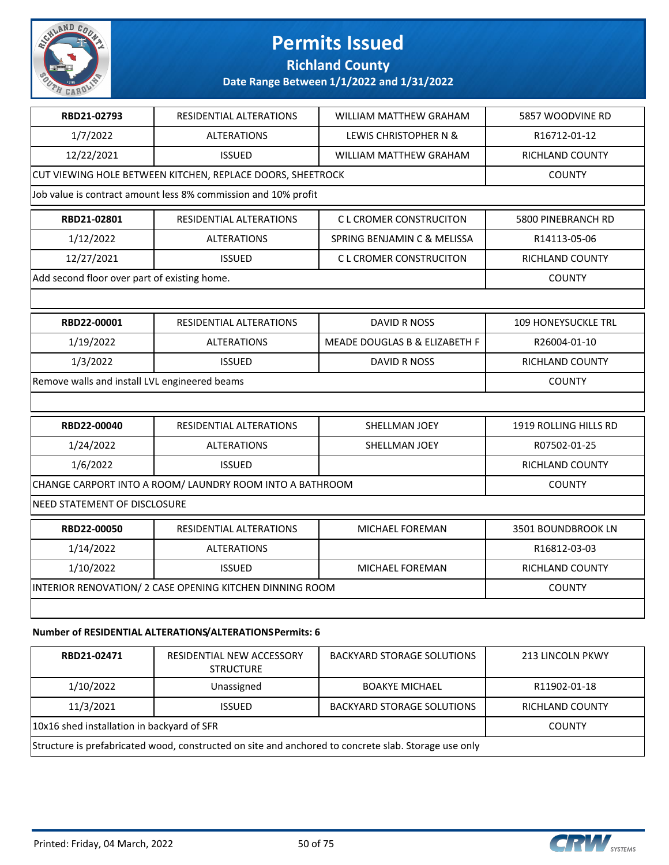

### **Richland County**

### **Date Range Between 1/1/2022 and 1/31/2022**

| RBD21-02793                                   | <b>RESIDENTIAL ALTERATIONS</b>                                 | <b>WILLIAM MATTHEW GRAHAM</b> | 5857 WOODVINE RD           |
|-----------------------------------------------|----------------------------------------------------------------|-------------------------------|----------------------------|
| 1/7/2022                                      | <b>ALTERATIONS</b>                                             | LEWIS CHRISTOPHER N &         | R16712-01-12               |
| 12/22/2021                                    | <b>ISSUED</b>                                                  | WILLIAM MATTHEW GRAHAM        | <b>RICHLAND COUNTY</b>     |
|                                               | CUT VIEWING HOLE BETWEEN KITCHEN, REPLACE DOORS, SHEETROCK     |                               | <b>COUNTY</b>              |
|                                               | Job value is contract amount less 8% commission and 10% profit |                               |                            |
| RBD21-02801                                   | RESIDENTIAL ALTERATIONS                                        | <b>CL CROMER CONSTRUCITON</b> | 5800 PINEBRANCH RD         |
| 1/12/2022                                     | <b>ALTERATIONS</b>                                             | SPRING BENJAMIN C & MELISSA   | R14113-05-06               |
| 12/27/2021                                    | <b>ISSUED</b>                                                  | <b>CL CROMER CONSTRUCITON</b> | RICHLAND COUNTY            |
| Add second floor over part of existing home.  |                                                                |                               | <b>COUNTY</b>              |
|                                               |                                                                |                               |                            |
| RBD22-00001                                   | RESIDENTIAL ALTERATIONS                                        | <b>DAVID R NOSS</b>           | <b>109 HONEYSUCKLE TRL</b> |
| 1/19/2022                                     | <b>ALTERATIONS</b>                                             | MEADE DOUGLAS B & ELIZABETH F | R26004-01-10               |
| 1/3/2022                                      | <b>ISSUED</b>                                                  | <b>DAVID R NOSS</b>           | RICHLAND COUNTY            |
| Remove walls and install LVL engineered beams |                                                                |                               | <b>COUNTY</b>              |
|                                               |                                                                |                               |                            |
| RBD22-00040                                   | RESIDENTIAL ALTERATIONS                                        | SHELLMAN JOEY                 | 1919 ROLLING HILLS RD      |
| 1/24/2022                                     | <b>ALTERATIONS</b>                                             | SHELLMAN JOEY                 | R07502-01-25               |
| 1/6/2022                                      | <b>ISSUED</b>                                                  |                               | RICHLAND COUNTY            |
|                                               | CHANGE CARPORT INTO A ROOM/ LAUNDRY ROOM INTO A BATHROOM       |                               | <b>COUNTY</b>              |
| NEED STATEMENT OF DISCLOSURE                  |                                                                |                               |                            |
| RBD22-00050                                   | RESIDENTIAL ALTERATIONS                                        | <b>MICHAEL FOREMAN</b>        | 3501 BOUNDBROOK LN         |
| 1/14/2022                                     | <b>ALTERATIONS</b>                                             |                               | R16812-03-03               |
| 1/10/2022                                     | <b>ISSUED</b>                                                  | <b>MICHAEL FOREMAN</b>        | <b>RICHLAND COUNTY</b>     |
|                                               | INTERIOR RENOVATION/2 CASE OPENING KITCHEN DINNING ROOM        |                               | <b>COUNTY</b>              |
|                                               |                                                                |                               |                            |
|                                               | Number of RESIDENTIAL ALTERATIONS/ALTERATIONSPermits: 6        |                               |                            |

### **RBD21-02471** RESIDENTIAL NEW ACCESSORY **STRUCTURE** BACKYARD STORAGE SOLUTIONS | 213 LINCOLN PKWY 1/10/2022 | Unassigned | BOAKYE MICHAEL | R11902-01-18 11/3/2021 | ISSUED | BACKYARD STORAGE SOLUTIONS | RICHLAND COUNTY 10x16 shed installation in backyard of SFR COUNTY Structure is prefabricated wood, constructed on site and anchored to concrete slab. Storage use only

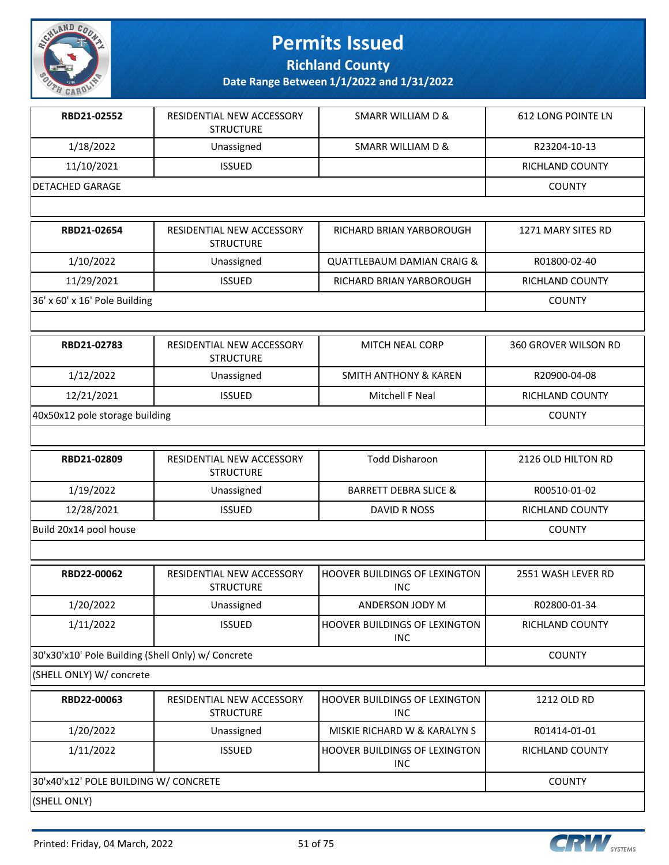

**Richland County**

| RBD21-02552                                        | RESIDENTIAL NEW ACCESSORY<br><b>STRUCTURE</b> | <b>SMARR WILLIAM D &amp;</b>                | <b>612 LONG POINTE LN</b>   |
|----------------------------------------------------|-----------------------------------------------|---------------------------------------------|-----------------------------|
| 1/18/2022                                          | Unassigned                                    | SMARR WILLIAM D &                           | R23204-10-13                |
| 11/10/2021                                         | <b>ISSUED</b>                                 |                                             | RICHLAND COUNTY             |
| <b>DETACHED GARAGE</b>                             |                                               |                                             | <b>COUNTY</b>               |
|                                                    |                                               |                                             |                             |
| RBD21-02654                                        | RESIDENTIAL NEW ACCESSORY<br><b>STRUCTURE</b> | RICHARD BRIAN YARBOROUGH                    | 1271 MARY SITES RD          |
| 1/10/2022                                          | Unassigned                                    | <b>QUATTLEBAUM DAMIAN CRAIG &amp;</b>       | R01800-02-40                |
| 11/29/2021                                         | <b>ISSUED</b>                                 | RICHARD BRIAN YARBOROUGH                    | RICHLAND COUNTY             |
| 36' x 60' x 16' Pole Building                      |                                               |                                             | <b>COUNTY</b>               |
|                                                    |                                               |                                             |                             |
| RBD21-02783                                        | RESIDENTIAL NEW ACCESSORY<br><b>STRUCTURE</b> | <b>MITCH NEAL CORP</b>                      | <b>360 GROVER WILSON RD</b> |
| 1/12/2022                                          | Unassigned                                    | <b>SMITH ANTHONY &amp; KAREN</b>            | R20900-04-08                |
| 12/21/2021                                         | <b>ISSUED</b>                                 | Mitchell F Neal                             | RICHLAND COUNTY             |
| 40x50x12 pole storage building                     |                                               |                                             | <b>COUNTY</b>               |
|                                                    |                                               |                                             |                             |
| RBD21-02809                                        | RESIDENTIAL NEW ACCESSORY<br><b>STRUCTURE</b> | <b>Todd Disharoon</b>                       | 2126 OLD HILTON RD          |
| 1/19/2022                                          | Unassigned                                    | <b>BARRETT DEBRA SLICE &amp;</b>            | R00510-01-02                |
| 12/28/2021                                         | <b>ISSUED</b>                                 | <b>DAVID R NOSS</b>                         | RICHLAND COUNTY             |
| Build 20x14 pool house                             |                                               |                                             | <b>COUNTY</b>               |
|                                                    |                                               |                                             |                             |
| RBD22-00062                                        | RESIDENTIAL NEW ACCESSORY<br><b>STRUCTURE</b> | HOOVER BUILDINGS OF LEXINGTON<br><b>INC</b> | 2551 WASH LEVER RD          |
| 1/20/2022                                          | Unassigned                                    | ANDERSON JODY M                             | R02800-01-34                |
| 1/11/2022                                          | <b>ISSUED</b>                                 | HOOVER BUILDINGS OF LEXINGTON<br><b>INC</b> | RICHLAND COUNTY             |
| 30'x30'x10' Pole Building (Shell Only) w/ Concrete |                                               |                                             | <b>COUNTY</b>               |
| (SHELL ONLY) W/ concrete                           |                                               |                                             |                             |
| RBD22-00063                                        | RESIDENTIAL NEW ACCESSORY<br><b>STRUCTURE</b> | HOOVER BUILDINGS OF LEXINGTON<br><b>INC</b> | 1212 OLD RD                 |
| 1/20/2022                                          | Unassigned                                    | MISKIE RICHARD W & KARALYN S                | R01414-01-01                |
| 1/11/2022                                          | <b>ISSUED</b>                                 | HOOVER BUILDINGS OF LEXINGTON<br><b>INC</b> | RICHLAND COUNTY             |
| 30'x40'x12' POLE BUILDING W/ CONCRETE              |                                               |                                             | <b>COUNTY</b>               |
| (SHELL ONLY)                                       |                                               |                                             |                             |

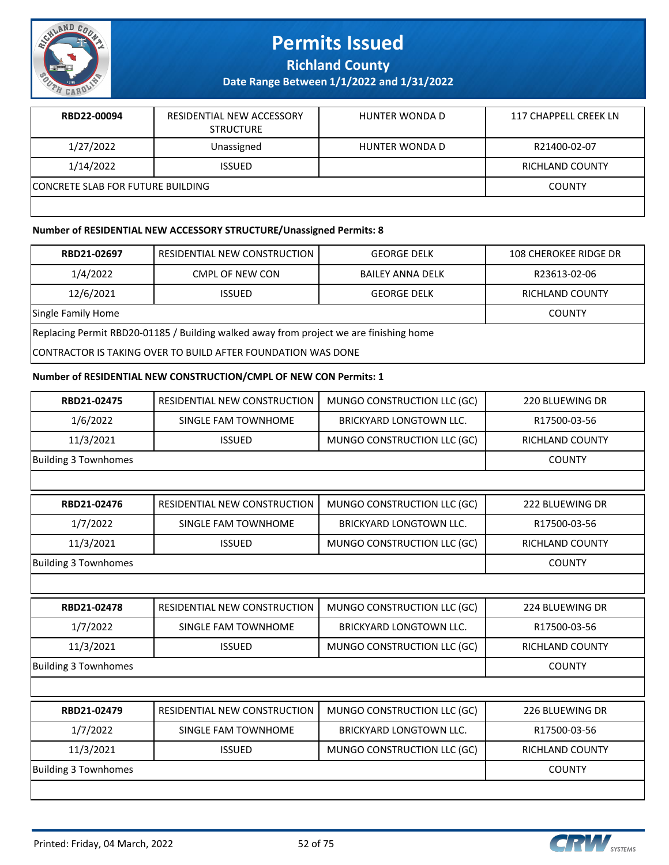

**Richland County**

**Date Range Between 1/1/2022 and 1/31/2022**

| RBD22-00094                              | RESIDENTIAL NEW ACCESSORY<br><b>STRUCTURE</b> | HUNTER WONDA D | 117 CHAPPELL CREEK LN  |
|------------------------------------------|-----------------------------------------------|----------------|------------------------|
| 1/27/2022                                | Unassigned                                    | HUNTER WONDA D | R21400-02-07           |
| 1/14/2022                                | <b>ISSUED</b>                                 |                | <b>RICHLAND COUNTY</b> |
| <b>CONCRETE SLAB FOR FUTURE BUILDING</b> |                                               |                | <b>COUNTY</b>          |
|                                          |                                               |                |                        |

#### **Number of RESIDENTIAL NEW ACCESSORY STRUCTURE/Unassigned Permits: 8**

| RBD21-02697                                                                            | RESIDENTIAL NEW CONSTRUCTION | <b>GEORGE DELK</b> | <b>108 CHEROKEE RIDGE DR</b> |  |
|----------------------------------------------------------------------------------------|------------------------------|--------------------|------------------------------|--|
| 1/4/2022                                                                               | CMPL OF NEW CON              | BAILEY ANNA DELK   | R23613-02-06                 |  |
| 12/6/2021                                                                              | <b>ISSUED</b>                | <b>GEORGE DELK</b> | RICHLAND COUNTY              |  |
| Single Family Home                                                                     |                              |                    | <b>COUNTY</b>                |  |
| Replacing Permit RBD20-01185 / Building walked away from project we are finishing home |                              |                    |                              |  |
| CONTRACTOR IS TAKING OVER TO BUILD AFTER FOUNDATION WAS DONE                           |                              |                    |                              |  |

#### **Number of RESIDENTIAL NEW CONSTRUCTION/CMPL OF NEW CON Permits: 1**

| RBD21-02475                 | RESIDENTIAL NEW CONSTRUCTION | MUNGO CONSTRUCTION LLC (GC)    | 220 BLUEWING DR        |
|-----------------------------|------------------------------|--------------------------------|------------------------|
| 1/6/2022                    | SINGLE FAM TOWNHOME          | BRICKYARD LONGTOWN LLC.        | R17500-03-56           |
| 11/3/2021                   | <b>ISSUED</b>                | MUNGO CONSTRUCTION LLC (GC)    | RICHLAND COUNTY        |
| <b>Building 3 Townhomes</b> |                              |                                | <b>COUNTY</b>          |
|                             |                              |                                |                        |
| RBD21-02476                 | RESIDENTIAL NEW CONSTRUCTION | MUNGO CONSTRUCTION LLC (GC)    | 222 BLUEWING DR        |
| 1/7/2022                    | SINGLE FAM TOWNHOME          | <b>BRICKYARD LONGTOWN LLC.</b> | R17500-03-56           |
| 11/3/2021                   | <b>ISSUED</b>                | MUNGO CONSTRUCTION LLC (GC)    | <b>RICHLAND COUNTY</b> |
| <b>Building 3 Townhomes</b> |                              |                                | <b>COUNTY</b>          |
|                             |                              |                                |                        |
| RBD21-02478                 | RESIDENTIAL NEW CONSTRUCTION | MUNGO CONSTRUCTION LLC (GC)    | 224 BLUEWING DR        |
| 1/7/2022                    | SINGLE FAM TOWNHOME          | BRICKYARD LONGTOWN LLC.        | R17500-03-56           |
| 11/3/2021                   | <b>ISSUED</b>                | MUNGO CONSTRUCTION LLC (GC)    | RICHLAND COUNTY        |
| <b>Building 3 Townhomes</b> |                              |                                | <b>COUNTY</b>          |
|                             |                              |                                |                        |
| RBD21-02479                 | RESIDENTIAL NEW CONSTRUCTION | MUNGO CONSTRUCTION LLC (GC)    | 226 BLUEWING DR        |
| 1/7/2022                    | SINGLE FAM TOWNHOME          | <b>BRICKYARD LONGTOWN LLC.</b> | R17500-03-56           |
| 11/3/2021                   | <b>ISSUED</b>                | MUNGO CONSTRUCTION LLC (GC)    | <b>RICHLAND COUNTY</b> |
| <b>Building 3 Townhomes</b> |                              |                                | <b>COUNTY</b>          |
|                             |                              |                                |                        |

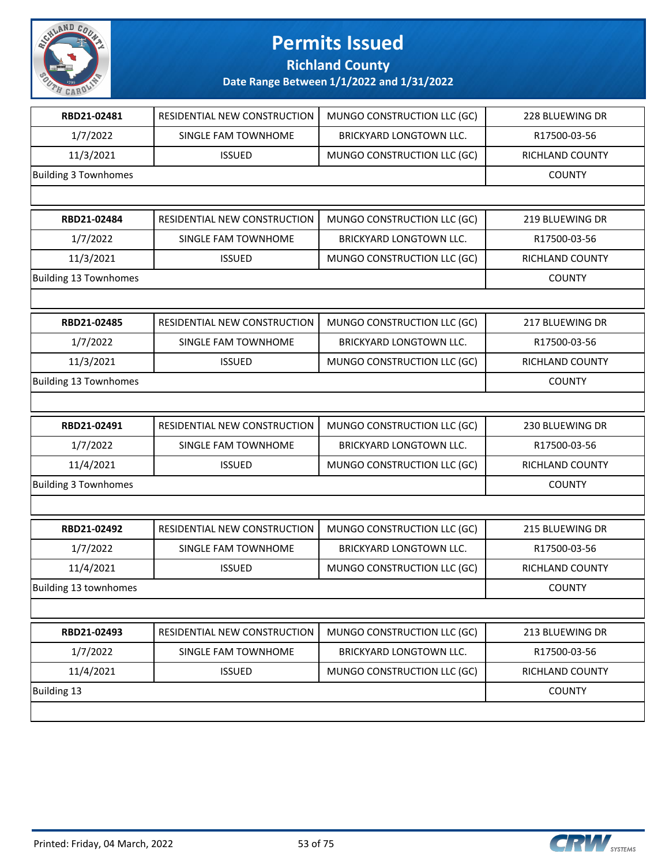

**Richland County**

| RBD21-02481                  | RESIDENTIAL NEW CONSTRUCTION | MUNGO CONSTRUCTION LLC (GC)    | 228 BLUEWING DR |
|------------------------------|------------------------------|--------------------------------|-----------------|
| 1/7/2022                     | SINGLE FAM TOWNHOME          | <b>BRICKYARD LONGTOWN LLC.</b> | R17500-03-56    |
| 11/3/2021                    | <b>ISSUED</b>                | MUNGO CONSTRUCTION LLC (GC)    | RICHLAND COUNTY |
| <b>Building 3 Townhomes</b>  |                              |                                | <b>COUNTY</b>   |
|                              |                              |                                |                 |
| RBD21-02484                  | RESIDENTIAL NEW CONSTRUCTION | MUNGO CONSTRUCTION LLC (GC)    | 219 BLUEWING DR |
| 1/7/2022                     | SINGLE FAM TOWNHOME          | BRICKYARD LONGTOWN LLC.        | R17500-03-56    |
| 11/3/2021                    | <b>ISSUED</b>                | MUNGO CONSTRUCTION LLC (GC)    | RICHLAND COUNTY |
| <b>Building 13 Townhomes</b> |                              |                                | <b>COUNTY</b>   |
|                              |                              |                                |                 |
| RBD21-02485                  | RESIDENTIAL NEW CONSTRUCTION | MUNGO CONSTRUCTION LLC (GC)    | 217 BLUEWING DR |
| 1/7/2022                     | SINGLE FAM TOWNHOME          | <b>BRICKYARD LONGTOWN LLC.</b> | R17500-03-56    |
| 11/3/2021                    | <b>ISSUED</b>                | MUNGO CONSTRUCTION LLC (GC)    | RICHLAND COUNTY |
| <b>Building 13 Townhomes</b> |                              |                                | <b>COUNTY</b>   |
|                              |                              |                                |                 |
| RBD21-02491                  | RESIDENTIAL NEW CONSTRUCTION | MUNGO CONSTRUCTION LLC (GC)    | 230 BLUEWING DR |
|                              |                              |                                |                 |
| 1/7/2022                     | SINGLE FAM TOWNHOME          | BRICKYARD LONGTOWN LLC.        | R17500-03-56    |
| 11/4/2021                    | <b>ISSUED</b>                | MUNGO CONSTRUCTION LLC (GC)    | RICHLAND COUNTY |
| <b>Building 3 Townhomes</b>  |                              |                                | <b>COUNTY</b>   |
|                              |                              |                                |                 |
| RBD21-02492                  | RESIDENTIAL NEW CONSTRUCTION | MUNGO CONSTRUCTION LLC (GC)    | 215 BLUEWING DR |
| 1/7/2022                     | SINGLE FAM TOWNHOME          | BRICKYARD LONGTOWN LLC.        | R17500-03-56    |
| 11/4/2021                    | <b>ISSUED</b>                | MUNGO CONSTRUCTION LLC (GC)    | RICHLAND COUNTY |
| Building 13 townhomes        |                              |                                | <b>COUNTY</b>   |
|                              |                              |                                |                 |
| RBD21-02493                  | RESIDENTIAL NEW CONSTRUCTION | MUNGO CONSTRUCTION LLC (GC)    | 213 BLUEWING DR |
| 1/7/2022                     | SINGLE FAM TOWNHOME          | <b>BRICKYARD LONGTOWN LLC.</b> | R17500-03-56    |
| 11/4/2021                    | <b>ISSUED</b>                | MUNGO CONSTRUCTION LLC (GC)    | RICHLAND COUNTY |

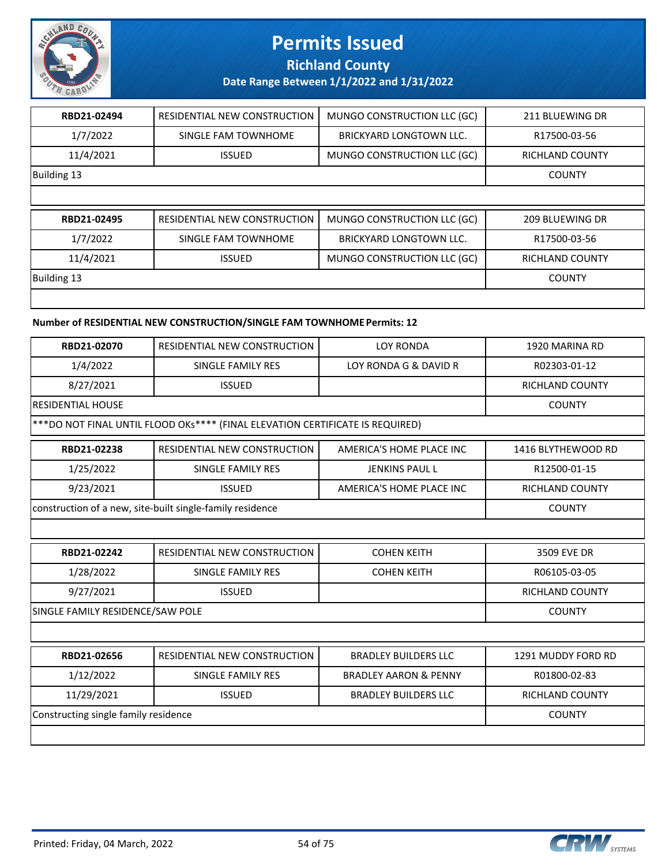

**Richland County**

**Date Range Between 1/1/2022 and 1/31/2022**

| RBD21-02494 | RESIDENTIAL NEW CONSTRUCTION | MUNGO CONSTRUCTION LLC (GC)    | 211 BLUEWING DR        |
|-------------|------------------------------|--------------------------------|------------------------|
| 1/7/2022    | SINGLE FAM TOWNHOME          | <b>BRICKYARD LONGTOWN LLC.</b> | R17500-03-56           |
| 11/4/2021   | <b>ISSUED</b>                | MUNGO CONSTRUCTION LLC (GC)    | <b>RICHLAND COUNTY</b> |
| Building 13 |                              |                                | <b>COUNTY</b>          |
|             |                              |                                |                        |
|             |                              |                                |                        |
| RBD21-02495 | RESIDENTIAL NEW CONSTRUCTION | MUNGO CONSTRUCTION LLC (GC)    | 209 BLUEWING DR        |
| 1/7/2022    | SINGLE FAM TOWNHOME          | <b>BRICKYARD LONGTOWN LLC.</b> | R17500-03-56           |
| 11/4/2021   | <b>ISSUED</b>                | MUNGO CONSTRUCTION LLC (GC)    | <b>RICHLAND COUNTY</b> |
| Building 13 |                              |                                | <b>COUNTY</b>          |

### **Number of RESIDENTIAL NEW CONSTRUCTION/SINGLE FAM TOWNHOME Permits: 12**

| RBD21-02070                                                                    | <b>RESIDENTIAL NEW CONSTRUCTION</b>                       | <b>LOY RONDA</b>                 | 1920 MARINA RD         |
|--------------------------------------------------------------------------------|-----------------------------------------------------------|----------------------------------|------------------------|
| 1/4/2022                                                                       | SINGLE FAMILY RES                                         | LOY RONDA G & DAVID R            | R02303-01-12           |
| 8/27/2021                                                                      | <b>ISSUED</b>                                             |                                  | <b>RICHLAND COUNTY</b> |
| <b>RESIDENTIAL HOUSE</b>                                                       | <b>COUNTY</b>                                             |                                  |                        |
| *** DO NOT FINAL UNTIL FLOOD OKs**** (FINAL ELEVATION CERTIFICATE IS REQUIRED) |                                                           |                                  |                        |
| RBD21-02238                                                                    | RESIDENTIAL NEW CONSTRUCTION                              | AMERICA'S HOME PLACE INC         | 1416 BLYTHEWOOD RD     |
| 1/25/2022                                                                      | SINGLE FAMILY RES                                         | <b>JENKINS PAUL L</b>            | R12500-01-15           |
| 9/23/2021                                                                      | <b>ISSUED</b>                                             | AMERICA'S HOME PLACE INC         | <b>RICHLAND COUNTY</b> |
|                                                                                | construction of a new, site-built single-family residence |                                  | <b>COUNTY</b>          |
|                                                                                |                                                           |                                  |                        |
| RBD21-02242                                                                    | RESIDENTIAL NEW CONSTRUCTION                              | <b>COHEN KEITH</b>               | 3509 EVE DR            |
| 1/28/2022                                                                      | SINGLE FAMILY RES                                         | <b>COHEN KEITH</b>               | R06105-03-05           |
| 9/27/2021                                                                      | <b>ISSUED</b>                                             |                                  | <b>RICHLAND COUNTY</b> |
| SINGLE FAMILY RESIDENCE/SAW POLE                                               |                                                           |                                  | <b>COUNTY</b>          |
|                                                                                |                                                           |                                  |                        |
| RBD21-02656                                                                    | RESIDENTIAL NEW CONSTRUCTION                              | <b>BRADLEY BUILDERS LLC</b>      | 1291 MUDDY FORD RD     |
| 1/12/2022                                                                      | <b>SINGLE FAMILY RES</b>                                  | <b>BRADLEY AARON &amp; PENNY</b> | R01800-02-83           |
| 11/29/2021                                                                     | <b>ISSUED</b>                                             | <b>BRADLEY BUILDERS LLC</b>      | <b>RICHLAND COUNTY</b> |
| Constructing single family residence                                           |                                                           |                                  | <b>COUNTY</b>          |

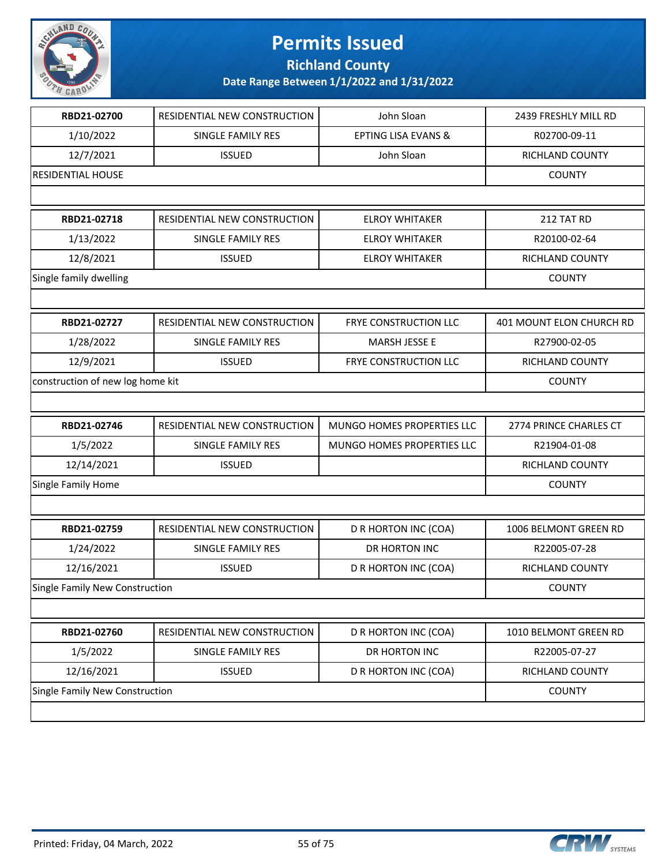

**Richland County**

| RBD21-02700                      | RESIDENTIAL NEW CONSTRUCTION | John Sloan                     | 2439 FRESHLY MILL RD     |
|----------------------------------|------------------------------|--------------------------------|--------------------------|
| 1/10/2022                        | SINGLE FAMILY RES            | <b>EPTING LISA EVANS &amp;</b> | R02700-09-11             |
| 12/7/2021                        | <b>ISSUED</b>                | John Sloan                     | RICHLAND COUNTY          |
| <b>RESIDENTIAL HOUSE</b>         |                              |                                | <b>COUNTY</b>            |
|                                  |                              |                                |                          |
| RBD21-02718                      | RESIDENTIAL NEW CONSTRUCTION | <b>ELROY WHITAKER</b>          | 212 TAT RD               |
| 1/13/2022                        | SINGLE FAMILY RES            | <b>ELROY WHITAKER</b>          | R20100-02-64             |
| 12/8/2021                        | <b>ISSUED</b>                | <b>ELROY WHITAKER</b>          | RICHLAND COUNTY          |
| Single family dwelling           |                              |                                | <b>COUNTY</b>            |
|                                  |                              |                                |                          |
| RBD21-02727                      | RESIDENTIAL NEW CONSTRUCTION | FRYE CONSTRUCTION LLC          | 401 MOUNT ELON CHURCH RD |
| 1/28/2022                        | SINGLE FAMILY RES            | MARSH JESSE E                  | R27900-02-05             |
| 12/9/2021                        | <b>ISSUED</b>                | FRYE CONSTRUCTION LLC          | RICHLAND COUNTY          |
| construction of new log home kit |                              |                                | <b>COUNTY</b>            |
|                                  |                              |                                |                          |
| RBD21-02746                      | RESIDENTIAL NEW CONSTRUCTION | MUNGO HOMES PROPERTIES LLC     | 2774 PRINCE CHARLES CT   |
| 1/5/2022                         | SINGLE FAMILY RES            | MUNGO HOMES PROPERTIES LLC     | R21904-01-08             |
| 12/14/2021                       | <b>ISSUED</b>                |                                | RICHLAND COUNTY          |
| Single Family Home               |                              |                                | <b>COUNTY</b>            |
|                                  |                              |                                |                          |
| RBD21-02759                      | RESIDENTIAL NEW CONSTRUCTION | D R HORTON INC (COA)           | 1006 BELMONT GREEN RD    |
| 1/24/2022                        | SINGLE FAMILY RES            | DR HORTON INC                  | R22005-07-28             |
| 12/16/2021                       | <b>ISSUED</b>                | D R HORTON INC (COA)           | RICHLAND COUNTY          |
| Single Family New Construction   |                              |                                | <b>COUNTY</b>            |
|                                  |                              |                                |                          |
| RBD21-02760                      | RESIDENTIAL NEW CONSTRUCTION | D R HORTON INC (COA)           | 1010 BELMONT GREEN RD    |
| 1/5/2022                         | SINGLE FAMILY RES            | DR HORTON INC                  | R22005-07-27             |
| 12/16/2021                       | <b>ISSUED</b>                | D R HORTON INC (COA)           | RICHLAND COUNTY          |
| Single Family New Construction   |                              |                                | <b>COUNTY</b>            |
|                                  |                              |                                |                          |

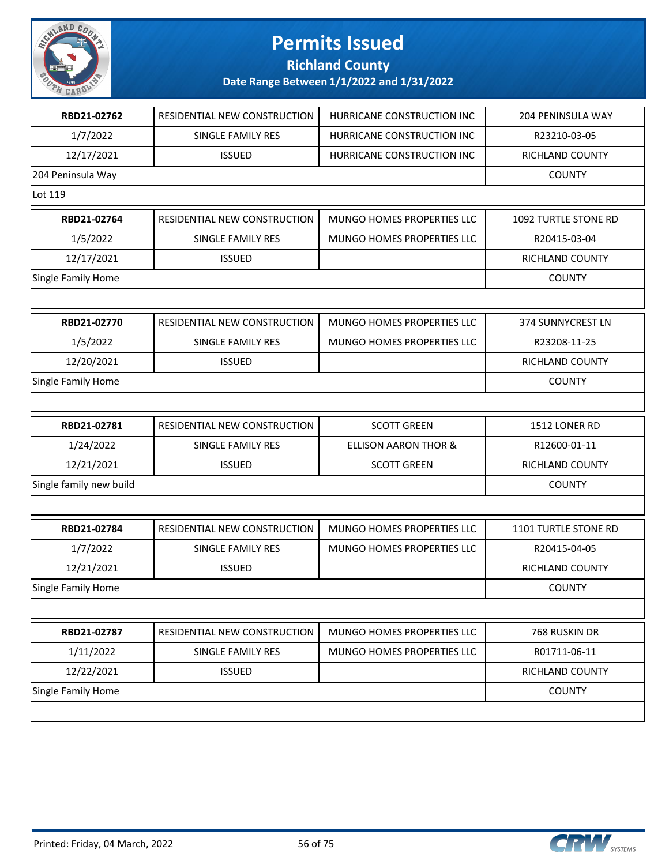

**Richland County**

| RBD21-02762             | RESIDENTIAL NEW CONSTRUCTION | HURRICANE CONSTRUCTION INC        | <b>204 PENINSULA WAY</b> |
|-------------------------|------------------------------|-----------------------------------|--------------------------|
| 1/7/2022                | <b>SINGLE FAMILY RES</b>     | HURRICANE CONSTRUCTION INC        | R23210-03-05             |
| 12/17/2021              | <b>ISSUED</b>                | HURRICANE CONSTRUCTION INC        | RICHLAND COUNTY          |
| 204 Peninsula Way       |                              |                                   | <b>COUNTY</b>            |
| Lot 119                 |                              |                                   |                          |
| RBD21-02764             | RESIDENTIAL NEW CONSTRUCTION | MUNGO HOMES PROPERTIES LLC        | 1092 TURTLE STONE RD     |
| 1/5/2022                | SINGLE FAMILY RES            | <b>MUNGO HOMES PROPERTIES LLC</b> | R20415-03-04             |
| 12/17/2021              | <b>ISSUED</b>                |                                   | RICHLAND COUNTY          |
| Single Family Home      |                              |                                   | <b>COUNTY</b>            |
|                         |                              |                                   |                          |
| RBD21-02770             | RESIDENTIAL NEW CONSTRUCTION | MUNGO HOMES PROPERTIES LLC        | <b>374 SUNNYCREST LN</b> |
| 1/5/2022                | SINGLE FAMILY RES            | MUNGO HOMES PROPERTIES LLC        | R23208-11-25             |
| 12/20/2021              | <b>ISSUED</b>                |                                   | RICHLAND COUNTY          |
| Single Family Home      |                              |                                   | <b>COUNTY</b>            |
|                         |                              |                                   |                          |
| RBD21-02781             | RESIDENTIAL NEW CONSTRUCTION | <b>SCOTT GREEN</b>                | 1512 LONER RD            |
| 1/24/2022               | SINGLE FAMILY RES            | <b>ELLISON AARON THOR &amp;</b>   | R12600-01-11             |
| 12/21/2021              | <b>ISSUED</b>                | <b>SCOTT GREEN</b>                | RICHLAND COUNTY          |
| Single family new build |                              |                                   | <b>COUNTY</b>            |
|                         |                              |                                   |                          |
| RBD21-02784             | RESIDENTIAL NEW CONSTRUCTION | MUNGO HOMES PROPERTIES LLC        | 1101 TURTLE STONE RD     |
| 1/7/2022                | SINGLE FAMILY RES            | MUNGO HOMES PROPERTIES LLC        | R20415-04-05             |
| 12/21/2021              | <b>ISSUED</b>                |                                   | RICHLAND COUNTY          |
| Single Family Home      |                              |                                   | <b>COUNTY</b>            |
|                         |                              |                                   |                          |
| RBD21-02787             | RESIDENTIAL NEW CONSTRUCTION | MUNGO HOMES PROPERTIES LLC        | 768 RUSKIN DR            |
| 1/11/2022               | SINGLE FAMILY RES            | MUNGO HOMES PROPERTIES LLC        | R01711-06-11             |
| 12/22/2021              | <b>ISSUED</b>                |                                   | RICHLAND COUNTY          |
| Single Family Home      |                              |                                   | <b>COUNTY</b>            |
|                         |                              |                                   |                          |

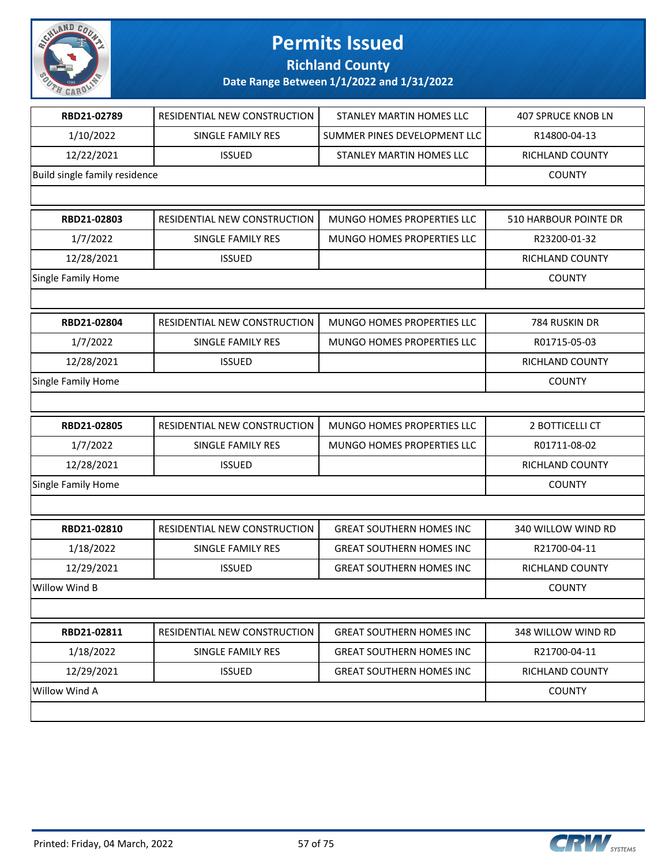

**Richland County**

| RBD21-02789                   | RESIDENTIAL NEW CONSTRUCTION | STANLEY MARTIN HOMES LLC        | <b>407 SPRUCE KNOB LN</b> |
|-------------------------------|------------------------------|---------------------------------|---------------------------|
| 1/10/2022                     | SINGLE FAMILY RES            | SUMMER PINES DEVELOPMENT LLC    | R14800-04-13              |
| 12/22/2021                    | <b>ISSUED</b>                | STANLEY MARTIN HOMES LLC        | RICHLAND COUNTY           |
| Build single family residence |                              |                                 | <b>COUNTY</b>             |
|                               |                              |                                 |                           |
| RBD21-02803                   | RESIDENTIAL NEW CONSTRUCTION | MUNGO HOMES PROPERTIES LLC      | 510 HARBOUR POINTE DR     |
| 1/7/2022                      | SINGLE FAMILY RES            | MUNGO HOMES PROPERTIES LLC      | R23200-01-32              |
| 12/28/2021                    | <b>ISSUED</b>                |                                 | RICHLAND COUNTY           |
| Single Family Home            |                              |                                 | <b>COUNTY</b>             |
|                               |                              |                                 |                           |
| RBD21-02804                   | RESIDENTIAL NEW CONSTRUCTION | MUNGO HOMES PROPERTIES LLC      | 784 RUSKIN DR             |
| 1/7/2022                      | <b>SINGLE FAMILY RES</b>     | MUNGO HOMES PROPERTIES LLC      | R01715-05-03              |
| 12/28/2021                    | <b>ISSUED</b>                |                                 | RICHLAND COUNTY           |
| Single Family Home            |                              |                                 | <b>COUNTY</b>             |
|                               |                              |                                 |                           |
| RBD21-02805                   | RESIDENTIAL NEW CONSTRUCTION | MUNGO HOMES PROPERTIES LLC      | 2 BOTTICELLI CT           |
| 1/7/2022                      | SINGLE FAMILY RES            | MUNGO HOMES PROPERTIES LLC      | R01711-08-02              |
| 12/28/2021                    | <b>ISSUED</b>                |                                 | RICHLAND COUNTY           |
| Single Family Home            |                              |                                 | <b>COUNTY</b>             |
|                               |                              |                                 |                           |
| RBD21-02810                   | RESIDENTIAL NEW CONSTRUCTION | <b>GREAT SOUTHERN HOMES INC</b> | 340 WILLOW WIND RD        |
| 1/18/2022                     | SINGLE FAMILY RES            | <b>GREAT SOUTHERN HOMES INC</b> | R21700-04-11              |
| 12/29/2021                    | <b>ISSUED</b>                | <b>GREAT SOUTHERN HOMES INC</b> | RICHLAND COUNTY           |
| Willow Wind B                 |                              |                                 | <b>COUNTY</b>             |
|                               |                              |                                 |                           |
| RBD21-02811                   | RESIDENTIAL NEW CONSTRUCTION | <b>GREAT SOUTHERN HOMES INC</b> | 348 WILLOW WIND RD        |
| 1/18/2022                     | SINGLE FAMILY RES            | <b>GREAT SOUTHERN HOMES INC</b> | R21700-04-11              |
| 12/29/2021                    | <b>ISSUED</b>                | <b>GREAT SOUTHERN HOMES INC</b> | RICHLAND COUNTY           |
| Willow Wind A                 |                              |                                 | <b>COUNTY</b>             |
|                               |                              |                                 |                           |

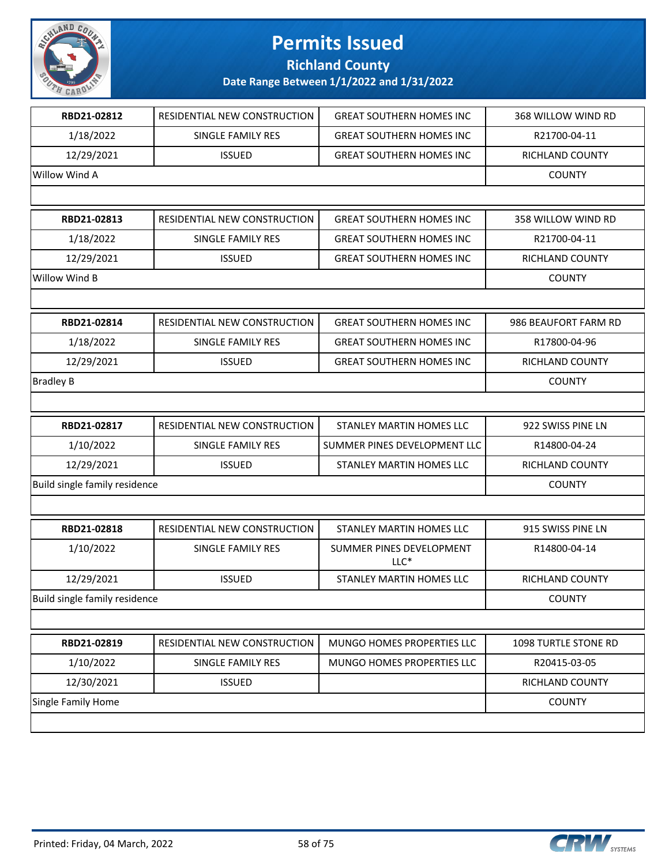

## **Richland County**

| RBD21-02812                   | RESIDENTIAL NEW CONSTRUCTION | <b>GREAT SOUTHERN HOMES INC</b>    | 368 WILLOW WIND RD   |
|-------------------------------|------------------------------|------------------------------------|----------------------|
| 1/18/2022                     | SINGLE FAMILY RES            | <b>GREAT SOUTHERN HOMES INC</b>    | R21700-04-11         |
| 12/29/2021                    | <b>ISSUED</b>                | <b>GREAT SOUTHERN HOMES INC</b>    | RICHLAND COUNTY      |
| Willow Wind A                 |                              |                                    | <b>COUNTY</b>        |
|                               |                              |                                    |                      |
| RBD21-02813                   | RESIDENTIAL NEW CONSTRUCTION | <b>GREAT SOUTHERN HOMES INC</b>    | 358 WILLOW WIND RD   |
| 1/18/2022                     | SINGLE FAMILY RES            | <b>GREAT SOUTHERN HOMES INC</b>    | R21700-04-11         |
| 12/29/2021                    | <b>ISSUED</b>                | <b>GREAT SOUTHERN HOMES INC</b>    | RICHLAND COUNTY      |
| Willow Wind B                 |                              |                                    | <b>COUNTY</b>        |
|                               |                              |                                    |                      |
| RBD21-02814                   | RESIDENTIAL NEW CONSTRUCTION | <b>GREAT SOUTHERN HOMES INC</b>    | 986 BEAUFORT FARM RD |
| 1/18/2022                     | SINGLE FAMILY RES            | <b>GREAT SOUTHERN HOMES INC</b>    | R17800-04-96         |
| 12/29/2021                    | <b>ISSUED</b>                | <b>GREAT SOUTHERN HOMES INC</b>    | RICHLAND COUNTY      |
| <b>Bradley B</b>              |                              |                                    | <b>COUNTY</b>        |
|                               |                              |                                    |                      |
| RBD21-02817                   | RESIDENTIAL NEW CONSTRUCTION | STANLEY MARTIN HOMES LLC           | 922 SWISS PINE LN    |
| 1/10/2022                     | SINGLE FAMILY RES            | SUMMER PINES DEVELOPMENT LLC       | R14800-04-24         |
| 12/29/2021                    | <b>ISSUED</b>                | STANLEY MARTIN HOMES LLC           | RICHLAND COUNTY      |
| Build single family residence |                              |                                    | <b>COUNTY</b>        |
|                               |                              |                                    |                      |
| RBD21-02818                   | RESIDENTIAL NEW CONSTRUCTION | STANLEY MARTIN HOMES LLC           | 915 SWISS PINE LN    |
| 1/10/2022                     | SINGLE FAMILY RES            | SUMMER PINES DEVELOPMENT<br>$LLC*$ | R14800-04-14         |
| 12/29/2021                    | <b>ISSUED</b>                | STANLEY MARTIN HOMES LLC           | RICHLAND COUNTY      |
| Build single family residence |                              |                                    | <b>COUNTY</b>        |
|                               |                              |                                    |                      |
| RBD21-02819                   | RESIDENTIAL NEW CONSTRUCTION | MUNGO HOMES PROPERTIES LLC         | 1098 TURTLE STONE RD |
| 1/10/2022                     | SINGLE FAMILY RES            | MUNGO HOMES PROPERTIES LLC         | R20415-03-05         |
| 12/30/2021                    | <b>ISSUED</b>                |                                    | RICHLAND COUNTY      |
| Single Family Home            |                              |                                    | <b>COUNTY</b>        |
|                               |                              |                                    |                      |

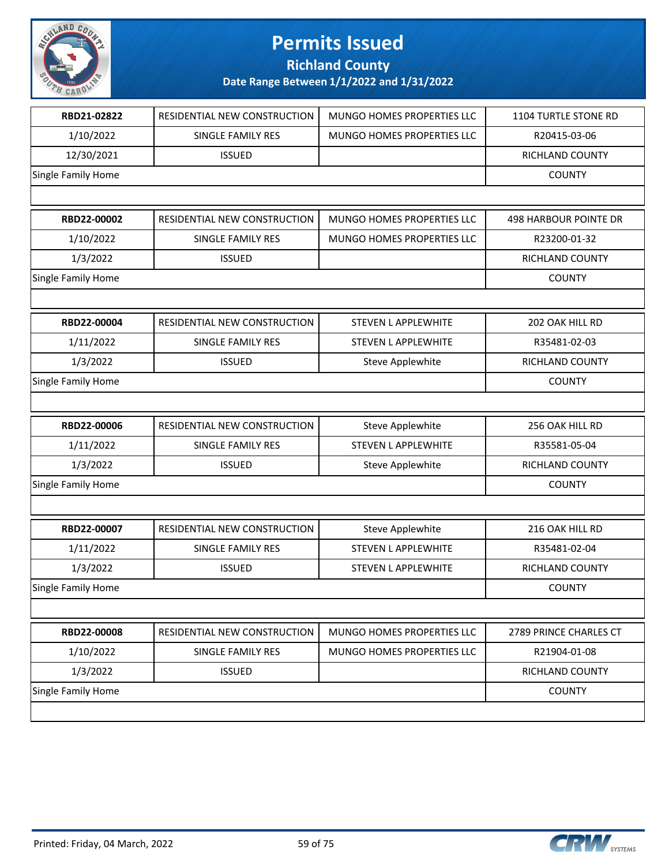

**Richland County**

| RBD21-02822               | RESIDENTIAL NEW CONSTRUCTION | MUNGO HOMES PROPERTIES LLC | 1104 TURTLE STONE RD   |
|---------------------------|------------------------------|----------------------------|------------------------|
| 1/10/2022                 | SINGLE FAMILY RES            | MUNGO HOMES PROPERTIES LLC | R20415-03-06           |
| 12/30/2021                | <b>ISSUED</b>                |                            | RICHLAND COUNTY        |
| Single Family Home        |                              |                            | <b>COUNTY</b>          |
|                           |                              |                            |                        |
| RBD22-00002               | RESIDENTIAL NEW CONSTRUCTION | MUNGO HOMES PROPERTIES LLC | 498 HARBOUR POINTE DR  |
| 1/10/2022                 | SINGLE FAMILY RES            | MUNGO HOMES PROPERTIES LLC | R23200-01-32           |
| 1/3/2022                  | <b>ISSUED</b>                |                            | RICHLAND COUNTY        |
| Single Family Home        |                              |                            | <b>COUNTY</b>          |
|                           |                              |                            |                        |
| RBD22-00004               | RESIDENTIAL NEW CONSTRUCTION | <b>STEVEN L APPLEWHITE</b> | 202 OAK HILL RD        |
| 1/11/2022                 | SINGLE FAMILY RES            | STEVEN L APPLEWHITE        | R35481-02-03           |
| 1/3/2022                  | <b>ISSUED</b>                | <b>Steve Applewhite</b>    | RICHLAND COUNTY        |
| Single Family Home        |                              |                            | <b>COUNTY</b>          |
|                           |                              |                            |                        |
| RBD22-00006               | RESIDENTIAL NEW CONSTRUCTION | <b>Steve Applewhite</b>    | 256 OAK HILL RD        |
| 1/11/2022                 | SINGLE FAMILY RES            | <b>STEVEN L APPLEWHITE</b> | R35581-05-04           |
| 1/3/2022                  | <b>ISSUED</b>                | <b>Steve Applewhite</b>    | RICHLAND COUNTY        |
| Single Family Home        |                              |                            | <b>COUNTY</b>          |
|                           |                              |                            |                        |
| RBD22-00007               | RESIDENTIAL NEW CONSTRUCTION | <b>Steve Applewhite</b>    | 216 OAK HILL RD        |
| 1/11/2022                 | SINGLE FAMILY RES            | STEVEN L APPLEWHITE        | R35481-02-04           |
| 1/3/2022                  | <b>ISSUED</b>                | <b>STEVEN L APPLEWHITE</b> | RICHLAND COUNTY        |
| <b>Single Family Home</b> |                              |                            | <b>COUNTY</b>          |
|                           |                              |                            |                        |
| RBD22-00008               | RESIDENTIAL NEW CONSTRUCTION | MUNGO HOMES PROPERTIES LLC | 2789 PRINCE CHARLES CT |
| 1/10/2022                 | SINGLE FAMILY RES            | MUNGO HOMES PROPERTIES LLC | R21904-01-08           |
| 1/3/2022                  | <b>ISSUED</b>                |                            | RICHLAND COUNTY        |
| Single Family Home        |                              |                            | <b>COUNTY</b>          |
|                           |                              |                            |                        |
|                           |                              |                            |                        |

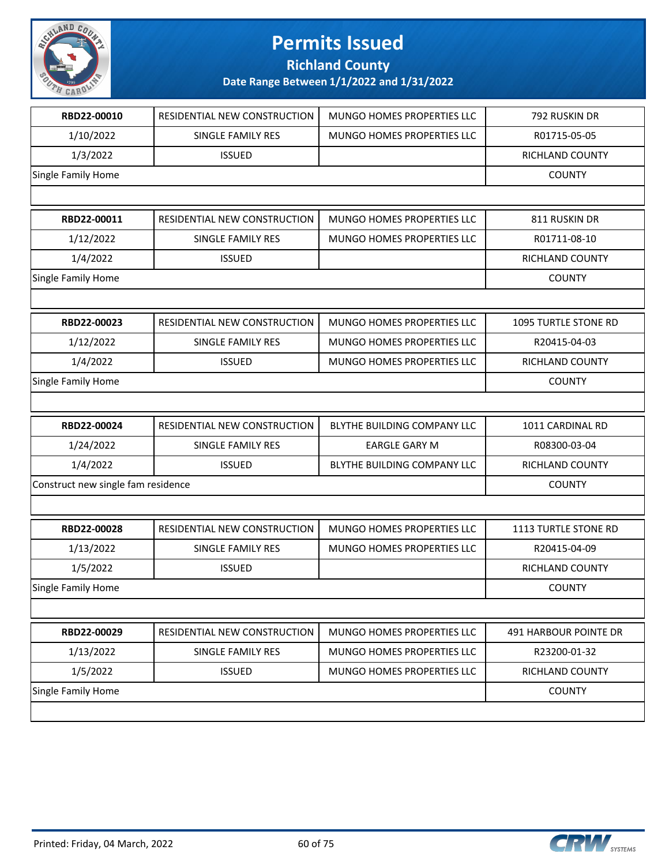

**Richland County**

| RBD22-00010                        | RESIDENTIAL NEW CONSTRUCTION | MUNGO HOMES PROPERTIES LLC  | 792 RUSKIN DR         |
|------------------------------------|------------------------------|-----------------------------|-----------------------|
| 1/10/2022                          | SINGLE FAMILY RES            | MUNGO HOMES PROPERTIES LLC  | R01715-05-05          |
| 1/3/2022                           | <b>ISSUED</b>                |                             | RICHLAND COUNTY       |
| Single Family Home                 |                              |                             | <b>COUNTY</b>         |
|                                    |                              |                             |                       |
| RBD22-00011                        | RESIDENTIAL NEW CONSTRUCTION | MUNGO HOMES PROPERTIES LLC  | 811 RUSKIN DR         |
| 1/12/2022                          | <b>SINGLE FAMILY RES</b>     | MUNGO HOMES PROPERTIES LLC  | R01711-08-10          |
| 1/4/2022                           | <b>ISSUED</b>                |                             | RICHLAND COUNTY       |
| Single Family Home                 |                              |                             | <b>COUNTY</b>         |
|                                    |                              |                             |                       |
| RBD22-00023                        | RESIDENTIAL NEW CONSTRUCTION | MUNGO HOMES PROPERTIES LLC  | 1095 TURTLE STONE RD  |
| 1/12/2022                          | SINGLE FAMILY RES            | MUNGO HOMES PROPERTIES LLC  | R20415-04-03          |
| 1/4/2022                           | <b>ISSUED</b>                | MUNGO HOMES PROPERTIES LLC  | RICHLAND COUNTY       |
| Single Family Home                 |                              |                             | <b>COUNTY</b>         |
|                                    |                              |                             |                       |
| RBD22-00024                        | RESIDENTIAL NEW CONSTRUCTION | BLYTHE BUILDING COMPANY LLC | 1011 CARDINAL RD      |
| 1/24/2022                          | SINGLE FAMILY RES            | <b>EARGLE GARY M</b>        | R08300-03-04          |
| 1/4/2022                           | <b>ISSUED</b>                | BLYTHE BUILDING COMPANY LLC | RICHLAND COUNTY       |
| Construct new single fam residence |                              |                             | <b>COUNTY</b>         |
|                                    |                              |                             |                       |
| RBD22-00028                        | RESIDENTIAL NEW CONSTRUCTION | MUNGO HOMES PROPERTIES LLC  | 1113 TURTLE STONE RD  |
| 1/13/2022                          | SINGLE FAMILY RES            | MUNGO HOMES PROPERTIES LLC  | R20415-04-09          |
| 1/5/2022                           | <b>ISSUED</b>                |                             | RICHLAND COUNTY       |
| <b>Single Family Home</b>          |                              |                             | <b>COUNTY</b>         |
|                                    |                              |                             |                       |
| RBD22-00029                        | RESIDENTIAL NEW CONSTRUCTION | MUNGO HOMES PROPERTIES LLC  | 491 HARBOUR POINTE DR |
| 1/13/2022                          | SINGLE FAMILY RES            | MUNGO HOMES PROPERTIES LLC  | R23200-01-32          |
| 1/5/2022                           | <b>ISSUED</b>                | MUNGO HOMES PROPERTIES LLC  | RICHLAND COUNTY       |
| Single Family Home                 |                              |                             | <b>COUNTY</b>         |
|                                    |                              |                             |                       |
|                                    |                              |                             |                       |

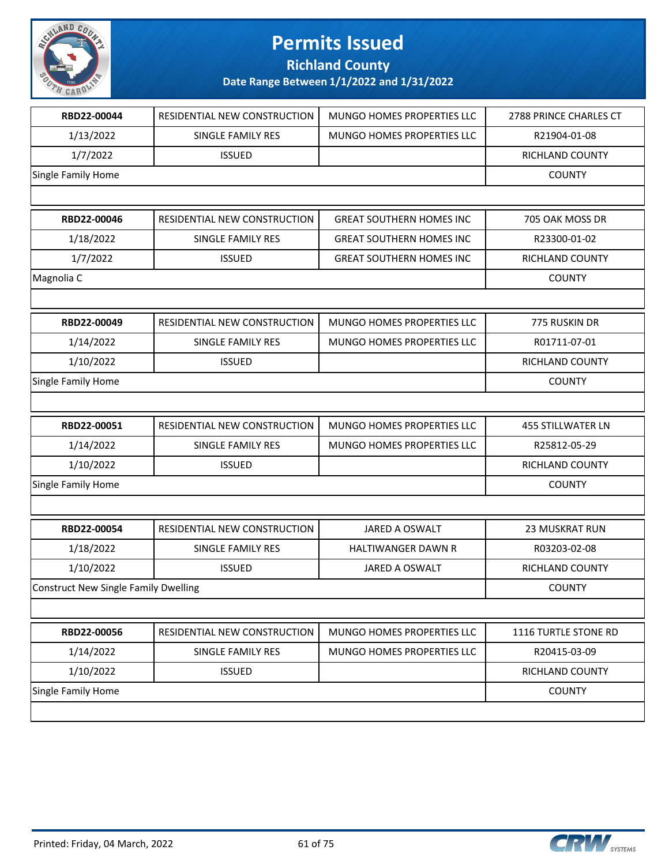

**Richland County**

| RBD22-00044                                 | RESIDENTIAL NEW CONSTRUCTION | MUNGO HOMES PROPERTIES LLC      | 2788 PRINCE CHARLES CT   |
|---------------------------------------------|------------------------------|---------------------------------|--------------------------|
| 1/13/2022                                   | SINGLE FAMILY RES            | MUNGO HOMES PROPERTIES LLC      | R21904-01-08             |
| 1/7/2022                                    | <b>ISSUED</b>                |                                 | RICHLAND COUNTY          |
| <b>Single Family Home</b>                   |                              |                                 | <b>COUNTY</b>            |
|                                             |                              |                                 |                          |
| RBD22-00046                                 | RESIDENTIAL NEW CONSTRUCTION | <b>GREAT SOUTHERN HOMES INC</b> | 705 OAK MOSS DR          |
| 1/18/2022                                   | <b>SINGLE FAMILY RES</b>     | <b>GREAT SOUTHERN HOMES INC</b> | R23300-01-02             |
| 1/7/2022                                    | <b>ISSUED</b>                | <b>GREAT SOUTHERN HOMES INC</b> | RICHLAND COUNTY          |
| Magnolia C                                  |                              |                                 | <b>COUNTY</b>            |
|                                             |                              |                                 |                          |
| RBD22-00049                                 | RESIDENTIAL NEW CONSTRUCTION | MUNGO HOMES PROPERTIES LLC      | 775 RUSKIN DR            |
| 1/14/2022                                   | <b>SINGLE FAMILY RES</b>     | MUNGO HOMES PROPERTIES LLC      | R01711-07-01             |
| 1/10/2022                                   | <b>ISSUED</b>                |                                 | RICHLAND COUNTY          |
| Single Family Home                          |                              |                                 | <b>COUNTY</b>            |
|                                             |                              |                                 |                          |
| RBD22-00051                                 | RESIDENTIAL NEW CONSTRUCTION | MUNGO HOMES PROPERTIES LLC      | <b>455 STILLWATER LN</b> |
| 1/14/2022                                   | SINGLE FAMILY RES            | MUNGO HOMES PROPERTIES LLC      | R25812-05-29             |
| 1/10/2022                                   | <b>ISSUED</b>                |                                 | RICHLAND COUNTY          |
| Single Family Home                          |                              |                                 | <b>COUNTY</b>            |
|                                             |                              |                                 |                          |
| RBD22-00054                                 | RESIDENTIAL NEW CONSTRUCTION | <b>JARED A OSWALT</b>           | <b>23 MUSKRAT RUN</b>    |
| 1/18/2022                                   | SINGLE FAMILY RES            | HALTIWANGER DAWN R              | R03203-02-08             |
| 1/10/2022                                   | <b>ISSUED</b>                | <b>JARED A OSWALT</b>           | RICHLAND COUNTY          |
| <b>Construct New Single Family Dwelling</b> |                              |                                 | <b>COUNTY</b>            |
|                                             |                              |                                 |                          |
| RBD22-00056                                 | RESIDENTIAL NEW CONSTRUCTION | MUNGO HOMES PROPERTIES LLC      | 1116 TURTLE STONE RD     |
| 1/14/2022                                   | SINGLE FAMILY RES            | MUNGO HOMES PROPERTIES LLC      | R20415-03-09             |
| 1/10/2022                                   | <b>ISSUED</b>                |                                 | RICHLAND COUNTY          |
| Single Family Home                          |                              |                                 | <b>COUNTY</b>            |
|                                             |                              |                                 |                          |

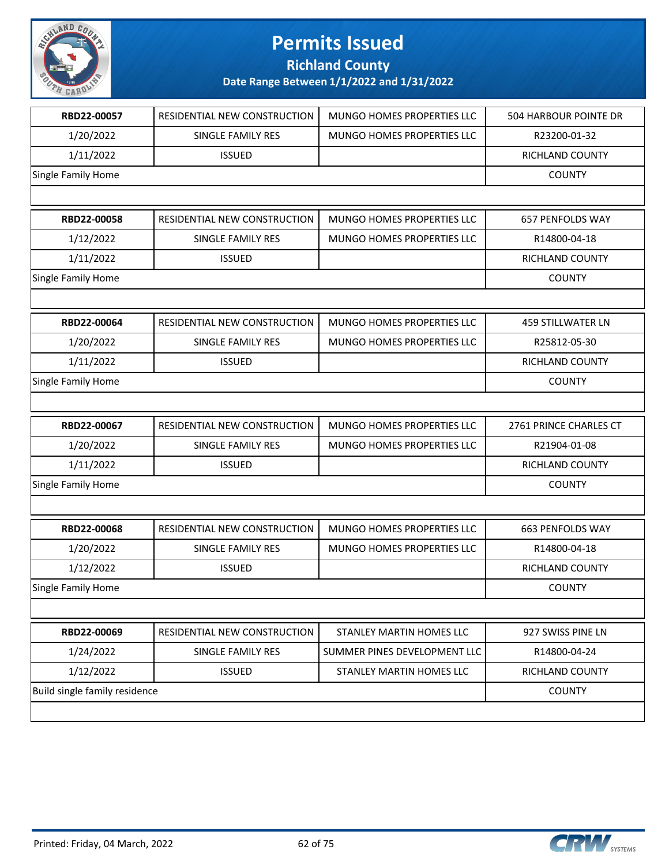

**Richland County**

|                               | RESIDENTIAL NEW CONSTRUCTION | MUNGO HOMES PROPERTIES LLC        | 504 HARBOUR POINTE DR    |
|-------------------------------|------------------------------|-----------------------------------|--------------------------|
| 1/20/2022                     | SINGLE FAMILY RES            | MUNGO HOMES PROPERTIES LLC        | R23200-01-32             |
| 1/11/2022                     | <b>ISSUED</b>                |                                   | RICHLAND COUNTY          |
| Single Family Home            |                              |                                   | <b>COUNTY</b>            |
|                               |                              |                                   |                          |
| RBD22-00058                   | RESIDENTIAL NEW CONSTRUCTION | MUNGO HOMES PROPERTIES LLC        | 657 PENFOLDS WAY         |
| 1/12/2022                     | SINGLE FAMILY RES            | MUNGO HOMES PROPERTIES LLC        | R14800-04-18             |
| 1/11/2022                     | <b>ISSUED</b>                |                                   | RICHLAND COUNTY          |
| Single Family Home            |                              |                                   | <b>COUNTY</b>            |
|                               |                              |                                   |                          |
| RBD22-00064                   | RESIDENTIAL NEW CONSTRUCTION | MUNGO HOMES PROPERTIES LLC        | <b>459 STILLWATER LN</b> |
| 1/20/2022                     | SINGLE FAMILY RES            | MUNGO HOMES PROPERTIES LLC        | R25812-05-30             |
| 1/11/2022                     | <b>ISSUED</b>                |                                   | RICHLAND COUNTY          |
| Single Family Home            |                              |                                   | <b>COUNTY</b>            |
|                               |                              |                                   |                          |
| RBD22-00067                   | RESIDENTIAL NEW CONSTRUCTION | MUNGO HOMES PROPERTIES LLC        | 2761 PRINCE CHARLES CT   |
|                               |                              |                                   |                          |
| 1/20/2022                     | SINGLE FAMILY RES            | MUNGO HOMES PROPERTIES LLC        | R21904-01-08             |
| 1/11/2022                     | <b>ISSUED</b>                |                                   | RICHLAND COUNTY          |
| Single Family Home            |                              |                                   | <b>COUNTY</b>            |
|                               |                              |                                   |                          |
| RBD22-00068                   | RESIDENTIAL NEW CONSTRUCTION | <b>MUNGO HOMES PROPERTIES LLC</b> | 663 PENFOLDS WAY         |
| 1/20/2022                     | SINGLE FAMILY RES            | MUNGO HOMES PROPERTIES LLC        | R14800-04-18             |
| 1/12/2022                     | <b>ISSUED</b>                |                                   | RICHLAND COUNTY          |
| <b>Single Family Home</b>     |                              |                                   | <b>COUNTY</b>            |
|                               |                              |                                   |                          |
| RBD22-00069                   | RESIDENTIAL NEW CONSTRUCTION | STANLEY MARTIN HOMES LLC          | 927 SWISS PINE LN        |
| 1/24/2022                     | SINGLE FAMILY RES            | SUMMER PINES DEVELOPMENT LLC      | R14800-04-24             |
| 1/12/2022                     | <b>ISSUED</b>                | STANLEY MARTIN HOMES LLC          | RICHLAND COUNTY          |
| Build single family residence |                              |                                   | <b>COUNTY</b>            |

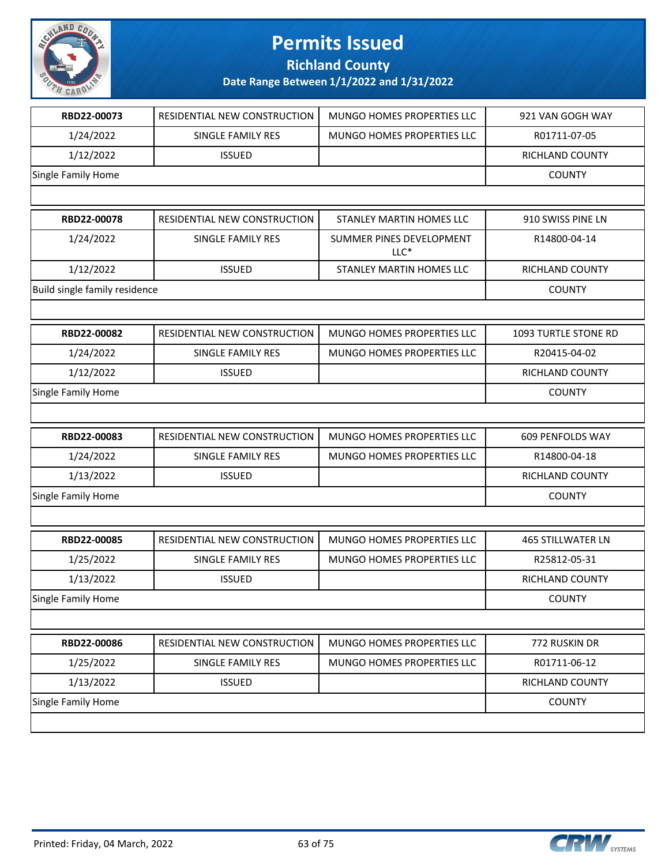

**Richland County**

| RBD22-00073                   | RESIDENTIAL NEW CONSTRUCTION | MUNGO HOMES PROPERTIES LLC         | 921 VAN GOGH WAY            |
|-------------------------------|------------------------------|------------------------------------|-----------------------------|
| 1/24/2022                     | SINGLE FAMILY RES            | MUNGO HOMES PROPERTIES LLC         | R01711-07-05                |
| 1/12/2022                     | <b>ISSUED</b>                |                                    | RICHLAND COUNTY             |
| Single Family Home            |                              |                                    | <b>COUNTY</b>               |
|                               |                              |                                    |                             |
| RBD22-00078                   | RESIDENTIAL NEW CONSTRUCTION | STANLEY MARTIN HOMES LLC           | 910 SWISS PINE LN           |
| 1/24/2022                     | SINGLE FAMILY RES            | SUMMER PINES DEVELOPMENT<br>$LLC*$ | R14800-04-14                |
| 1/12/2022                     | <b>ISSUED</b>                | STANLEY MARTIN HOMES LLC           | RICHLAND COUNTY             |
| Build single family residence |                              |                                    | <b>COUNTY</b>               |
|                               |                              |                                    |                             |
| RBD22-00082                   | RESIDENTIAL NEW CONSTRUCTION | MUNGO HOMES PROPERTIES LLC         | <b>1093 TURTLE STONE RD</b> |
| 1/24/2022                     | SINGLE FAMILY RES            | MUNGO HOMES PROPERTIES LLC         | R20415-04-02                |
| 1/12/2022                     | <b>ISSUED</b>                |                                    | RICHLAND COUNTY             |
| Single Family Home            |                              |                                    | <b>COUNTY</b>               |
|                               |                              |                                    |                             |
| RBD22-00083                   | RESIDENTIAL NEW CONSTRUCTION | MUNGO HOMES PROPERTIES LLC         | 609 PENFOLDS WAY            |
| 1/24/2022                     | SINGLE FAMILY RES            | MUNGO HOMES PROPERTIES LLC         | R14800-04-18                |
| 1/13/2022                     | <b>ISSUED</b>                |                                    | RICHLAND COUNTY             |
| Single Family Home            |                              |                                    | <b>COUNTY</b>               |
|                               |                              |                                    |                             |
|                               |                              |                                    |                             |
| RBD22-00085                   | RESIDENTIAL NEW CONSTRUCTION | <b>MUNGO HOMES PROPERTIES LLC</b>  | <b>465 STILLWATER LN</b>    |
| 1/25/2022                     | SINGLE FAMILY RES            | MUNGO HOMES PROPERTIES LLC         | R25812-05-31                |
| 1/13/2022                     | <b>ISSUED</b>                |                                    | RICHLAND COUNTY             |
| Single Family Home            |                              |                                    | <b>COUNTY</b>               |
|                               |                              |                                    |                             |
| RBD22-00086                   | RESIDENTIAL NEW CONSTRUCTION | MUNGO HOMES PROPERTIES LLC         | 772 RUSKIN DR               |
| 1/25/2022                     | SINGLE FAMILY RES            | MUNGO HOMES PROPERTIES LLC         | R01711-06-12                |
| 1/13/2022                     | <b>ISSUED</b>                |                                    | RICHLAND COUNTY             |

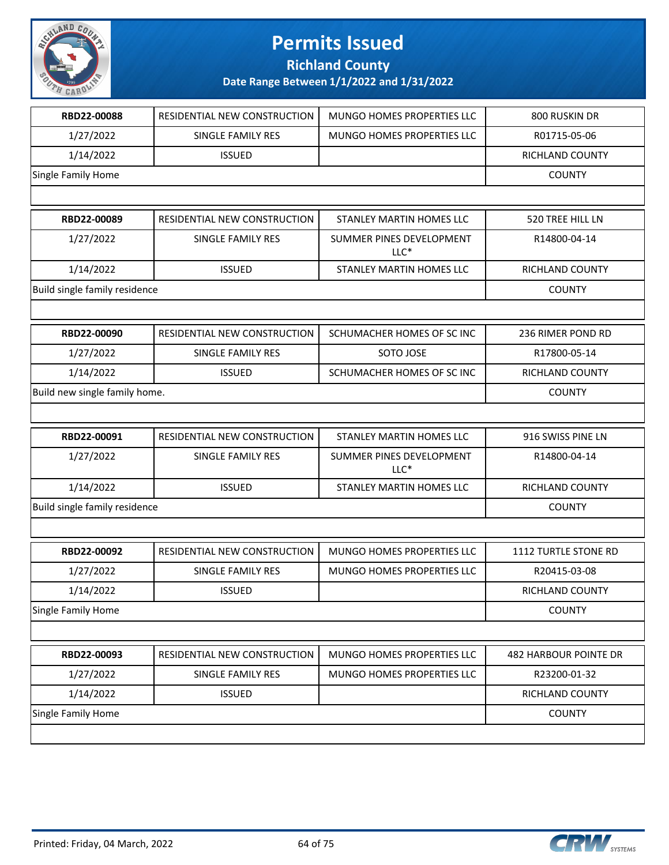

**Richland County**

| RBD22-00088                   | RESIDENTIAL NEW CONSTRUCTION | MUNGO HOMES PROPERTIES LLC         | 800 RUSKIN DR                |
|-------------------------------|------------------------------|------------------------------------|------------------------------|
| 1/27/2022                     | SINGLE FAMILY RES            | MUNGO HOMES PROPERTIES LLC         | R01715-05-06                 |
| 1/14/2022                     | <b>ISSUED</b>                |                                    | RICHLAND COUNTY              |
| Single Family Home            |                              |                                    | <b>COUNTY</b>                |
|                               |                              |                                    |                              |
| RBD22-00089                   | RESIDENTIAL NEW CONSTRUCTION | STANLEY MARTIN HOMES LLC           | 520 TREE HILL LN             |
| 1/27/2022                     | SINGLE FAMILY RES            | SUMMER PINES DEVELOPMENT<br>$LLC*$ | R14800-04-14                 |
| 1/14/2022                     | <b>ISSUED</b>                | STANLEY MARTIN HOMES LLC           | RICHLAND COUNTY              |
| Build single family residence |                              |                                    | <b>COUNTY</b>                |
|                               |                              |                                    |                              |
| RBD22-00090                   | RESIDENTIAL NEW CONSTRUCTION | SCHUMACHER HOMES OF SC INC         | 236 RIMER POND RD            |
| 1/27/2022                     | SINGLE FAMILY RES            | SOTO JOSE                          | R17800-05-14                 |
| 1/14/2022                     | <b>ISSUED</b>                | SCHUMACHER HOMES OF SC INC         | RICHLAND COUNTY              |
| Build new single family home. |                              |                                    | <b>COUNTY</b>                |
|                               |                              |                                    |                              |
| RBD22-00091                   | RESIDENTIAL NEW CONSTRUCTION | STANLEY MARTIN HOMES LLC           | 916 SWISS PINE LN            |
| 1/27/2022                     | SINGLE FAMILY RES            | SUMMER PINES DEVELOPMENT<br>$LLC*$ | R14800-04-14                 |
| 1/14/2022                     | <b>ISSUED</b>                | STANLEY MARTIN HOMES LLC           | RICHLAND COUNTY              |
| Build single family residence |                              |                                    | <b>COUNTY</b>                |
|                               |                              |                                    |                              |
| RBD22-00092                   | RESIDENTIAL NEW CONSTRUCTION | MUNGO HOMES PROPERTIES LLC         | 1112 TURTLE STONE RD         |
| 1/27/2022                     | SINGLE FAMILY RES            | MUNGO HOMES PROPERTIES LLC         | R20415-03-08                 |
| 1/14/2022                     | <b>ISSUED</b>                |                                    | RICHLAND COUNTY              |
| Single Family Home            |                              |                                    | <b>COUNTY</b>                |
|                               |                              |                                    |                              |
| RBD22-00093                   | RESIDENTIAL NEW CONSTRUCTION | MUNGO HOMES PROPERTIES LLC         | <b>482 HARBOUR POINTE DR</b> |
| 1/27/2022                     | SINGLE FAMILY RES            | MUNGO HOMES PROPERTIES LLC         | R23200-01-32                 |
| 1/14/2022                     | <b>ISSUED</b>                |                                    | RICHLAND COUNTY              |
| Single Family Home            |                              |                                    | <b>COUNTY</b>                |
|                               |                              |                                    |                              |

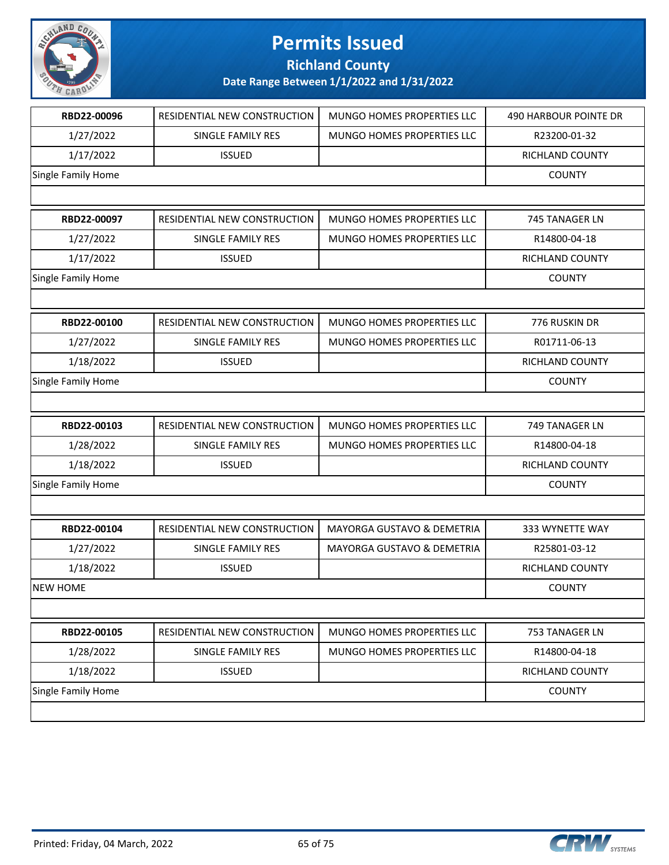

**Richland County**

| 1/27/2022<br>SINGLE FAMILY RES<br>MUNGO HOMES PROPERTIES LLC<br>R23200-01-32<br>1/17/2022<br><b>ISSUED</b><br>RICHLAND COUNTY<br>Single Family Home<br><b>COUNTY</b><br>RBD22-00097<br>RESIDENTIAL NEW CONSTRUCTION<br>MUNGO HOMES PROPERTIES LLC<br>745 TANAGER LN<br>MUNGO HOMES PROPERTIES LLC<br>R14800-04-18<br>1/27/2022<br>SINGLE FAMILY RES<br>1/17/2022<br><b>ISSUED</b><br><b>RICHLAND COUNTY</b><br>Single Family Home<br><b>COUNTY</b><br>RBD22-00100<br>RESIDENTIAL NEW CONSTRUCTION<br>MUNGO HOMES PROPERTIES LLC<br>776 RUSKIN DR<br>1/27/2022<br>MUNGO HOMES PROPERTIES LLC<br>R01711-06-13<br><b>SINGLE FAMILY RES</b><br>1/18/2022<br><b>ISSUED</b><br>RICHLAND COUNTY<br>Single Family Home<br><b>COUNTY</b><br>RBD22-00103<br>MUNGO HOMES PROPERTIES LLC<br>RESIDENTIAL NEW CONSTRUCTION<br>749 TANAGER LN<br>1/28/2022<br>SINGLE FAMILY RES<br>MUNGO HOMES PROPERTIES LLC<br>R14800-04-18<br>1/18/2022<br><b>ISSUED</b><br>RICHLAND COUNTY<br>Single Family Home<br><b>COUNTY</b><br>RBD22-00104<br>RESIDENTIAL NEW CONSTRUCTION<br>MAYORGA GUSTAVO & DEMETRIA<br>333 WYNETTE WAY<br>1/27/2022<br>SINGLE FAMILY RES<br>MAYORGA GUSTAVO & DEMETRIA<br>R25801-03-12<br>1/18/2022<br>RICHLAND COUNTY<br><b>ISSUED</b><br><b>NEW HOME</b><br><b>COUNTY</b><br>MUNGO HOMES PROPERTIES LLC<br>RBD22-00105<br>RESIDENTIAL NEW CONSTRUCTION<br>753 TANAGER LN<br>1/28/2022<br>MUNGO HOMES PROPERTIES LLC<br>R14800-04-18<br>SINGLE FAMILY RES<br>1/18/2022<br><b>ISSUED</b><br>RICHLAND COUNTY<br>Single Family Home<br><b>COUNTY</b> | RBD22-00096 | RESIDENTIAL NEW CONSTRUCTION | MUNGO HOMES PROPERTIES LLC | 490 HARBOUR POINTE DR |
|----------------------------------------------------------------------------------------------------------------------------------------------------------------------------------------------------------------------------------------------------------------------------------------------------------------------------------------------------------------------------------------------------------------------------------------------------------------------------------------------------------------------------------------------------------------------------------------------------------------------------------------------------------------------------------------------------------------------------------------------------------------------------------------------------------------------------------------------------------------------------------------------------------------------------------------------------------------------------------------------------------------------------------------------------------------------------------------------------------------------------------------------------------------------------------------------------------------------------------------------------------------------------------------------------------------------------------------------------------------------------------------------------------------------------------------------------------------------------------------------------------------------------------------------------|-------------|------------------------------|----------------------------|-----------------------|
|                                                                                                                                                                                                                                                                                                                                                                                                                                                                                                                                                                                                                                                                                                                                                                                                                                                                                                                                                                                                                                                                                                                                                                                                                                                                                                                                                                                                                                                                                                                                                    |             |                              |                            |                       |
|                                                                                                                                                                                                                                                                                                                                                                                                                                                                                                                                                                                                                                                                                                                                                                                                                                                                                                                                                                                                                                                                                                                                                                                                                                                                                                                                                                                                                                                                                                                                                    |             |                              |                            |                       |
|                                                                                                                                                                                                                                                                                                                                                                                                                                                                                                                                                                                                                                                                                                                                                                                                                                                                                                                                                                                                                                                                                                                                                                                                                                                                                                                                                                                                                                                                                                                                                    |             |                              |                            |                       |
|                                                                                                                                                                                                                                                                                                                                                                                                                                                                                                                                                                                                                                                                                                                                                                                                                                                                                                                                                                                                                                                                                                                                                                                                                                                                                                                                                                                                                                                                                                                                                    |             |                              |                            |                       |
|                                                                                                                                                                                                                                                                                                                                                                                                                                                                                                                                                                                                                                                                                                                                                                                                                                                                                                                                                                                                                                                                                                                                                                                                                                                                                                                                                                                                                                                                                                                                                    |             |                              |                            |                       |
|                                                                                                                                                                                                                                                                                                                                                                                                                                                                                                                                                                                                                                                                                                                                                                                                                                                                                                                                                                                                                                                                                                                                                                                                                                                                                                                                                                                                                                                                                                                                                    |             |                              |                            |                       |
|                                                                                                                                                                                                                                                                                                                                                                                                                                                                                                                                                                                                                                                                                                                                                                                                                                                                                                                                                                                                                                                                                                                                                                                                                                                                                                                                                                                                                                                                                                                                                    |             |                              |                            |                       |
|                                                                                                                                                                                                                                                                                                                                                                                                                                                                                                                                                                                                                                                                                                                                                                                                                                                                                                                                                                                                                                                                                                                                                                                                                                                                                                                                                                                                                                                                                                                                                    |             |                              |                            |                       |
|                                                                                                                                                                                                                                                                                                                                                                                                                                                                                                                                                                                                                                                                                                                                                                                                                                                                                                                                                                                                                                                                                                                                                                                                                                                                                                                                                                                                                                                                                                                                                    |             |                              |                            |                       |
|                                                                                                                                                                                                                                                                                                                                                                                                                                                                                                                                                                                                                                                                                                                                                                                                                                                                                                                                                                                                                                                                                                                                                                                                                                                                                                                                                                                                                                                                                                                                                    |             |                              |                            |                       |
|                                                                                                                                                                                                                                                                                                                                                                                                                                                                                                                                                                                                                                                                                                                                                                                                                                                                                                                                                                                                                                                                                                                                                                                                                                                                                                                                                                                                                                                                                                                                                    |             |                              |                            |                       |
|                                                                                                                                                                                                                                                                                                                                                                                                                                                                                                                                                                                                                                                                                                                                                                                                                                                                                                                                                                                                                                                                                                                                                                                                                                                                                                                                                                                                                                                                                                                                                    |             |                              |                            |                       |
|                                                                                                                                                                                                                                                                                                                                                                                                                                                                                                                                                                                                                                                                                                                                                                                                                                                                                                                                                                                                                                                                                                                                                                                                                                                                                                                                                                                                                                                                                                                                                    |             |                              |                            |                       |
|                                                                                                                                                                                                                                                                                                                                                                                                                                                                                                                                                                                                                                                                                                                                                                                                                                                                                                                                                                                                                                                                                                                                                                                                                                                                                                                                                                                                                                                                                                                                                    |             |                              |                            |                       |
|                                                                                                                                                                                                                                                                                                                                                                                                                                                                                                                                                                                                                                                                                                                                                                                                                                                                                                                                                                                                                                                                                                                                                                                                                                                                                                                                                                                                                                                                                                                                                    |             |                              |                            |                       |
|                                                                                                                                                                                                                                                                                                                                                                                                                                                                                                                                                                                                                                                                                                                                                                                                                                                                                                                                                                                                                                                                                                                                                                                                                                                                                                                                                                                                                                                                                                                                                    |             |                              |                            |                       |
|                                                                                                                                                                                                                                                                                                                                                                                                                                                                                                                                                                                                                                                                                                                                                                                                                                                                                                                                                                                                                                                                                                                                                                                                                                                                                                                                                                                                                                                                                                                                                    |             |                              |                            |                       |
|                                                                                                                                                                                                                                                                                                                                                                                                                                                                                                                                                                                                                                                                                                                                                                                                                                                                                                                                                                                                                                                                                                                                                                                                                                                                                                                                                                                                                                                                                                                                                    |             |                              |                            |                       |
|                                                                                                                                                                                                                                                                                                                                                                                                                                                                                                                                                                                                                                                                                                                                                                                                                                                                                                                                                                                                                                                                                                                                                                                                                                                                                                                                                                                                                                                                                                                                                    |             |                              |                            |                       |
|                                                                                                                                                                                                                                                                                                                                                                                                                                                                                                                                                                                                                                                                                                                                                                                                                                                                                                                                                                                                                                                                                                                                                                                                                                                                                                                                                                                                                                                                                                                                                    |             |                              |                            |                       |
|                                                                                                                                                                                                                                                                                                                                                                                                                                                                                                                                                                                                                                                                                                                                                                                                                                                                                                                                                                                                                                                                                                                                                                                                                                                                                                                                                                                                                                                                                                                                                    |             |                              |                            |                       |
|                                                                                                                                                                                                                                                                                                                                                                                                                                                                                                                                                                                                                                                                                                                                                                                                                                                                                                                                                                                                                                                                                                                                                                                                                                                                                                                                                                                                                                                                                                                                                    |             |                              |                            |                       |
|                                                                                                                                                                                                                                                                                                                                                                                                                                                                                                                                                                                                                                                                                                                                                                                                                                                                                                                                                                                                                                                                                                                                                                                                                                                                                                                                                                                                                                                                                                                                                    |             |                              |                            |                       |
|                                                                                                                                                                                                                                                                                                                                                                                                                                                                                                                                                                                                                                                                                                                                                                                                                                                                                                                                                                                                                                                                                                                                                                                                                                                                                                                                                                                                                                                                                                                                                    |             |                              |                            |                       |
|                                                                                                                                                                                                                                                                                                                                                                                                                                                                                                                                                                                                                                                                                                                                                                                                                                                                                                                                                                                                                                                                                                                                                                                                                                                                                                                                                                                                                                                                                                                                                    |             |                              |                            |                       |
|                                                                                                                                                                                                                                                                                                                                                                                                                                                                                                                                                                                                                                                                                                                                                                                                                                                                                                                                                                                                                                                                                                                                                                                                                                                                                                                                                                                                                                                                                                                                                    |             |                              |                            |                       |
|                                                                                                                                                                                                                                                                                                                                                                                                                                                                                                                                                                                                                                                                                                                                                                                                                                                                                                                                                                                                                                                                                                                                                                                                                                                                                                                                                                                                                                                                                                                                                    |             |                              |                            |                       |
|                                                                                                                                                                                                                                                                                                                                                                                                                                                                                                                                                                                                                                                                                                                                                                                                                                                                                                                                                                                                                                                                                                                                                                                                                                                                                                                                                                                                                                                                                                                                                    |             |                              |                            |                       |
|                                                                                                                                                                                                                                                                                                                                                                                                                                                                                                                                                                                                                                                                                                                                                                                                                                                                                                                                                                                                                                                                                                                                                                                                                                                                                                                                                                                                                                                                                                                                                    |             |                              |                            |                       |
|                                                                                                                                                                                                                                                                                                                                                                                                                                                                                                                                                                                                                                                                                                                                                                                                                                                                                                                                                                                                                                                                                                                                                                                                                                                                                                                                                                                                                                                                                                                                                    |             |                              |                            |                       |
|                                                                                                                                                                                                                                                                                                                                                                                                                                                                                                                                                                                                                                                                                                                                                                                                                                                                                                                                                                                                                                                                                                                                                                                                                                                                                                                                                                                                                                                                                                                                                    |             |                              |                            |                       |

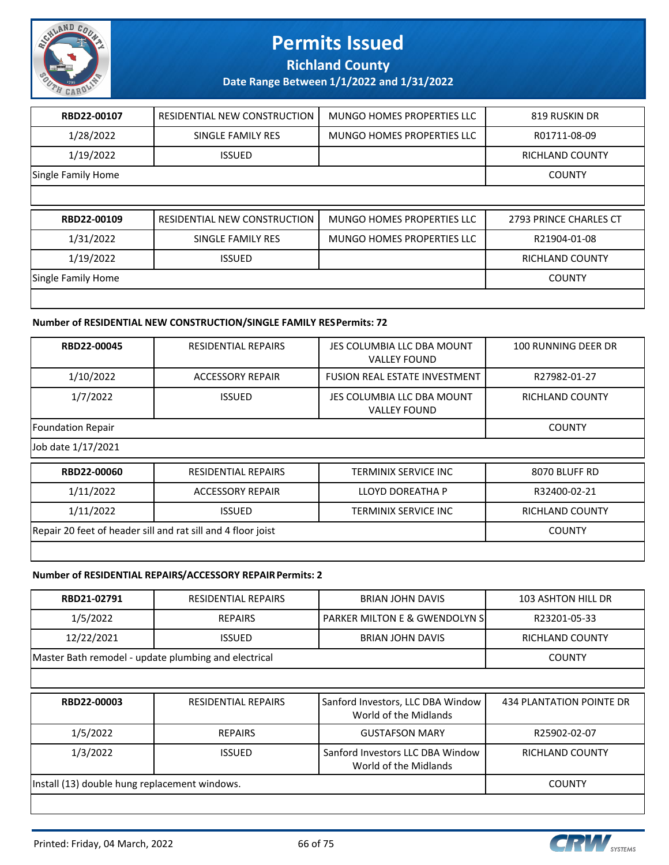

**Richland County**

**Date Range Between 1/1/2022 and 1/31/2022**

| RBD22-00107        | RESIDENTIAL NEW CONSTRUCTION | <b>MUNGO HOMES PROPERTIES LLC</b> | 819 RUSKIN DR          |
|--------------------|------------------------------|-----------------------------------|------------------------|
| 1/28/2022          | SINGLE FAMILY RES            | MUNGO HOMES PROPERTIES LLC        | R01711-08-09           |
| 1/19/2022          | <b>ISSUED</b>                |                                   | <b>RICHLAND COUNTY</b> |
| Single Family Home |                              |                                   | <b>COUNTY</b>          |
|                    |                              |                                   |                        |
|                    |                              |                                   |                        |
| RBD22-00109        | RESIDENTIAL NEW CONSTRUCTION | MUNGO HOMES PROPERTIES LLC        | 2793 PRINCE CHARLES CT |
| 1/31/2022          | SINGLE FAMILY RES            | <b>MUNGO HOMES PROPERTIES LLC</b> | R21904-01-08           |
| 1/19/2022          | <b>ISSUED</b>                |                                   | <b>RICHLAND COUNTY</b> |
| Single Family Home |                              |                                   | <b>COUNTY</b>          |

#### **Number of RESIDENTIAL NEW CONSTRUCTION/SINGLE FAMILY RES Permits: 72**

| RBD22-00045                                                  | <b>RESIDENTIAL REPAIRS</b> | JES COLUMBIA LLC DBA MOUNT<br><b>VALLEY FOUND</b> | 100 RUNNING DEER DR    |
|--------------------------------------------------------------|----------------------------|---------------------------------------------------|------------------------|
| 1/10/2022                                                    | <b>ACCESSORY REPAIR</b>    | <b>FUSION REAL ESTATE INVESTMENT</b>              | R27982-01-27           |
| 1/7/2022                                                     | <b>ISSUED</b>              | JES COLUMBIA LLC DBA MOUNT<br><b>VALLEY FOUND</b> | <b>RICHLAND COUNTY</b> |
| <b>Foundation Repair</b>                                     |                            |                                                   | <b>COUNTY</b>          |
| Job date 1/17/2021                                           |                            |                                                   |                        |
| RBD22-00060                                                  | <b>RESIDENTIAL REPAIRS</b> | TERMINIX SERVICE INC                              | 8070 BLUFF RD          |
| 1/11/2022                                                    | <b>ACCESSORY REPAIR</b>    | LLOYD DOREATHA P                                  | R32400-02-21           |
| 1/11/2022                                                    | <b>ISSUED</b>              | <b>TERMINIX SERVICE INC</b>                       | <b>RICHLAND COUNTY</b> |
| Repair 20 feet of header sill and rat sill and 4 floor joist | <b>COUNTY</b>              |                                                   |                        |
|                                                              |                            |                                                   |                        |

#### **Number of RESIDENTIAL REPAIRS/ACCESSORY REPAIR Permits: 2**

| RBD21-02791                                          | <b>RESIDENTIAL REPAIRS</b> | <b>BRIAN JOHN DAVIS</b>                                    | <b>103 ASHTON HILL DR</b> |
|------------------------------------------------------|----------------------------|------------------------------------------------------------|---------------------------|
| 1/5/2022                                             | <b>REPAIRS</b>             | PARKER MILTON E & GWENDOLYN S                              | R23201-05-33              |
| 12/22/2021                                           | <b>ISSUED</b>              | BRIAN JOHN DAVIS                                           | RICHLAND COUNTY           |
| Master Bath remodel - update plumbing and electrical |                            |                                                            | <b>COUNTY</b>             |
|                                                      |                            |                                                            |                           |
| RBD22-00003                                          | <b>RESIDENTIAL REPAIRS</b> | Sanford Investors, LLC DBA Window<br>World of the Midlands | 434 PLANTATION POINTE DR  |
| 1/5/2022                                             | <b>REPAIRS</b>             | <b>GUSTAFSON MARY</b>                                      | R25902-02-07              |
| 1/3/2022                                             | <b>ISSUED</b>              | Sanford Investors LLC DBA Window<br>World of the Midlands  | <b>RICHLAND COUNTY</b>    |
| Install (13) double hung replacement windows.        | <b>COUNTY</b>              |                                                            |                           |
|                                                      |                            |                                                            |                           |

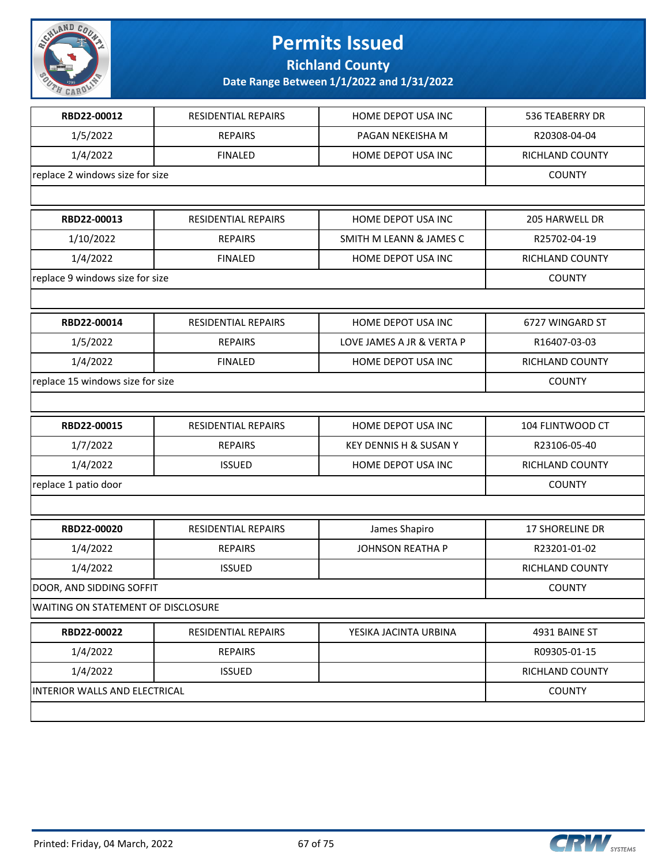

**Richland County**

| 1/5/2022<br><b>REPAIRS</b><br>PAGAN NEKEISHA M<br>R20308-04-04<br>1/4/2022<br><b>FINALED</b><br>HOME DEPOT USA INC<br>RICHLAND COUNTY<br>replace 2 windows size for size<br><b>COUNTY</b><br>RBD22-00013<br>RESIDENTIAL REPAIRS<br>HOME DEPOT USA INC<br>205 HARWELL DR<br>1/10/2022<br><b>REPAIRS</b><br>SMITH M LEANN & JAMES C<br>R25702-04-19<br>1/4/2022<br><b>FINALED</b><br>HOME DEPOT USA INC<br>RICHLAND COUNTY<br>replace 9 windows size for size<br><b>COUNTY</b><br>RBD22-00014<br>6727 WINGARD ST<br><b>RESIDENTIAL REPAIRS</b><br>HOME DEPOT USA INC<br>1/5/2022<br>LOVE JAMES A JR & VERTA P<br>R16407-03-03<br><b>REPAIRS</b><br>1/4/2022<br><b>FINALED</b><br>HOME DEPOT USA INC<br>RICHLAND COUNTY<br>replace 15 windows size for size<br><b>COUNTY</b><br>RESIDENTIAL REPAIRS<br>HOME DEPOT USA INC<br>104 FLINTWOOD CT<br>RBD22-00015<br>1/7/2022<br><b>REPAIRS</b><br>KEY DENNIS H & SUSAN Y<br>R23106-05-40<br>1/4/2022<br><b>ISSUED</b><br>HOME DEPOT USA INC<br>RICHLAND COUNTY<br>replace 1 patio door<br><b>COUNTY</b><br>RBD22-00020<br>RESIDENTIAL REPAIRS<br>James Shapiro<br><b>17 SHORELINE DR</b><br><b>JOHNSON REATHA P</b><br>1/4/2022<br><b>REPAIRS</b><br>R23201-01-02<br>1/4/2022<br><b>ISSUED</b><br>RICHLAND COUNTY<br>DOOR, AND SIDDING SOFFIT<br><b>COUNTY</b><br>WAITING ON STATEMENT OF DISCLOSURE<br>RBD22-00022<br>RESIDENTIAL REPAIRS<br>YESIKA JACINTA URBINA<br>4931 BAINE ST<br>1/4/2022<br><b>REPAIRS</b><br>R09305-01-15<br>1/4/2022<br><b>ISSUED</b><br>RICHLAND COUNTY<br>INTERIOR WALLS AND ELECTRICAL<br><b>COUNTY</b> | RBD22-00012 | <b>RESIDENTIAL REPAIRS</b> | HOME DEPOT USA INC | 536 TEABERRY DR |  |  |
|-------------------------------------------------------------------------------------------------------------------------------------------------------------------------------------------------------------------------------------------------------------------------------------------------------------------------------------------------------------------------------------------------------------------------------------------------------------------------------------------------------------------------------------------------------------------------------------------------------------------------------------------------------------------------------------------------------------------------------------------------------------------------------------------------------------------------------------------------------------------------------------------------------------------------------------------------------------------------------------------------------------------------------------------------------------------------------------------------------------------------------------------------------------------------------------------------------------------------------------------------------------------------------------------------------------------------------------------------------------------------------------------------------------------------------------------------------------------------------------------------------------------------------------------------------------------------------|-------------|----------------------------|--------------------|-----------------|--|--|
|                                                                                                                                                                                                                                                                                                                                                                                                                                                                                                                                                                                                                                                                                                                                                                                                                                                                                                                                                                                                                                                                                                                                                                                                                                                                                                                                                                                                                                                                                                                                                                               |             |                            |                    |                 |  |  |
|                                                                                                                                                                                                                                                                                                                                                                                                                                                                                                                                                                                                                                                                                                                                                                                                                                                                                                                                                                                                                                                                                                                                                                                                                                                                                                                                                                                                                                                                                                                                                                               |             |                            |                    |                 |  |  |
|                                                                                                                                                                                                                                                                                                                                                                                                                                                                                                                                                                                                                                                                                                                                                                                                                                                                                                                                                                                                                                                                                                                                                                                                                                                                                                                                                                                                                                                                                                                                                                               |             |                            |                    |                 |  |  |
|                                                                                                                                                                                                                                                                                                                                                                                                                                                                                                                                                                                                                                                                                                                                                                                                                                                                                                                                                                                                                                                                                                                                                                                                                                                                                                                                                                                                                                                                                                                                                                               |             |                            |                    |                 |  |  |
|                                                                                                                                                                                                                                                                                                                                                                                                                                                                                                                                                                                                                                                                                                                                                                                                                                                                                                                                                                                                                                                                                                                                                                                                                                                                                                                                                                                                                                                                                                                                                                               |             |                            |                    |                 |  |  |
|                                                                                                                                                                                                                                                                                                                                                                                                                                                                                                                                                                                                                                                                                                                                                                                                                                                                                                                                                                                                                                                                                                                                                                                                                                                                                                                                                                                                                                                                                                                                                                               |             |                            |                    |                 |  |  |
|                                                                                                                                                                                                                                                                                                                                                                                                                                                                                                                                                                                                                                                                                                                                                                                                                                                                                                                                                                                                                                                                                                                                                                                                                                                                                                                                                                                                                                                                                                                                                                               |             |                            |                    |                 |  |  |
|                                                                                                                                                                                                                                                                                                                                                                                                                                                                                                                                                                                                                                                                                                                                                                                                                                                                                                                                                                                                                                                                                                                                                                                                                                                                                                                                                                                                                                                                                                                                                                               |             |                            |                    |                 |  |  |
|                                                                                                                                                                                                                                                                                                                                                                                                                                                                                                                                                                                                                                                                                                                                                                                                                                                                                                                                                                                                                                                                                                                                                                                                                                                                                                                                                                                                                                                                                                                                                                               |             |                            |                    |                 |  |  |
|                                                                                                                                                                                                                                                                                                                                                                                                                                                                                                                                                                                                                                                                                                                                                                                                                                                                                                                                                                                                                                                                                                                                                                                                                                                                                                                                                                                                                                                                                                                                                                               |             |                            |                    |                 |  |  |
|                                                                                                                                                                                                                                                                                                                                                                                                                                                                                                                                                                                                                                                                                                                                                                                                                                                                                                                                                                                                                                                                                                                                                                                                                                                                                                                                                                                                                                                                                                                                                                               |             |                            |                    |                 |  |  |
|                                                                                                                                                                                                                                                                                                                                                                                                                                                                                                                                                                                                                                                                                                                                                                                                                                                                                                                                                                                                                                                                                                                                                                                                                                                                                                                                                                                                                                                                                                                                                                               |             |                            |                    |                 |  |  |
|                                                                                                                                                                                                                                                                                                                                                                                                                                                                                                                                                                                                                                                                                                                                                                                                                                                                                                                                                                                                                                                                                                                                                                                                                                                                                                                                                                                                                                                                                                                                                                               |             |                            |                    |                 |  |  |
|                                                                                                                                                                                                                                                                                                                                                                                                                                                                                                                                                                                                                                                                                                                                                                                                                                                                                                                                                                                                                                                                                                                                                                                                                                                                                                                                                                                                                                                                                                                                                                               |             |                            |                    |                 |  |  |
|                                                                                                                                                                                                                                                                                                                                                                                                                                                                                                                                                                                                                                                                                                                                                                                                                                                                                                                                                                                                                                                                                                                                                                                                                                                                                                                                                                                                                                                                                                                                                                               |             |                            |                    |                 |  |  |
|                                                                                                                                                                                                                                                                                                                                                                                                                                                                                                                                                                                                                                                                                                                                                                                                                                                                                                                                                                                                                                                                                                                                                                                                                                                                                                                                                                                                                                                                                                                                                                               |             |                            |                    |                 |  |  |
|                                                                                                                                                                                                                                                                                                                                                                                                                                                                                                                                                                                                                                                                                                                                                                                                                                                                                                                                                                                                                                                                                                                                                                                                                                                                                                                                                                                                                                                                                                                                                                               |             |                            |                    |                 |  |  |
|                                                                                                                                                                                                                                                                                                                                                                                                                                                                                                                                                                                                                                                                                                                                                                                                                                                                                                                                                                                                                                                                                                                                                                                                                                                                                                                                                                                                                                                                                                                                                                               |             |                            |                    |                 |  |  |
|                                                                                                                                                                                                                                                                                                                                                                                                                                                                                                                                                                                                                                                                                                                                                                                                                                                                                                                                                                                                                                                                                                                                                                                                                                                                                                                                                                                                                                                                                                                                                                               |             |                            |                    |                 |  |  |
|                                                                                                                                                                                                                                                                                                                                                                                                                                                                                                                                                                                                                                                                                                                                                                                                                                                                                                                                                                                                                                                                                                                                                                                                                                                                                                                                                                                                                                                                                                                                                                               |             |                            |                    |                 |  |  |
|                                                                                                                                                                                                                                                                                                                                                                                                                                                                                                                                                                                                                                                                                                                                                                                                                                                                                                                                                                                                                                                                                                                                                                                                                                                                                                                                                                                                                                                                                                                                                                               |             |                            |                    |                 |  |  |
|                                                                                                                                                                                                                                                                                                                                                                                                                                                                                                                                                                                                                                                                                                                                                                                                                                                                                                                                                                                                                                                                                                                                                                                                                                                                                                                                                                                                                                                                                                                                                                               |             |                            |                    |                 |  |  |
|                                                                                                                                                                                                                                                                                                                                                                                                                                                                                                                                                                                                                                                                                                                                                                                                                                                                                                                                                                                                                                                                                                                                                                                                                                                                                                                                                                                                                                                                                                                                                                               |             |                            |                    |                 |  |  |
|                                                                                                                                                                                                                                                                                                                                                                                                                                                                                                                                                                                                                                                                                                                                                                                                                                                                                                                                                                                                                                                                                                                                                                                                                                                                                                                                                                                                                                                                                                                                                                               |             |                            |                    |                 |  |  |
|                                                                                                                                                                                                                                                                                                                                                                                                                                                                                                                                                                                                                                                                                                                                                                                                                                                                                                                                                                                                                                                                                                                                                                                                                                                                                                                                                                                                                                                                                                                                                                               |             |                            |                    |                 |  |  |
|                                                                                                                                                                                                                                                                                                                                                                                                                                                                                                                                                                                                                                                                                                                                                                                                                                                                                                                                                                                                                                                                                                                                                                                                                                                                                                                                                                                                                                                                                                                                                                               |             |                            |                    |                 |  |  |
|                                                                                                                                                                                                                                                                                                                                                                                                                                                                                                                                                                                                                                                                                                                                                                                                                                                                                                                                                                                                                                                                                                                                                                                                                                                                                                                                                                                                                                                                                                                                                                               |             |                            |                    |                 |  |  |
|                                                                                                                                                                                                                                                                                                                                                                                                                                                                                                                                                                                                                                                                                                                                                                                                                                                                                                                                                                                                                                                                                                                                                                                                                                                                                                                                                                                                                                                                                                                                                                               |             |                            |                    |                 |  |  |
|                                                                                                                                                                                                                                                                                                                                                                                                                                                                                                                                                                                                                                                                                                                                                                                                                                                                                                                                                                                                                                                                                                                                                                                                                                                                                                                                                                                                                                                                                                                                                                               |             |                            |                    |                 |  |  |
|                                                                                                                                                                                                                                                                                                                                                                                                                                                                                                                                                                                                                                                                                                                                                                                                                                                                                                                                                                                                                                                                                                                                                                                                                                                                                                                                                                                                                                                                                                                                                                               |             |                            |                    |                 |  |  |

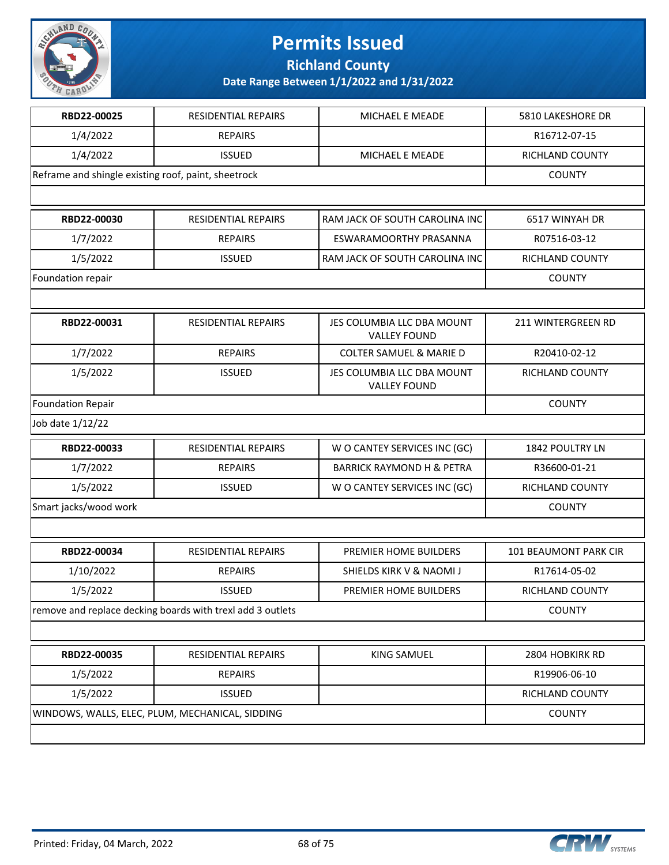

**Richland County**

| RBD22-00025                                         | RESIDENTIAL REPAIRS                                        | MICHAEL E MEADE                                   | 5810 LAKESHORE DR      |
|-----------------------------------------------------|------------------------------------------------------------|---------------------------------------------------|------------------------|
| 1/4/2022                                            | <b>REPAIRS</b>                                             |                                                   | R16712-07-15           |
| 1/4/2022                                            | <b>ISSUED</b>                                              | MICHAEL E MEADE                                   | RICHLAND COUNTY        |
| Reframe and shingle existing roof, paint, sheetrock |                                                            |                                                   | <b>COUNTY</b>          |
|                                                     |                                                            |                                                   |                        |
| RBD22-00030                                         | RESIDENTIAL REPAIRS                                        | RAM JACK OF SOUTH CAROLINA INC                    | 6517 WINYAH DR         |
| 1/7/2022                                            | <b>REPAIRS</b>                                             | ESWARAMOORTHY PRASANNA                            | R07516-03-12           |
| 1/5/2022                                            | <b>ISSUED</b>                                              | RAM JACK OF SOUTH CAROLINA INC                    | RICHLAND COUNTY        |
| Foundation repair                                   |                                                            |                                                   | <b>COUNTY</b>          |
|                                                     |                                                            |                                                   |                        |
| RBD22-00031                                         | <b>RESIDENTIAL REPAIRS</b>                                 | JES COLUMBIA LLC DBA MOUNT<br><b>VALLEY FOUND</b> | 211 WINTERGREEN RD     |
| 1/7/2022                                            | <b>REPAIRS</b>                                             | <b>COLTER SAMUEL &amp; MARIE D</b>                | R20410-02-12           |
| 1/5/2022                                            | <b>ISSUED</b>                                              | JES COLUMBIA LLC DBA MOUNT<br><b>VALLEY FOUND</b> | RICHLAND COUNTY        |
| <b>Foundation Repair</b>                            |                                                            |                                                   | <b>COUNTY</b>          |
| Job date 1/12/22                                    |                                                            |                                                   |                        |
| RBD22-00033                                         | <b>RESIDENTIAL REPAIRS</b>                                 | W O CANTEY SERVICES INC (GC)                      | <b>1842 POULTRY LN</b> |
| 1/7/2022                                            | <b>REPAIRS</b>                                             | <b>BARRICK RAYMOND H &amp; PETRA</b>              | R36600-01-21           |
| 1/5/2022                                            | <b>ISSUED</b>                                              | W O CANTEY SERVICES INC (GC)                      | RICHLAND COUNTY        |
| Smart jacks/wood work                               |                                                            |                                                   | <b>COUNTY</b>          |
|                                                     |                                                            |                                                   |                        |
| RBD22-00034                                         | <b>RESIDENTIAL REPAIRS</b>                                 | PREMIER HOME BUILDERS                             | 101 BEAUMONT PARK CIR  |
| 1/10/2022                                           | <b>REPAIRS</b>                                             | SHIELDS KIRK V & NAOMI J                          | R17614-05-02           |
| 1/5/2022                                            | <b>ISSUED</b>                                              | PREMIER HOME BUILDERS                             | RICHLAND COUNTY        |
|                                                     | remove and replace decking boards with trexl add 3 outlets |                                                   | <b>COUNTY</b>          |
|                                                     |                                                            |                                                   |                        |
| RBD22-00035                                         | RESIDENTIAL REPAIRS                                        | <b>KING SAMUEL</b>                                | 2804 HOBKIRK RD        |
| 1/5/2022                                            | <b>REPAIRS</b>                                             |                                                   | R19906-06-10           |
| 1/5/2022                                            | <b>ISSUED</b>                                              |                                                   | RICHLAND COUNTY        |
|                                                     | WINDOWS, WALLS, ELEC, PLUM, MECHANICAL, SIDDING            |                                                   | <b>COUNTY</b>          |
|                                                     |                                                            |                                                   |                        |

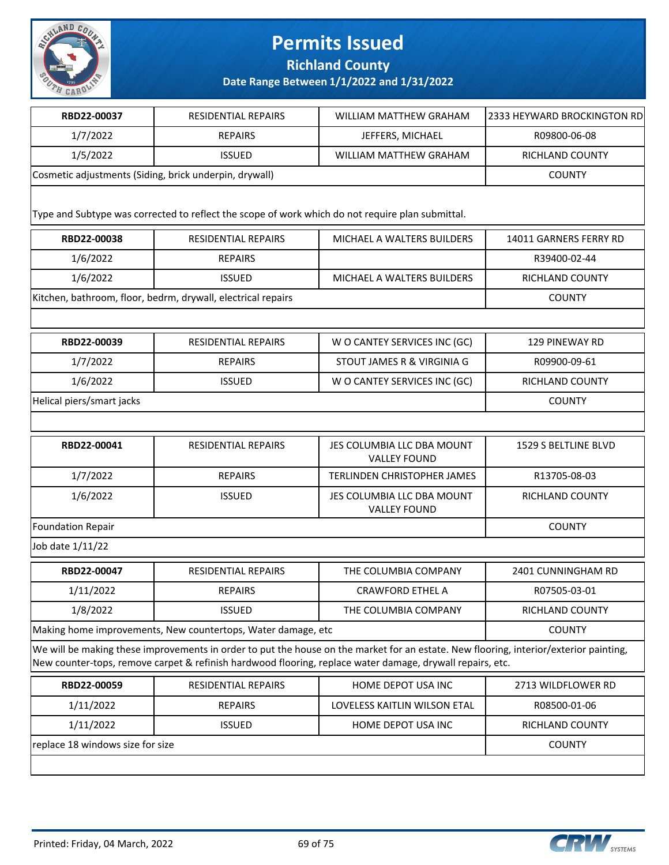

**Richland County**

| RBD22-00037                                                                                                                                                                                                                                        | <b>RESIDENTIAL REPAIRS</b>                                                                       | WILLIAM MATTHEW GRAHAM                            | 2333 HEYWARD BROCKINGTON RD |  |
|----------------------------------------------------------------------------------------------------------------------------------------------------------------------------------------------------------------------------------------------------|--------------------------------------------------------------------------------------------------|---------------------------------------------------|-----------------------------|--|
| 1/7/2022                                                                                                                                                                                                                                           | <b>REPAIRS</b>                                                                                   | JEFFERS, MICHAEL                                  | R09800-06-08                |  |
| 1/5/2022                                                                                                                                                                                                                                           | <b>ISSUED</b>                                                                                    | <b>WILLIAM MATTHEW GRAHAM</b>                     | RICHLAND COUNTY             |  |
| Cosmetic adjustments (Siding, brick underpin, drywall)                                                                                                                                                                                             |                                                                                                  |                                                   | <b>COUNTY</b>               |  |
|                                                                                                                                                                                                                                                    |                                                                                                  |                                                   |                             |  |
|                                                                                                                                                                                                                                                    | Type and Subtype was corrected to reflect the scope of work which do not require plan submittal. |                                                   |                             |  |
| RBD22-00038                                                                                                                                                                                                                                        | <b>RESIDENTIAL REPAIRS</b>                                                                       | MICHAEL A WALTERS BUILDERS                        | 14011 GARNERS FERRY RD      |  |
| 1/6/2022                                                                                                                                                                                                                                           | <b>REPAIRS</b>                                                                                   |                                                   | R39400-02-44                |  |
| 1/6/2022                                                                                                                                                                                                                                           | <b>ISSUED</b>                                                                                    | MICHAEL A WALTERS BUILDERS                        | RICHLAND COUNTY             |  |
|                                                                                                                                                                                                                                                    | Kitchen, bathroom, floor, bedrm, drywall, electrical repairs                                     |                                                   | <b>COUNTY</b>               |  |
|                                                                                                                                                                                                                                                    |                                                                                                  |                                                   |                             |  |
| RBD22-00039                                                                                                                                                                                                                                        | <b>RESIDENTIAL REPAIRS</b>                                                                       | W O CANTEY SERVICES INC (GC)                      | <b>129 PINEWAY RD</b>       |  |
| 1/7/2022                                                                                                                                                                                                                                           | <b>REPAIRS</b>                                                                                   | STOUT JAMES R & VIRGINIA G                        | R09900-09-61                |  |
| 1/6/2022                                                                                                                                                                                                                                           | <b>ISSUED</b>                                                                                    | W O CANTEY SERVICES INC (GC)                      | <b>RICHLAND COUNTY</b>      |  |
| Helical piers/smart jacks                                                                                                                                                                                                                          |                                                                                                  |                                                   | <b>COUNTY</b>               |  |
|                                                                                                                                                                                                                                                    |                                                                                                  |                                                   |                             |  |
| RBD22-00041                                                                                                                                                                                                                                        | RESIDENTIAL REPAIRS                                                                              | JES COLUMBIA LLC DBA MOUNT<br><b>VALLEY FOUND</b> | 1529 S BELTLINE BLVD        |  |
| 1/7/2022                                                                                                                                                                                                                                           | <b>REPAIRS</b>                                                                                   | <b>TERLINDEN CHRISTOPHER JAMES</b>                | R13705-08-03                |  |
| 1/6/2022                                                                                                                                                                                                                                           | <b>ISSUED</b>                                                                                    | JES COLUMBIA LLC DBA MOUNT<br><b>VALLEY FOUND</b> | RICHLAND COUNTY             |  |
| <b>Foundation Repair</b>                                                                                                                                                                                                                           | <b>COUNTY</b>                                                                                    |                                                   |                             |  |
| Job date 1/11/22                                                                                                                                                                                                                                   |                                                                                                  |                                                   |                             |  |
| RBD22-00047                                                                                                                                                                                                                                        | <b>RESIDENTIAL REPAIRS</b>                                                                       | THE COLUMBIA COMPANY                              | 2401 CUNNINGHAM RD          |  |
| 1/11/2022                                                                                                                                                                                                                                          | <b>REPAIRS</b>                                                                                   | <b>CRAWFORD ETHEL A</b>                           | R07505-03-01                |  |
| 1/8/2022                                                                                                                                                                                                                                           | <b>ISSUED</b>                                                                                    | THE COLUMBIA COMPANY                              | RICHLAND COUNTY             |  |
| Making home improvements, New countertops, Water damage, etc                                                                                                                                                                                       | <b>COUNTY</b>                                                                                    |                                                   |                             |  |
| We will be making these improvements in order to put the house on the market for an estate. New flooring, interior/exterior painting,<br>New counter-tops, remove carpet & refinish hardwood flooring, replace water damage, drywall repairs, etc. |                                                                                                  |                                                   |                             |  |
| RBD22-00059                                                                                                                                                                                                                                        | RESIDENTIAL REPAIRS                                                                              | HOME DEPOT USA INC                                | 2713 WILDFLOWER RD          |  |
| 1/11/2022                                                                                                                                                                                                                                          | <b>REPAIRS</b>                                                                                   | <b>LOVELESS KAITLIN WILSON ETAL</b>               | R08500-01-06                |  |
| 1/11/2022                                                                                                                                                                                                                                          | <b>ISSUED</b>                                                                                    | HOME DEPOT USA INC                                | RICHLAND COUNTY             |  |
| replace 18 windows size for size                                                                                                                                                                                                                   |                                                                                                  |                                                   | <b>COUNTY</b>               |  |
|                                                                                                                                                                                                                                                    |                                                                                                  |                                                   |                             |  |

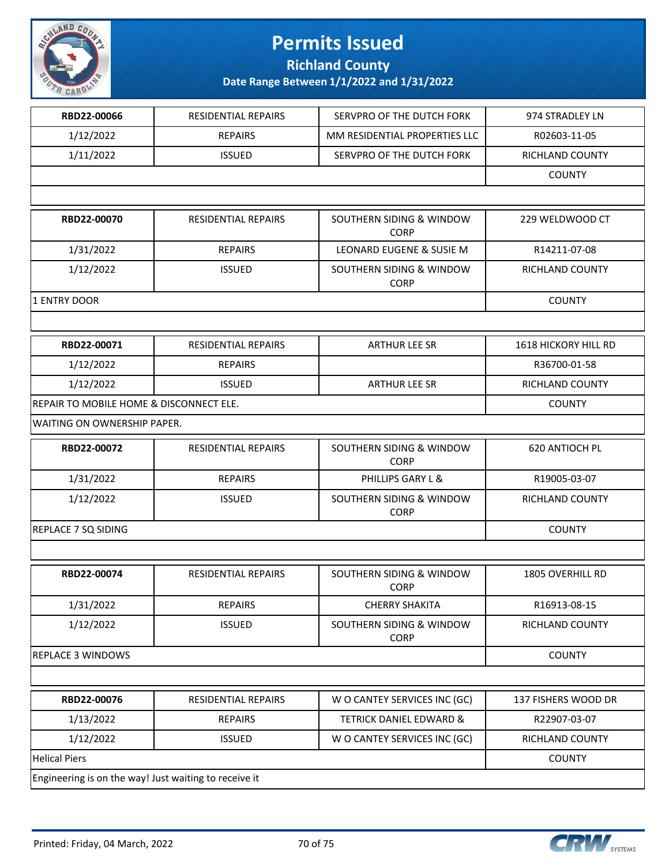

### **Richland County**

| RBD22-00066                                           | RESIDENTIAL REPAIRS        | SERVPRO OF THE DUTCH FORK               | 974 STRADLEY LN         |
|-------------------------------------------------------|----------------------------|-----------------------------------------|-------------------------|
| 1/12/2022                                             | <b>REPAIRS</b>             | MM RESIDENTIAL PROPERTIES LLC           | R02603-11-05            |
| 1/11/2022                                             | <b>ISSUED</b>              | SERVPRO OF THE DUTCH FORK               | RICHLAND COUNTY         |
|                                                       |                            |                                         | <b>COUNTY</b>           |
|                                                       |                            |                                         |                         |
| RBD22-00070                                           | <b>RESIDENTIAL REPAIRS</b> | SOUTHERN SIDING & WINDOW<br><b>CORP</b> | 229 WELDWOOD CT         |
| 1/31/2022                                             | <b>REPAIRS</b>             | LEONARD EUGENE & SUSIE M                | R14211-07-08            |
| 1/12/2022                                             | <b>ISSUED</b>              | SOUTHERN SIDING & WINDOW<br><b>CORP</b> | RICHLAND COUNTY         |
| 1 ENTRY DOOR                                          |                            |                                         | <b>COUNTY</b>           |
|                                                       |                            |                                         |                         |
| RBD22-00071                                           | RESIDENTIAL REPAIRS        | <b>ARTHUR LEE SR</b>                    | 1618 HICKORY HILL RD    |
| 1/12/2022                                             | <b>REPAIRS</b>             |                                         | R36700-01-58            |
| 1/12/2022                                             | <b>ISSUED</b>              | <b>ARTHUR LEE SR</b>                    | RICHLAND COUNTY         |
| REPAIR TO MOBILE HOME & DISCONNECT ELE.               |                            |                                         | <b>COUNTY</b>           |
| WAITING ON OWNERSHIP PAPER.                           |                            |                                         |                         |
| RBD22-00072                                           | RESIDENTIAL REPAIRS        | SOUTHERN SIDING & WINDOW<br><b>CORP</b> | 620 ANTIOCH PL          |
| 1/31/2022                                             | <b>REPAIRS</b>             | PHILLIPS GARY L &                       | R19005-03-07            |
| 1/12/2022                                             | <b>ISSUED</b>              | SOUTHERN SIDING & WINDOW<br><b>CORP</b> | RICHLAND COUNTY         |
| REPLACE 7 SQ SIDING                                   |                            |                                         | <b>COUNTY</b>           |
|                                                       |                            |                                         |                         |
| RBD22-00074                                           | <b>RESIDENTIAL REPAIRS</b> | SOUTHERN SIDING & WINDOW<br><b>CORP</b> | <b>1805 OVERHILL RD</b> |
| 1/31/2022                                             | <b>REPAIRS</b>             | <b>CHERRY SHAKITA</b>                   | R16913-08-15            |
| 1/12/2022                                             | <b>ISSUED</b>              | SOUTHERN SIDING & WINDOW<br><b>CORP</b> | RICHLAND COUNTY         |
| <b>REPLACE 3 WINDOWS</b>                              |                            |                                         | <b>COUNTY</b>           |
|                                                       |                            |                                         |                         |
| RBD22-00076                                           | <b>RESIDENTIAL REPAIRS</b> | W O CANTEY SERVICES INC (GC)            | 137 FISHERS WOOD DR     |
| 1/13/2022                                             | <b>REPAIRS</b>             | <b>TETRICK DANIEL EDWARD &amp;</b>      | R22907-03-07            |
| 1/12/2022                                             | <b>ISSUED</b>              | W O CANTEY SERVICES INC (GC)            | RICHLAND COUNTY         |
| <b>Helical Piers</b>                                  |                            |                                         | <b>COUNTY</b>           |
| Engineering is on the way! Just waiting to receive it |                            |                                         |                         |

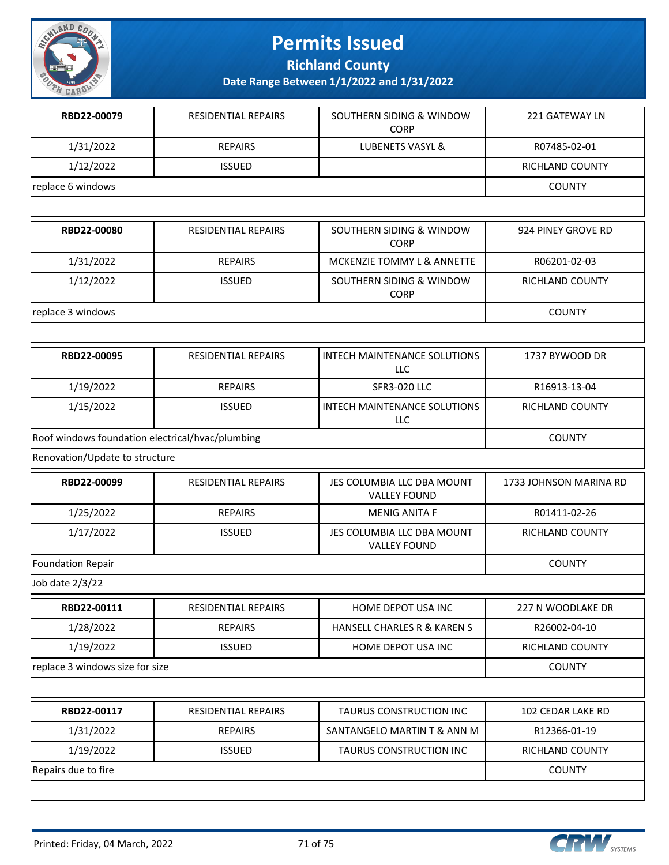

**Richland County**

| RBD22-00079                                      | <b>RESIDENTIAL REPAIRS</b> | SOUTHERN SIDING & WINDOW<br><b>CORP</b>           | <b>221 GATEWAY LN</b>  |
|--------------------------------------------------|----------------------------|---------------------------------------------------|------------------------|
| 1/31/2022                                        | <b>REPAIRS</b>             | LUBENETS VASYL &                                  | R07485-02-01           |
| 1/12/2022                                        | <b>ISSUED</b>              |                                                   | RICHLAND COUNTY        |
| replace 6 windows                                |                            |                                                   | <b>COUNTY</b>          |
|                                                  |                            |                                                   |                        |
| RBD22-00080                                      | <b>RESIDENTIAL REPAIRS</b> | SOUTHERN SIDING & WINDOW<br><b>CORP</b>           | 924 PINEY GROVE RD     |
| 1/31/2022                                        | <b>REPAIRS</b>             | MCKENZIE TOMMY L & ANNETTE                        | R06201-02-03           |
| 1/12/2022                                        | <b>ISSUED</b>              | SOUTHERN SIDING & WINDOW<br><b>CORP</b>           | RICHLAND COUNTY        |
| replace 3 windows                                |                            |                                                   | <b>COUNTY</b>          |
|                                                  |                            |                                                   |                        |
| RBD22-00095                                      | RESIDENTIAL REPAIRS        | <b>INTECH MAINTENANCE SOLUTIONS</b><br><b>LLC</b> | 1737 BYWOOD DR         |
| 1/19/2022                                        | <b>REPAIRS</b>             | <b>SFR3-020 LLC</b>                               | R16913-13-04           |
| 1/15/2022                                        | <b>ISSUED</b>              | <b>INTECH MAINTENANCE SOLUTIONS</b><br><b>LLC</b> | RICHLAND COUNTY        |
| Roof windows foundation electrical/hvac/plumbing |                            |                                                   | <b>COUNTY</b>          |
| Renovation/Update to structure                   |                            |                                                   |                        |
| RBD22-00099                                      | RESIDENTIAL REPAIRS        | JES COLUMBIA LLC DBA MOUNT<br><b>VALLEY FOUND</b> | 1733 JOHNSON MARINA RD |
| 1/25/2022                                        | <b>REPAIRS</b>             | <b>MENIG ANITA F</b>                              | R01411-02-26           |
| 1/17/2022                                        | <b>ISSUED</b>              | JES COLUMBIA LLC DBA MOUNT<br><b>VALLEY FOUND</b> | RICHLAND COUNTY        |
| <b>Foundation Repair</b>                         |                            |                                                   | <b>COUNTY</b>          |
| Job date 2/3/22                                  |                            |                                                   |                        |
| RBD22-00111                                      | <b>RESIDENTIAL REPAIRS</b> | HOME DEPOT USA INC                                | 227 N WOODLAKE DR      |
| 1/28/2022                                        | <b>REPAIRS</b>             | HANSELL CHARLES R & KAREN S                       | R26002-04-10           |
| 1/19/2022                                        | <b>ISSUED</b>              | HOME DEPOT USA INC                                | RICHLAND COUNTY        |
| replace 3 windows size for size                  |                            |                                                   | <b>COUNTY</b>          |
|                                                  |                            |                                                   |                        |
| RBD22-00117                                      | RESIDENTIAL REPAIRS        | TAURUS CONSTRUCTION INC                           | 102 CEDAR LAKE RD      |
| 1/31/2022                                        | <b>REPAIRS</b>             | SANTANGELO MARTIN T & ANN M                       | R12366-01-19           |
| 1/19/2022                                        | <b>ISSUED</b>              | TAURUS CONSTRUCTION INC                           | RICHLAND COUNTY        |
| Repairs due to fire                              |                            |                                                   | <b>COUNTY</b>          |
|                                                  |                            |                                                   |                        |

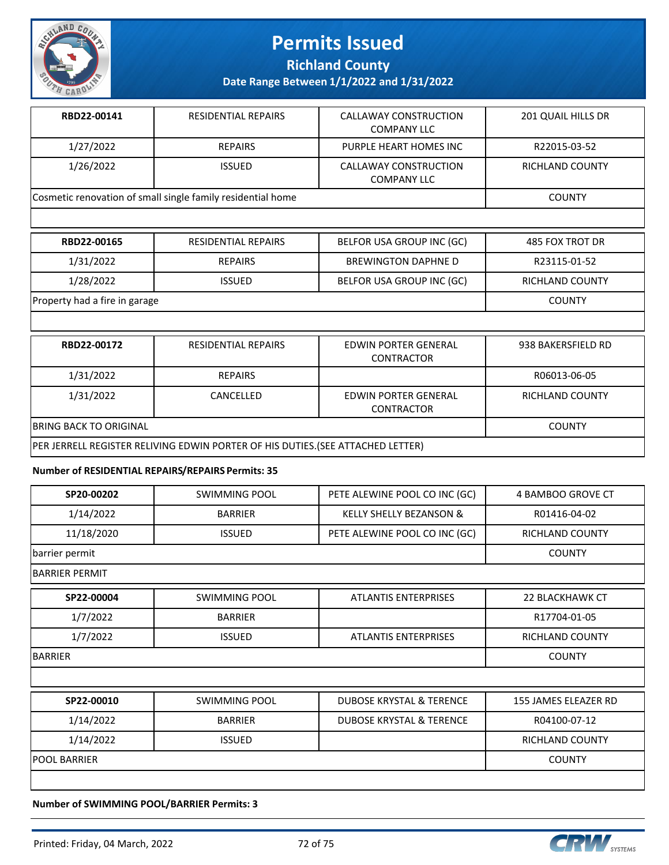

**Richland County**

### **Date Range Between 1/1/2022 and 1/31/2022**

| RBD22-00141 | <b>RESIDENTIAL REPAIRS</b>                                  | CALLAWAY CONSTRUCTION<br><b>COMPANY LLC</b> | 201 QUAIL HILLS DR |
|-------------|-------------------------------------------------------------|---------------------------------------------|--------------------|
| 1/27/2022   | <b>REPAIRS</b>                                              | PURPLE HEART HOMES INC                      | R22015-03-52       |
| 1/26/2022   | <b>ISSUED</b>                                               | CALLAWAY CONSTRUCTION<br><b>COMPANY LLC</b> | RICHLAND COUNTY    |
|             | Cosmetic renovation of small single family residential home |                                             | <b>COUNTY</b>      |

| RBD22-00165                   | RESIDENTIAL REPAIRS | BELFOR USA GROUP INC (GC)  | 485 FOX TROT DR |
|-------------------------------|---------------------|----------------------------|-----------------|
| 1/31/2022                     | <b>REPAIRS</b>      | <b>BREWINGTON DAPHNE D</b> | R23115-01-52    |
| 1/28/2022                     | <b>ISSUED</b>       | BELFOR USA GROUP INC (GC)  | RICHLAND COUNTY |
| Property had a fire in garage |                     |                            | <b>COUNTY</b>   |

| RBD22-00172                                                                    | <b>RESIDENTIAL REPAIRS</b> | EDWIN PORTER GENERAL<br><b>CONTRACTOR</b> | 938 BAKERSFIELD RD |  |
|--------------------------------------------------------------------------------|----------------------------|-------------------------------------------|--------------------|--|
| 1/31/2022                                                                      | <b>REPAIRS</b>             |                                           | R06013-06-05       |  |
| 1/31/2022                                                                      | CANCELLED                  | EDWIN PORTER GENERAL<br><b>CONTRACTOR</b> | RICHLAND COUNTY    |  |
| <b>IBRING BACK TO ORIGINAL</b><br><b>COUNTY</b>                                |                            |                                           |                    |  |
| PER JERRELL REGISTER RELIVING EDWIN PORTER OF HIS DUTIES.(SEE ATTACHED LETTER) |                            |                                           |                    |  |

#### **Number of RESIDENTIAL REPAIRS/REPAIRS Permits: 35**

| SP20-00202            | <b>SWIMMING POOL</b> | PETE ALEWINE POOL CO INC (GC)       | 4 BAMBOO GROVE CT      |
|-----------------------|----------------------|-------------------------------------|------------------------|
| 1/14/2022             | <b>BARRIER</b>       | KELLY SHELLY BEZANSON &             | R01416-04-02           |
| 11/18/2020            | <b>ISSUED</b>        | PETE ALEWINE POOL CO INC (GC)       | RICHLAND COUNTY        |
| barrier permit        |                      |                                     | <b>COUNTY</b>          |
| <b>BARRIER PERMIT</b> |                      |                                     |                        |
| SP22-00004            | <b>SWIMMING POOL</b> | <b>ATLANTIS ENTERPRISES</b>         | 22 BLACKHAWK CT        |
| 1/7/2022              | <b>BARRIER</b>       |                                     | R17704-01-05           |
| 1/7/2022              | <b>ISSUED</b>        | <b>ATLANTIS ENTERPRISES</b>         | <b>RICHLAND COUNTY</b> |
| BARRIER               |                      |                                     | <b>COUNTY</b>          |
|                       |                      |                                     |                        |
| SP22-00010            | <b>SWIMMING POOL</b> | <b>DUBOSE KRYSTAL &amp; TERENCE</b> | 155 JAMES ELEAZER RD   |
| 1/14/2022             | <b>BARRIER</b>       | <b>DUBOSE KRYSTAL &amp; TERENCE</b> | R04100-07-12           |
| 1/14/2022             | <b>ISSUED</b>        |                                     | RICHLAND COUNTY        |
| <b>POOL BARRIER</b>   |                      |                                     | <b>COUNTY</b>          |
|                       |                      |                                     |                        |

**Number of SWIMMING POOL/BARRIER Permits: 3**

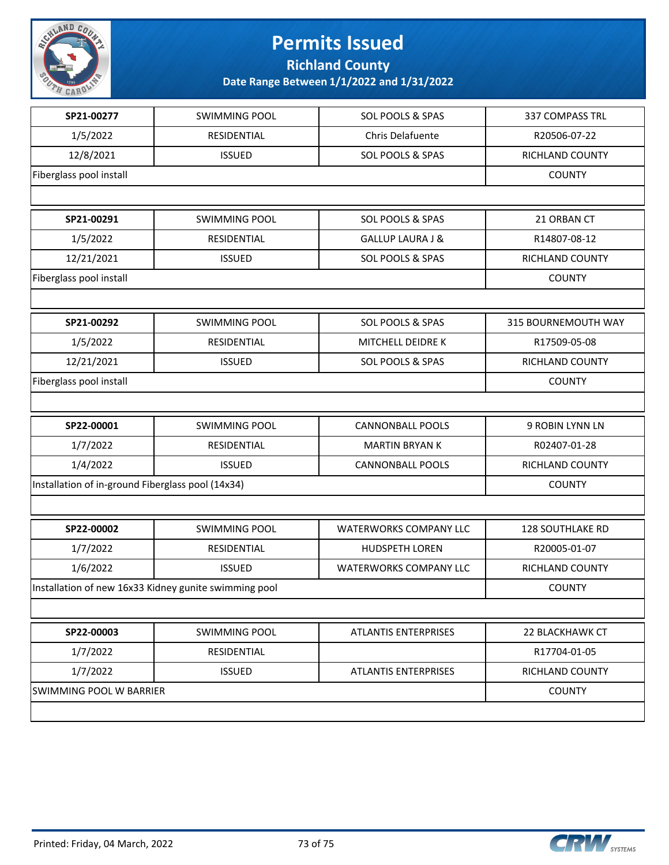

## **Permits Issued Richland County**

**Date Range Between 1/1/2022 and 1/31/2022**

| SP21-00277                                            | <b>SWIMMING POOL</b> | SOL POOLS & SPAS              | 337 COMPASS TRL         |
|-------------------------------------------------------|----------------------|-------------------------------|-------------------------|
| 1/5/2022                                              | RESIDENTIAL          | Chris Delafuente              | R20506-07-22            |
| 12/8/2021                                             | <b>ISSUED</b>        | SOL POOLS & SPAS              | RICHLAND COUNTY         |
| Fiberglass pool install                               |                      |                               | <b>COUNTY</b>           |
|                                                       |                      |                               |                         |
| SP21-00291                                            | <b>SWIMMING POOL</b> | SOL POOLS & SPAS              | 21 ORBAN CT             |
| 1/5/2022                                              | RESIDENTIAL          | <b>GALLUP LAURA J &amp;</b>   | R14807-08-12            |
| 12/21/2021                                            | <b>ISSUED</b>        | SOL POOLS & SPAS              | RICHLAND COUNTY         |
| Fiberglass pool install                               |                      |                               | <b>COUNTY</b>           |
|                                                       |                      |                               |                         |
| SP21-00292                                            | <b>SWIMMING POOL</b> | SOL POOLS & SPAS              | 315 BOURNEMOUTH WAY     |
| 1/5/2022                                              | RESIDENTIAL          | MITCHELL DEIDRE K             | R17509-05-08            |
| 12/21/2021                                            | <b>ISSUED</b>        | SOL POOLS & SPAS              | RICHLAND COUNTY         |
| Fiberglass pool install                               | <b>COUNTY</b>        |                               |                         |
|                                                       |                      |                               |                         |
| SP22-00001                                            | <b>SWIMMING POOL</b> | <b>CANNONBALL POOLS</b>       | 9 ROBIN LYNN LN         |
| 1/7/2022                                              | RESIDENTIAL          | <b>MARTIN BRYAN K</b>         | R02407-01-28            |
| 1/4/2022                                              | <b>ISSUED</b>        | <b>CANNONBALL POOLS</b>       | RICHLAND COUNTY         |
| Installation of in-ground Fiberglass pool (14x34)     | <b>COUNTY</b>        |                               |                         |
|                                                       |                      |                               |                         |
| SP22-00002                                            | <b>SWIMMING POOL</b> | <b>WATERWORKS COMPANY LLC</b> | <b>128 SOUTHLAKE RD</b> |
| 1/7/2022                                              | RESIDENTIAL          | <b>HUDSPETH LOREN</b>         | R20005-01-07            |
| 1/6/2022                                              | <b>ISSUED</b>        | <b>WATERWORKS COMPANY LLC</b> | RICHLAND COUNTY         |
| Installation of new 16x33 Kidney gunite swimming pool | <b>COUNTY</b>        |                               |                         |
|                                                       |                      |                               |                         |
| SP22-00003                                            | <b>SWIMMING POOL</b> | <b>ATLANTIS ENTERPRISES</b>   | 22 BLACKHAWK CT         |
| 1/7/2022                                              | RESIDENTIAL          |                               | R17704-01-05            |
| 1/7/2022                                              | <b>ISSUED</b>        | <b>ATLANTIS ENTERPRISES</b>   | RICHLAND COUNTY         |
| SWIMMING POOL W BARRIER                               | <b>COUNTY</b>        |                               |                         |
|                                                       |                      |                               |                         |
|                                                       |                      |                               |                         |

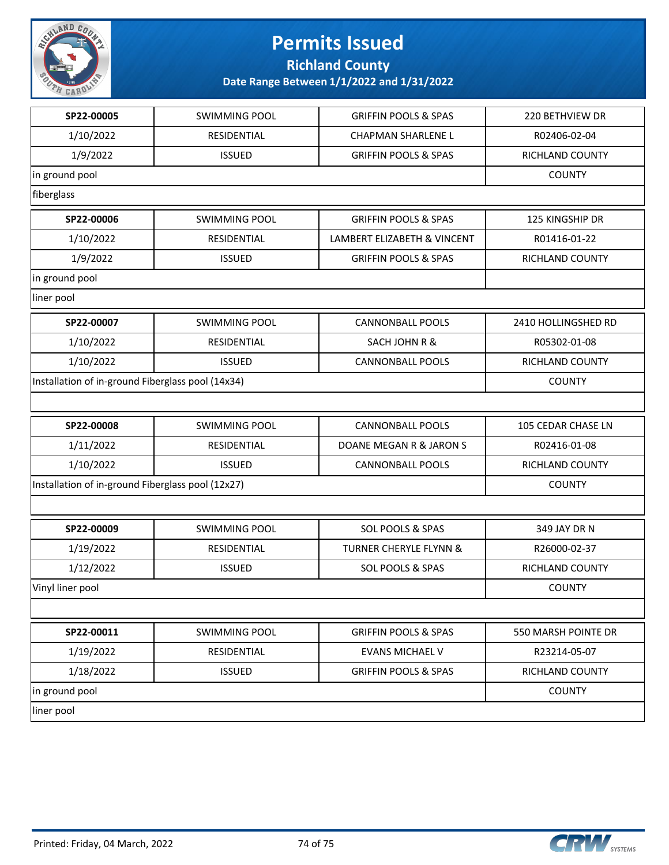

## **Permits Issued**

**Richland County**

**Date Range Between 1/1/2022 and 1/31/2022**

| 1/10/2022<br>RESIDENTIAL<br><b>CHAPMAN SHARLENE L</b><br>R02406-02-04<br>1/9/2022<br><b>ISSUED</b><br><b>GRIFFIN POOLS &amp; SPAS</b><br>RICHLAND COUNTY<br><b>COUNTY</b><br>SP22-00006<br><b>SWIMMING POOL</b><br><b>GRIFFIN POOLS &amp; SPAS</b><br>125 KINGSHIP DR<br>1/10/2022<br>RESIDENTIAL<br><b>LAMBERT ELIZABETH &amp; VINCENT</b><br>R01416-01-22<br>1/9/2022<br><b>ISSUED</b><br><b>GRIFFIN POOLS &amp; SPAS</b><br><b>RICHLAND COUNTY</b><br>SP22-00007<br><b>SWIMMING POOL</b><br><b>CANNONBALL POOLS</b><br>2410 HOLLINGSHED RD<br>1/10/2022<br>RESIDENTIAL<br>SACH JOHN R &<br>R05302-01-08<br>1/10/2022<br><b>ISSUED</b><br><b>CANNONBALL POOLS</b><br>RICHLAND COUNTY<br><b>COUNTY</b><br>SP22-00008<br><b>SWIMMING POOL</b><br><b>CANNONBALL POOLS</b><br>105 CEDAR CHASE LN<br>1/11/2022<br>RESIDENTIAL<br>DOANE MEGAN R & JARON S<br>R02416-01-08<br>1/10/2022<br><b>CANNONBALL POOLS</b><br><b>ISSUED</b><br>RICHLAND COUNTY<br>Installation of in-ground Fiberglass pool (12x27)<br><b>COUNTY</b><br>SP22-00009<br><b>SWIMMING POOL</b><br>SOL POOLS & SPAS<br>349 JAY DR N<br>1/19/2022<br>RESIDENTIAL<br><b>TURNER CHERYLE FLYNN &amp;</b><br>R26000-02-37<br>1/12/2022<br><b>SOL POOLS &amp; SPAS</b><br>RICHLAND COUNTY<br><b>ISSUED</b><br><b>COUNTY</b><br>SP22-00011<br><b>SWIMMING POOL</b><br><b>GRIFFIN POOLS &amp; SPAS</b><br>550 MARSH POINTE DR<br>1/19/2022<br>RESIDENTIAL<br><b>EVANS MICHAEL V</b><br>R23214-05-07<br>1/18/2022<br><b>ISSUED</b><br><b>GRIFFIN POOLS &amp; SPAS</b><br>RICHLAND COUNTY<br><b>COUNTY</b> | SP22-00005       | <b>SWIMMING POOL</b>                              | <b>GRIFFIN POOLS &amp; SPAS</b> | 220 BETHVIEW DR |  |
|----------------------------------------------------------------------------------------------------------------------------------------------------------------------------------------------------------------------------------------------------------------------------------------------------------------------------------------------------------------------------------------------------------------------------------------------------------------------------------------------------------------------------------------------------------------------------------------------------------------------------------------------------------------------------------------------------------------------------------------------------------------------------------------------------------------------------------------------------------------------------------------------------------------------------------------------------------------------------------------------------------------------------------------------------------------------------------------------------------------------------------------------------------------------------------------------------------------------------------------------------------------------------------------------------------------------------------------------------------------------------------------------------------------------------------------------------------------------------------------------------------------------------------------------------------------|------------------|---------------------------------------------------|---------------------------------|-----------------|--|
|                                                                                                                                                                                                                                                                                                                                                                                                                                                                                                                                                                                                                                                                                                                                                                                                                                                                                                                                                                                                                                                                                                                                                                                                                                                                                                                                                                                                                                                                                                                                                                |                  |                                                   |                                 |                 |  |
|                                                                                                                                                                                                                                                                                                                                                                                                                                                                                                                                                                                                                                                                                                                                                                                                                                                                                                                                                                                                                                                                                                                                                                                                                                                                                                                                                                                                                                                                                                                                                                |                  |                                                   |                                 |                 |  |
|                                                                                                                                                                                                                                                                                                                                                                                                                                                                                                                                                                                                                                                                                                                                                                                                                                                                                                                                                                                                                                                                                                                                                                                                                                                                                                                                                                                                                                                                                                                                                                | in ground pool   |                                                   |                                 |                 |  |
|                                                                                                                                                                                                                                                                                                                                                                                                                                                                                                                                                                                                                                                                                                                                                                                                                                                                                                                                                                                                                                                                                                                                                                                                                                                                                                                                                                                                                                                                                                                                                                | fiberglass       |                                                   |                                 |                 |  |
|                                                                                                                                                                                                                                                                                                                                                                                                                                                                                                                                                                                                                                                                                                                                                                                                                                                                                                                                                                                                                                                                                                                                                                                                                                                                                                                                                                                                                                                                                                                                                                |                  |                                                   |                                 |                 |  |
|                                                                                                                                                                                                                                                                                                                                                                                                                                                                                                                                                                                                                                                                                                                                                                                                                                                                                                                                                                                                                                                                                                                                                                                                                                                                                                                                                                                                                                                                                                                                                                |                  |                                                   |                                 |                 |  |
|                                                                                                                                                                                                                                                                                                                                                                                                                                                                                                                                                                                                                                                                                                                                                                                                                                                                                                                                                                                                                                                                                                                                                                                                                                                                                                                                                                                                                                                                                                                                                                |                  |                                                   |                                 |                 |  |
|                                                                                                                                                                                                                                                                                                                                                                                                                                                                                                                                                                                                                                                                                                                                                                                                                                                                                                                                                                                                                                                                                                                                                                                                                                                                                                                                                                                                                                                                                                                                                                | in ground pool   |                                                   |                                 |                 |  |
|                                                                                                                                                                                                                                                                                                                                                                                                                                                                                                                                                                                                                                                                                                                                                                                                                                                                                                                                                                                                                                                                                                                                                                                                                                                                                                                                                                                                                                                                                                                                                                | liner pool       |                                                   |                                 |                 |  |
|                                                                                                                                                                                                                                                                                                                                                                                                                                                                                                                                                                                                                                                                                                                                                                                                                                                                                                                                                                                                                                                                                                                                                                                                                                                                                                                                                                                                                                                                                                                                                                |                  |                                                   |                                 |                 |  |
|                                                                                                                                                                                                                                                                                                                                                                                                                                                                                                                                                                                                                                                                                                                                                                                                                                                                                                                                                                                                                                                                                                                                                                                                                                                                                                                                                                                                                                                                                                                                                                |                  |                                                   |                                 |                 |  |
|                                                                                                                                                                                                                                                                                                                                                                                                                                                                                                                                                                                                                                                                                                                                                                                                                                                                                                                                                                                                                                                                                                                                                                                                                                                                                                                                                                                                                                                                                                                                                                |                  |                                                   |                                 |                 |  |
|                                                                                                                                                                                                                                                                                                                                                                                                                                                                                                                                                                                                                                                                                                                                                                                                                                                                                                                                                                                                                                                                                                                                                                                                                                                                                                                                                                                                                                                                                                                                                                |                  | Installation of in-ground Fiberglass pool (14x34) |                                 |                 |  |
|                                                                                                                                                                                                                                                                                                                                                                                                                                                                                                                                                                                                                                                                                                                                                                                                                                                                                                                                                                                                                                                                                                                                                                                                                                                                                                                                                                                                                                                                                                                                                                |                  |                                                   |                                 |                 |  |
|                                                                                                                                                                                                                                                                                                                                                                                                                                                                                                                                                                                                                                                                                                                                                                                                                                                                                                                                                                                                                                                                                                                                                                                                                                                                                                                                                                                                                                                                                                                                                                |                  |                                                   |                                 |                 |  |
|                                                                                                                                                                                                                                                                                                                                                                                                                                                                                                                                                                                                                                                                                                                                                                                                                                                                                                                                                                                                                                                                                                                                                                                                                                                                                                                                                                                                                                                                                                                                                                |                  |                                                   |                                 |                 |  |
|                                                                                                                                                                                                                                                                                                                                                                                                                                                                                                                                                                                                                                                                                                                                                                                                                                                                                                                                                                                                                                                                                                                                                                                                                                                                                                                                                                                                                                                                                                                                                                |                  |                                                   |                                 |                 |  |
|                                                                                                                                                                                                                                                                                                                                                                                                                                                                                                                                                                                                                                                                                                                                                                                                                                                                                                                                                                                                                                                                                                                                                                                                                                                                                                                                                                                                                                                                                                                                                                |                  |                                                   |                                 |                 |  |
|                                                                                                                                                                                                                                                                                                                                                                                                                                                                                                                                                                                                                                                                                                                                                                                                                                                                                                                                                                                                                                                                                                                                                                                                                                                                                                                                                                                                                                                                                                                                                                |                  |                                                   |                                 |                 |  |
|                                                                                                                                                                                                                                                                                                                                                                                                                                                                                                                                                                                                                                                                                                                                                                                                                                                                                                                                                                                                                                                                                                                                                                                                                                                                                                                                                                                                                                                                                                                                                                |                  |                                                   |                                 |                 |  |
|                                                                                                                                                                                                                                                                                                                                                                                                                                                                                                                                                                                                                                                                                                                                                                                                                                                                                                                                                                                                                                                                                                                                                                                                                                                                                                                                                                                                                                                                                                                                                                |                  |                                                   |                                 |                 |  |
|                                                                                                                                                                                                                                                                                                                                                                                                                                                                                                                                                                                                                                                                                                                                                                                                                                                                                                                                                                                                                                                                                                                                                                                                                                                                                                                                                                                                                                                                                                                                                                |                  |                                                   |                                 |                 |  |
|                                                                                                                                                                                                                                                                                                                                                                                                                                                                                                                                                                                                                                                                                                                                                                                                                                                                                                                                                                                                                                                                                                                                                                                                                                                                                                                                                                                                                                                                                                                                                                | Vinyl liner pool |                                                   |                                 |                 |  |
|                                                                                                                                                                                                                                                                                                                                                                                                                                                                                                                                                                                                                                                                                                                                                                                                                                                                                                                                                                                                                                                                                                                                                                                                                                                                                                                                                                                                                                                                                                                                                                |                  |                                                   |                                 |                 |  |
|                                                                                                                                                                                                                                                                                                                                                                                                                                                                                                                                                                                                                                                                                                                                                                                                                                                                                                                                                                                                                                                                                                                                                                                                                                                                                                                                                                                                                                                                                                                                                                |                  |                                                   |                                 |                 |  |
|                                                                                                                                                                                                                                                                                                                                                                                                                                                                                                                                                                                                                                                                                                                                                                                                                                                                                                                                                                                                                                                                                                                                                                                                                                                                                                                                                                                                                                                                                                                                                                |                  |                                                   |                                 |                 |  |
|                                                                                                                                                                                                                                                                                                                                                                                                                                                                                                                                                                                                                                                                                                                                                                                                                                                                                                                                                                                                                                                                                                                                                                                                                                                                                                                                                                                                                                                                                                                                                                |                  |                                                   |                                 |                 |  |
|                                                                                                                                                                                                                                                                                                                                                                                                                                                                                                                                                                                                                                                                                                                                                                                                                                                                                                                                                                                                                                                                                                                                                                                                                                                                                                                                                                                                                                                                                                                                                                | in ground pool   |                                                   |                                 |                 |  |
|                                                                                                                                                                                                                                                                                                                                                                                                                                                                                                                                                                                                                                                                                                                                                                                                                                                                                                                                                                                                                                                                                                                                                                                                                                                                                                                                                                                                                                                                                                                                                                | liner pool       |                                                   |                                 |                 |  |